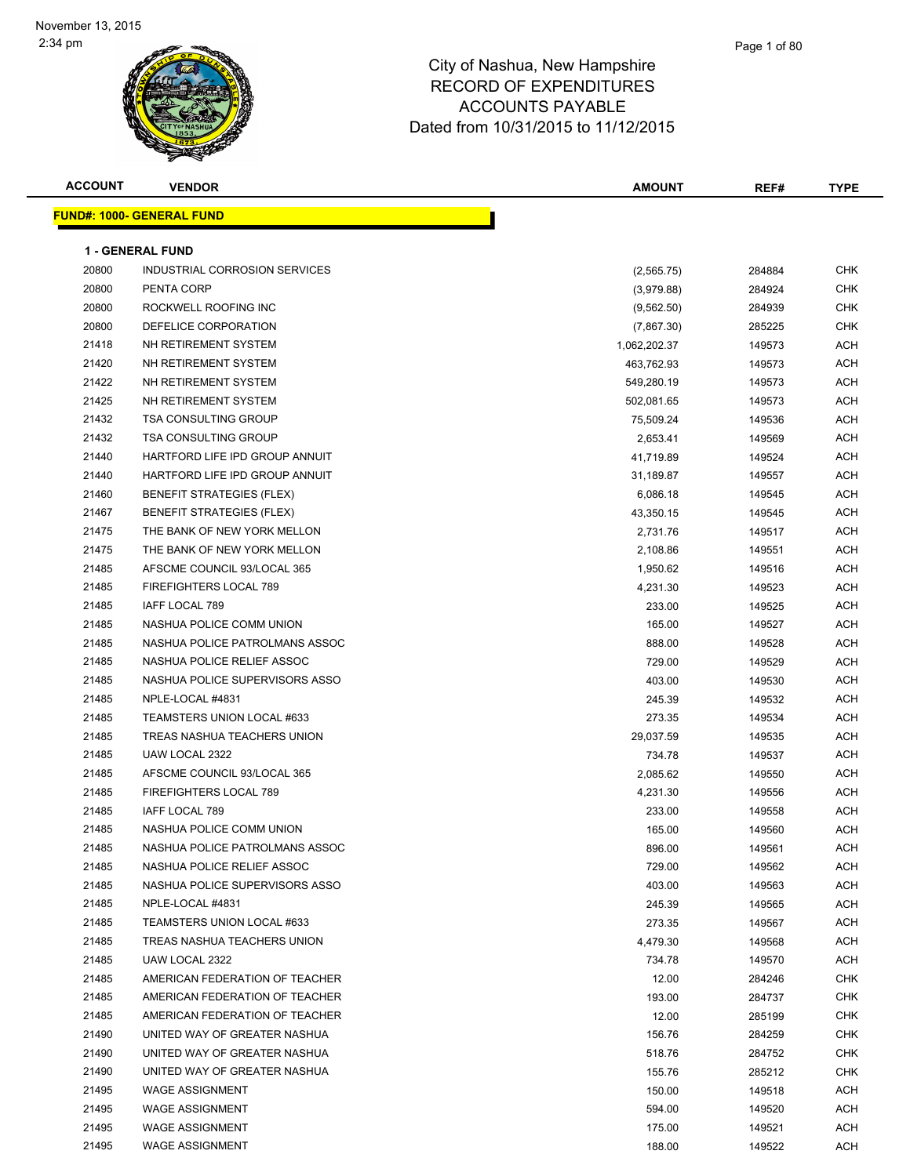### Page 1 of 80

| <b>ACCOUNT</b> | <b>VENDOR</b>                    | <b>AMOUNT</b> | REF#   | <b>TYPE</b> |
|----------------|----------------------------------|---------------|--------|-------------|
|                | <b>FUND#: 1000- GENERAL FUND</b> |               |        |             |
|                |                                  |               |        |             |
|                | <b>1 - GENERAL FUND</b>          |               |        |             |
| 20800          | INDUSTRIAL CORROSION SERVICES    | (2, 565.75)   | 284884 | <b>CHK</b>  |
| 20800          | PENTA CORP                       | (3,979.88)    | 284924 | <b>CHK</b>  |
| 20800          | ROCKWELL ROOFING INC             | (9, 562.50)   | 284939 | <b>CHK</b>  |
| 20800          | DEFELICE CORPORATION             | (7,867.30)    | 285225 | CHK         |
| 21418          | NH RETIREMENT SYSTEM             | 1,062,202.37  | 149573 | ACH         |
| 21420          | NH RETIREMENT SYSTEM             | 463,762.93    | 149573 | ACH         |
| 21422          | NH RETIREMENT SYSTEM             | 549,280.19    | 149573 | ACH         |
| 21425          | NH RETIREMENT SYSTEM             | 502,081.65    | 149573 | ACH         |
| 21432          | <b>TSA CONSULTING GROUP</b>      | 75,509.24     | 149536 | <b>ACH</b>  |
| 21432          | <b>TSA CONSULTING GROUP</b>      | 2,653.41      | 149569 | <b>ACH</b>  |
| 21440          | HARTFORD LIFE IPD GROUP ANNUIT   | 41,719.89     | 149524 | ACH         |
| 21440          | HARTFORD LIFE IPD GROUP ANNUIT   | 31,189.87     | 149557 | ACH         |
| 21460          | <b>BENEFIT STRATEGIES (FLEX)</b> | 6,086.18      | 149545 | ACH         |
| 21467          | <b>BENEFIT STRATEGIES (FLEX)</b> | 43,350.15     | 149545 | ACH         |
| 21475          | THE BANK OF NEW YORK MELLON      | 2,731.76      | 149517 | ACH         |
| 21475          | THE BANK OF NEW YORK MELLON      | 2,108.86      | 149551 | ACH         |
| 21485          | AFSCME COUNCIL 93/LOCAL 365      | 1,950.62      | 149516 | ACH         |
| 21485          | FIREFIGHTERS LOCAL 789           | 4,231.30      | 149523 | ACH         |
| 21485          | IAFF LOCAL 789                   | 233.00        | 149525 | ACH         |
| 21485          | NASHUA POLICE COMM UNION         | 165.00        | 149527 | <b>ACH</b>  |
| 21485          | NASHUA POLICE PATROLMANS ASSOC   | 888.00        | 149528 | ACH         |
| 21485          | NASHUA POLICE RELIEF ASSOC       | 729.00        | 149529 | ACH         |
| 21485          | NASHUA POLICE SUPERVISORS ASSO   | 403.00        | 149530 | ACH         |
| 21485          | NPLE-LOCAL #4831                 | 245.39        | 149532 | ACH         |
| 21485          | TEAMSTERS UNION LOCAL #633       | 273.35        | 149534 | <b>ACH</b>  |
| 21485          | TREAS NASHUA TEACHERS UNION      | 29,037.59     | 149535 | ACH         |
| 21485          | UAW LOCAL 2322                   | 734.78        | 149537 | ACH         |
| 21485          | AFSCME COUNCIL 93/LOCAL 365      | 2,085.62      | 149550 | <b>ACH</b>  |
| 21485          | FIREFIGHTERS LOCAL 789           | 4,231.30      | 149556 | <b>ACH</b>  |
| 21485          | IAFF LOCAL 789                   | 233.00        | 149558 | ACH         |
| 21485          | NASHUA POLICE COMM UNION         | 165.00        | 149560 | <b>ACH</b>  |
| 21485          | NASHUA POLICE PATROLMANS ASSOC   | 896.00        | 149561 | ACH         |
| 21485          | NASHUA POLICE RELIEF ASSOC       | 729.00        | 149562 | ACH         |
| 21485          | NASHUA POLICE SUPERVISORS ASSO   | 403.00        | 149563 | ACH         |
| 21485          | NPLE-LOCAL #4831                 | 245.39        | 149565 | ACH         |
| 21485          | TEAMSTERS UNION LOCAL #633       | 273.35        | 149567 | ACH         |
| 21485          | TREAS NASHUA TEACHERS UNION      | 4,479.30      | 149568 | ACH         |
| 21485          | UAW LOCAL 2322                   | 734.78        | 149570 | ACH         |
| 21485          | AMERICAN FEDERATION OF TEACHER   | 12.00         | 284246 | <b>CHK</b>  |
| 21485          | AMERICAN FEDERATION OF TEACHER   | 193.00        | 284737 | <b>CHK</b>  |
| 21485          | AMERICAN FEDERATION OF TEACHER   | 12.00         | 285199 | <b>CHK</b>  |
| 21490          | UNITED WAY OF GREATER NASHUA     | 156.76        | 284259 | <b>CHK</b>  |
| 21490          | UNITED WAY OF GREATER NASHUA     | 518.76        | 284752 | <b>CHK</b>  |
| 21490          | UNITED WAY OF GREATER NASHUA     | 155.76        | 285212 | <b>CHK</b>  |
| 21495          | <b>WAGE ASSIGNMENT</b>           | 150.00        | 149518 | ACH         |
| 21495          | <b>WAGE ASSIGNMENT</b>           | 594.00        | 149520 | ACH         |
| 21495          | <b>WAGE ASSIGNMENT</b>           | 175.00        | 149521 | ACH         |
| 21495          | <b>WAGE ASSIGNMENT</b>           | 188.00        | 149522 | ACH         |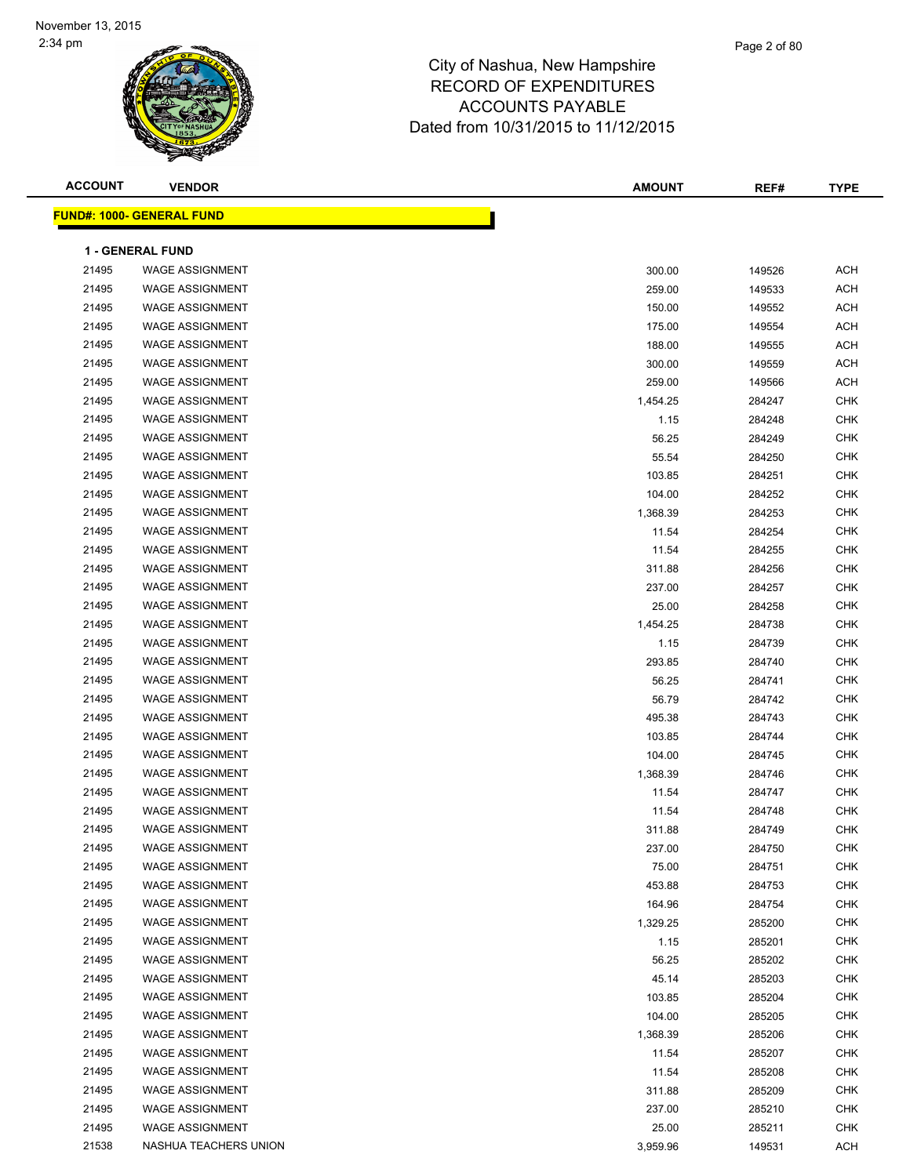| <b>ACCOUNT</b> | <b>VENDOR</b>                    | <b>AMOUNT</b> | REF#   | <b>TYPE</b> |
|----------------|----------------------------------|---------------|--------|-------------|
|                | <b>FUND#: 1000- GENERAL FUND</b> |               |        |             |
|                |                                  |               |        |             |
|                | <b>1 - GENERAL FUND</b>          |               |        |             |
| 21495          | <b>WAGE ASSIGNMENT</b>           | 300.00        | 149526 | <b>ACH</b>  |
| 21495          | <b>WAGE ASSIGNMENT</b>           | 259.00        | 149533 | <b>ACH</b>  |
| 21495          | <b>WAGE ASSIGNMENT</b>           | 150.00        | 149552 | <b>ACH</b>  |
| 21495          | <b>WAGE ASSIGNMENT</b>           | 175.00        | 149554 | <b>ACH</b>  |
| 21495          | <b>WAGE ASSIGNMENT</b>           | 188.00        | 149555 | ACH         |
| 21495          | <b>WAGE ASSIGNMENT</b>           | 300.00        | 149559 | ACH         |
| 21495          | <b>WAGE ASSIGNMENT</b>           | 259.00        | 149566 | ACH         |
| 21495          | <b>WAGE ASSIGNMENT</b>           | 1,454.25      | 284247 | <b>CHK</b>  |
| 21495          | <b>WAGE ASSIGNMENT</b>           | 1.15          | 284248 | <b>CHK</b>  |
| 21495          | <b>WAGE ASSIGNMENT</b>           | 56.25         | 284249 | <b>CHK</b>  |
| 21495          | <b>WAGE ASSIGNMENT</b>           | 55.54         | 284250 | <b>CHK</b>  |
| 21495          | <b>WAGE ASSIGNMENT</b>           | 103.85        | 284251 | <b>CHK</b>  |
| 21495          | <b>WAGE ASSIGNMENT</b>           | 104.00        | 284252 | <b>CHK</b>  |
| 21495          | <b>WAGE ASSIGNMENT</b>           | 1,368.39      | 284253 | <b>CHK</b>  |
| 21495          | <b>WAGE ASSIGNMENT</b>           | 11.54         | 284254 | <b>CHK</b>  |
| 21495          | <b>WAGE ASSIGNMENT</b>           | 11.54         | 284255 | <b>CHK</b>  |
| 21495          | <b>WAGE ASSIGNMENT</b>           | 311.88        | 284256 | <b>CHK</b>  |
| 21495          | <b>WAGE ASSIGNMENT</b>           | 237.00        | 284257 | <b>CHK</b>  |
| 21495          | <b>WAGE ASSIGNMENT</b>           | 25.00         | 284258 | <b>CHK</b>  |
| 21495          | <b>WAGE ASSIGNMENT</b>           | 1,454.25      | 284738 | <b>CHK</b>  |
| 21495          | <b>WAGE ASSIGNMENT</b>           | 1.15          | 284739 | <b>CHK</b>  |
| 21495          | <b>WAGE ASSIGNMENT</b>           | 293.85        | 284740 | <b>CHK</b>  |
| 21495          | <b>WAGE ASSIGNMENT</b>           | 56.25         | 284741 | <b>CHK</b>  |
| 21495          | <b>WAGE ASSIGNMENT</b>           | 56.79         | 284742 | <b>CHK</b>  |
| 21495          | <b>WAGE ASSIGNMENT</b>           | 495.38        | 284743 | <b>CHK</b>  |
| 21495          | <b>WAGE ASSIGNMENT</b>           | 103.85        | 284744 | <b>CHK</b>  |
| 21495          | <b>WAGE ASSIGNMENT</b>           | 104.00        | 284745 | <b>CHK</b>  |
| 21495          | <b>WAGE ASSIGNMENT</b>           | 1,368.39      | 284746 | <b>CHK</b>  |
| 21495          | <b>WAGE ASSIGNMENT</b>           | 11.54         | 284747 | <b>CHK</b>  |
| 21495          | <b>WAGE ASSIGNMENT</b>           | 11.54         | 284748 | <b>CHK</b>  |
| 21495          | <b>WAGE ASSIGNMENT</b>           | 311.88        | 284749 | <b>CHK</b>  |
| 21495          | <b>WAGE ASSIGNMENT</b>           | 237.00        | 284750 | <b>CHK</b>  |
| 21495          | <b>WAGE ASSIGNMENT</b>           | 75.00         | 284751 | <b>CHK</b>  |
| 21495          | <b>WAGE ASSIGNMENT</b>           | 453.88        | 284753 | <b>CHK</b>  |
| 21495          | <b>WAGE ASSIGNMENT</b>           | 164.96        | 284754 | <b>CHK</b>  |
| 21495          | <b>WAGE ASSIGNMENT</b>           | 1,329.25      | 285200 | <b>CHK</b>  |
| 21495          | <b>WAGE ASSIGNMENT</b>           | 1.15          | 285201 | <b>CHK</b>  |
| 21495          | <b>WAGE ASSIGNMENT</b>           | 56.25         | 285202 | <b>CHK</b>  |
| 21495          | <b>WAGE ASSIGNMENT</b>           | 45.14         | 285203 | <b>CHK</b>  |
| 21495          | <b>WAGE ASSIGNMENT</b>           | 103.85        | 285204 | CHK         |
| 21495          | <b>WAGE ASSIGNMENT</b>           | 104.00        | 285205 | CHK         |
| 21495          | <b>WAGE ASSIGNMENT</b>           | 1,368.39      | 285206 | <b>CHK</b>  |
| 21495          | <b>WAGE ASSIGNMENT</b>           | 11.54         | 285207 | <b>CHK</b>  |
| 21495          | <b>WAGE ASSIGNMENT</b>           | 11.54         | 285208 | <b>CHK</b>  |
| 21495          | <b>WAGE ASSIGNMENT</b>           | 311.88        | 285209 | <b>CHK</b>  |
| 21495          | <b>WAGE ASSIGNMENT</b>           | 237.00        | 285210 | <b>CHK</b>  |
| 21495          | <b>WAGE ASSIGNMENT</b>           | 25.00         | 285211 | <b>CHK</b>  |
| 21538          | NASHUA TEACHERS UNION            | 3,959.96      | 149531 | <b>ACH</b>  |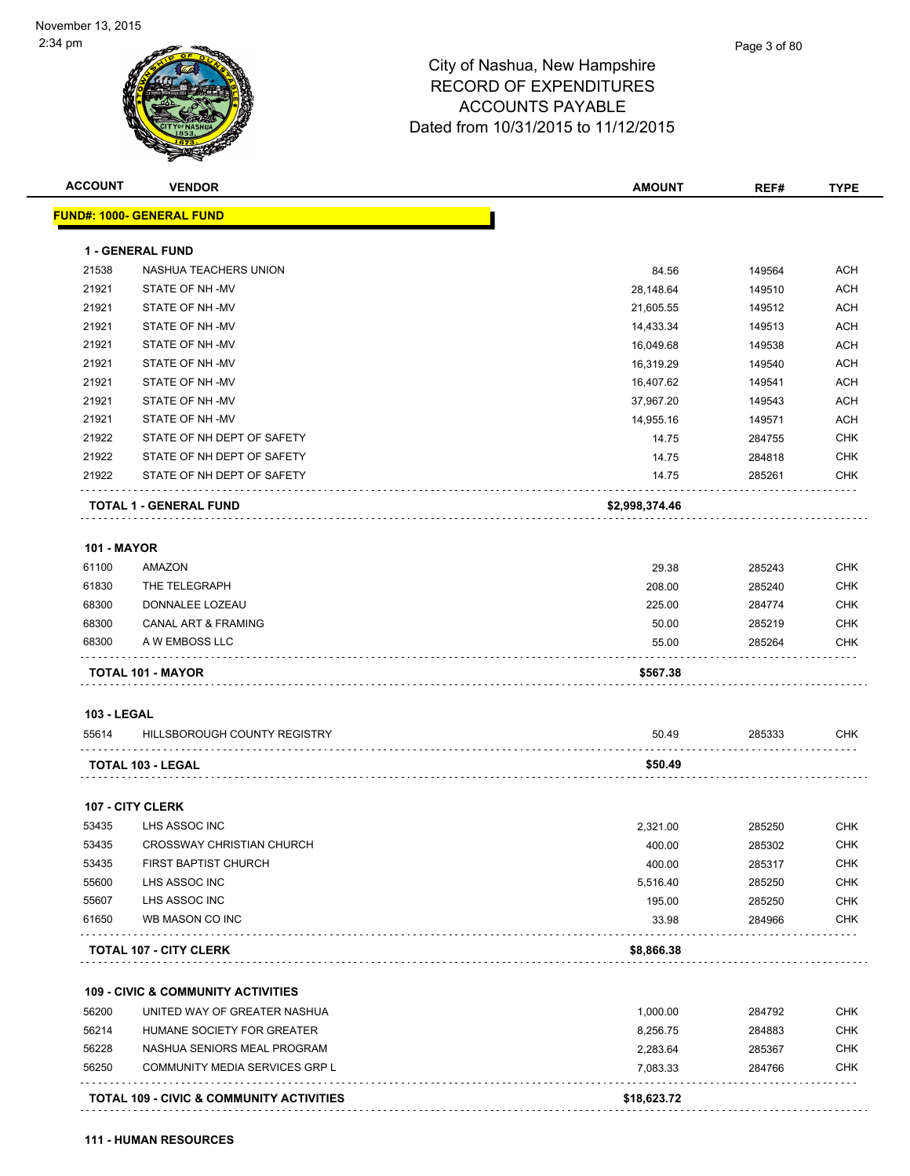| <b>ACCOUNT</b>     | <b>VENDOR</b>                                       | <b>AMOUNT</b>  | REF#             | <b>TYPE</b>              |
|--------------------|-----------------------------------------------------|----------------|------------------|--------------------------|
|                    | <b>FUND#: 1000- GENERAL FUND</b>                    |                |                  |                          |
|                    | <b>1 - GENERAL FUND</b>                             |                |                  |                          |
| 21538              | NASHUA TEACHERS UNION                               | 84.56          | 149564           | <b>ACH</b>               |
| 21921              | STATE OF NH-MV                                      | 28,148.64      | 149510           | <b>ACH</b>               |
| 21921              | STATE OF NH-MV                                      | 21,605.55      | 149512           | ACH                      |
| 21921              | STATE OF NH-MV                                      | 14,433.34      | 149513           | <b>ACH</b>               |
| 21921              | STATE OF NH -MV                                     | 16,049.68      | 149538           | ACH                      |
| 21921              | STATE OF NH-MV                                      | 16,319.29      | 149540           | ACH                      |
| 21921              | STATE OF NH-MV                                      | 16,407.62      | 149541           | <b>ACH</b>               |
| 21921              | STATE OF NH-MV                                      | 37,967.20      | 149543           | <b>ACH</b>               |
| 21921              | STATE OF NH-MV                                      | 14,955.16      | 149571           | <b>ACH</b>               |
| 21922              | STATE OF NH DEPT OF SAFETY                          | 14.75          | 284755           | <b>CHK</b>               |
| 21922              | STATE OF NH DEPT OF SAFETY                          | 14.75          | 284818           | <b>CHK</b>               |
| 21922              | STATE OF NH DEPT OF SAFETY                          | 14.75          | 285261           | <b>CHK</b>               |
|                    | TOTAL 1 - GENERAL FUND                              | \$2,998,374.46 |                  |                          |
|                    |                                                     |                |                  |                          |
| <b>101 - MAYOR</b> |                                                     |                |                  |                          |
| 61100              | AMAZON                                              | 29.38          | 285243           | <b>CHK</b>               |
| 61830              | THE TELEGRAPH                                       | 208.00         | 285240           | <b>CHK</b>               |
| 68300              | DONNALEE LOZEAU                                     | 225.00         | 284774           | <b>CHK</b>               |
| 68300<br>68300     | CANAL ART & FRAMING<br>A W EMBOSS LLC               | 50.00<br>55.00 | 285219<br>285264 | <b>CHK</b><br><b>CHK</b> |
|                    | TOTAL 101 - MAYOR                                   | \$567.38       |                  |                          |
|                    |                                                     |                |                  |                          |
| <b>103 - LEGAL</b> |                                                     |                |                  |                          |
| 55614              | HILLSBOROUGH COUNTY REGISTRY                        | 50.49          | 285333           | CHK                      |
|                    | TOTAL 103 - LEGAL                                   | \$50.49        |                  |                          |
|                    | 107 - CITY CLERK                                    |                |                  |                          |
| 53435              | LHS ASSOC INC                                       | 2,321.00       | 285250           | <b>CHK</b>               |
| 53435              | <b>CROSSWAY CHRISTIAN CHURCH</b>                    | 400.00         | 285302           | <b>CHK</b>               |
| 53435              | FIRST BAPTIST CHURCH                                | 400.00         | 285317           | <b>CHK</b>               |
| 55600              | LHS ASSOC INC                                       | 5,516.40       | 285250           | <b>CHK</b>               |
| 55607              | LHS ASSOC INC                                       | 195.00         | 285250           | <b>CHK</b>               |
| 61650              | WB MASON CO INC                                     | 33.98          | 284966           | <b>CHK</b>               |
|                    | <b>TOTAL 107 - CITY CLERK</b>                       | \$8,866.38     |                  |                          |
|                    | <b>109 - CIVIC &amp; COMMUNITY ACTIVITIES</b>       |                |                  |                          |
| 56200              | UNITED WAY OF GREATER NASHUA                        | 1,000.00       | 284792           | <b>CHK</b>               |
| 56214              | HUMANE SOCIETY FOR GREATER                          | 8,256.75       | 284883           | <b>CHK</b>               |
| 56228              | NASHUA SENIORS MEAL PROGRAM                         | 2,283.64       | 285367           | <b>CHK</b>               |
| 56250              | COMMUNITY MEDIA SERVICES GRP L                      | 7,083.33       | 284766           | <b>CHK</b>               |
|                    |                                                     |                |                  |                          |
|                    | <b>TOTAL 109 - CIVIC &amp; COMMUNITY ACTIVITIES</b> | \$18,623.72    |                  |                          |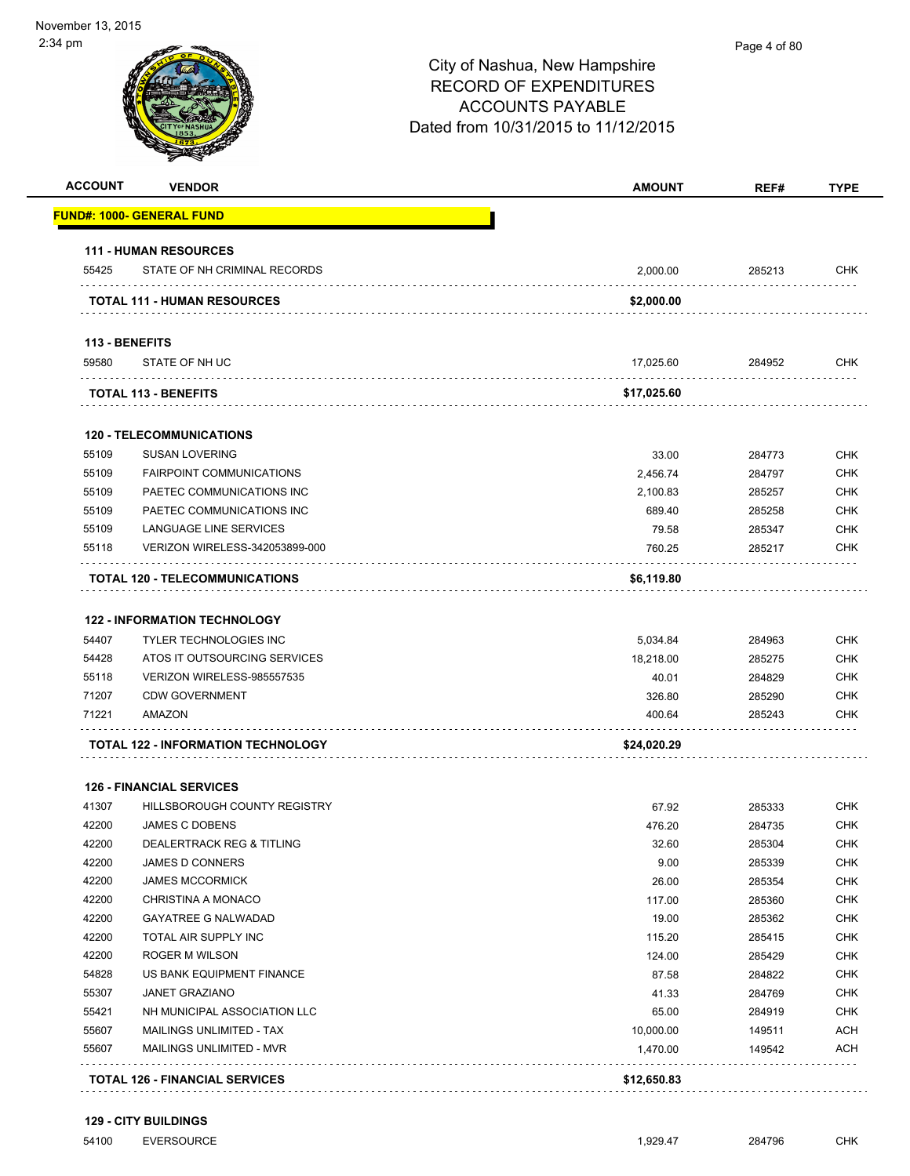### City of Nashua, New Hampshire RECORD OF EXPENDITURES ACCOUNTS PAYABLE Dated from 10/31/2015 to 11/12/2015 **ACCOUNT VENDOR AMOUNT REF# TYPE FUND#: 1000- GENERAL FUND 111 - HUMAN RESOURCES** 55425 STATE OF NH CRIMINAL RECORDS 2,000.00 285213 CHK **TOTAL 111 - HUMAN RESOURCES \$2,000.00 113 - BENEFITS** 59580 STATE OF NH UC 17,025.60 284952 CHK . . . . . . . . . . **TOTAL 113 - BENEFITS \$17,025.60**  $1.1.1.1.1.1.1$ **120 - TELECOMMUNICATIONS** 55109 SUSAN LOVERING 33.00 284773 CHK 55109 FAIRPOINT COMMUNICATIONS 2,456.74 284797 CHK 55109 PAETEC COMMUNICATIONS INC 2,100.83 285257 CHK 55109 PAETEC COMMUNICATIONS INC 689.40 285258 CHK 55109 LANGUAGE LINE SERVICES 79.58 285347 CHK 55118 VERIZON WIRELESS-342053899-000 760.25 285217 CHK . . . . . . . . . . . . . . . . . . . . . . . .  $\sim$   $\sim$   $\sim$ **TOTAL 120 - TELECOMMUNICATIONS \$6,119.80 122 - INFORMATION TECHNOLOGY** 54407 TYLER TECHNOLOGIES INC 5,034.84 284963 CHK 54428 ATOS IT OUTSOURCING SERVICES AND SERVICES AND SERVICES AND SERVICES AND SERVICE SERVICES AND SERVICE SERVICES 55118 VERIZON WIRELESS-985557535 40.01 284829 CHK 71207 CDW GOVERNMENT 326.80 285290 CHK 71221 AMAZON 400.64 285243 CHK **TOTAL 122 - INFORMATION TECHNOLOGY \$24,020.29 126 - FINANCIAL SERVICES** And the HILLSBOROUGH COUNTY REGISTRY And the County of County of China and the County of China and the China and China and China and China and China and China and China and China and China and China and China and China and

|       | TATAL 400 FINIANOIAL OFBUGGEO   | 0.4200000 |        |            |
|-------|---------------------------------|-----------|--------|------------|
| 55607 | <b>MAILINGS UNLIMITED - MVR</b> | 1.470.00  | 149542 | <b>ACH</b> |
| 55607 | <b>MAILINGS UNLIMITED - TAX</b> | 10,000.00 | 149511 | <b>ACH</b> |
| 55421 | NH MUNICIPAL ASSOCIATION LLC    | 65.00     | 284919 | <b>CHK</b> |
| 55307 | <b>JANET GRAZIANO</b>           | 41.33     | 284769 | <b>CHK</b> |
| 54828 | US BANK EQUIPMENT FINANCE       | 87.58     | 284822 | <b>CHK</b> |
| 42200 | ROGER M WILSON                  | 124.00    | 285429 | <b>CHK</b> |
| 42200 | TOTAL AIR SUPPLY INC            | 115.20    | 285415 | <b>CHK</b> |
| 42200 | <b>GAYATREE G NALWADAD</b>      | 19.00     | 285362 | <b>CHK</b> |
| 42200 | CHRISTINA A MONACO              | 117.00    | 285360 | <b>CHK</b> |
| 42200 | <b>JAMES MCCORMICK</b>          | 26.00     | 285354 | <b>CHK</b> |
| 42200 | <b>JAMES D CONNERS</b>          | 9.00      | 285339 | <b>CHK</b> |
| 42200 | DEALERTRACK REG & TITLING       | 32.60     | 285304 | <b>CHK</b> |
| 42200 | <b>JAMES C DOBENS</b>           | 476.20    | 284735 | <b>CHK</b> |

**TOTAL 126 - FINANCIAL SERVICES \$12,650.83**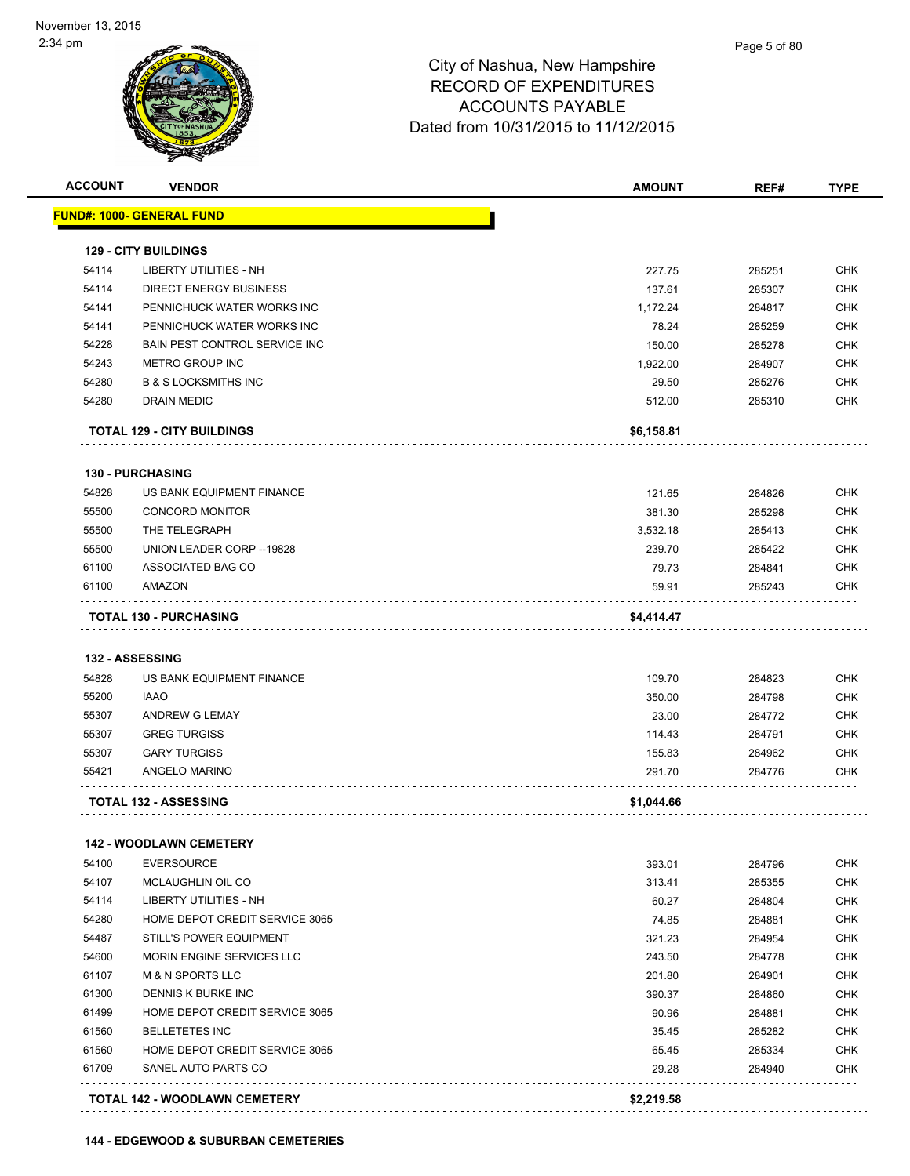

| 54114<br>54114<br>54141<br>54141<br>54228<br>54243<br>54280<br>54280 | <u> FUND#: 1000- GENERAL FUND</u><br><b>129 - CITY BUILDINGS</b><br>LIBERTY UTILITIES - NH<br><b>DIRECT ENERGY BUSINESS</b><br>PENNICHUCK WATER WORKS INC<br>PENNICHUCK WATER WORKS INC<br><b>BAIN PEST CONTROL SERVICE INC</b><br><b>METRO GROUP INC</b><br><b>B &amp; S LOCKSMITHS INC</b> | 227.75<br>137.61<br>1,172.24<br>78.24<br>150.00<br>1,922.00 | 285251<br>285307<br>284817<br>285259 | <b>CHK</b><br><b>CHK</b> |
|----------------------------------------------------------------------|----------------------------------------------------------------------------------------------------------------------------------------------------------------------------------------------------------------------------------------------------------------------------------------------|-------------------------------------------------------------|--------------------------------------|--------------------------|
|                                                                      |                                                                                                                                                                                                                                                                                              |                                                             |                                      |                          |
|                                                                      |                                                                                                                                                                                                                                                                                              |                                                             |                                      |                          |
|                                                                      |                                                                                                                                                                                                                                                                                              |                                                             |                                      |                          |
|                                                                      |                                                                                                                                                                                                                                                                                              |                                                             |                                      |                          |
|                                                                      |                                                                                                                                                                                                                                                                                              |                                                             |                                      | CHK                      |
|                                                                      |                                                                                                                                                                                                                                                                                              |                                                             |                                      | <b>CHK</b>               |
|                                                                      |                                                                                                                                                                                                                                                                                              |                                                             | 285278                               | <b>CHK</b>               |
|                                                                      |                                                                                                                                                                                                                                                                                              |                                                             | 284907                               | CHK                      |
|                                                                      |                                                                                                                                                                                                                                                                                              | 29.50                                                       | 285276                               | <b>CHK</b>               |
|                                                                      | DRAIN MEDIC                                                                                                                                                                                                                                                                                  | 512.00                                                      | 285310                               | CHK                      |
|                                                                      | <b>TOTAL 129 - CITY BUILDINGS</b>                                                                                                                                                                                                                                                            | \$6,158.81                                                  |                                      |                          |
|                                                                      | <b>130 - PURCHASING</b>                                                                                                                                                                                                                                                                      |                                                             |                                      |                          |
| 54828                                                                | US BANK EQUIPMENT FINANCE                                                                                                                                                                                                                                                                    | 121.65                                                      | 284826                               | <b>CHK</b>               |
| 55500                                                                | <b>CONCORD MONITOR</b>                                                                                                                                                                                                                                                                       | 381.30                                                      | 285298                               | <b>CHK</b>               |
| 55500                                                                | THE TELEGRAPH                                                                                                                                                                                                                                                                                | 3,532.18                                                    | 285413                               | CHK                      |
| 55500                                                                | UNION LEADER CORP -- 19828                                                                                                                                                                                                                                                                   | 239.70                                                      | 285422                               | CHK                      |
| 61100                                                                | ASSOCIATED BAG CO                                                                                                                                                                                                                                                                            | 79.73                                                       | 284841                               | <b>CHK</b>               |
| 61100                                                                | AMAZON                                                                                                                                                                                                                                                                                       | 59.91                                                       | 285243                               | <b>CHK</b>               |
|                                                                      | <b>TOTAL 130 - PURCHASING</b>                                                                                                                                                                                                                                                                | \$4,414.47                                                  |                                      |                          |
|                                                                      |                                                                                                                                                                                                                                                                                              |                                                             |                                      |                          |
| 132 - ASSESSING                                                      |                                                                                                                                                                                                                                                                                              |                                                             |                                      |                          |
| 54828                                                                | US BANK EQUIPMENT FINANCE                                                                                                                                                                                                                                                                    | 109.70                                                      | 284823                               | <b>CHK</b>               |
| 55200                                                                | <b>IAAO</b>                                                                                                                                                                                                                                                                                  | 350.00                                                      | 284798                               | CHK                      |
| 55307                                                                | ANDREW G LEMAY                                                                                                                                                                                                                                                                               | 23.00                                                       | 284772                               | CHK                      |
| 55307                                                                | <b>GREG TURGISS</b>                                                                                                                                                                                                                                                                          | 114.43                                                      | 284791                               | <b>CHK</b>               |
| 55307                                                                | <b>GARY TURGISS</b>                                                                                                                                                                                                                                                                          | 155.83                                                      | 284962                               | <b>CHK</b>               |
| 55421                                                                | ANGELO MARINO                                                                                                                                                                                                                                                                                | 291.70                                                      | 284776                               | CHK                      |
|                                                                      | <b>TOTAL 132 - ASSESSING</b>                                                                                                                                                                                                                                                                 | \$1,044.66                                                  |                                      |                          |
|                                                                      | <b>142 - WOODLAWN CEMETERY</b>                                                                                                                                                                                                                                                               |                                                             |                                      |                          |
| 54100                                                                | <b>EVERSOURCE</b>                                                                                                                                                                                                                                                                            | 393.01                                                      | 284796                               | <b>CHK</b>               |
| 54107                                                                | MCLAUGHLIN OIL CO                                                                                                                                                                                                                                                                            | 313.41                                                      | 285355                               | <b>CHK</b>               |
| 54114                                                                | LIBERTY UTILITIES - NH                                                                                                                                                                                                                                                                       | 60.27                                                       | 284804                               | <b>CHK</b>               |
| 54280                                                                | HOME DEPOT CREDIT SERVICE 3065                                                                                                                                                                                                                                                               | 74.85                                                       | 284881                               | CHK                      |
| 54487                                                                | STILL'S POWER EQUIPMENT                                                                                                                                                                                                                                                                      | 321.23                                                      | 284954                               | CHK                      |
| 54600                                                                | MORIN ENGINE SERVICES LLC                                                                                                                                                                                                                                                                    | 243.50                                                      | 284778                               | CHK                      |
| 61107                                                                | <b>M &amp; N SPORTS LLC</b>                                                                                                                                                                                                                                                                  | 201.80                                                      | 284901                               | CHK                      |
| 61300                                                                | DENNIS K BURKE INC                                                                                                                                                                                                                                                                           | 390.37                                                      | 284860                               | CHK                      |
| 61499                                                                | HOME DEPOT CREDIT SERVICE 3065                                                                                                                                                                                                                                                               | 90.96                                                       | 284881                               | <b>CHK</b>               |
| 61560                                                                | <b>BELLETETES INC</b>                                                                                                                                                                                                                                                                        | 35.45                                                       | 285282                               | <b>CHK</b>               |
| 61560                                                                | HOME DEPOT CREDIT SERVICE 3065                                                                                                                                                                                                                                                               | 65.45                                                       | 285334                               | <b>CHK</b>               |
| 61709                                                                | SANEL AUTO PARTS CO                                                                                                                                                                                                                                                                          | 29.28                                                       | 284940                               | <b>CHK</b>               |
|                                                                      | TOTAL 142 - WOODLAWN CEMETERY                                                                                                                                                                                                                                                                | \$2,219.58                                                  |                                      |                          |

**144 - EDGEWOOD & SUBURBAN CEMETERIES**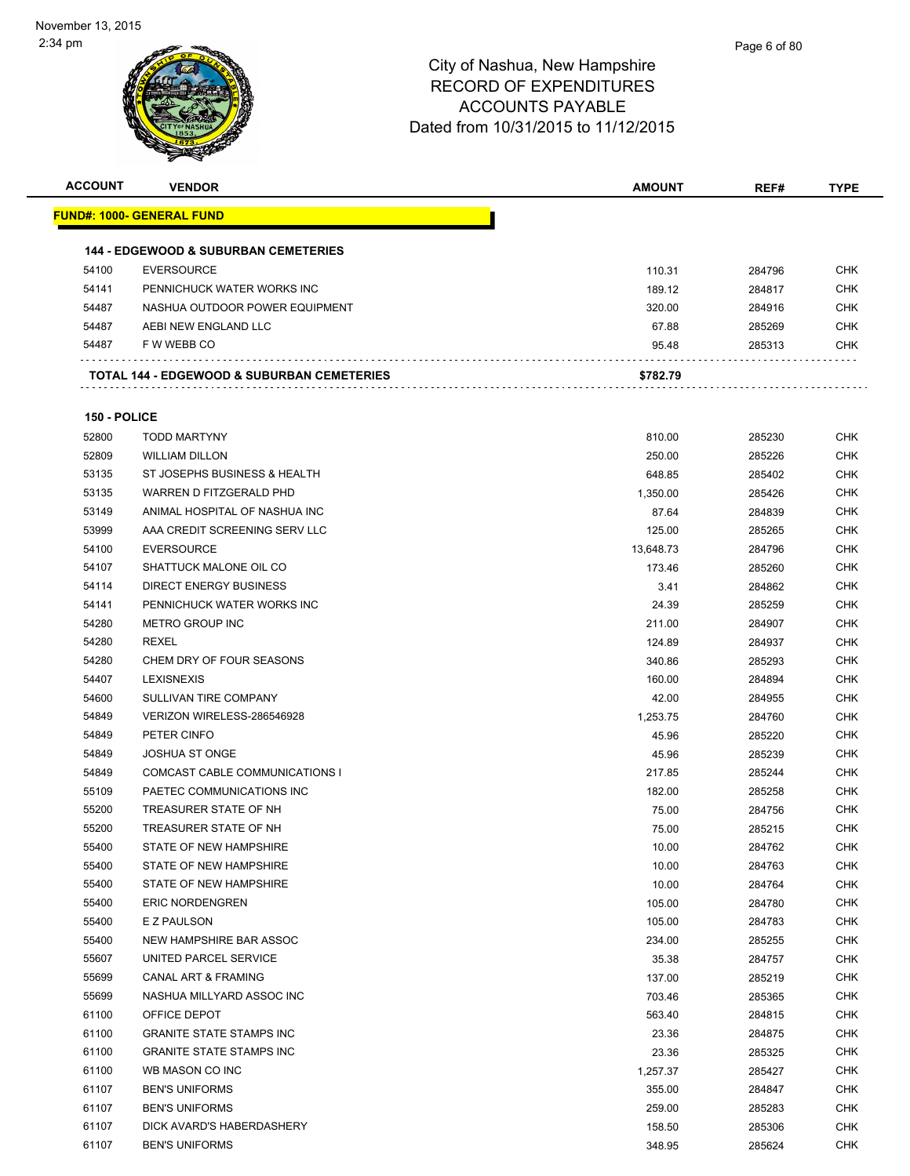

| <b>ACCOUNT</b> | <b>VENDOR</b>                                   | AMOUNT           | REF#             | TYPE       |
|----------------|-------------------------------------------------|------------------|------------------|------------|
|                | <u> FUND#: 1000- GENERAL FUND</u>               |                  |                  |            |
|                |                                                 |                  |                  |            |
|                | <b>144 - EDGEWOOD &amp; SUBURBAN CEMETERIES</b> |                  |                  |            |
| 54100          | <b>EVERSOURCE</b>                               | 110.31           | 284796           | CHK        |
| 54141          | PENNICHUCK WATER WORKS INC                      | 189.12           | 284817           | CHK        |
| 54487          | NASHUA OUTDOOR POWER EQUIPMENT                  | 320.00           | 284916           | CHK        |
| 54487          | AEBI NEW ENGLAND LLC                            | 67.88            | 285269           | <b>CHK</b> |
| 54487          | F W WEBB CO                                     | 95.48            | 285313           | <b>CHK</b> |
|                | TOTAL 144 - EDGEWOOD & SUBURBAN CEMETERIES      | \$782.79         |                  |            |
|                |                                                 |                  |                  |            |
| 150 - POLICE   |                                                 |                  |                  |            |
| 52800          | <b>TODD MARTYNY</b>                             | 810.00           | 285230           | <b>CHK</b> |
| 52809          | <b>WILLIAM DILLON</b>                           | 250.00           | 285226           | <b>CHK</b> |
| 53135          | ST JOSEPHS BUSINESS & HEALTH                    | 648.85           | 285402           | <b>CHK</b> |
| 53135          | WARREN D FITZGERALD PHD                         | 1,350.00         | 285426           | <b>CHK</b> |
| 53149          | ANIMAL HOSPITAL OF NASHUA INC                   | 87.64            | 284839           | <b>CHK</b> |
| 53999          | AAA CREDIT SCREENING SERV LLC                   | 125.00           | 285265           | <b>CHK</b> |
| 54100          | <b>EVERSOURCE</b>                               | 13,648.73        | 284796           | <b>CHK</b> |
| 54107          | SHATTUCK MALONE OIL CO                          | 173.46           | 285260           | <b>CHK</b> |
| 54114          | DIRECT ENERGY BUSINESS                          | 3.41             | 284862           | <b>CHK</b> |
| 54141          | PENNICHUCK WATER WORKS INC                      | 24.39            | 285259           | <b>CHK</b> |
| 54280          | METRO GROUP INC                                 | 211.00           | 284907           | <b>CHK</b> |
| 54280          | <b>REXEL</b>                                    | 124.89           | 284937           | <b>CHK</b> |
| 54280          | CHEM DRY OF FOUR SEASONS                        | 340.86           | 285293           | <b>CHK</b> |
| 54407          | <b>LEXISNEXIS</b>                               | 160.00           | 284894           | <b>CHK</b> |
| 54600          | SULLIVAN TIRE COMPANY                           | 42.00            | 284955           | <b>CHK</b> |
| 54849          | VERIZON WIRELESS-286546928                      | 1,253.75         | 284760           | <b>CHK</b> |
| 54849          | PETER CINFO                                     | 45.96            | 285220           | <b>CHK</b> |
| 54849          | <b>JOSHUA ST ONGE</b>                           | 45.96            | 285239           | <b>CHK</b> |
| 54849          | COMCAST CABLE COMMUNICATIONS I                  | 217.85           | 285244           | <b>CHK</b> |
| 55109          | PAETEC COMMUNICATIONS INC                       | 182.00           | 285258           | <b>CHK</b> |
| 55200          | TREASURER STATE OF NH                           | 75.00            | 284756           | <b>CHK</b> |
| 55200          | TREASURER STATE OF NH                           | 75.00            | 285215           | <b>CHK</b> |
| 55400          | STATE OF NEW HAMPSHIRE                          | 10.00            | 284762           | <b>CHK</b> |
| 55400          | STATE OF NEW HAMPSHIRE                          | 10.00            | 284763           | <b>CHK</b> |
| 55400          | STATE OF NEW HAMPSHIRE                          | 10.00            | 284764           | <b>CHK</b> |
| 55400          | <b>ERIC NORDENGREN</b>                          | 105.00           | 284780           | <b>CHK</b> |
| 55400          | E Z PAULSON                                     | 105.00           | 284783           | <b>CHK</b> |
| 55400          | NEW HAMPSHIRE BAR ASSOC                         | 234.00           | 285255           | <b>CHK</b> |
| 55607          | UNITED PARCEL SERVICE                           | 35.38            | 284757           | <b>CHK</b> |
| 55699          | CANAL ART & FRAMING                             | 137.00           | 285219           | <b>CHK</b> |
| 55699          | NASHUA MILLYARD ASSOC INC                       | 703.46           | 285365           | <b>CHK</b> |
| 61100          | OFFICE DEPOT                                    | 563.40           | 284815           | <b>CHK</b> |
| 61100          | <b>GRANITE STATE STAMPS INC</b>                 | 23.36            | 284875           | <b>CHK</b> |
| 61100          | <b>GRANITE STATE STAMPS INC</b>                 | 23.36            |                  | <b>CHK</b> |
| 61100          | WB MASON CO INC                                 | 1,257.37         | 285325<br>285427 | <b>CHK</b> |
| 61107          | <b>BEN'S UNIFORMS</b>                           | 355.00           | 284847           | <b>CHK</b> |
| 61107          | <b>BEN'S UNIFORMS</b>                           | 259.00           | 285283           | <b>CHK</b> |
| 61107          | DICK AVARD'S HABERDASHERY                       |                  |                  | <b>CHK</b> |
| 61107          | <b>BEN'S UNIFORMS</b>                           | 158.50<br>348.95 | 285306<br>285624 | <b>CHK</b> |
|                |                                                 |                  |                  |            |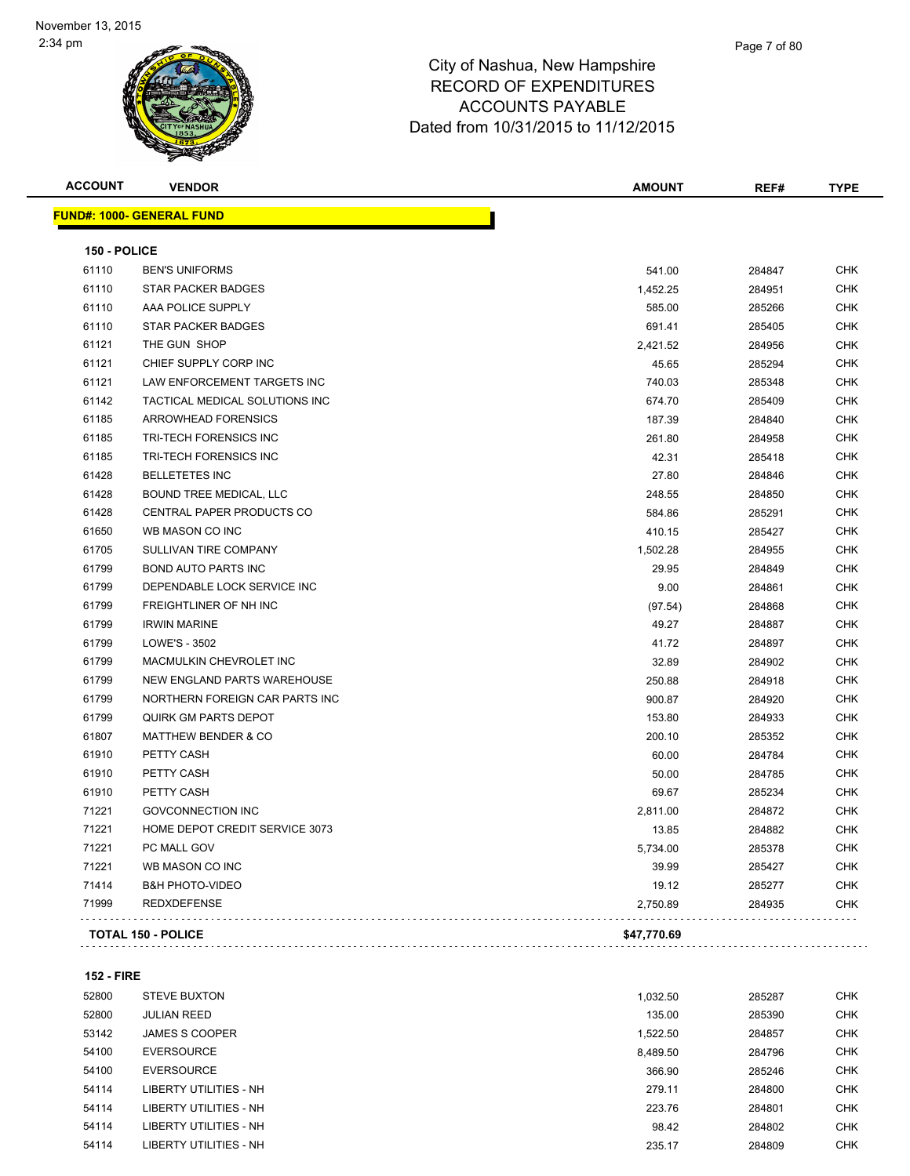| <b>ACCOUNT</b> | <b>VENDOR</b>                    | <b>AMOUNT</b> | REF#   | <b>TYPE</b> |
|----------------|----------------------------------|---------------|--------|-------------|
|                | <b>FUND#: 1000- GENERAL FUND</b> |               |        |             |
| 150 - POLICE   |                                  |               |        |             |
| 61110          | <b>BEN'S UNIFORMS</b>            | 541.00        | 284847 | <b>CHK</b>  |
| 61110          | <b>STAR PACKER BADGES</b>        | 1,452.25      | 284951 | CHK         |
| 61110          | AAA POLICE SUPPLY                | 585.00        | 285266 | <b>CHK</b>  |
| 61110          | <b>STAR PACKER BADGES</b>        | 691.41        | 285405 | <b>CHK</b>  |
| 61121          | THE GUN SHOP                     | 2,421.52      | 284956 | <b>CHK</b>  |
| 61121          | CHIEF SUPPLY CORP INC            | 45.65         | 285294 | <b>CHK</b>  |
| 61121          | LAW ENFORCEMENT TARGETS INC      | 740.03        | 285348 | <b>CHK</b>  |
| 61142          | TACTICAL MEDICAL SOLUTIONS INC   | 674.70        | 285409 | <b>CHK</b>  |
| 61185          | <b>ARROWHEAD FORENSICS</b>       | 187.39        | 284840 | <b>CHK</b>  |
| 61185          | <b>TRI-TECH FORENSICS INC</b>    | 261.80        | 284958 | <b>CHK</b>  |
| 61185          | TRI-TECH FORENSICS INC           | 42.31         | 285418 | <b>CHK</b>  |
| 61428          | <b>BELLETETES INC</b>            | 27.80         | 284846 | <b>CHK</b>  |
| 61428          | BOUND TREE MEDICAL, LLC          | 248.55        | 284850 | <b>CHK</b>  |
| 61428          | CENTRAL PAPER PRODUCTS CO        | 584.86        | 285291 | <b>CHK</b>  |
| 61650          | WB MASON CO INC                  | 410.15        | 285427 | <b>CHK</b>  |
| 61705          | SULLIVAN TIRE COMPANY            | 1,502.28      | 284955 | <b>CHK</b>  |
| 61799          | <b>BOND AUTO PARTS INC</b>       | 29.95         | 284849 | <b>CHK</b>  |
| 61799          | DEPENDABLE LOCK SERVICE INC      | 9.00          | 284861 | <b>CHK</b>  |
| 61799          | FREIGHTLINER OF NH INC           | (97.54)       | 284868 | <b>CHK</b>  |
| 61799          | <b>IRWIN MARINE</b>              | 49.27         | 284887 | <b>CHK</b>  |
| 61799          | LOWE'S - 3502                    | 41.72         | 284897 | <b>CHK</b>  |
| 61799          | MACMULKIN CHEVROLET INC          | 32.89         | 284902 | <b>CHK</b>  |
| 61799          | NEW ENGLAND PARTS WAREHOUSE      | 250.88        | 284918 | <b>CHK</b>  |
| 61799          | NORTHERN FOREIGN CAR PARTS INC   | 900.87        | 284920 | <b>CHK</b>  |
| 61799          | <b>QUIRK GM PARTS DEPOT</b>      | 153.80        | 284933 | <b>CHK</b>  |
| 61807          | <b>MATTHEW BENDER &amp; CO</b>   | 200.10        | 285352 | <b>CHK</b>  |
| 61910          | PETTY CASH                       | 60.00         | 284784 | <b>CHK</b>  |
| 61910          | PETTY CASH                       | 50.00         | 284785 | <b>CHK</b>  |
| 61910          | PETTY CASH                       | 69.67         | 285234 | <b>CHK</b>  |
| 71221          | <b>GOVCONNECTION INC</b>         | 2,811.00      | 284872 | <b>CHK</b>  |
| 71221          | HOME DEPOT CREDIT SERVICE 3073   | 13.85         | 284882 | <b>CHK</b>  |
| 71221          | PC MALL GOV                      | 5,734.00      | 285378 | CHK         |
| 71221          | WB MASON CO INC                  | 39.99         | 285427 | <b>CHK</b>  |
| 71414          | <b>B&amp;H PHOTO-VIDEO</b>       | 19.12         | 285277 | <b>CHK</b>  |
| 71999          | <b>REDXDEFENSE</b>               | 2,750.89      | 284935 | <b>CHK</b>  |
|                | <b>TOTAL 150 - POLICE</b>        | \$47,770.69   |        |             |
|                |                                  |               |        |             |

### **152 - FIRE**

| 52800 | <b>STEVE BUXTON</b>    | 1,032.50 | 285287 | <b>CHK</b> |
|-------|------------------------|----------|--------|------------|
| 52800 | <b>JULIAN REED</b>     | 135.00   | 285390 | <b>CHK</b> |
| 53142 | <b>JAMES S COOPER</b>  | 1.522.50 | 284857 | <b>CHK</b> |
| 54100 | <b>EVERSOURCE</b>      | 8,489.50 | 284796 | <b>CHK</b> |
| 54100 | <b>EVERSOURCE</b>      | 366.90   | 285246 | <b>CHK</b> |
| 54114 | LIBERTY UTILITIES - NH | 279.11   | 284800 | <b>CHK</b> |
| 54114 | LIBERTY UTILITIES - NH | 223.76   | 284801 | <b>CHK</b> |
| 54114 | LIBERTY UTILITIES - NH | 98.42    | 284802 | <b>CHK</b> |
| 54114 | LIBERTY UTILITIES - NH | 235.17   | 284809 | <b>CHK</b> |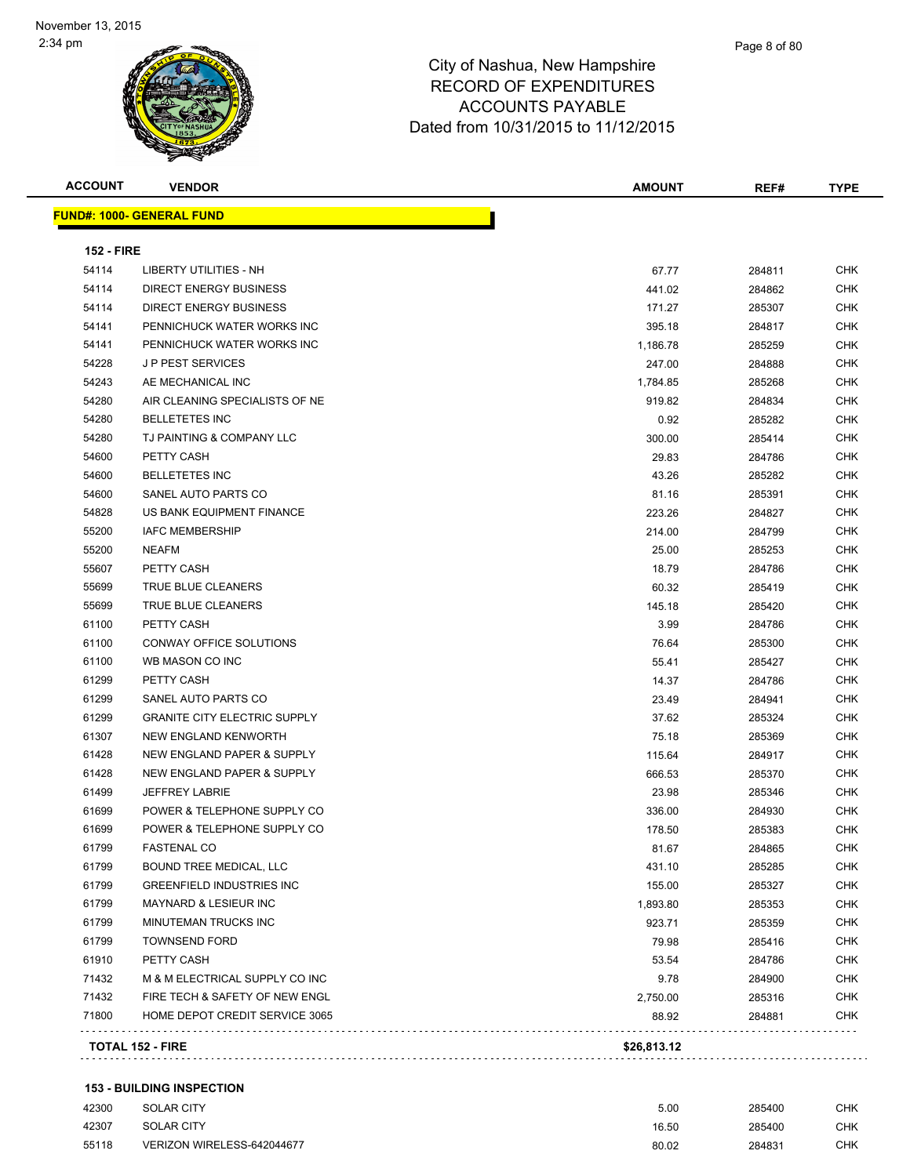| <b>ACCOUNT</b>    | <b>VENDOR</b>                       | <b>AMOUNT</b> | REF#   | <b>TYPE</b> |
|-------------------|-------------------------------------|---------------|--------|-------------|
|                   | <b>FUND#: 1000- GENERAL FUND</b>    |               |        |             |
| <b>152 - FIRE</b> |                                     |               |        |             |
| 54114             | LIBERTY UTILITIES - NH              | 67.77         | 284811 | <b>CHK</b>  |
| 54114             | DIRECT ENERGY BUSINESS              | 441.02        | 284862 | <b>CHK</b>  |
| 54114             | DIRECT ENERGY BUSINESS              | 171.27        | 285307 | CHK         |
| 54141             | PENNICHUCK WATER WORKS INC          | 395.18        | 284817 | CHK         |
| 54141             | PENNICHUCK WATER WORKS INC          | 1,186.78      | 285259 | <b>CHK</b>  |
| 54228             | <b>JP PEST SERVICES</b>             | 247.00        | 284888 | CHK         |
| 54243             | AE MECHANICAL INC                   | 1,784.85      | 285268 | CHK         |
| 54280             | AIR CLEANING SPECIALISTS OF NE      | 919.82        | 284834 | CHK         |
| 54280             | <b>BELLETETES INC</b>               | 0.92          | 285282 | CHK         |
| 54280             | TJ PAINTING & COMPANY LLC           | 300.00        | 285414 | <b>CHK</b>  |
| 54600             | PETTY CASH                          | 29.83         | 284786 | <b>CHK</b>  |
| 54600             | <b>BELLETETES INC</b>               | 43.26         | 285282 | CHK         |
| 54600             | SANEL AUTO PARTS CO                 | 81.16         | 285391 | <b>CHK</b>  |
| 54828             | US BANK EQUIPMENT FINANCE           | 223.26        | 284827 | CHK         |
| 55200             | <b>IAFC MEMBERSHIP</b>              | 214.00        | 284799 | CHK         |
| 55200             | <b>NEAFM</b>                        | 25.00         | 285253 | CHK         |
| 55607             | PETTY CASH                          | 18.79         | 284786 | CHK         |
| 55699             | TRUE BLUE CLEANERS                  | 60.32         | 285419 | CHK         |
| 55699             | TRUE BLUE CLEANERS                  | 145.18        | 285420 | CHK         |
| 61100             | PETTY CASH                          | 3.99          | 284786 | CHK         |
| 61100             | CONWAY OFFICE SOLUTIONS             | 76.64         | 285300 | <b>CHK</b>  |
| 61100             | WB MASON CO INC                     | 55.41         | 285427 | <b>CHK</b>  |
| 61299             | PETTY CASH                          | 14.37         | 284786 | CHK         |
| 61299             | SANEL AUTO PARTS CO                 | 23.49         | 284941 | CHK         |
| 61299             | <b>GRANITE CITY ELECTRIC SUPPLY</b> | 37.62         | 285324 | CHK         |
| 61307             | NEW ENGLAND KENWORTH                | 75.18         | 285369 | CHK         |
| 61428             | NEW ENGLAND PAPER & SUPPLY          | 115.64        | 284917 | CHK         |
| 61428             | NEW ENGLAND PAPER & SUPPLY          | 666.53        | 285370 | CHK         |
| 61499             | <b>JEFFREY LABRIE</b>               | 23.98         | 285346 | CHK         |
| 61699             | POWER & TELEPHONE SUPPLY CO         | 336.00        | 284930 | <b>CHK</b>  |
| 61699             | POWER & TELEPHONE SUPPLY CO         | 178.50        | 285383 | CHK         |
| 61799             | FASTENAL CO                         | 81.67         | 284865 | CHK         |
| 61799             | BOUND TREE MEDICAL, LLC             | 431.10        | 285285 | <b>CHK</b>  |
| 61799             | <b>GREENFIELD INDUSTRIES INC</b>    | 155.00        | 285327 | <b>CHK</b>  |
| 61799             | <b>MAYNARD &amp; LESIEUR INC</b>    | 1,893.80      | 285353 | <b>CHK</b>  |
| 61799             | MINUTEMAN TRUCKS INC                | 923.71        | 285359 | <b>CHK</b>  |
| 61799             | <b>TOWNSEND FORD</b>                | 79.98         | 285416 | <b>CHK</b>  |
| 61910             | PETTY CASH                          | 53.54         | 284786 | <b>CHK</b>  |
| 71432             | M & M ELECTRICAL SUPPLY CO INC      | 9.78          | 284900 | <b>CHK</b>  |
| 71432             | FIRE TECH & SAFETY OF NEW ENGL      | 2,750.00      | 285316 | <b>CHK</b>  |
| 71800             | HOME DEPOT CREDIT SERVICE 3065      | 88.92         | 284881 | CHK         |

### **153 - BUILDING INSPECTION**

| 42300 | SOLAR CITY                 | 5.00  | 285400 | СНК        |
|-------|----------------------------|-------|--------|------------|
| 42307 | SOLAR CITY                 | 16.50 | 285400 | <b>CHK</b> |
| 55118 | VERIZON WIRELESS-642044677 | 80.02 | 284831 | СНК        |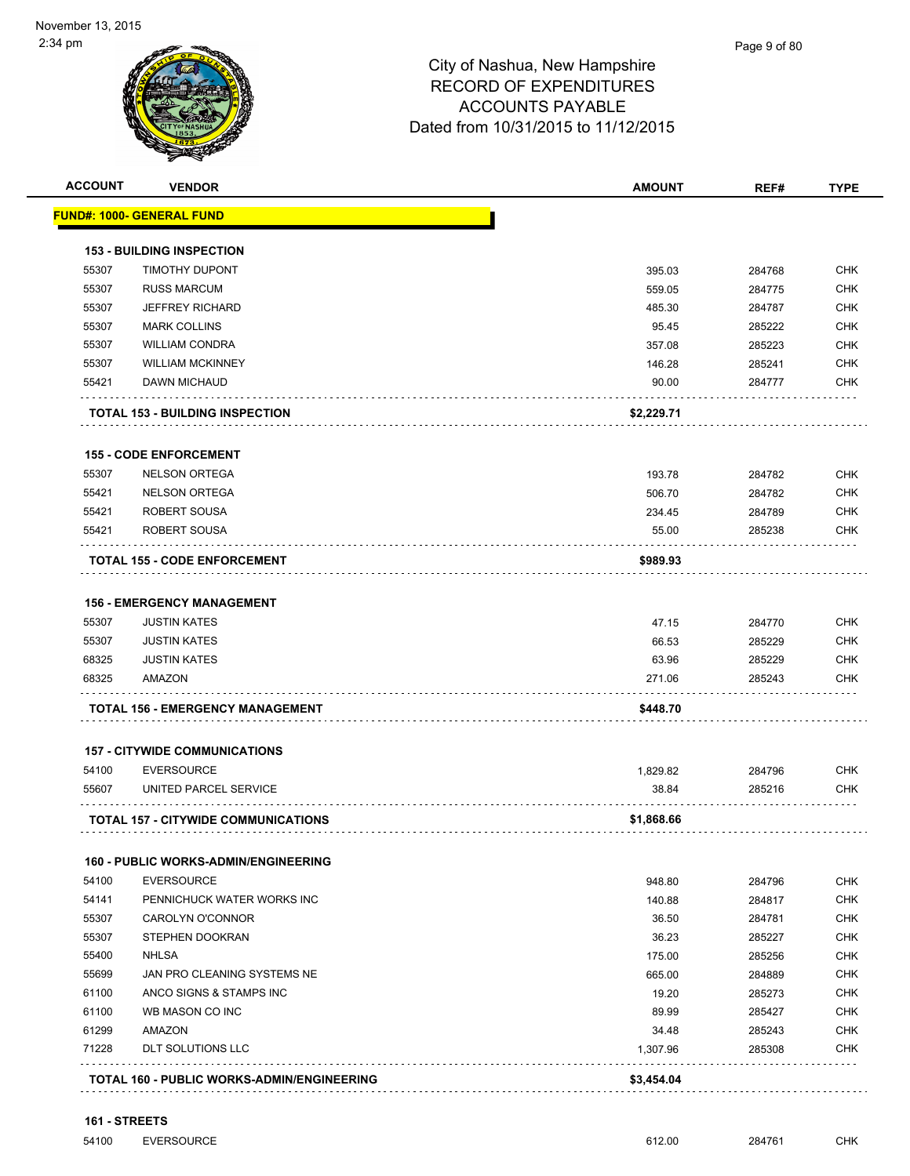

| <b>ACCOUNT</b> | <b>VENDOR</b>                                          | <b>AMOUNT</b> | REF#   | <b>TYPE</b>       |
|----------------|--------------------------------------------------------|---------------|--------|-------------------|
|                | <u> FUND#: 1000- GENERAL FUND</u>                      |               |        |                   |
|                | <b>153 - BUILDING INSPECTION</b>                       |               |        |                   |
| 55307          | <b>TIMOTHY DUPONT</b>                                  | 395.03        | 284768 | <b>CHK</b>        |
| 55307          | <b>RUSS MARCUM</b>                                     | 559.05        | 284775 | <b>CHK</b>        |
| 55307          | <b>JEFFREY RICHARD</b>                                 | 485.30        | 284787 | CHK               |
| 55307          | <b>MARK COLLINS</b>                                    | 95.45         | 285222 | <b>CHK</b>        |
| 55307          | <b>WILLIAM CONDRA</b>                                  | 357.08        | 285223 | <b>CHK</b>        |
| 55307          | <b>WILLIAM MCKINNEY</b>                                | 146.28        | 285241 | <b>CHK</b>        |
| 55421          | DAWN MICHAUD                                           | 90.00         | 284777 | <b>CHK</b>        |
|                | <b>TOTAL 153 - BUILDING INSPECTION</b>                 | \$2,229.71    |        |                   |
|                | <b>155 - CODE ENFORCEMENT</b>                          |               |        |                   |
| 55307          | <b>NELSON ORTEGA</b>                                   | 193.78        | 284782 | <b>CHK</b>        |
| 55421          | <b>NELSON ORTEGA</b>                                   | 506.70        | 284782 | <b>CHK</b>        |
| 55421          | <b>ROBERT SOUSA</b>                                    | 234.45        | 284789 | <b>CHK</b>        |
| 55421          | ROBERT SOUSA                                           | 55.00         | 285238 | CHK               |
|                | <b>TOTAL 155 - CODE ENFORCEMENT</b>                    | \$989.93      |        |                   |
|                |                                                        |               |        |                   |
|                | <b>156 - EMERGENCY MANAGEMENT</b>                      |               |        |                   |
| 55307          | <b>JUSTIN KATES</b>                                    | 47.15         | 284770 | <b>CHK</b>        |
| 55307          | <b>JUSTIN KATES</b>                                    | 66.53         | 285229 | <b>CHK</b>        |
| 68325<br>68325 | <b>JUSTIN KATES</b><br>AMAZON                          | 63.96         | 285229 | CHK<br><b>CHK</b> |
|                |                                                        | 271.06        | 285243 |                   |
|                | TOTAL 156 - EMERGENCY MANAGEMENT                       | \$448.70      |        |                   |
|                | <b>157 - CITYWIDE COMMUNICATIONS</b>                   |               |        |                   |
| 54100          | <b>EVERSOURCE</b>                                      | 1,829.82      | 284796 | <b>CHK</b>        |
| 55607          | UNITED PARCEL SERVICE                                  | 38.84         | 285216 | CHK               |
|                | <b>TOTAL 157 - CITYWIDE COMMUNICATIONS</b>             | \$1,868.66    |        |                   |
|                | <b>160 - PUBLIC WORKS-ADMIN/ENGINEERING</b>            |               |        |                   |
| 54100          | <b>EVERSOURCE</b>                                      | 948.80        | 284796 | <b>CHK</b>        |
| 54141          | PENNICHUCK WATER WORKS INC                             | 140.88        | 284817 | <b>CHK</b>        |
| 55307          | <b>CAROLYN O'CONNOR</b>                                | 36.50         | 284781 | <b>CHK</b>        |
| 55307          | STEPHEN DOOKRAN                                        | 36.23         | 285227 | <b>CHK</b>        |
| 55400          | <b>NHLSA</b>                                           | 175.00        | 285256 | CHK               |
| 55699          | JAN PRO CLEANING SYSTEMS NE                            | 665.00        | 284889 | CHK               |
| 61100          | ANCO SIGNS & STAMPS INC                                | 19.20         | 285273 | CHK               |
| 61100          | WB MASON CO INC                                        | 89.99         | 285427 | CHK               |
| 61299          | AMAZON                                                 | 34.48         | 285243 | CHK               |
| 71228          | <b>DLT SOLUTIONS LLC</b>                               | 1,307.96      | 285308 | CHK               |
|                | .<br><b>TOTAL 160 - PUBLIC WORKS-ADMIN/ENGINEERING</b> | \$3,454.04    |        |                   |
|                |                                                        |               |        |                   |

**161 - STREETS**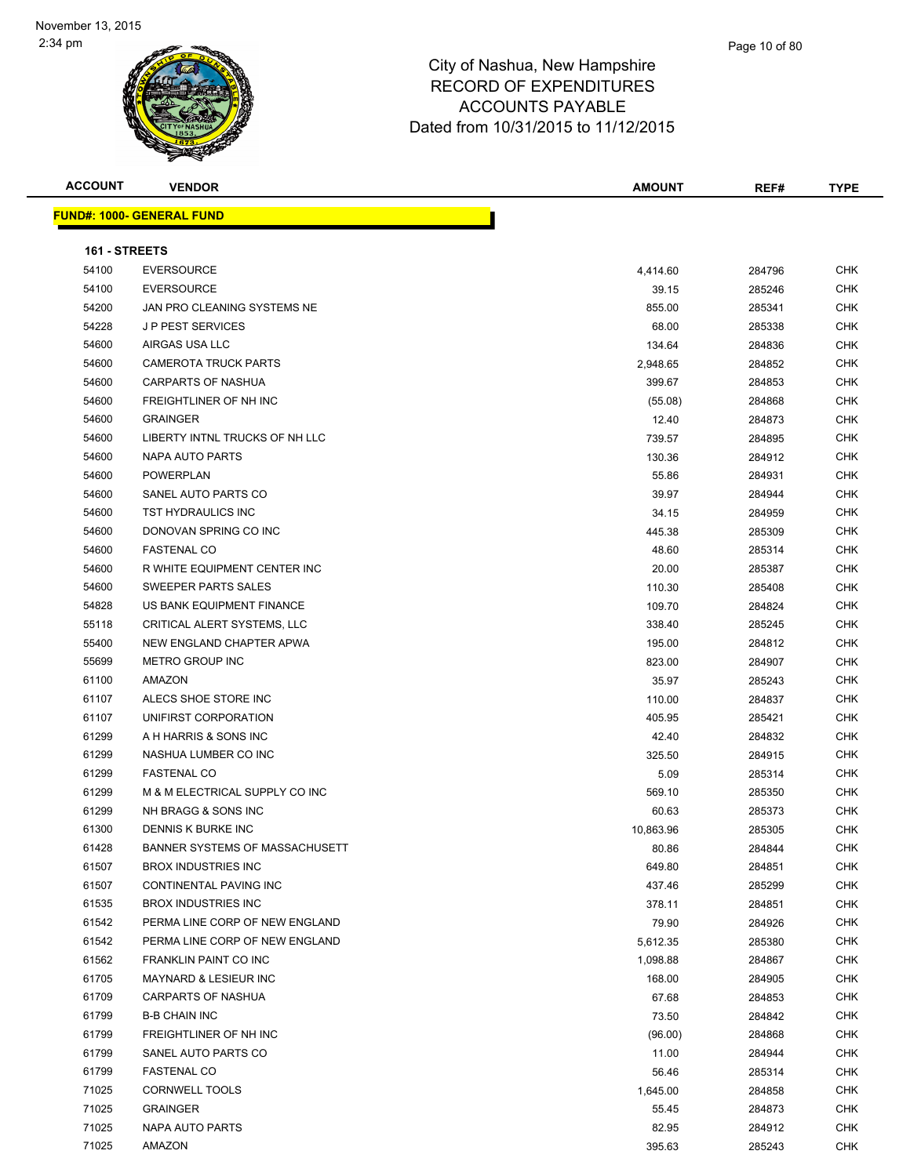

| <b>ACCOUNT</b> | <b>VENDOR</b>                    | <b>AMOUNT</b> | REF#   | <b>TYPE</b> |
|----------------|----------------------------------|---------------|--------|-------------|
|                | <u>FUND#: 1000- GENERAL FUND</u> |               |        |             |
|                |                                  |               |        |             |
| 161 - STREETS  |                                  |               |        |             |
| 54100          | <b>EVERSOURCE</b>                | 4,414.60      | 284796 | <b>CHK</b>  |
| 54100          | <b>EVERSOURCE</b>                | 39.15         | 285246 | <b>CHK</b>  |
| 54200          | JAN PRO CLEANING SYSTEMS NE      | 855.00        | 285341 | <b>CHK</b>  |
| 54228          | <b>JP PEST SERVICES</b>          | 68.00         | 285338 | CHK         |
| 54600          | AIRGAS USA LLC                   | 134.64        | 284836 | <b>CHK</b>  |
| 54600          | <b>CAMEROTA TRUCK PARTS</b>      | 2,948.65      | 284852 | <b>CHK</b>  |
| 54600          | <b>CARPARTS OF NASHUA</b>        | 399.67        | 284853 | <b>CHK</b>  |
| 54600          | FREIGHTLINER OF NH INC           | (55.08)       | 284868 | <b>CHK</b>  |
| 54600          | <b>GRAINGER</b>                  | 12.40         | 284873 | CHK         |
| 54600          | LIBERTY INTNL TRUCKS OF NH LLC   | 739.57        | 284895 | CHK         |
| 54600          | NAPA AUTO PARTS                  | 130.36        | 284912 | <b>CHK</b>  |
| 54600          | <b>POWERPLAN</b>                 | 55.86         | 284931 | <b>CHK</b>  |
| 54600          | SANEL AUTO PARTS CO              | 39.97         | 284944 | <b>CHK</b>  |
| 54600          | TST HYDRAULICS INC               | 34.15         | 284959 | <b>CHK</b>  |
| 54600          | DONOVAN SPRING CO INC            | 445.38        | 285309 | <b>CHK</b>  |
| 54600          | <b>FASTENAL CO</b>               | 48.60         | 285314 | <b>CHK</b>  |
| 54600          | R WHITE EQUIPMENT CENTER INC     | 20.00         | 285387 | <b>CHK</b>  |
| 54600          | SWEEPER PARTS SALES              | 110.30        | 285408 | <b>CHK</b>  |
| 54828          | US BANK EQUIPMENT FINANCE        | 109.70        | 284824 | <b>CHK</b>  |
| 55118          | CRITICAL ALERT SYSTEMS, LLC      | 338.40        | 285245 | CHK         |
| 55400          | NEW ENGLAND CHAPTER APWA         | 195.00        | 284812 | CHK         |
| 55699          | METRO GROUP INC                  | 823.00        | 284907 | <b>CHK</b>  |
| 61100          | AMAZON                           | 35.97         | 285243 | <b>CHK</b>  |
| 61107          | ALECS SHOE STORE INC             | 110.00        | 284837 | <b>CHK</b>  |
| 61107          | UNIFIRST CORPORATION             | 405.95        | 285421 | <b>CHK</b>  |
| 61299          | A H HARRIS & SONS INC            | 42.40         | 284832 | CHK         |
| 61299          | NASHUA LUMBER CO INC             | 325.50        | 284915 | <b>CHK</b>  |
| 61299          | <b>FASTENAL CO</b>               | 5.09          | 285314 | <b>CHK</b>  |
| 61299          | M & M ELECTRICAL SUPPLY CO INC   | 569.10        | 285350 | CHK         |
| 61299          | NH BRAGG & SONS INC              | 60.63         | 285373 | <b>CHK</b>  |
| 61300          | DENNIS K BURKE INC               | 10,863.96     | 285305 | <b>CHK</b>  |
| 61428          | BANNER SYSTEMS OF MASSACHUSETT   | 80.86         | 284844 | <b>CHK</b>  |
| 61507          | <b>BROX INDUSTRIES INC</b>       | 649.80        | 284851 | <b>CHK</b>  |
| 61507          | CONTINENTAL PAVING INC           | 437.46        | 285299 | <b>CHK</b>  |
| 61535          | <b>BROX INDUSTRIES INC</b>       | 378.11        | 284851 | <b>CHK</b>  |
| 61542          | PERMA LINE CORP OF NEW ENGLAND   | 79.90         | 284926 | <b>CHK</b>  |
| 61542          | PERMA LINE CORP OF NEW ENGLAND   | 5,612.35      | 285380 | <b>CHK</b>  |
| 61562          | FRANKLIN PAINT CO INC            | 1,098.88      | 284867 | <b>CHK</b>  |
| 61705          | MAYNARD & LESIEUR INC            | 168.00        | 284905 | <b>CHK</b>  |
| 61709          | <b>CARPARTS OF NASHUA</b>        | 67.68         | 284853 | <b>CHK</b>  |
| 61799          | <b>B-B CHAIN INC</b>             | 73.50         | 284842 | <b>CHK</b>  |
| 61799          | FREIGHTLINER OF NH INC           | (96.00)       | 284868 | <b>CHK</b>  |
| 61799          | SANEL AUTO PARTS CO              | 11.00         | 284944 | <b>CHK</b>  |
| 61799          | <b>FASTENAL CO</b>               | 56.46         | 285314 | <b>CHK</b>  |
| 71025          | <b>CORNWELL TOOLS</b>            | 1,645.00      | 284858 | CHK         |
| 71025          | <b>GRAINGER</b>                  | 55.45         | 284873 | <b>CHK</b>  |
| 71025          | NAPA AUTO PARTS                  | 82.95         | 284912 | <b>CHK</b>  |

AMAZON 395.63 285243 CHK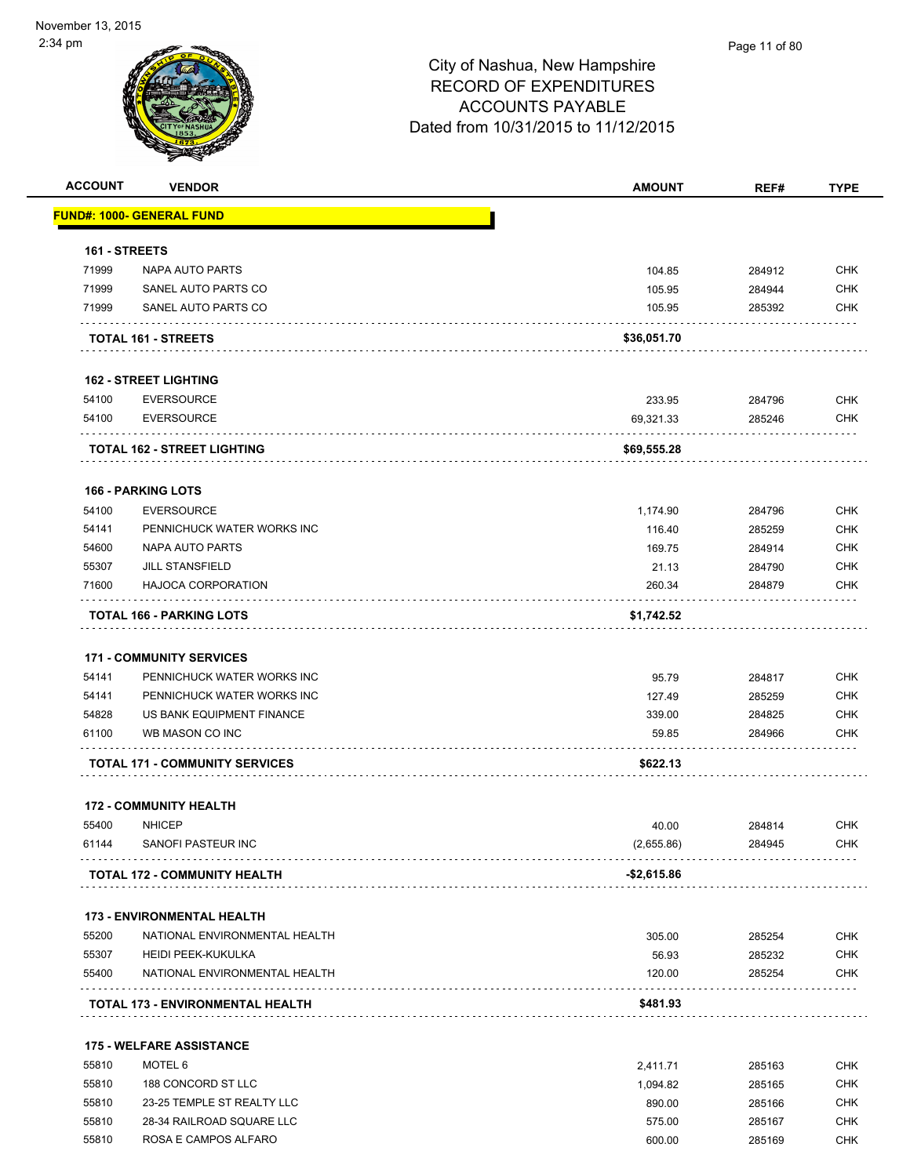| <b>ACCOUNT</b> | <b>VENDOR</b>                                  | <b>AMOUNT</b>   | REF#             | <b>TYPE</b>              |
|----------------|------------------------------------------------|-----------------|------------------|--------------------------|
|                | <u> FUND#: 1000- GENERAL FUND</u>              |                 |                  |                          |
| 161 - STREETS  |                                                |                 |                  |                          |
| 71999          | NAPA AUTO PARTS                                | 104.85          | 284912           | <b>CHK</b>               |
| 71999          | SANEL AUTO PARTS CO                            | 105.95          | 284944           | <b>CHK</b>               |
| 71999          | SANEL AUTO PARTS CO                            | 105.95          | 285392           | <b>CHK</b>               |
|                | <b>TOTAL 161 - STREETS</b>                     | \$36,051.70     |                  |                          |
|                | <b>162 - STREET LIGHTING</b>                   |                 |                  |                          |
| 54100          | <b>EVERSOURCE</b>                              | 233.95          | 284796           | <b>CHK</b>               |
| 54100          | <b>EVERSOURCE</b>                              | 69,321.33       | 285246           | <b>CHK</b>               |
|                | TOTAL 162 - STREET LIGHTING                    | \$69,555.28     |                  |                          |
|                | <b>166 - PARKING LOTS</b>                      |                 |                  |                          |
| 54100          | <b>EVERSOURCE</b>                              | 1,174.90        | 284796           | <b>CHK</b>               |
| 54141          | PENNICHUCK WATER WORKS INC                     | 116.40          | 285259           | <b>CHK</b>               |
| 54600          | NAPA AUTO PARTS                                | 169.75          | 284914           | <b>CHK</b>               |
| 55307          | <b>JILL STANSFIELD</b>                         | 21.13           | 284790           | <b>CHK</b>               |
| 71600          | <b>HAJOCA CORPORATION</b>                      | 260.34          | 284879           | <b>CHK</b>               |
|                | TOTAL 166 - PARKING LOTS                       | \$1,742.52      |                  |                          |
|                |                                                |                 |                  |                          |
|                | <b>171 - COMMUNITY SERVICES</b>                |                 |                  |                          |
| 54141          | PENNICHUCK WATER WORKS INC                     | 95.79           | 284817           | <b>CHK</b>               |
| 54141          | PENNICHUCK WATER WORKS INC                     | 127.49          | 285259           | <b>CHK</b>               |
| 54828<br>61100 | US BANK EQUIPMENT FINANCE<br>WB MASON CO INC   | 339.00<br>59.85 | 284825<br>284966 | <b>CHK</b><br><b>CHK</b> |
|                | <b>TOTAL 171 - COMMUNITY SERVICES</b>          | \$622.13        |                  |                          |
|                |                                                |                 |                  |                          |
| 55400          | <b>172 - COMMUNITY HEALTH</b><br><b>NHICEP</b> | 40.00           | 284814           | <b>CHK</b>               |
| 61144          | SANOFI PASTEUR INC                             | (2,655.86)      | 284945           | <b>CHK</b>               |
|                | <b>TOTAL 172 - COMMUNITY HEALTH</b>            | -\$2,615.86     |                  |                          |
|                | <b>173 - ENVIRONMENTAL HEALTH</b>              |                 |                  |                          |
| 55200          | NATIONAL ENVIRONMENTAL HEALTH                  | 305.00          | 285254           | <b>CHK</b>               |
| 55307          | <b>HEIDI PEEK-KUKULKA</b>                      | 56.93           | 285232           | <b>CHK</b>               |
| 55400          | NATIONAL ENVIRONMENTAL HEALTH                  | 120.00          | 285254           | <b>CHK</b>               |
|                | <b>TOTAL 173 - ENVIRONMENTAL HEALTH</b>        | \$481.93        |                  |                          |
|                | <b>175 - WELFARE ASSISTANCE</b>                |                 |                  |                          |
| 55810          | MOTEL 6                                        | 2,411.71        | 285163           | <b>CHK</b>               |
| 55810          | 188 CONCORD ST LLC                             | 1,094.82        | 285165           | <b>CHK</b>               |
| 55810          | 23-25 TEMPLE ST REALTY LLC                     | 890.00          | 285166           | <b>CHK</b>               |
| 55810          | 28-34 RAILROAD SQUARE LLC                      | 575.00          | 285167           | <b>CHK</b>               |

55810 ROSA E CAMPOS ALFARO 600.00 285169 CHK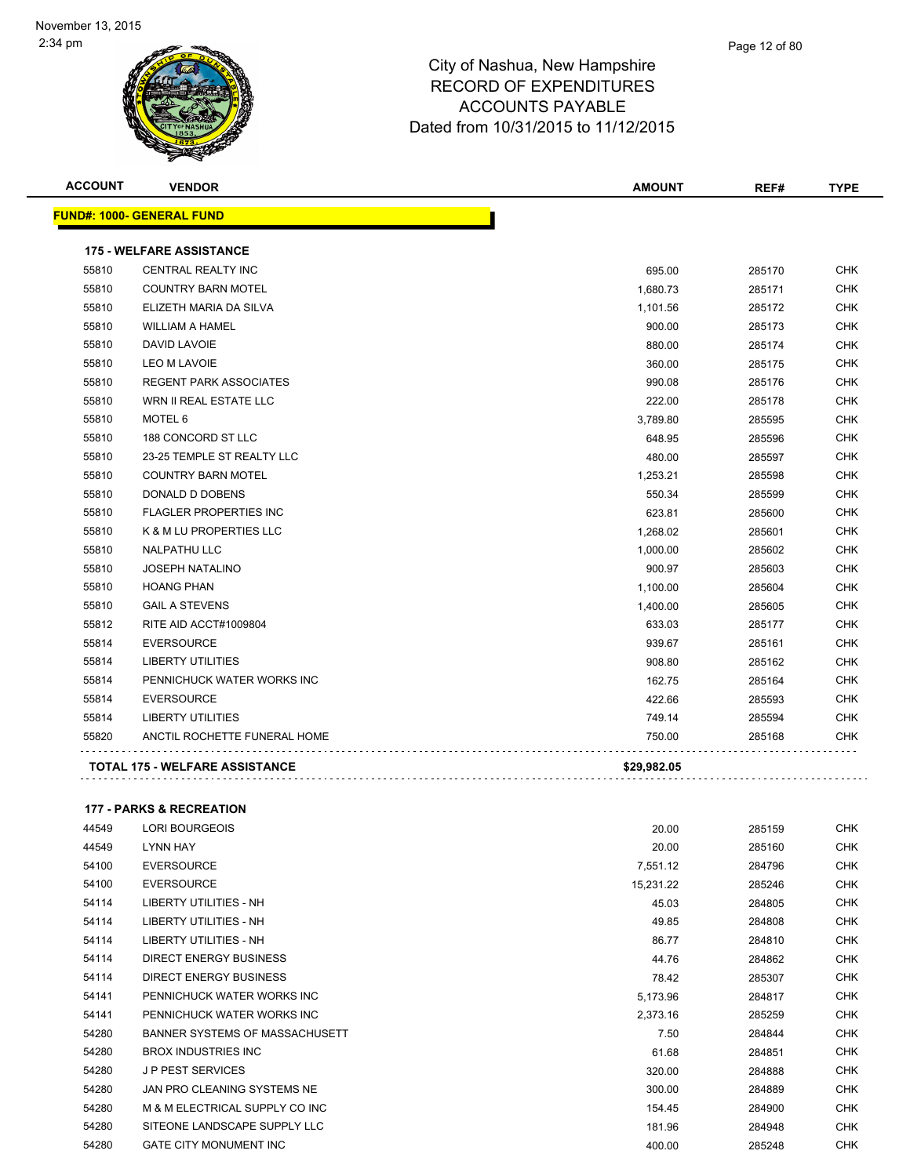|       | <b>VENDOR</b>                         | <b>AMOUNT</b> | REF#   | <b>TYPE</b> |
|-------|---------------------------------------|---------------|--------|-------------|
|       | <b>FUND#: 1000- GENERAL FUND</b>      |               |        |             |
|       | <b>175 - WELFARE ASSISTANCE</b>       |               |        |             |
| 55810 | <b>CENTRAL REALTY INC</b>             | 695.00        | 285170 | <b>CHK</b>  |
| 55810 | <b>COUNTRY BARN MOTEL</b>             | 1,680.73      | 285171 | CHK         |
| 55810 | ELIZETH MARIA DA SILVA                | 1,101.56      | 285172 | <b>CHK</b>  |
| 55810 | <b>WILLIAM A HAMEL</b>                | 900.00        | 285173 | CHK         |
| 55810 | DAVID LAVOIE                          | 880.00        | 285174 | <b>CHK</b>  |
| 55810 | <b>LEO M LAVOIE</b>                   | 360.00        | 285175 | CHK         |
| 55810 | <b>REGENT PARK ASSOCIATES</b>         | 990.08        | 285176 | <b>CHK</b>  |
| 55810 | WRN II REAL ESTATE LLC                | 222.00        | 285178 | <b>CHK</b>  |
| 55810 | MOTEL 6                               | 3,789.80      | 285595 | <b>CHK</b>  |
| 55810 | 188 CONCORD ST LLC                    | 648.95        | 285596 | <b>CHK</b>  |
| 55810 | 23-25 TEMPLE ST REALTY LLC            | 480.00        | 285597 | <b>CHK</b>  |
| 55810 | <b>COUNTRY BARN MOTEL</b>             | 1,253.21      | 285598 | <b>CHK</b>  |
| 55810 | DONALD D DOBENS                       | 550.34        | 285599 | <b>CHK</b>  |
| 55810 | <b>FLAGLER PROPERTIES INC</b>         | 623.81        | 285600 | <b>CHK</b>  |
| 55810 | K & M LU PROPERTIES LLC               | 1,268.02      | 285601 | <b>CHK</b>  |
| 55810 | <b>NALPATHU LLC</b>                   | 1,000.00      | 285602 | <b>CHK</b>  |
| 55810 | <b>JOSEPH NATALINO</b>                | 900.97        | 285603 | <b>CHK</b>  |
| 55810 | <b>HOANG PHAN</b>                     | 1,100.00      | 285604 | <b>CHK</b>  |
| 55810 | <b>GAIL A STEVENS</b>                 | 1,400.00      | 285605 | <b>CHK</b>  |
| 55812 | RITE AID ACCT#1009804                 | 633.03        | 285177 | <b>CHK</b>  |
| 55814 | <b>EVERSOURCE</b>                     | 939.67        | 285161 | <b>CHK</b>  |
| 55814 | <b>LIBERTY UTILITIES</b>              | 908.80        | 285162 | <b>CHK</b>  |
| 55814 | PENNICHUCK WATER WORKS INC            | 162.75        | 285164 | <b>CHK</b>  |
| 55814 | <b>EVERSOURCE</b>                     | 422.66        | 285593 | <b>CHK</b>  |
| 55814 | <b>LIBERTY UTILITIES</b>              | 749.14        | 285594 | <b>CHK</b>  |
| 55820 | ANCTIL ROCHETTE FUNERAL HOME          | 750.00        | 285168 | CHK         |
|       | <b>TOTAL 175 - WELFARE ASSISTANCE</b> | \$29,982.05   |        |             |

### **177 - PARKS & RECREATION**

| 44549 | LORI BOURGEOIS                 | 20.00     | 285159 | <b>CHK</b> |
|-------|--------------------------------|-----------|--------|------------|
| 44549 | LYNN HAY                       | 20.00     | 285160 | <b>CHK</b> |
| 54100 | <b>EVERSOURCE</b>              | 7,551.12  | 284796 | <b>CHK</b> |
| 54100 | <b>EVERSOURCE</b>              | 15,231.22 | 285246 | <b>CHK</b> |
| 54114 | LIBERTY UTILITIES - NH         | 45.03     | 284805 | <b>CHK</b> |
| 54114 | LIBERTY UTILITIES - NH         | 49.85     | 284808 | <b>CHK</b> |
| 54114 | LIBERTY UTILITIES - NH         | 86.77     | 284810 | <b>CHK</b> |
| 54114 | DIRECT ENERGY BUSINESS         | 44.76     | 284862 | <b>CHK</b> |
| 54114 | <b>DIRECT ENERGY BUSINESS</b>  | 78.42     | 285307 | <b>CHK</b> |
| 54141 | PENNICHUCK WATER WORKS INC     | 5,173.96  | 284817 | <b>CHK</b> |
| 54141 | PENNICHUCK WATER WORKS INC     | 2,373.16  | 285259 | <b>CHK</b> |
| 54280 | BANNER SYSTEMS OF MASSACHUSETT | 7.50      | 284844 | <b>CHK</b> |
| 54280 | <b>BROX INDUSTRIES INC</b>     | 61.68     | 284851 | <b>CHK</b> |
| 54280 | <b>JP PEST SERVICES</b>        | 320.00    | 284888 | <b>CHK</b> |
| 54280 | JAN PRO CLEANING SYSTEMS NE    | 300.00    | 284889 | <b>CHK</b> |
| 54280 | M & M ELECTRICAL SUPPLY CO INC | 154.45    | 284900 | <b>CHK</b> |
| 54280 | SITEONE LANDSCAPE SUPPLY LLC   | 181.96    | 284948 | <b>CHK</b> |
| 54280 | <b>GATE CITY MONUMENT INC</b>  | 400.00    | 285248 | <b>CHK</b> |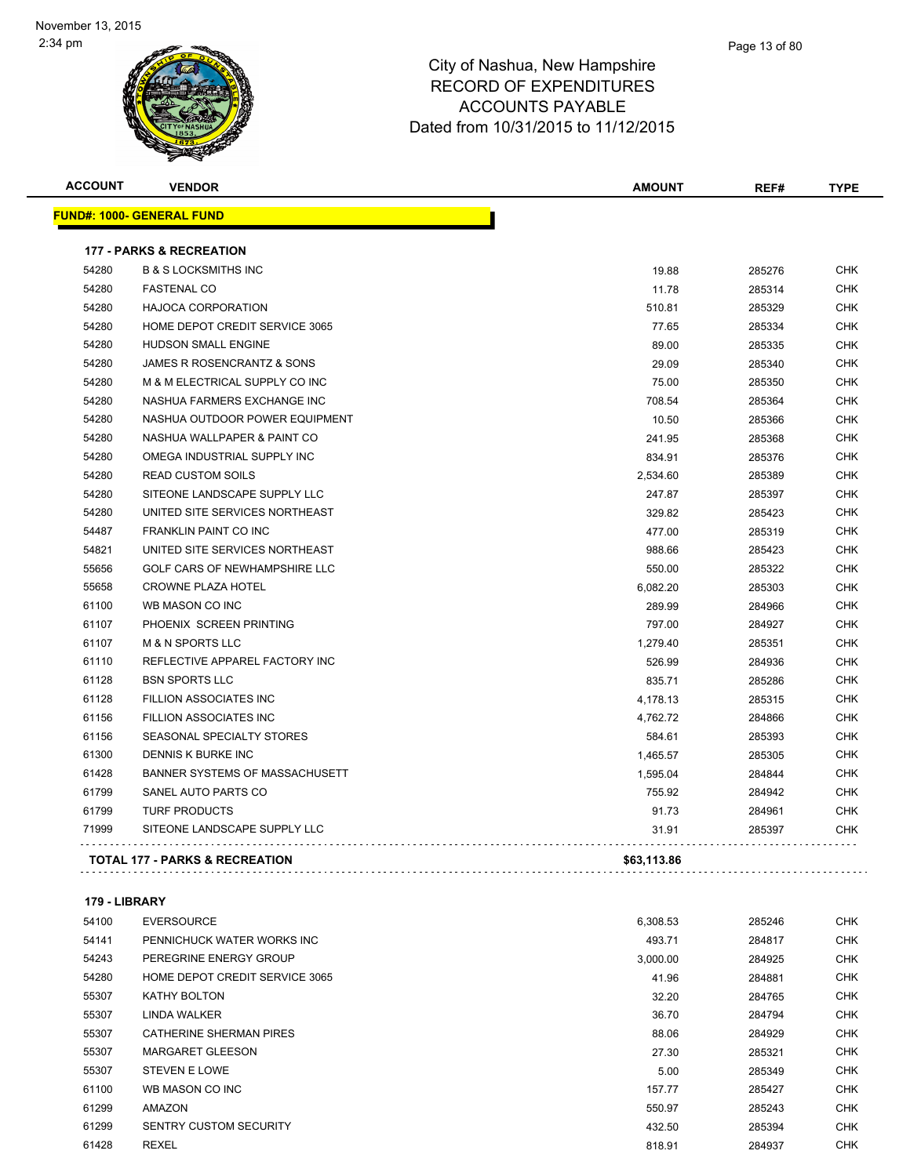| <b>ACCOUNT</b> | <b>VENDOR</b>                             | <b>AMOUNT</b> | REF#   | <b>TYPE</b> |
|----------------|-------------------------------------------|---------------|--------|-------------|
|                | <u> FUND#: 1000- GENERAL FUND</u>         |               |        |             |
|                | <b>177 - PARKS &amp; RECREATION</b>       |               |        |             |
| 54280          | <b>B &amp; S LOCKSMITHS INC</b>           | 19.88         | 285276 | <b>CHK</b>  |
| 54280          | <b>FASTENAL CO</b>                        | 11.78         | 285314 | <b>CHK</b>  |
| 54280          | <b>HAJOCA CORPORATION</b>                 | 510.81        | 285329 | <b>CHK</b>  |
| 54280          | HOME DEPOT CREDIT SERVICE 3065            | 77.65         | 285334 | <b>CHK</b>  |
| 54280          | HUDSON SMALL ENGINE                       | 89.00         | 285335 | <b>CHK</b>  |
| 54280          | JAMES R ROSENCRANTZ & SONS                | 29.09         | 285340 | <b>CHK</b>  |
| 54280          | M & M ELECTRICAL SUPPLY CO INC            | 75.00         | 285350 | <b>CHK</b>  |
| 54280          | NASHUA FARMERS EXCHANGE INC               | 708.54        | 285364 | <b>CHK</b>  |
| 54280          | NASHUA OUTDOOR POWER EQUIPMENT            | 10.50         | 285366 | <b>CHK</b>  |
| 54280          | NASHUA WALLPAPER & PAINT CO               | 241.95        | 285368 | <b>CHK</b>  |
| 54280          | OMEGA INDUSTRIAL SUPPLY INC               | 834.91        | 285376 | <b>CHK</b>  |
| 54280          | <b>READ CUSTOM SOILS</b>                  | 2,534.60      | 285389 | <b>CHK</b>  |
| 54280          | SITEONE LANDSCAPE SUPPLY LLC              | 247.87        | 285397 | <b>CHK</b>  |
| 54280          | UNITED SITE SERVICES NORTHEAST            | 329.82        | 285423 | <b>CHK</b>  |
| 54487          | <b>FRANKLIN PAINT CO INC</b>              | 477.00        | 285319 | <b>CHK</b>  |
| 54821          | UNITED SITE SERVICES NORTHEAST            | 988.66        | 285423 | <b>CHK</b>  |
| 55656          | GOLF CARS OF NEWHAMPSHIRE LLC             | 550.00        | 285322 | <b>CHK</b>  |
| 55658          | <b>CROWNE PLAZA HOTEL</b>                 | 6,082.20      | 285303 | <b>CHK</b>  |
| 61100          | WB MASON CO INC                           | 289.99        | 284966 | <b>CHK</b>  |
| 61107          | PHOENIX SCREEN PRINTING                   | 797.00        | 284927 | <b>CHK</b>  |
| 61107          | <b>M &amp; N SPORTS LLC</b>               | 1,279.40      | 285351 | <b>CHK</b>  |
| 61110          | REFLECTIVE APPAREL FACTORY INC            | 526.99        | 284936 | <b>CHK</b>  |
| 61128          | <b>BSN SPORTS LLC</b>                     | 835.71        | 285286 | <b>CHK</b>  |
| 61128          | <b>FILLION ASSOCIATES INC</b>             | 4,178.13      | 285315 | <b>CHK</b>  |
| 61156          | <b>FILLION ASSOCIATES INC</b>             | 4,762.72      | 284866 | <b>CHK</b>  |
| 61156          | <b>SEASONAL SPECIALTY STORES</b>          | 584.61        | 285393 | <b>CHK</b>  |
| 61300          | <b>DENNIS K BURKE INC</b>                 | 1,465.57      | 285305 | <b>CHK</b>  |
| 61428          | BANNER SYSTEMS OF MASSACHUSETT            | 1,595.04      | 284844 | <b>CHK</b>  |
| 61799          | SANEL AUTO PARTS CO                       | 755.92        | 284942 | <b>CHK</b>  |
| 61799          | <b>TURF PRODUCTS</b>                      | 91.73         | 284961 | <b>CHK</b>  |
| 71999          | SITEONE LANDSCAPE SUPPLY LLC              | 31.91         | 285397 | <b>CHK</b>  |
|                | <b>TOTAL 177 - PARKS &amp; RECREATION</b> | \$63,113.86   |        |             |

### **179 - LIBRARY**

| 54100 | <b>EVERSOURCE</b>              | 6,308.53 | 285246 | <b>CHK</b> |
|-------|--------------------------------|----------|--------|------------|
| 54141 | PENNICHUCK WATER WORKS INC     | 493.71   | 284817 | <b>CHK</b> |
| 54243 | PEREGRINE ENERGY GROUP         | 3,000.00 | 284925 | <b>CHK</b> |
| 54280 | HOME DEPOT CREDIT SERVICE 3065 | 41.96    | 284881 | <b>CHK</b> |
| 55307 | KATHY BOLTON                   | 32.20    | 284765 | <b>CHK</b> |
| 55307 | LINDA WALKER                   | 36.70    | 284794 | <b>CHK</b> |
| 55307 | CATHERINE SHERMAN PIRES        | 88.06    | 284929 | <b>CHK</b> |
| 55307 | <b>MARGARET GLEESON</b>        | 27.30    | 285321 | <b>CHK</b> |
| 55307 | <b>STEVEN E LOWE</b>           | 5.00     | 285349 | <b>CHK</b> |
| 61100 | WB MASON CO INC                | 157.77   | 285427 | <b>CHK</b> |
| 61299 | AMAZON                         | 550.97   | 285243 | <b>CHK</b> |
| 61299 | <b>SENTRY CUSTOM SECURITY</b>  | 432.50   | 285394 | <b>CHK</b> |
| 61428 | <b>REXEL</b>                   | 818.91   | 284937 | <b>CHK</b> |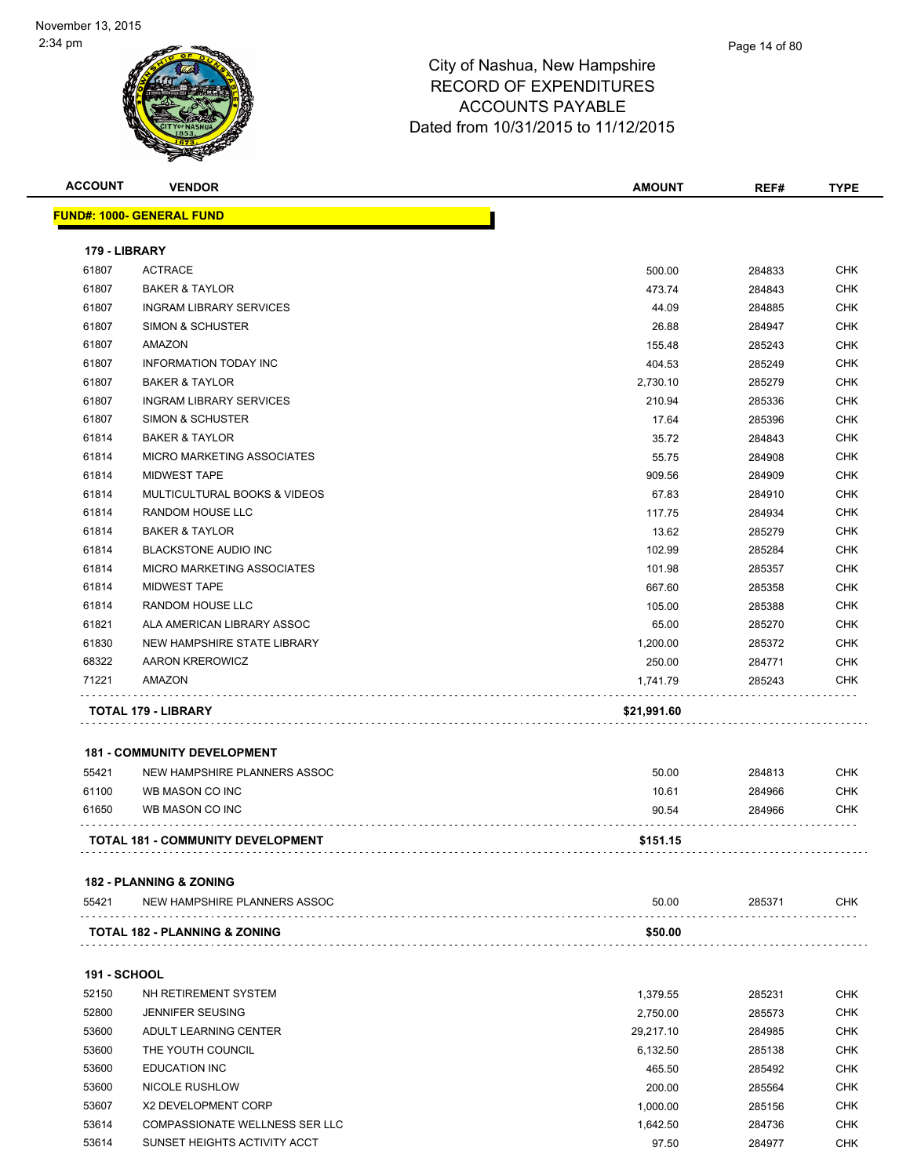| <b>ACCOUNT</b>      | <b>VENDOR</b>                            | <b>AMOUNT</b>         | REF#             | <b>TYPE</b>       |
|---------------------|------------------------------------------|-----------------------|------------------|-------------------|
|                     | <b>FUND#: 1000- GENERAL FUND</b>         |                       |                  |                   |
|                     |                                          |                       |                  |                   |
| 179 - LIBRARY       |                                          |                       |                  |                   |
| 61807               | <b>ACTRACE</b>                           | 500.00                | 284833           | <b>CHK</b>        |
| 61807               | <b>BAKER &amp; TAYLOR</b>                | 473.74                | 284843           | <b>CHK</b>        |
| 61807               | <b>INGRAM LIBRARY SERVICES</b>           | 44.09                 | 284885           | <b>CHK</b>        |
| 61807               | SIMON & SCHUSTER                         | 26.88                 | 284947           | <b>CHK</b>        |
| 61807               | <b>AMAZON</b>                            | 155.48                | 285243           | <b>CHK</b>        |
| 61807               | <b>INFORMATION TODAY INC</b>             | 404.53                | 285249           | <b>CHK</b>        |
| 61807               | <b>BAKER &amp; TAYLOR</b>                | 2,730.10              | 285279           | <b>CHK</b>        |
| 61807               | <b>INGRAM LIBRARY SERVICES</b>           | 210.94                | 285336           | <b>CHK</b>        |
| 61807               | SIMON & SCHUSTER                         | 17.64                 | 285396           | <b>CHK</b>        |
| 61814               | <b>BAKER &amp; TAYLOR</b>                | 35.72                 | 284843           | <b>CHK</b>        |
| 61814               | MICRO MARKETING ASSOCIATES               | 55.75                 | 284908           | <b>CHK</b>        |
| 61814               | <b>MIDWEST TAPE</b>                      | 909.56                | 284909           | <b>CHK</b>        |
| 61814               | MULTICULTURAL BOOKS & VIDEOS             | 67.83                 | 284910           | <b>CHK</b>        |
| 61814               | RANDOM HOUSE LLC                         | 117.75                | 284934           | <b>CHK</b>        |
| 61814               | <b>BAKER &amp; TAYLOR</b>                | 13.62                 | 285279           | <b>CHK</b>        |
| 61814               | <b>BLACKSTONE AUDIO INC</b>              | 102.99                | 285284           | <b>CHK</b>        |
| 61814               | MICRO MARKETING ASSOCIATES               | 101.98                | 285357           | <b>CHK</b>        |
| 61814               | <b>MIDWEST TAPE</b>                      | 667.60                | 285358           | <b>CHK</b>        |
| 61814               | RANDOM HOUSE LLC                         | 105.00                | 285388           | <b>CHK</b>        |
| 61821               | ALA AMERICAN LIBRARY ASSOC               | 65.00                 | 285270           | <b>CHK</b>        |
| 61830               | NEW HAMPSHIRE STATE LIBRARY              | 1,200.00              | 285372           | <b>CHK</b>        |
| 68322               | AARON KREROWICZ                          | 250.00                | 284771           | <b>CHK</b>        |
| 71221               | AMAZON                                   | 1,741.79              | 285243           | <b>CHK</b>        |
|                     | TOTAL 179 - LIBRARY                      | \$21,991.60           |                  |                   |
|                     |                                          |                       |                  |                   |
|                     | <b>181 - COMMUNITY DEVELOPMENT</b>       |                       |                  |                   |
| 55421               | NEW HAMPSHIRE PLANNERS ASSOC             | 50.00                 | 284813           | <b>CHK</b>        |
| 61100               | WB MASON CO INC                          | 10.61                 | 284966           | <b>CHK</b>        |
| 61650               | WB MASON CO INC                          | 90.54                 | 284966           | <b>CHK</b>        |
|                     | TOTAL 181 - COMMUNITY DEVELOPMENT        | \$151.15              |                  |                   |
|                     |                                          |                       |                  |                   |
|                     | 182 - PLANNING & ZONING                  |                       |                  |                   |
| 55421               | NEW HAMPSHIRE PLANNERS ASSOC             | 50.00                 | 285371           | <b>CHK</b>        |
|                     | <b>TOTAL 182 - PLANNING &amp; ZONING</b> | \$50.00               |                  |                   |
| <b>191 - SCHOOL</b> |                                          |                       |                  |                   |
| 52150               | NH RETIREMENT SYSTEM                     | 1,379.55              | 285231           | <b>CHK</b>        |
| 52800               | <b>JENNIFER SEUSING</b>                  | 2,750.00              | 285573           | <b>CHK</b>        |
| 53600               | ADULT LEARNING CENTER                    |                       | 284985           | <b>CHK</b>        |
| 53600               | THE YOUTH COUNCIL                        | 29,217.10<br>6,132.50 | 285138           | <b>CHK</b>        |
| 53600               | <b>EDUCATION INC</b>                     |                       |                  | <b>CHK</b>        |
| 53600               | NICOLE RUSHLOW                           | 465.50                | 285492           |                   |
| 53607               | X2 DEVELOPMENT CORP                      | 200.00<br>1,000.00    | 285564<br>285156 | <b>CHK</b><br>CHK |
|                     |                                          |                       |                  |                   |

53614 COMPASSIONATE WELLNESS SER LLC **1,642.50** 1,642.50 284736 CHK SUNSET HEIGHTS ACTIVITY ACCT 97.50 284977 CHK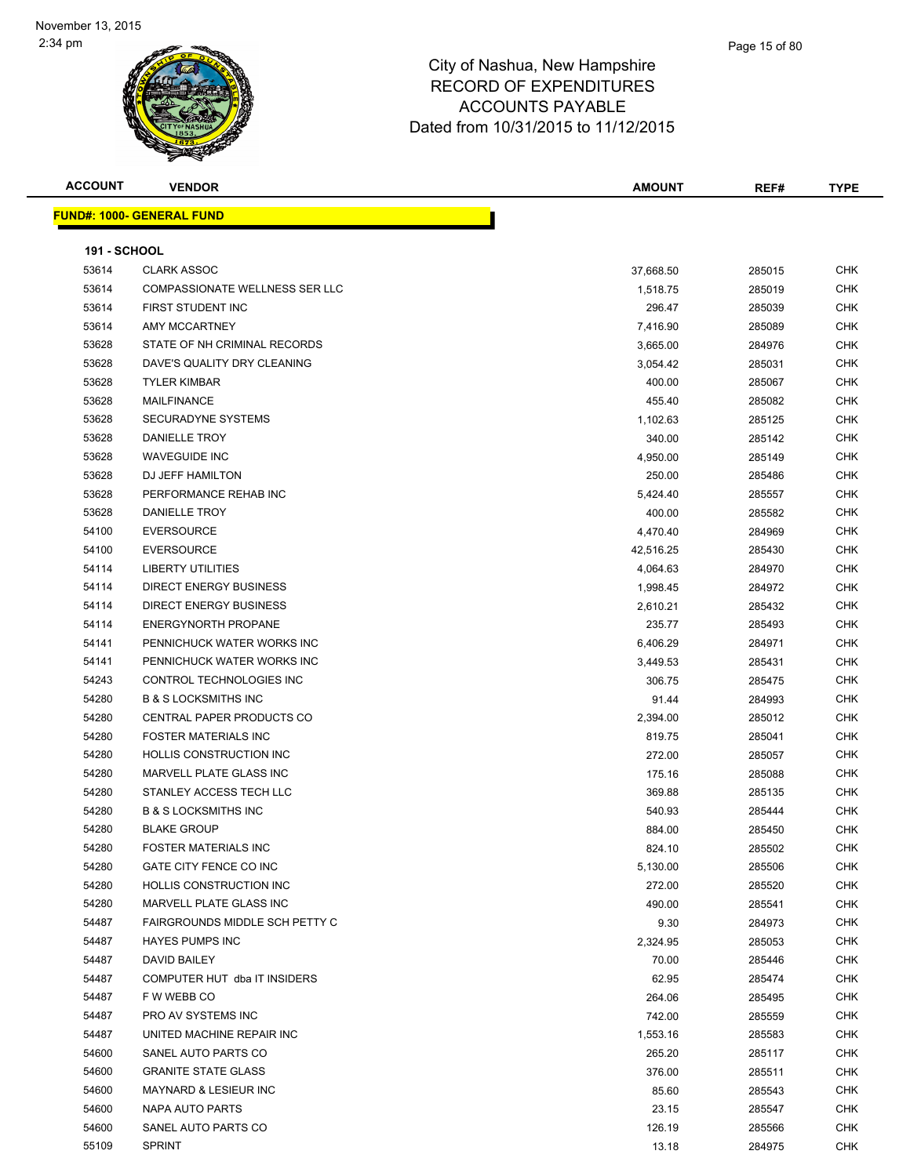| <b>ACCOUNT</b>      | <b>VENDOR</b>                         | <b>AMOUNT</b> | REF#   | <b>TYPE</b> |
|---------------------|---------------------------------------|---------------|--------|-------------|
|                     | <b>FUND#: 1000- GENERAL FUND</b>      |               |        |             |
|                     |                                       |               |        |             |
| <b>191 - SCHOOL</b> |                                       |               |        |             |
| 53614               | <b>CLARK ASSOC</b>                    | 37,668.50     | 285015 | <b>CHK</b>  |
| 53614               | <b>COMPASSIONATE WELLNESS SER LLC</b> | 1,518.75      | 285019 | CHK         |
| 53614               | FIRST STUDENT INC                     | 296.47        | 285039 | CHK         |
| 53614               | <b>AMY MCCARTNEY</b>                  | 7,416.90      | 285089 | CHK         |
| 53628               | STATE OF NH CRIMINAL RECORDS          | 3,665.00      | 284976 | CHK         |
| 53628               | DAVE'S QUALITY DRY CLEANING           | 3,054.42      | 285031 | <b>CHK</b>  |
| 53628               | <b>TYLER KIMBAR</b>                   | 400.00        | 285067 | <b>CHK</b>  |
| 53628               | <b>MAILFINANCE</b>                    | 455.40        | 285082 | CHK         |
| 53628               | <b>SECURADYNE SYSTEMS</b>             | 1,102.63      | 285125 | <b>CHK</b>  |
| 53628               | DANIELLE TROY                         | 340.00        | 285142 | CHK         |
| 53628               | <b>WAVEGUIDE INC</b>                  | 4,950.00      | 285149 | CHK         |
| 53628               | DJ JEFF HAMILTON                      | 250.00        | 285486 | CHK         |
| 53628               | PERFORMANCE REHAB INC                 | 5,424.40      | 285557 | CHK         |
| 53628               | DANIELLE TROY                         | 400.00        | 285582 | CHK         |
| 54100               | <b>EVERSOURCE</b>                     | 4,470.40      | 284969 | CHK         |
| 54100               | <b>EVERSOURCE</b>                     | 42,516.25     | 285430 | CHK         |
| 54114               | <b>LIBERTY UTILITIES</b>              | 4,064.63      | 284970 | <b>CHK</b>  |
| 54114               | <b>DIRECT ENERGY BUSINESS</b>         | 1,998.45      | 284972 | <b>CHK</b>  |
| 54114               | <b>DIRECT ENERGY BUSINESS</b>         | 2,610.21      | 285432 | CHK         |
| 54114               | <b>ENERGYNORTH PROPANE</b>            | 235.77        | 285493 | <b>CHK</b>  |
| 54141               | PENNICHUCK WATER WORKS INC            | 6,406.29      | 284971 | <b>CHK</b>  |
| 54141               | PENNICHUCK WATER WORKS INC            | 3,449.53      | 285431 | <b>CHK</b>  |
| 54243               | CONTROL TECHNOLOGIES INC              | 306.75        | 285475 | <b>CHK</b>  |
| 54280               | <b>B &amp; S LOCKSMITHS INC</b>       | 91.44         | 284993 | CHK         |
| 54280               | CENTRAL PAPER PRODUCTS CO             | 2,394.00      | 285012 | CHK         |
| 54280               | <b>FOSTER MATERIALS INC</b>           | 819.75        | 285041 | CHK         |
| 54280               | HOLLIS CONSTRUCTION INC               | 272.00        | 285057 | CHK         |
| 54280               | MARVELL PLATE GLASS INC               | 175.16        | 285088 | <b>CHK</b>  |
| 54280               | STANLEY ACCESS TECH LLC               | 369.88        | 285135 | CHK         |
| 54280               | <b>B &amp; S LOCKSMITHS INC</b>       | 540.93        | 285444 | CHK         |
| 54280               | <b>BLAKE GROUP</b>                    | 884.00        | 285450 | <b>CHK</b>  |
| 54280               | <b>FOSTER MATERIALS INC</b>           | 824.10        | 285502 | CHK         |
| 54280               | GATE CITY FENCE CO INC                | 5,130.00      | 285506 | <b>CHK</b>  |
| 54280               | HOLLIS CONSTRUCTION INC               | 272.00        | 285520 | CHK         |
| 54280               | MARVELL PLATE GLASS INC               | 490.00        | 285541 | CHK         |
| 54487               | <b>FAIRGROUNDS MIDDLE SCH PETTY C</b> | 9.30          | 284973 | CHK         |
| 54487               | <b>HAYES PUMPS INC</b>                | 2,324.95      | 285053 | CHK         |
| 54487               | DAVID BAILEY                          | 70.00         | 285446 | CHK         |
| 54487               | COMPUTER HUT dba IT INSIDERS          | 62.95         | 285474 | <b>CHK</b>  |
| 54487               | F W WEBB CO                           | 264.06        | 285495 | <b>CHK</b>  |
| 54487               | PRO AV SYSTEMS INC                    | 742.00        | 285559 | CHK         |
| 54487               | UNITED MACHINE REPAIR INC             | 1,553.16      | 285583 | <b>CHK</b>  |
| 54600               | SANEL AUTO PARTS CO                   | 265.20        | 285117 | CHK         |
| 54600               | <b>GRANITE STATE GLASS</b>            | 376.00        | 285511 | <b>CHK</b>  |
| 54600               | <b>MAYNARD &amp; LESIEUR INC</b>      | 85.60         | 285543 | CHK         |
| 54600               | NAPA AUTO PARTS                       | 23.15         | 285547 | CHK         |
| 54600               | SANEL AUTO PARTS CO                   | 126.19        | 285566 | CHK         |
| 55109               | <b>SPRINT</b>                         | 13.18         | 284975 | CHK         |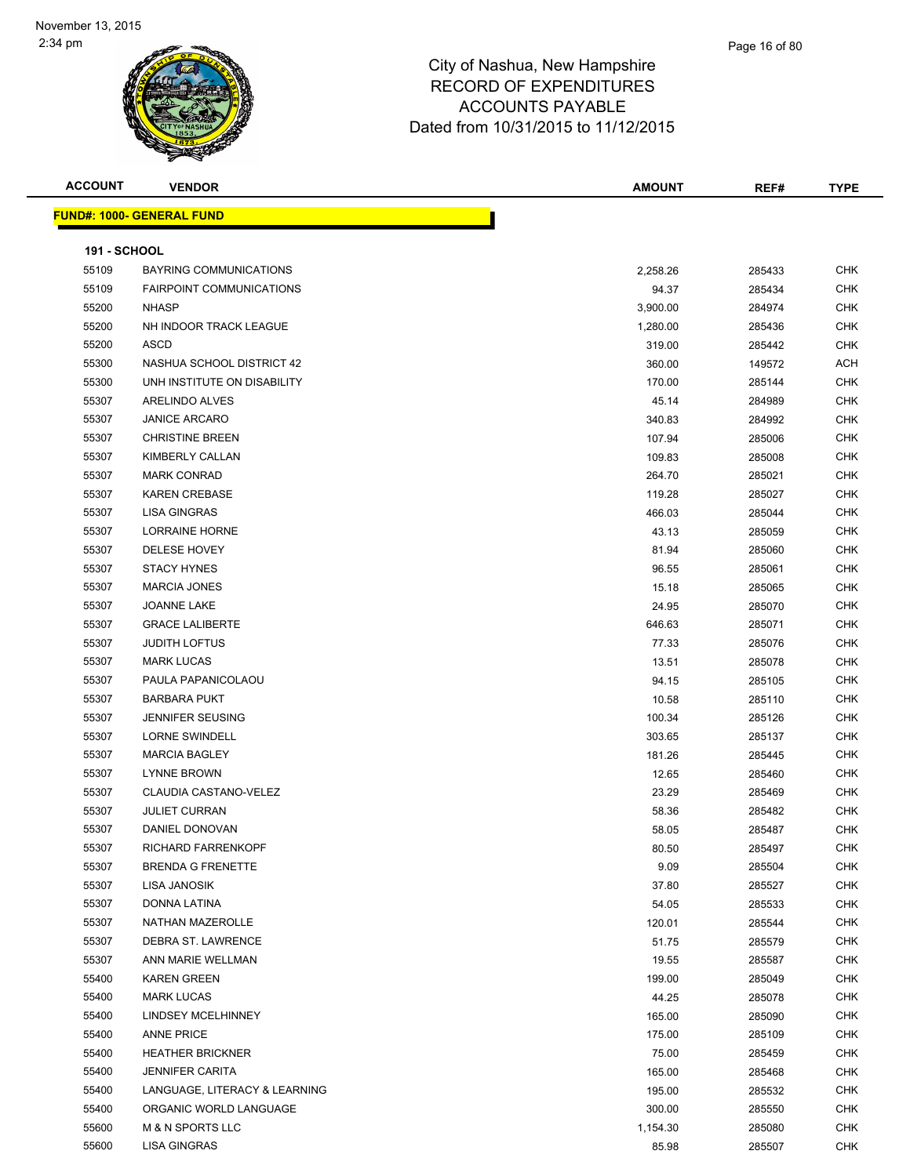| <b>ACCOUNT</b>      | <b>VENDOR</b>                    | <b>AMOUNT</b> | REF#   | <b>TYPE</b> |
|---------------------|----------------------------------|---------------|--------|-------------|
|                     | <b>FUND#: 1000- GENERAL FUND</b> |               |        |             |
| <b>191 - SCHOOL</b> |                                  |               |        |             |
| 55109               | <b>BAYRING COMMUNICATIONS</b>    | 2,258.26      | 285433 | <b>CHK</b>  |
| 55109               | <b>FAIRPOINT COMMUNICATIONS</b>  | 94.37         | 285434 | <b>CHK</b>  |
| 55200               | <b>NHASP</b>                     | 3,900.00      | 284974 | CHK         |
| 55200               | NH INDOOR TRACK LEAGUE           | 1,280.00      | 285436 | CHK         |
| 55200               | ASCD                             | 319.00        | 285442 | CHK         |
| 55300               | NASHUA SCHOOL DISTRICT 42        | 360.00        | 149572 | <b>ACH</b>  |
| 55300               | UNH INSTITUTE ON DISABILITY      | 170.00        | 285144 | <b>CHK</b>  |
| 55307               | ARELINDO ALVES                   | 45.14         | 284989 | <b>CHK</b>  |
| 55307               | <b>JANICE ARCARO</b>             | 340.83        | 284992 | <b>CHK</b>  |
| 55307               | <b>CHRISTINE BREEN</b>           | 107.94        | 285006 | <b>CHK</b>  |
| 55307               | KIMBERLY CALLAN                  | 109.83        | 285008 | <b>CHK</b>  |
| 55307               | <b>MARK CONRAD</b>               | 264.70        | 285021 | CHK         |
| 55307               | <b>KAREN CREBASE</b>             | 119.28        | 285027 | <b>CHK</b>  |
| 55307               | <b>LISA GINGRAS</b>              | 466.03        | 285044 | CHK         |
| 55307               | LORRAINE HORNE                   | 43.13         | 285059 | CHK         |
| 55307               | <b>DELESE HOVEY</b>              | 81.94         | 285060 | CHK         |
| 55307               | <b>STACY HYNES</b>               | 96.55         | 285061 | CHK         |
| 55307               | <b>MARCIA JONES</b>              | 15.18         | 285065 | CHK         |
| 55307               | JOANNE LAKE                      | 24.95         | 285070 | <b>CHK</b>  |
| 55307               | <b>GRACE LALIBERTE</b>           | 646.63        | 285071 | CHK         |
| 55307               | <b>JUDITH LOFTUS</b>             | 77.33         | 285076 | CHK         |
| 55307               | <b>MARK LUCAS</b>                | 13.51         | 285078 | <b>CHK</b>  |
| 55307               | PAULA PAPANICOLAOU               | 94.15         | 285105 | CHK         |
| 55307               | <b>BARBARA PUKT</b>              | 10.58         | 285110 | <b>CHK</b>  |
| 55307               | <b>JENNIFER SEUSING</b>          | 100.34        | 285126 | CHK         |
| 55307               | <b>LORNE SWINDELL</b>            | 303.65        | 285137 | <b>CHK</b>  |
| 55307               | <b>MARCIA BAGLEY</b>             | 181.26        | 285445 | CHK         |
| 55307               | <b>LYNNE BROWN</b>               | 12.65         | 285460 | CHK         |
| 55307               | CLAUDIA CASTANO-VELEZ            | 23.29         | 285469 | <b>CHK</b>  |
| 55307               | <b>JULIET CURRAN</b>             | 58.36         | 285482 | <b>CHK</b>  |
| 55307               | DANIEL DONOVAN                   | 58.05         | 285487 | CHK         |
| 55307               | RICHARD FARRENKOPF               | 80.50         | 285497 | CHK         |
| 55307               | <b>BRENDA G FRENETTE</b>         | 9.09          | 285504 | <b>CHK</b>  |
| 55307               | LISA JANOSIK                     | 37.80         | 285527 | CHK         |
| 55307               | <b>DONNA LATINA</b>              | 54.05         | 285533 | <b>CHK</b>  |
| 55307               | <b>NATHAN MAZEROLLE</b>          | 120.01        | 285544 | CHK         |
| 55307               | DEBRA ST. LAWRENCE               | 51.75         | 285579 | CHK         |
| 55307               | ANN MARIE WELLMAN                | 19.55         | 285587 | CHK         |
| 55400               | <b>KAREN GREEN</b>               | 199.00        | 285049 | CHK         |
| 55400               | <b>MARK LUCAS</b>                | 44.25         | 285078 | CHK         |
| 55400               | <b>LINDSEY MCELHINNEY</b>        | 165.00        | 285090 | CHK         |
| 55400               | <b>ANNE PRICE</b>                | 175.00        | 285109 | CHK         |
| 55400               | <b>HEATHER BRICKNER</b>          | 75.00         | 285459 | CHK         |
| 55400               | <b>JENNIFER CARITA</b>           | 165.00        | 285468 | CHK         |
| 55400               | LANGUAGE, LITERACY & LEARNING    | 195.00        | 285532 | CHK         |
| 55400               | ORGANIC WORLD LANGUAGE           | 300.00        | 285550 | CHK         |
| 55600               | M & N SPORTS LLC                 | 1,154.30      | 285080 | CHK         |
| 55600               | LISA GINGRAS                     | 85.98         | 285507 | <b>CHK</b>  |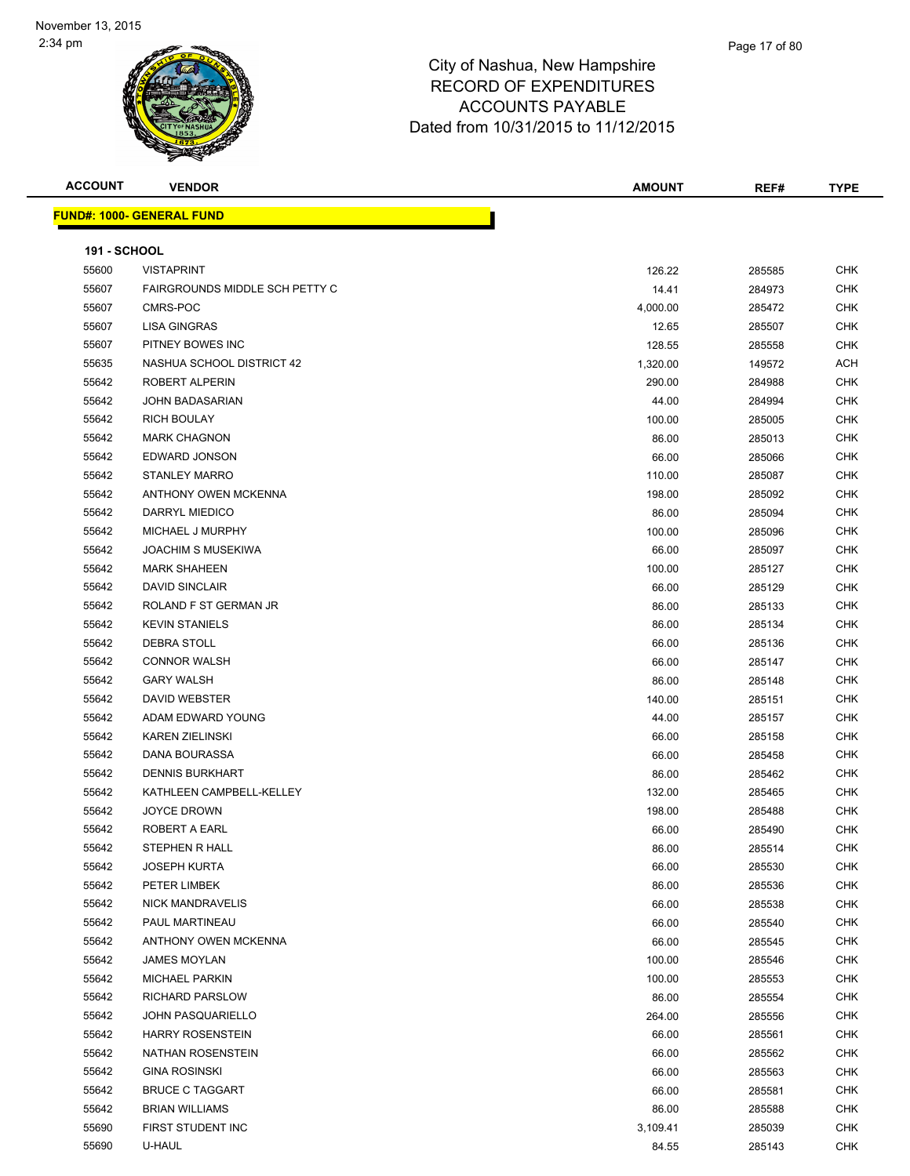| <b>ACCOUNT</b>      | <b>VENDOR</b>                    | <b>AMOUNT</b> | REF#   | <b>TYPE</b> |
|---------------------|----------------------------------|---------------|--------|-------------|
|                     | <b>FUND#: 1000- GENERAL FUND</b> |               |        |             |
|                     |                                  |               |        |             |
| <b>191 - SCHOOL</b> |                                  |               |        |             |
| 55600               | <b>VISTAPRINT</b>                | 126.22        | 285585 | CHK         |
| 55607               | FAIRGROUNDS MIDDLE SCH PETTY C   | 14.41         | 284973 | <b>CHK</b>  |
| 55607               | CMRS-POC                         | 4,000.00      | 285472 | CHK         |
| 55607               | <b>LISA GINGRAS</b>              | 12.65         | 285507 | CHK         |
| 55607               | PITNEY BOWES INC                 | 128.55        | 285558 | CHK         |
| 55635               | NASHUA SCHOOL DISTRICT 42        | 1,320.00      | 149572 | ACH         |
| 55642               | ROBERT ALPERIN                   | 290.00        | 284988 | CHK         |
| 55642               | <b>JOHN BADASARIAN</b>           | 44.00         | 284994 | <b>CHK</b>  |
| 55642               | <b>RICH BOULAY</b>               | 100.00        | 285005 | CHK         |
| 55642               | <b>MARK CHAGNON</b>              | 86.00         | 285013 | CHK         |
| 55642               | EDWARD JONSON                    | 66.00         | 285066 | <b>CHK</b>  |
| 55642               | <b>STANLEY MARRO</b>             | 110.00        | 285087 | CHK         |
| 55642               | ANTHONY OWEN MCKENNA             | 198.00        | 285092 | CHK         |
| 55642               | DARRYL MIEDICO                   | 86.00         | 285094 | CHK         |
| 55642               | MICHAEL J MURPHY                 | 100.00        | 285096 | CHK         |
| 55642               | <b>JOACHIM S MUSEKIWA</b>        | 66.00         | 285097 | CHK         |
| 55642               | <b>MARK SHAHEEN</b>              | 100.00        | 285127 | CHK         |
| 55642               | <b>DAVID SINCLAIR</b>            | 66.00         | 285129 | CHK         |
| 55642               | ROLAND F ST GERMAN JR            | 86.00         | 285133 | <b>CHK</b>  |
| 55642               | <b>KEVIN STANIELS</b>            | 86.00         | 285134 | CHK         |
| 55642               | <b>DEBRA STOLL</b>               | 66.00         | 285136 | <b>CHK</b>  |
| 55642               | <b>CONNOR WALSH</b>              | 66.00         | 285147 | <b>CHK</b>  |
| 55642               | <b>GARY WALSH</b>                | 86.00         | 285148 | CHK         |
| 55642               | DAVID WEBSTER                    | 140.00        | 285151 | <b>CHK</b>  |
| 55642               | ADAM EDWARD YOUNG                | 44.00         | 285157 | CHK         |
| 55642               | <b>KAREN ZIELINSKI</b>           | 66.00         | 285158 | CHK         |
| 55642               | DANA BOURASSA                    | 66.00         | 285458 | CHK         |
| 55642               | <b>DENNIS BURKHART</b>           | 86.00         | 285462 | CHK         |
| 55642               | KATHLEEN CAMPBELL-KELLEY         | 132.00        | 285465 | CHK         |
| 55642               | <b>JOYCE DROWN</b>               | 198.00        | 285488 | <b>CHK</b>  |
| 55642               | ROBERT A EARL                    | 66.00         | 285490 | CHK         |
| 55642               | STEPHEN R HALL                   | 86.00         | 285514 | <b>CHK</b>  |
| 55642               | <b>JOSEPH KURTA</b>              | 66.00         | 285530 | <b>CHK</b>  |
| 55642               | PETER LIMBEK                     | 86.00         | 285536 | <b>CHK</b>  |
| 55642               | NICK MANDRAVELIS                 | 66.00         | 285538 | <b>CHK</b>  |
| 55642               | PAUL MARTINEAU                   | 66.00         | 285540 | CHK         |
| 55642               | ANTHONY OWEN MCKENNA             | 66.00         | 285545 | CHK         |
| 55642               | <b>JAMES MOYLAN</b>              | 100.00        | 285546 | <b>CHK</b>  |
| 55642               | <b>MICHAEL PARKIN</b>            | 100.00        | 285553 | <b>CHK</b>  |
| 55642               | RICHARD PARSLOW                  | 86.00         | 285554 | <b>CHK</b>  |
| 55642               | <b>JOHN PASQUARIELLO</b>         | 264.00        | 285556 | <b>CHK</b>  |
| 55642               | <b>HARRY ROSENSTEIN</b>          | 66.00         | 285561 | <b>CHK</b>  |
| 55642               | NATHAN ROSENSTEIN                | 66.00         | 285562 | <b>CHK</b>  |
| 55642               | <b>GINA ROSINSKI</b>             | 66.00         | 285563 | <b>CHK</b>  |
| 55642               | <b>BRUCE C TAGGART</b>           | 66.00         | 285581 | CHK         |
| 55642               | <b>BRIAN WILLIAMS</b>            | 86.00         | 285588 | <b>CHK</b>  |
| 55690               | FIRST STUDENT INC                | 3,109.41      | 285039 | CHK         |
| 55690               | U-HAUL                           | 84.55         | 285143 | CHK         |
|                     |                                  |               |        |             |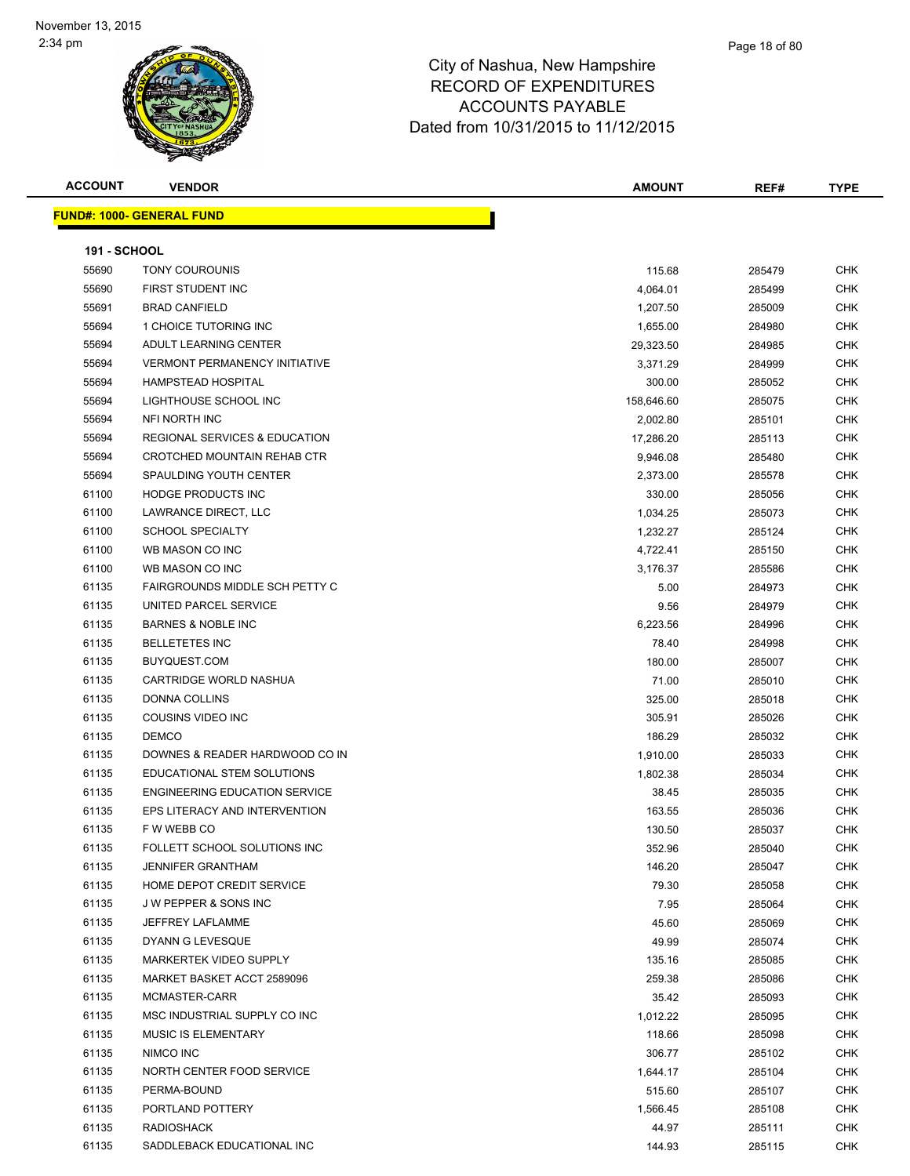

| <b>ACCOUNT</b>      | <b>VENDOR</b>                            | <b>AMOUNT</b> | REF#   | <b>TYPE</b> |
|---------------------|------------------------------------------|---------------|--------|-------------|
|                     | <u> FUND#: 1000- GENERAL FUND</u>        |               |        |             |
|                     |                                          |               |        |             |
| <b>191 - SCHOOL</b> |                                          |               |        |             |
| 55690               | TONY COUROUNIS                           | 115.68        | 285479 | <b>CHK</b>  |
| 55690               | FIRST STUDENT INC                        | 4,064.01      | 285499 | <b>CHK</b>  |
| 55691               | <b>BRAD CANFIELD</b>                     | 1,207.50      | 285009 | <b>CHK</b>  |
| 55694               | 1 CHOICE TUTORING INC                    | 1,655.00      | 284980 | <b>CHK</b>  |
| 55694               | ADULT LEARNING CENTER                    | 29,323.50     | 284985 | <b>CHK</b>  |
| 55694               | <b>VERMONT PERMANENCY INITIATIVE</b>     | 3,371.29      | 284999 | <b>CHK</b>  |
| 55694               | <b>HAMPSTEAD HOSPITAL</b>                | 300.00        | 285052 | <b>CHK</b>  |
| 55694               | LIGHTHOUSE SCHOOL INC                    | 158,646.60    | 285075 | <b>CHK</b>  |
| 55694               | NFI NORTH INC                            | 2,002.80      | 285101 | <b>CHK</b>  |
| 55694               | <b>REGIONAL SERVICES &amp; EDUCATION</b> | 17,286.20     | 285113 | <b>CHK</b>  |
| 55694               | CROTCHED MOUNTAIN REHAB CTR              | 9,946.08      | 285480 | <b>CHK</b>  |
| 55694               | SPAULDING YOUTH CENTER                   | 2,373.00      | 285578 | <b>CHK</b>  |
| 61100               | <b>HODGE PRODUCTS INC</b>                | 330.00        | 285056 | <b>CHK</b>  |
| 61100               | LAWRANCE DIRECT, LLC                     | 1,034.25      | 285073 | <b>CHK</b>  |
| 61100               | <b>SCHOOL SPECIALTY</b>                  | 1,232.27      | 285124 | <b>CHK</b>  |
| 61100               | WB MASON CO INC                          | 4,722.41      | 285150 | <b>CHK</b>  |
| 61100               | WB MASON CO INC                          | 3,176.37      | 285586 | <b>CHK</b>  |
| 61135               | FAIRGROUNDS MIDDLE SCH PETTY C           | 5.00          | 284973 | <b>CHK</b>  |
| 61135               | UNITED PARCEL SERVICE                    | 9.56          | 284979 | CHK         |
| 61135               | <b>BARNES &amp; NOBLE INC</b>            | 6,223.56      | 284996 | <b>CHK</b>  |
| 61135               | <b>BELLETETES INC</b>                    | 78.40         | 284998 | <b>CHK</b>  |
| 61135               | BUYQUEST.COM                             | 180.00        | 285007 | CHK         |
| 61135               | CARTRIDGE WORLD NASHUA                   | 71.00         | 285010 | <b>CHK</b>  |
| 61135               | <b>DONNA COLLINS</b>                     | 325.00        | 285018 | <b>CHK</b>  |
| 61135               | COUSINS VIDEO INC                        | 305.91        | 285026 | <b>CHK</b>  |
| 61135               | <b>DEMCO</b>                             | 186.29        | 285032 | <b>CHK</b>  |
| 61135               | DOWNES & READER HARDWOOD CO IN           | 1,910.00      | 285033 | <b>CHK</b>  |
| 61135               | EDUCATIONAL STEM SOLUTIONS               | 1,802.38      | 285034 | <b>CHK</b>  |
| 61135               | <b>ENGINEERING EDUCATION SERVICE</b>     | 38.45         | 285035 | <b>CHK</b>  |
| 61135               | EPS LITERACY AND INTERVENTION            | 163.55        | 285036 | <b>CHK</b>  |
| 61135               | F W WEBB CO                              | 130.50        | 285037 | <b>CHK</b>  |
| 61135               | FOLLETT SCHOOL SOLUTIONS INC             | 352.96        | 285040 | <b>CHK</b>  |
| 61135               | <b>JENNIFER GRANTHAM</b>                 | 146.20        | 285047 | CHK         |
| 61135               | HOME DEPOT CREDIT SERVICE                | 79.30         | 285058 | <b>CHK</b>  |
| 61135               | J W PEPPER & SONS INC                    | 7.95          | 285064 | <b>CHK</b>  |
| 61135               | JEFFREY LAFLAMME                         | 45.60         | 285069 | <b>CHK</b>  |
| 61135               | DYANN G LEVESQUE                         | 49.99         | 285074 | <b>CHK</b>  |
| 61135               | MARKERTEK VIDEO SUPPLY                   | 135.16        | 285085 | <b>CHK</b>  |
| 61135               | MARKET BASKET ACCT 2589096               | 259.38        | 285086 | <b>CHK</b>  |
| 61135               | MCMASTER-CARR                            | 35.42         | 285093 | <b>CHK</b>  |
| 61135               | MSC INDUSTRIAL SUPPLY CO INC             | 1,012.22      | 285095 | <b>CHK</b>  |
| 61135               | <b>MUSIC IS ELEMENTARY</b>               | 118.66        | 285098 | <b>CHK</b>  |
| 61135               | NIMCO INC                                |               |        | <b>CHK</b>  |
|                     |                                          | 306.77        | 285102 |             |
| 61135               | NORTH CENTER FOOD SERVICE                | 1,644.17      | 285104 | CHK         |
| 61135               | PERMA-BOUND                              | 515.60        | 285107 | <b>CHK</b>  |
| 61135               | PORTLAND POTTERY                         | 1,566.45      | 285108 | <b>CHK</b>  |
| 61135               | <b>RADIOSHACK</b>                        | 44.97         | 285111 | <b>CHK</b>  |
| 61135               | SADDLEBACK EDUCATIONAL INC               | 144.93        | 285115 | <b>CHK</b>  |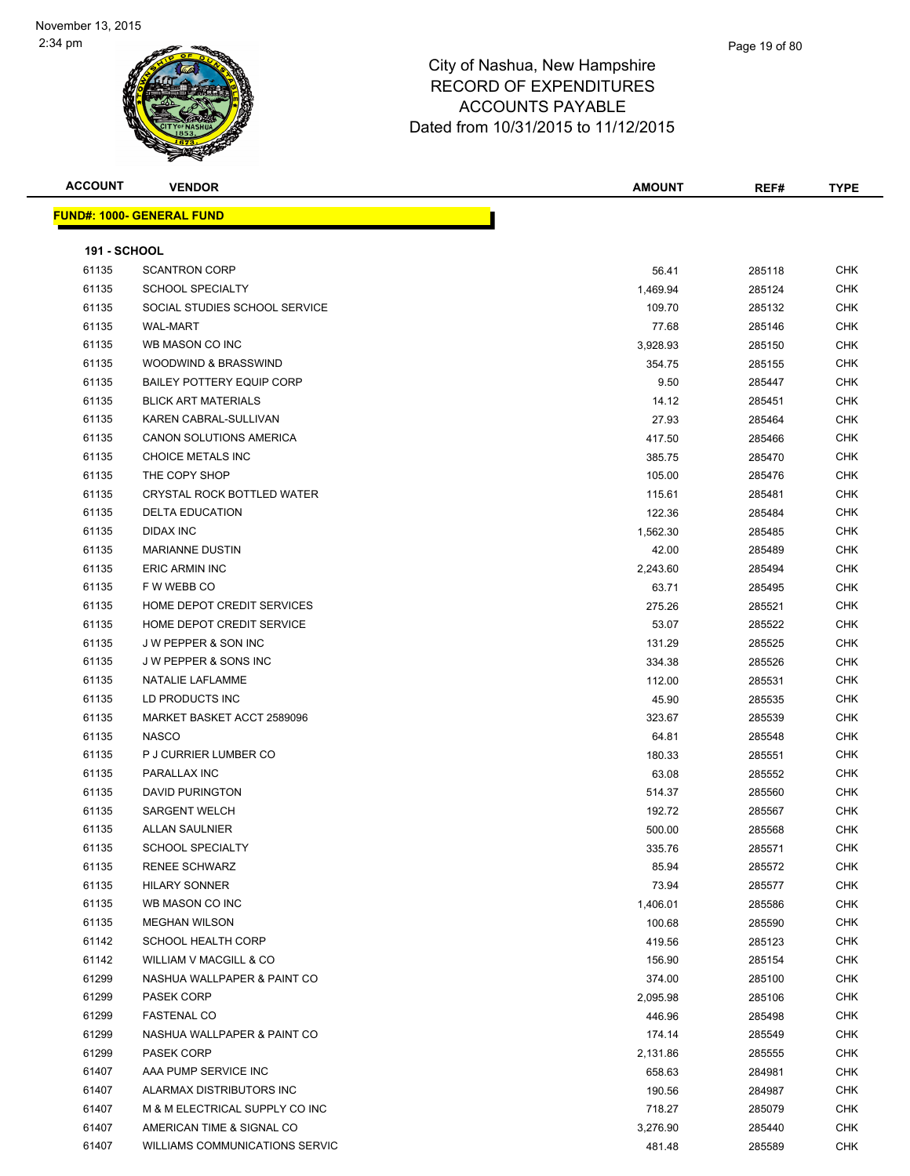| <b>ACCOUNT</b>      | <b>VENDOR</b>                    | <b>AMOUNT</b> | REF#   | <b>TYPE</b> |
|---------------------|----------------------------------|---------------|--------|-------------|
|                     | <b>FUND#: 1000- GENERAL FUND</b> |               |        |             |
|                     |                                  |               |        |             |
| <b>191 - SCHOOL</b> |                                  |               |        |             |
| 61135               | <b>SCANTRON CORP</b>             | 56.41         | 285118 | <b>CHK</b>  |
| 61135               | <b>SCHOOL SPECIALTY</b>          | 1,469.94      | 285124 | CHK         |
| 61135               | SOCIAL STUDIES SCHOOL SERVICE    | 109.70        | 285132 | <b>CHK</b>  |
| 61135               | <b>WAL-MART</b>                  | 77.68         | 285146 | CHK         |
| 61135               | WB MASON CO INC                  | 3,928.93      | 285150 | CHK         |
| 61135               | WOODWIND & BRASSWIND             | 354.75        | 285155 | <b>CHK</b>  |
| 61135               | <b>BAILEY POTTERY EQUIP CORP</b> | 9.50          | 285447 | CHK         |
| 61135               | <b>BLICK ART MATERIALS</b>       | 14.12         | 285451 | <b>CHK</b>  |
| 61135               | KAREN CABRAL-SULLIVAN            | 27.93         | 285464 | <b>CHK</b>  |
| 61135               | CANON SOLUTIONS AMERICA          | 417.50        | 285466 | <b>CHK</b>  |
| 61135               | CHOICE METALS INC                | 385.75        | 285470 | CHK         |
| 61135               | THE COPY SHOP                    | 105.00        | 285476 | CHK         |
| 61135               | CRYSTAL ROCK BOTTLED WATER       | 115.61        | 285481 | CHK         |
| 61135               | <b>DELTA EDUCATION</b>           | 122.36        | 285484 | <b>CHK</b>  |
| 61135               | <b>DIDAX INC</b>                 | 1,562.30      | 285485 | CHK         |
| 61135               | <b>MARIANNE DUSTIN</b>           | 42.00         | 285489 | CHK         |
| 61135               | <b>ERIC ARMIN INC</b>            | 2,243.60      | 285494 | CHK         |
| 61135               | F W WEBB CO                      | 63.71         | 285495 | CHK         |
| 61135               | HOME DEPOT CREDIT SERVICES       | 275.26        | 285521 | CHK         |
| 61135               | HOME DEPOT CREDIT SERVICE        | 53.07         | 285522 | <b>CHK</b>  |
| 61135               | J W PEPPER & SON INC             | 131.29        | 285525 | CHK         |
| 61135               | <b>JW PEPPER &amp; SONS INC</b>  | 334.38        | 285526 | CHK         |
| 61135               | NATALIE LAFLAMME                 | 112.00        | 285531 | <b>CHK</b>  |
| 61135               | LD PRODUCTS INC                  | 45.90         | 285535 | CHK         |
| 61135               | MARKET BASKET ACCT 2589096       | 323.67        | 285539 | <b>CHK</b>  |
| 61135               | <b>NASCO</b>                     | 64.81         | 285548 | CHK         |
| 61135               | P J CURRIER LUMBER CO            | 180.33        | 285551 | CHK         |
| 61135               | PARALLAX INC                     | 63.08         | 285552 | <b>CHK</b>  |
| 61135               | <b>DAVID PURINGTON</b>           | 514.37        | 285560 | CHK         |
| 61135               | <b>SARGENT WELCH</b>             | 192.72        | 285567 | CHK         |
| 61135               | <b>ALLAN SAULNIER</b>            | 500.00        | 285568 | <b>CHK</b>  |
| 61135               | SCHOOL SPECIALTY                 | 335.76        | 285571 | <b>CHK</b>  |
| 61135               | <b>RENEE SCHWARZ</b>             | 85.94         | 285572 | <b>CHK</b>  |
| 61135               | <b>HILARY SONNER</b>             | 73.94         | 285577 | <b>CHK</b>  |
| 61135               | WB MASON CO INC                  | 1,406.01      | 285586 | CHK         |
| 61135               | <b>MEGHAN WILSON</b>             | 100.68        | 285590 | CHK         |
| 61142               | SCHOOL HEALTH CORP               | 419.56        | 285123 | CHK         |
| 61142               | WILLIAM V MACGILL & CO           | 156.90        | 285154 | CHK         |
| 61299               | NASHUA WALLPAPER & PAINT CO      | 374.00        | 285100 | <b>CHK</b>  |
| 61299               | PASEK CORP                       | 2,095.98      | 285106 | CHK         |
| 61299               | <b>FASTENAL CO</b>               | 446.96        | 285498 | <b>CHK</b>  |
| 61299               | NASHUA WALLPAPER & PAINT CO      | 174.14        | 285549 | <b>CHK</b>  |
| 61299               | <b>PASEK CORP</b>                | 2,131.86      | 285555 | CHK         |
| 61407               | AAA PUMP SERVICE INC             | 658.63        | 284981 | <b>CHK</b>  |
| 61407               | ALARMAX DISTRIBUTORS INC         | 190.56        | 284987 | CHK         |
| 61407               | M & M ELECTRICAL SUPPLY CO INC   | 718.27        | 285079 | <b>CHK</b>  |
| 61407               | AMERICAN TIME & SIGNAL CO        | 3,276.90      | 285440 | <b>CHK</b>  |
| 61407               | WILLIAMS COMMUNICATIONS SERVIC   | 481.48        | 285589 | CHK         |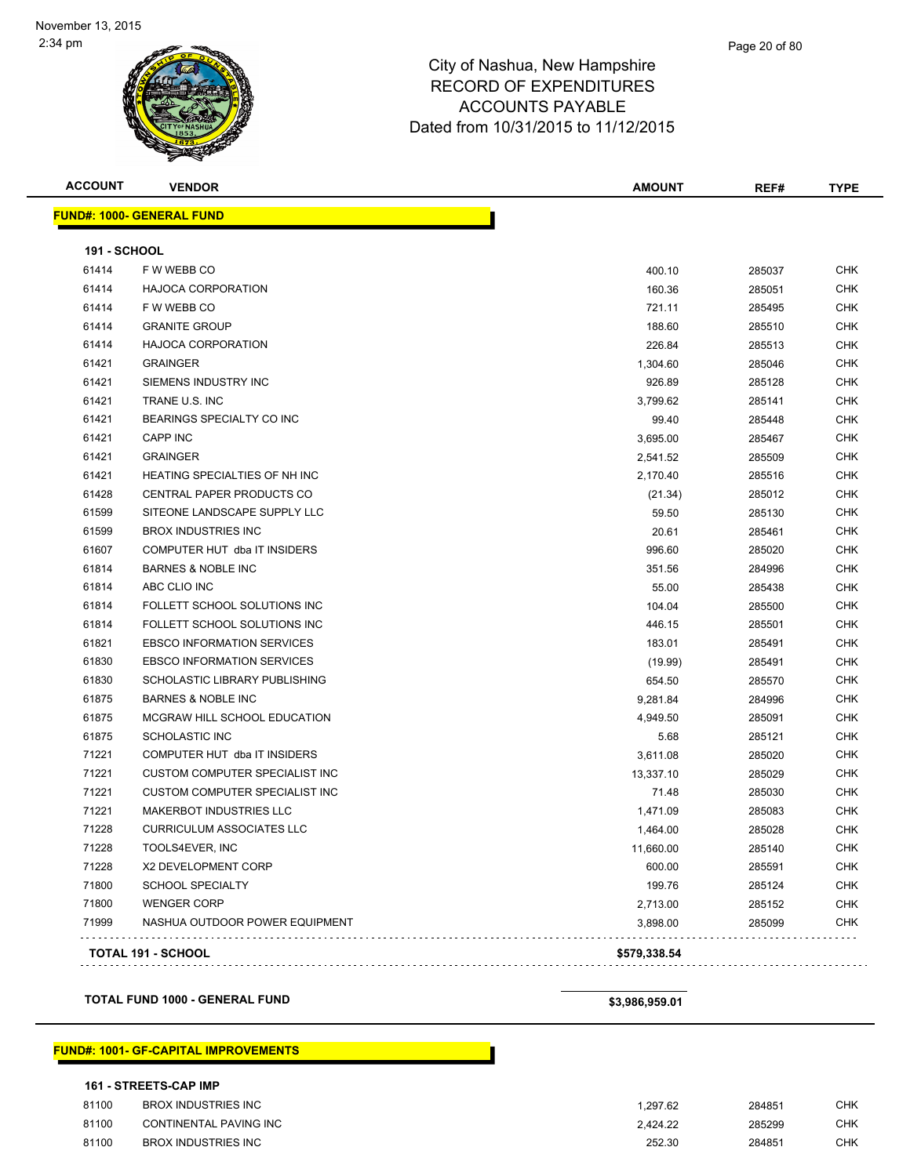| <b>ACCOUNT</b>      | <b>VENDOR</b>                         | AMOUNT       | REF#   | <b>TYPE</b> |
|---------------------|---------------------------------------|--------------|--------|-------------|
|                     | <b>FUND#: 1000- GENERAL FUND</b>      |              |        |             |
| <b>191 - SCHOOL</b> |                                       |              |        |             |
| 61414               | F W WEBB CO                           | 400.10       | 285037 | <b>CHK</b>  |
| 61414               | <b>HAJOCA CORPORATION</b>             | 160.36       | 285051 | <b>CHK</b>  |
| 61414               | F W WEBB CO                           | 721.11       | 285495 | <b>CHK</b>  |
| 61414               | <b>GRANITE GROUP</b>                  | 188.60       | 285510 | <b>CHK</b>  |
| 61414               | <b>HAJOCA CORPORATION</b>             | 226.84       | 285513 | CHK         |
| 61421               | <b>GRAINGER</b>                       | 1,304.60     | 285046 | <b>CHK</b>  |
| 61421               | SIEMENS INDUSTRY INC                  | 926.89       | 285128 | CHK         |
| 61421               | TRANE U.S. INC                        | 3,799.62     | 285141 | <b>CHK</b>  |
| 61421               | BEARINGS SPECIALTY CO INC             | 99.40        | 285448 | <b>CHK</b>  |
| 61421               | <b>CAPP INC</b>                       | 3,695.00     | 285467 | <b>CHK</b>  |
| 61421               | <b>GRAINGER</b>                       | 2,541.52     | 285509 | <b>CHK</b>  |
| 61421               | HEATING SPECIALTIES OF NH INC         | 2,170.40     | 285516 | <b>CHK</b>  |
| 61428               | CENTRAL PAPER PRODUCTS CO             | (21.34)      | 285012 | <b>CHK</b>  |
| 61599               | SITEONE LANDSCAPE SUPPLY LLC          | 59.50        | 285130 | <b>CHK</b>  |
| 61599               | <b>BROX INDUSTRIES INC</b>            | 20.61        | 285461 | <b>CHK</b>  |
| 61607               | COMPUTER HUT dba IT INSIDERS          | 996.60       | 285020 | CHK         |
| 61814               | <b>BARNES &amp; NOBLE INC</b>         | 351.56       | 284996 | <b>CHK</b>  |
| 61814               | ABC CLIO INC                          | 55.00        | 285438 | <b>CHK</b>  |
| 61814               | FOLLETT SCHOOL SOLUTIONS INC          | 104.04       | 285500 | <b>CHK</b>  |
| 61814               | FOLLETT SCHOOL SOLUTIONS INC          | 446.15       | 285501 | <b>CHK</b>  |
| 61821               | <b>EBSCO INFORMATION SERVICES</b>     | 183.01       | 285491 | <b>CHK</b>  |
| 61830               | <b>EBSCO INFORMATION SERVICES</b>     | (19.99)      | 285491 | <b>CHK</b>  |
| 61830               | SCHOLASTIC LIBRARY PUBLISHING         | 654.50       | 285570 | <b>CHK</b>  |
| 61875               | <b>BARNES &amp; NOBLE INC</b>         | 9,281.84     | 284996 | <b>CHK</b>  |
| 61875               | MCGRAW HILL SCHOOL EDUCATION          | 4,949.50     | 285091 | <b>CHK</b>  |
| 61875               | <b>SCHOLASTIC INC</b>                 | 5.68         | 285121 | <b>CHK</b>  |
| 71221               | COMPUTER HUT dba IT INSIDERS          | 3,611.08     | 285020 | CHK         |
| 71221               | <b>CUSTOM COMPUTER SPECIALIST INC</b> | 13,337.10    | 285029 | <b>CHK</b>  |
| 71221               | CUSTOM COMPUTER SPECIALIST INC        | 71.48        | 285030 | <b>CHK</b>  |
| 71221               | MAKERBOT INDUSTRIES LLC               | 1,471.09     | 285083 | CHK         |
| 71228               | <b>CURRICULUM ASSOCIATES LLC</b>      | 1,464.00     | 285028 | <b>CHK</b>  |
| 71228               | TOOLS4EVER, INC                       | 11,660.00    | 285140 | <b>CHK</b>  |
| 71228               | X2 DEVELOPMENT CORP                   | 600.00       | 285591 | CHK         |
| 71800               | <b>SCHOOL SPECIALTY</b>               | 199.76       | 285124 | CHK         |
| 71800               | <b>WENGER CORP</b>                    | 2,713.00     | 285152 | <b>CHK</b>  |
| 71999               | NASHUA OUTDOOR POWER EQUIPMENT        | 3,898.00     | 285099 | <b>CHK</b>  |
|                     | TOTAL 191 - SCHOOL                    | \$579,338.54 |        |             |
|                     |                                       |              |        |             |

**TOTAL FUND 1000 - GENERAL FUND \$3,986,959.01** 

### **FUND#: 1001- GF-CAPITAL IMPROVEMENTS**

### **161 - STREETS-CAP IMP**

| 81100 | <b>BROX INDUSTRIES INC</b> | 1.297.62 | 284851 | CHK |
|-------|----------------------------|----------|--------|-----|
| 81100 | CONTINENTAL PAVING INC     | 2.424.22 | 285299 | СНК |
| 81100 | BROX INDUSTRIES INC        | 252.30   | 284851 | СНК |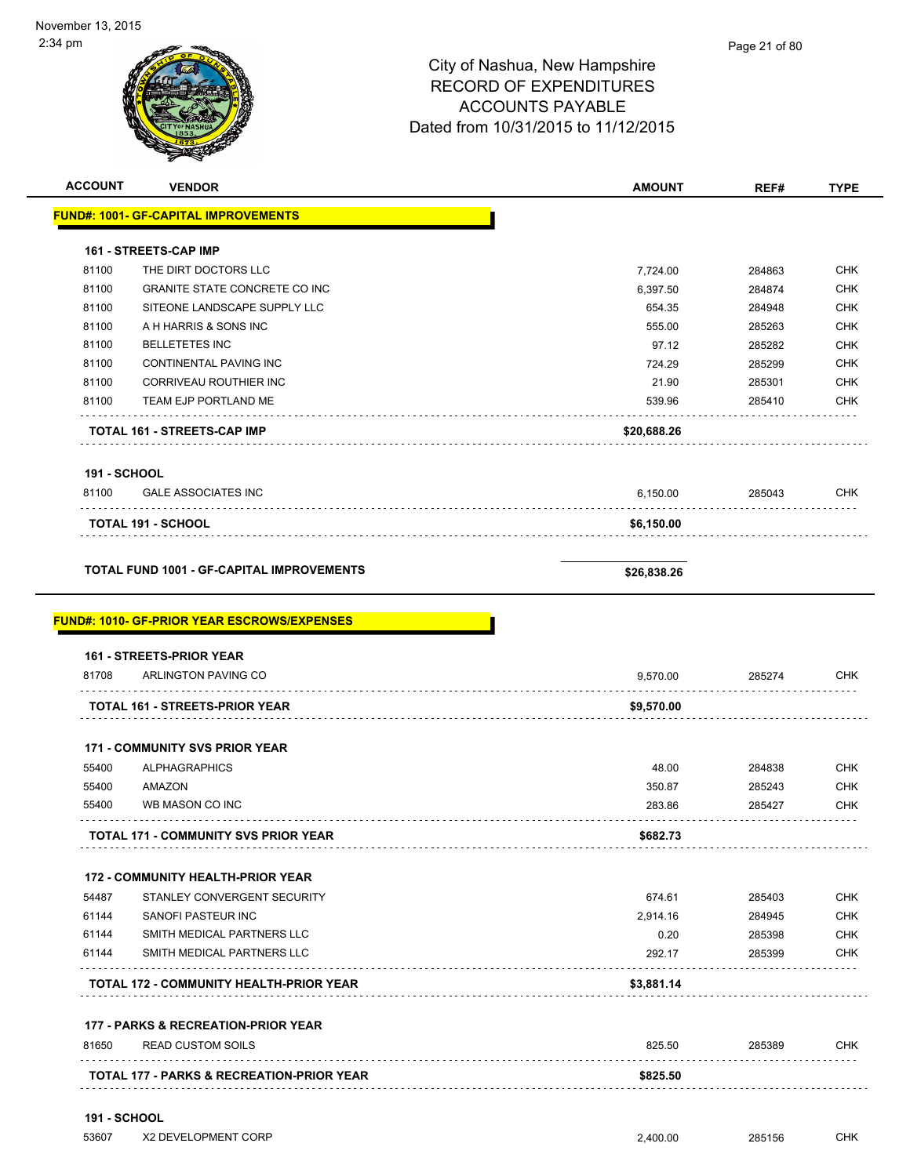$\overline{\phantom{0}}$ 

| <b>ACCOUNT</b>      | <b>VENDOR</b>                                                                                          | <b>AMOUNT</b> | REF#        | <b>TYPE</b>                                   |
|---------------------|--------------------------------------------------------------------------------------------------------|---------------|-------------|-----------------------------------------------|
|                     | <b>FUND#: 1001- GF-CAPITAL IMPROVEMENTS</b>                                                            |               |             |                                               |
|                     | <b>161 - STREETS-CAP IMP</b>                                                                           |               |             |                                               |
| 81100               | THE DIRT DOCTORS LLC                                                                                   | 7,724.00      | 284863      | <b>CHK</b>                                    |
| 81100               | <b>GRANITE STATE CONCRETE CO INC</b>                                                                   | 6,397.50      | 284874      | <b>CHK</b>                                    |
| 81100               | SITEONE LANDSCAPE SUPPLY LLC                                                                           | 654.35        | 284948      | <b>CHK</b>                                    |
| 81100               | A H HARRIS & SONS INC                                                                                  | 555.00        | 285263      | <b>CHK</b>                                    |
| 81100               | <b>BELLETETES INC</b>                                                                                  | 97.12         | 285282      | <b>CHK</b>                                    |
| 81100               | <b>CONTINENTAL PAVING INC</b>                                                                          | 724.29        | 285299      | <b>CHK</b>                                    |
| 81100               | <b>CORRIVEAU ROUTHIER INC</b>                                                                          | 21.90         | 285301      | <b>CHK</b>                                    |
| 81100               | TEAM EJP PORTLAND ME                                                                                   | 539.96        | 285410      | <b>CHK</b>                                    |
|                     | TOTAL 161 - STREETS-CAP IMP                                                                            | \$20,688.26   |             |                                               |
| <b>191 - SCHOOL</b> |                                                                                                        |               |             |                                               |
| 81100               | <b>GALE ASSOCIATES INC</b><br>.                                                                        | 6,150.00      | 285043      | <b>CHK</b>                                    |
|                     | TOTAL 191 - SCHOOL                                                                                     | \$6,150.00    |             |                                               |
|                     |                                                                                                        |               |             |                                               |
|                     | <b>TOTAL FUND 1001 - GF-CAPITAL IMPROVEMENTS</b><br><b>FUND#: 1010- GF-PRIOR YEAR ESCROWS/EXPENSES</b> | \$26,838.26   |             |                                               |
|                     | 161 - STREETS-PRIOR YEAR                                                                               |               |             |                                               |
| 81708               | ARLINGTON PAVING CO                                                                                    | 9,570.00      | 285274      | <b>CHK</b>                                    |
|                     | <b>TOTAL 161 - STREETS-PRIOR YEAR</b>                                                                  | \$9,570.00    |             |                                               |
|                     | <b>171 - COMMUNITY SVS PRIOR YEAR</b>                                                                  |               |             |                                               |
| 55400               | <b>ALPHAGRAPHICS</b>                                                                                   | 48.00         | 284838      |                                               |
| 55400               | AMAZON                                                                                                 | 350.87        | 285243      | CHK<br><b>CHK</b>                             |
| 55400               | WB MASON CO INC                                                                                        | 283.86        | 285427      | <b>CHK</b>                                    |
|                     | TOTAL 171 - COMMUNITY SVS PRIOR YEAR                                                                   | \$682.73      |             |                                               |
|                     | <b>172 - COMMUNITY HEALTH-PRIOR YEAR</b>                                                               |               |             |                                               |
| 54487               | STANLEY CONVERGENT SECURITY                                                                            | 674.61        | 285403      |                                               |
| 61144               | <b>SANOFI PASTEUR INC</b>                                                                              | 2,914.16      | 284945      |                                               |
| 61144               | SMITH MEDICAL PARTNERS LLC                                                                             | 0.20          | 285398      |                                               |
| 61144               | SMITH MEDICAL PARTNERS LLC                                                                             | 292.17        | 285399      |                                               |
|                     | <b>TOTAL 172 - COMMUNITY HEALTH-PRIOR YEAR</b>                                                         | \$3,881.14    |             | <b>CHK</b><br><b>CHK</b><br><b>CHK</b><br>CHK |
|                     | 177 - PARKS & RECREATION-PRIOR YEAR                                                                    |               |             |                                               |
| 81650               | <b>READ CUSTOM SOILS</b>                                                                               | 825.50        | 285389<br>. | <b>CHK</b>                                    |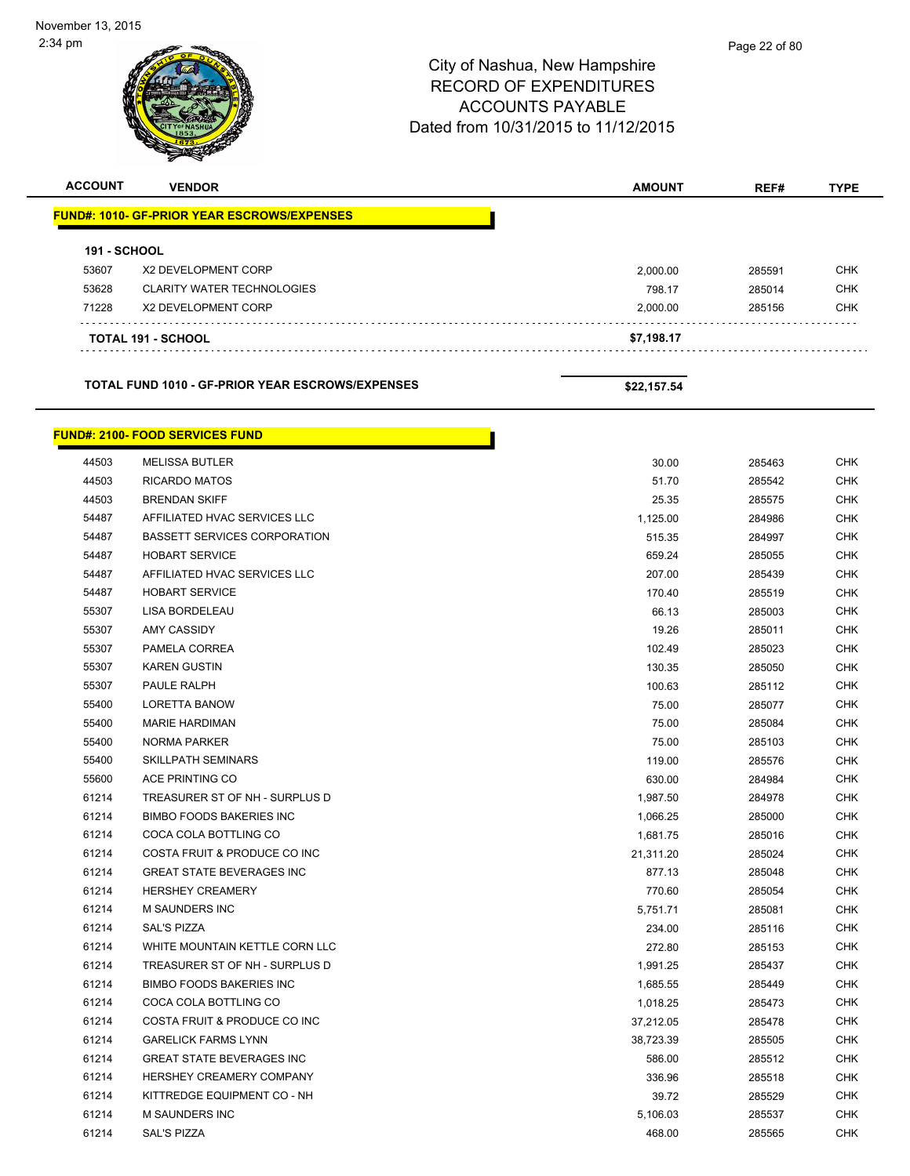|                     |                                                    | <b>ACCOUNTS PAYABLE</b><br>Dated from 10/31/2015 to 11/12/2015 |        |             |
|---------------------|----------------------------------------------------|----------------------------------------------------------------|--------|-------------|
| <b>ACCOUNT</b>      | <b>VENDOR</b>                                      | <b>AMOUNT</b>                                                  | REF#   | <b>TYPE</b> |
|                     | <b>FUND#: 1010- GF-PRIOR YEAR ESCROWS/EXPENSES</b> |                                                                |        |             |
| <b>191 - SCHOOL</b> |                                                    |                                                                |        |             |
| 53607               | X2 DEVELOPMENT CORP                                | 2,000.00                                                       | 285591 | CHK         |
| 53628               | <b>CLARITY WATER TECHNOLOGIES</b>                  | 798.17                                                         | 285014 | CHK         |
| 71228               | X2 DEVELOPMENT CORP                                | 2,000.00                                                       | 285156 | CHK         |
|                     | TOTAL 191 - SCHOOL                                 | \$7,198.17                                                     |        |             |
|                     | TOTAL FUND 1010 - GF-PRIOR YEAR ESCROWS/EXPENSES   | \$22,157.54                                                    |        |             |
|                     | <b>FUND#: 2100- FOOD SERVICES FUND</b>             |                                                                |        |             |
| 44503               | <b>MELISSA BUTLER</b>                              | 30.00                                                          | 285463 | <b>CHK</b>  |
| 44503               | <b>RICARDO MATOS</b>                               | 51.70                                                          | 285542 | <b>CHK</b>  |
| 44503               | <b>BRENDAN SKIFF</b>                               | 25.35                                                          | 285575 | <b>CHK</b>  |
| 54487               | AFFILIATED HVAC SERVICES LLC                       | 1,125.00                                                       | 284986 | CHK         |
| 54487               | <b>BASSETT SERVICES CORPORATION</b>                | 515.35                                                         | 284997 | <b>CHK</b>  |
| 54487               | <b>HOBART SERVICE</b>                              | 659.24                                                         | 285055 | <b>CHK</b>  |
| 54487               | AFFILIATED HVAC SERVICES LLC                       | 207.00                                                         | 285439 | CHK         |
| 54487               | <b>HOBART SERVICE</b>                              | 170.40                                                         | 285519 | <b>CHK</b>  |
| 55307               | LISA BORDELEAU                                     | 66.13                                                          | 285003 | <b>CHK</b>  |
| 55307               | <b>AMY CASSIDY</b>                                 | 19.26                                                          | 285011 | <b>CHK</b>  |
| 55307               | PAMELA CORREA                                      | 102.49                                                         | 285023 | <b>CHK</b>  |
| 55307               | <b>KAREN GUSTIN</b>                                | 130.35                                                         | 285050 | CHK         |
| 55307               | PAULE RALPH                                        | 100.63                                                         | 285112 | <b>CHK</b>  |
| 55400               | <b>LORETTA BANOW</b>                               | 75.00                                                          | 285077 | <b>CHK</b>  |
| 55400               | <b>MARIE HARDIMAN</b>                              | 75.00                                                          | 285084 | CHK         |
| 55400               | NORMA PARKER                                       | 75.00                                                          | 285103 | <b>CHK</b>  |
| 55400               | <b>SKILLPATH SEMINARS</b>                          | 119.00                                                         | 285576 | <b>CHK</b>  |
| 55600               | ACE PRINTING CO                                    | 630.00                                                         | 284984 | <b>CHK</b>  |
| 61214               | TREASURER ST OF NH - SURPLUS D                     | 1,987.50                                                       | 284978 | <b>CHK</b>  |
| 61214               | <b>BIMBO FOODS BAKERIES INC</b>                    | 1,066.25                                                       | 285000 | <b>CHK</b>  |
| 61214               | COCA COLA BOTTLING CO                              | 1,681.75                                                       | 285016 | <b>CHK</b>  |
| 61214               | COSTA FRUIT & PRODUCE CO INC                       | 21,311.20                                                      | 285024 | <b>CHK</b>  |
| 61214               | <b>GREAT STATE BEVERAGES INC</b>                   | 877.13                                                         | 285048 | <b>CHK</b>  |
| 61214               | <b>HERSHEY CREAMERY</b>                            | 770.60                                                         | 285054 | <b>CHK</b>  |
| 61214               | <b>M SAUNDERS INC</b>                              | 5,751.71                                                       | 285081 | <b>CHK</b>  |
| 61214               | SAL'S PIZZA                                        | 234.00                                                         | 285116 | <b>CHK</b>  |
| 61214               | WHITE MOUNTAIN KETTLE CORN LLC                     | 272.80                                                         | 285153 | <b>CHK</b>  |
| 61214               | TREASURER ST OF NH - SURPLUS D                     | 1,991.25                                                       | 285437 | <b>CHK</b>  |
| 61214               | BIMBO FOODS BAKERIES INC                           | 1.685.55                                                       | 285449 | <b>CHK</b>  |

 COCA COLA BOTTLING CO 1,018.25 285473 CHK 61214 COSTA FRUIT & PRODUCE CO INC **37,212.05** 285478 CHK GARELICK FARMS LYNN 38,723.39 285505 CHK er and the GREAT STATE BEVERAGES INC the set of the set of the set of the set of the set of the set of the set of the set of the set of the set of the set of the set of the set of the set of the set of the set of the set o HERSHEY CREAMERY COMPANY 336.96 285518 CHK KITTREDGE EQUIPMENT CO - NH 39.72 285529 CHK M SAUNDERS INC 5,106.03 285537 CHK SAL'S PIZZA 468.00 285565 CHK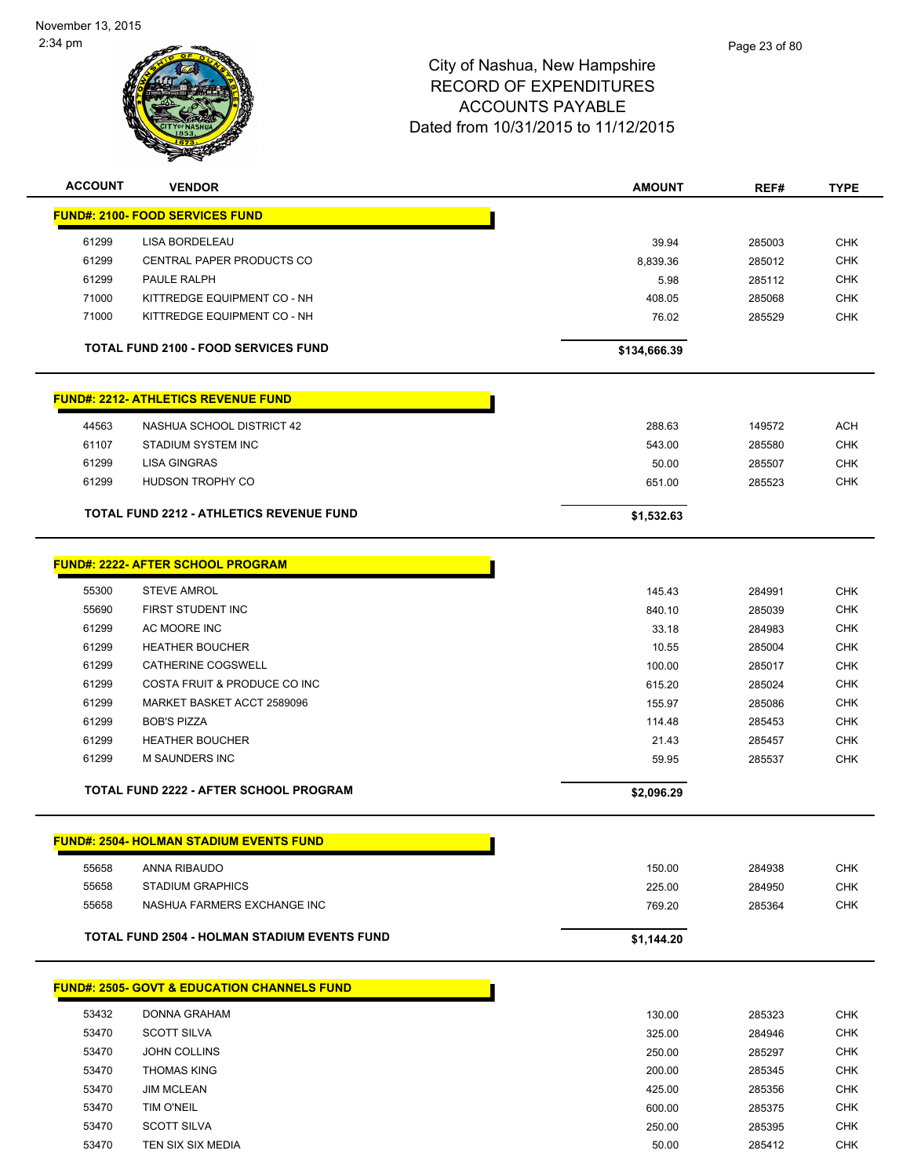

| <b>ACCOUNT</b> | <b>VENDOR</b>                                           | <b>AMOUNT</b>    | REF#             | <b>TYPE</b>              |
|----------------|---------------------------------------------------------|------------------|------------------|--------------------------|
|                | <b>FUND#: 2100- FOOD SERVICES FUND</b>                  |                  |                  |                          |
| 61299          | LISA BORDELEAU                                          | 39.94            | 285003           | <b>CHK</b>               |
| 61299          | CENTRAL PAPER PRODUCTS CO                               | 8,839.36         | 285012           | <b>CHK</b>               |
| 61299          | PAULE RALPH                                             | 5.98             | 285112           | <b>CHK</b>               |
| 71000          | KITTREDGE EQUIPMENT CO - NH                             | 408.05           | 285068           | <b>CHK</b>               |
| 71000          | KITTREDGE EQUIPMENT CO - NH                             | 76.02            | 285529           | <b>CHK</b>               |
|                |                                                         |                  |                  |                          |
|                | <b>TOTAL FUND 2100 - FOOD SERVICES FUND</b>             | \$134,666.39     |                  |                          |
|                | <b>FUND#: 2212- ATHLETICS REVENUE FUND</b>              |                  |                  |                          |
| 44563          | NASHUA SCHOOL DISTRICT 42                               |                  |                  | <b>ACH</b>               |
| 61107          | STADIUM SYSTEM INC                                      | 288.63<br>543.00 | 149572<br>285580 | <b>CHK</b>               |
| 61299          | <b>LISA GINGRAS</b>                                     | 50.00            | 285507           | <b>CHK</b>               |
| 61299          | HUDSON TROPHY CO                                        | 651.00           | 285523           | <b>CHK</b>               |
|                |                                                         |                  |                  |                          |
|                | <b>TOTAL FUND 2212 - ATHLETICS REVENUE FUND</b>         | \$1,532.63       |                  |                          |
|                | <b>FUND#: 2222- AFTER SCHOOL PROGRAM</b>                |                  |                  |                          |
|                |                                                         |                  |                  |                          |
| 55300          | <b>STEVE AMROL</b>                                      | 145.43           | 284991           | <b>CHK</b>               |
| 55690<br>61299 | FIRST STUDENT INC<br>AC MOORE INC                       | 840.10           | 285039           | <b>CHK</b>               |
| 61299          | <b>HEATHER BOUCHER</b>                                  | 33.18            | 284983           | <b>CHK</b><br><b>CHK</b> |
| 61299          | CATHERINE COGSWELL                                      | 10.55            | 285004           | <b>CHK</b>               |
| 61299          | COSTA FRUIT & PRODUCE CO INC                            | 100.00           | 285017           | <b>CHK</b>               |
| 61299          |                                                         | 615.20           | 285024           |                          |
| 61299          | MARKET BASKET ACCT 2589096<br><b>BOB'S PIZZA</b>        | 155.97           | 285086           | <b>CHK</b>               |
| 61299          | <b>HEATHER BOUCHER</b>                                  | 114.48           | 285453           | <b>CHK</b><br><b>CHK</b> |
| 61299          | M SAUNDERS INC                                          | 21.43<br>59.95   | 285457<br>285537 | <b>CHK</b>               |
|                |                                                         |                  |                  |                          |
|                | <b>TOTAL FUND 2222 - AFTER SCHOOL PROGRAM</b>           | \$2,096.29       |                  |                          |
|                | <u> FUND#: 2504- HOLMAN STADIUM EVENTS FUND</u>         |                  |                  |                          |
|                |                                                         |                  |                  |                          |
| 55658          | ANNA RIBAUDO                                            | 150.00           | 284938           | <b>CHK</b>               |
| 55658          | <b>STADIUM GRAPHICS</b>                                 | 225.00           | 284950           | <b>CHK</b>               |
| 55658          | NASHUA FARMERS EXCHANGE INC                             | 769.20           | 285364           | <b>CHK</b>               |
|                | <b>TOTAL FUND 2504 - HOLMAN STADIUM EVENTS FUND</b>     | \$1,144.20       |                  |                          |
|                | <u> FUND#: 2505- GOVT &amp; EDUCATION CHANNELS FUND</u> |                  |                  |                          |
|                |                                                         |                  |                  |                          |
| 53432          | <b>DONNA GRAHAM</b>                                     | 130.00           | 285323           | <b>CHK</b>               |
| 53470          | <b>SCOTT SILVA</b>                                      | 325.00           | 284946           | <b>CHK</b>               |
| 53470          | <b>JOHN COLLINS</b>                                     | 250.00           | 285297           | <b>CHK</b>               |
| 53470          | <b>THOMAS KING</b>                                      | 200.00           | 285345           | <b>CHK</b>               |
| 53470          | <b>JIM MCLEAN</b>                                       | 425.00           | 285356           | <b>CHK</b>               |
| 53470          | TIM O'NEIL                                              | 600.00           | 285375           | <b>CHK</b>               |
| 53470          | <b>SCOTT SILVA</b>                                      | 250.00           | 285395           | <b>CHK</b>               |
| 53470          | TEN SIX SIX MEDIA                                       | 50.00            | 285412           | <b>CHK</b>               |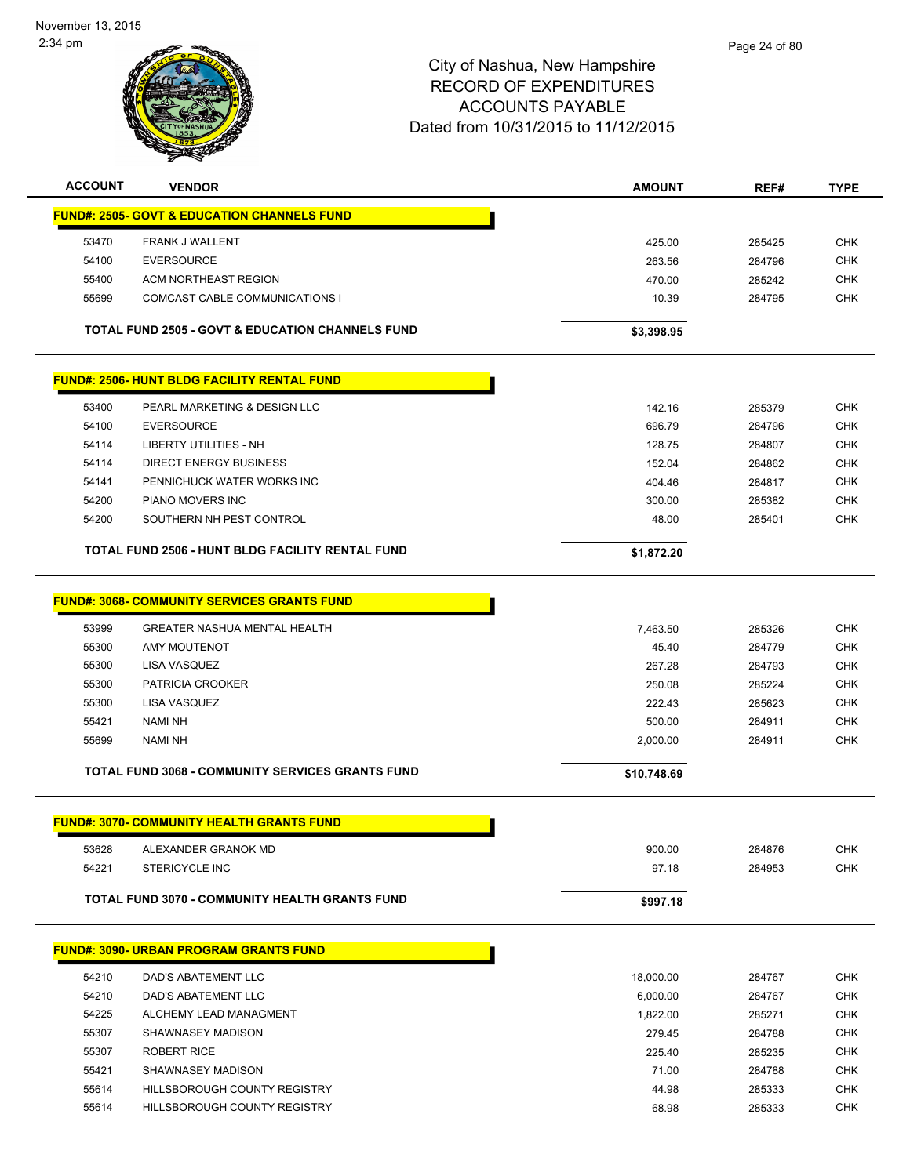| <b>ACCOUNT</b> | <b>VENDOR</b>                                               | <b>AMOUNT</b>      | REF#             | <b>TYPE</b>              |
|----------------|-------------------------------------------------------------|--------------------|------------------|--------------------------|
|                | <b>FUND#: 2505- GOVT &amp; EDUCATION CHANNELS FUND</b>      |                    |                  |                          |
| 53470          | FRANK J WALLENT                                             | 425.00             | 285425           | <b>CHK</b>               |
| 54100          | <b>EVERSOURCE</b>                                           | 263.56             | 284796           | <b>CHK</b>               |
| 55400          | ACM NORTHEAST REGION                                        | 470.00             | 285242           | <b>CHK</b>               |
| 55699          | COMCAST CABLE COMMUNICATIONS I                              | 10.39              | 284795           | <b>CHK</b>               |
|                |                                                             |                    |                  |                          |
|                | <b>TOTAL FUND 2505 - GOVT &amp; EDUCATION CHANNELS FUND</b> | \$3,398.95         |                  |                          |
|                | <b>FUND#: 2506- HUNT BLDG FACILITY RENTAL FUND</b>          |                    |                  |                          |
| 53400          | PEARL MARKETING & DESIGN LLC                                | 142.16             | 285379           | <b>CHK</b>               |
| 54100          | <b>EVERSOURCE</b>                                           | 696.79             | 284796           | <b>CHK</b>               |
| 54114          | LIBERTY UTILITIES - NH                                      | 128.75             | 284807           | <b>CHK</b>               |
| 54114          | <b>DIRECT ENERGY BUSINESS</b>                               | 152.04             | 284862           | <b>CHK</b>               |
| 54141          | PENNICHUCK WATER WORKS INC                                  | 404.46             | 284817           | <b>CHK</b>               |
| 54200          | PIANO MOVERS INC                                            | 300.00             | 285382           | <b>CHK</b>               |
| 54200          | SOUTHERN NH PEST CONTROL                                    | 48.00              | 285401           | <b>CHK</b>               |
|                | <b>TOTAL FUND 2506 - HUNT BLDG FACILITY RENTAL FUND</b>     | \$1,872.20         |                  |                          |
|                | <b>FUND#: 3068- COMMUNITY SERVICES GRANTS FUND</b>          |                    |                  |                          |
| 53999          | <b>GREATER NASHUA MENTAL HEALTH</b>                         |                    |                  |                          |
| 55300          | <b>AMY MOUTENOT</b>                                         | 7,463.50           | 285326           | <b>CHK</b><br><b>CHK</b> |
| 55300          | LISA VASQUEZ                                                | 45.40<br>267.28    | 284779           | <b>CHK</b>               |
| 55300          | PATRICIA CROOKER                                            |                    | 284793<br>285224 | <b>CHK</b>               |
| 55300          | LISA VASQUEZ                                                | 250.08             |                  |                          |
|                | <b>NAMI NH</b>                                              | 222.43             | 285623           | <b>CHK</b><br><b>CHK</b> |
| 55421<br>55699 | <b>NAMI NH</b>                                              | 500.00<br>2,000.00 | 284911<br>284911 | <b>CHK</b>               |
|                |                                                             |                    |                  |                          |
|                | <b>TOTAL FUND 3068 - COMMUNITY SERVICES GRANTS FUND</b>     | \$10,748.69        |                  |                          |
|                | <b>FUND#: 3070- COMMUNITY HEALTH GRANTS FUND</b>            |                    |                  |                          |
| 53628          | ALEXANDER GRANOK MD                                         | 900.00             | 284876           | CHK                      |
| 54221          | <b>STERICYCLE INC</b>                                       | 97.18              | 284953           | <b>CHK</b>               |
|                | <b>TOTAL FUND 3070 - COMMUNITY HEALTH GRANTS FUND</b>       | \$997.18           |                  |                          |
|                |                                                             |                    |                  |                          |
|                | <b>FUND#: 3090- URBAN PROGRAM GRANTS FUND</b>               |                    |                  |                          |
| 54210          | DAD'S ABATEMENT LLC                                         | 18,000.00          | 284767           | <b>CHK</b>               |
| 54210          | DAD'S ABATEMENT LLC                                         | 6,000.00           | 284767           | <b>CHK</b>               |
| 54225          | ALCHEMY LEAD MANAGMENT                                      | 1,822.00           | 285271           | <b>CHK</b>               |
| 55307          | SHAWNASEY MADISON                                           | 279.45             | 284788           | <b>CHK</b>               |
| 55307          | <b>ROBERT RICE</b>                                          | 225.40             | 285235           | <b>CHK</b>               |
| 55421          | SHAWNASEY MADISON                                           | 71.00              | 284788           | <b>CHK</b>               |
| 55614          | HILLSBOROUGH COUNTY REGISTRY                                | 44.98              | 285333           | <b>CHK</b>               |
| 55614          | HILLSBOROUGH COUNTY REGISTRY                                | 68.98              | 285333           | <b>CHK</b>               |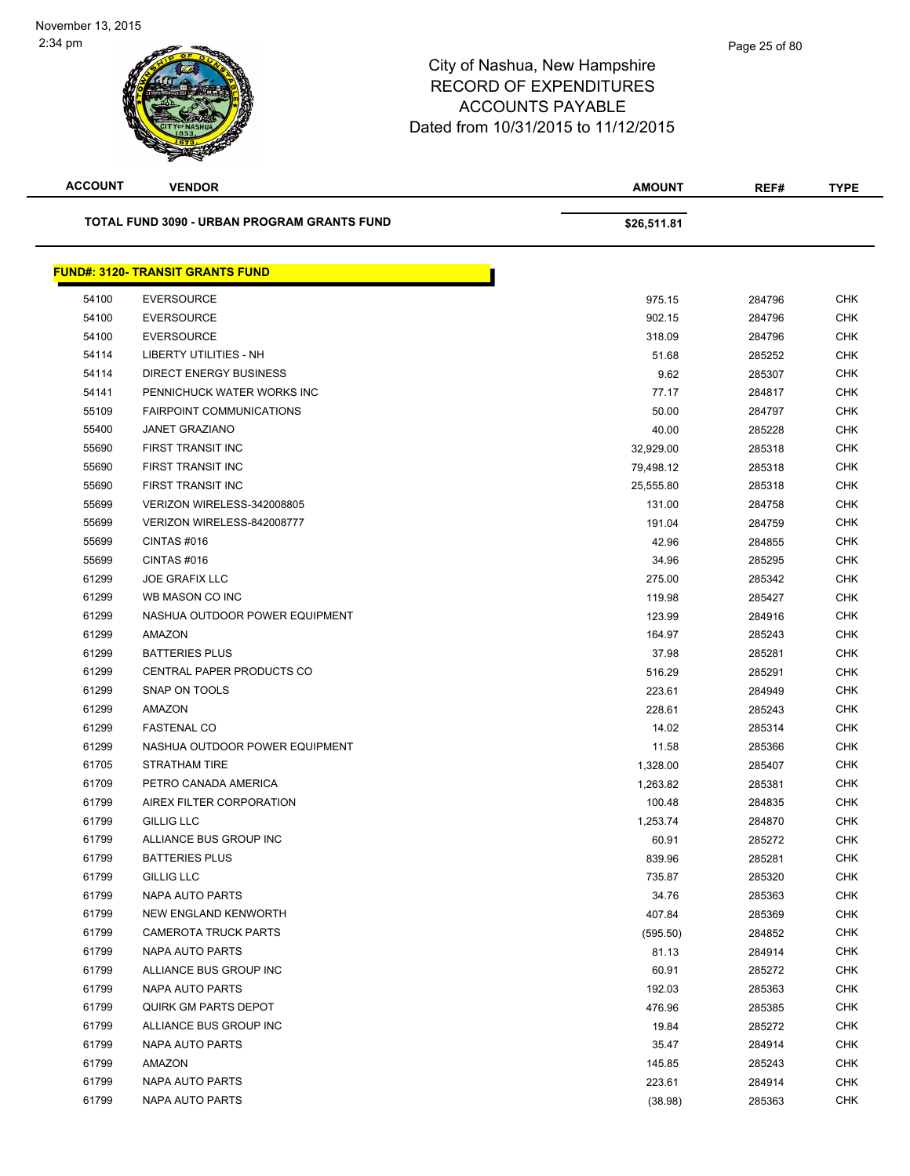

| <b>ACCOUNT</b> | <b>VENDOR</b>                               | <b>AMOUNT</b> | REF#   | <b>TYPE</b> |
|----------------|---------------------------------------------|---------------|--------|-------------|
|                | TOTAL FUND 3090 - URBAN PROGRAM GRANTS FUND | \$26,511.81   |        |             |
|                | <b>FUND#: 3120- TRANSIT GRANTS FUND</b>     |               |        |             |
| 54100          | <b>EVERSOURCE</b>                           | 975.15        | 284796 | <b>CHK</b>  |
| 54100          | <b>EVERSOURCE</b>                           | 902.15        | 284796 | <b>CHK</b>  |
| 54100          | <b>EVERSOURCE</b>                           | 318.09        | 284796 | <b>CHK</b>  |
| 54114          | <b>LIBERTY UTILITIES - NH</b>               | 51.68         | 285252 | <b>CHK</b>  |
| 54114          | <b>DIRECT ENERGY BUSINESS</b>               | 9.62          | 285307 | <b>CHK</b>  |
| 54141          | PENNICHUCK WATER WORKS INC                  | 77.17         | 284817 | <b>CHK</b>  |
| 55109          | <b>FAIRPOINT COMMUNICATIONS</b>             | 50.00         | 284797 | <b>CHK</b>  |
| 55400          | <b>JANET GRAZIANO</b>                       | 40.00         | 285228 | <b>CHK</b>  |
| 55690          | FIRST TRANSIT INC                           | 32,929.00     | 285318 | <b>CHK</b>  |
| 55690          | FIRST TRANSIT INC                           | 79,498.12     | 285318 | <b>CHK</b>  |
| 55690          | FIRST TRANSIT INC                           | 25,555.80     | 285318 | <b>CHK</b>  |
| 55699          | VERIZON WIRELESS-342008805                  | 131.00        | 284758 | <b>CHK</b>  |
| 55699          | VERIZON WIRELESS-842008777                  | 191.04        | 284759 | <b>CHK</b>  |
| 55699          | CINTAS#016                                  | 42.96         | 284855 | <b>CHK</b>  |
| 55699          | CINTAS#016                                  | 34.96         | 285295 | <b>CHK</b>  |
| 61299          | <b>JOE GRAFIX LLC</b>                       | 275.00        | 285342 | <b>CHK</b>  |
| 61299          | WB MASON CO INC                             | 119.98        | 285427 | <b>CHK</b>  |
| 61299          | NASHUA OUTDOOR POWER EQUIPMENT              | 123.99        | 284916 | <b>CHK</b>  |
| 61299          | AMAZON                                      | 164.97        | 285243 | <b>CHK</b>  |
| 61299          | <b>BATTERIES PLUS</b>                       | 37.98         | 285281 | <b>CHK</b>  |
| 61299          | CENTRAL PAPER PRODUCTS CO                   | 516.29        | 285291 | <b>CHK</b>  |
| 61299          | SNAP ON TOOLS                               | 223.61        | 284949 | <b>CHK</b>  |
| 61299          | AMAZON                                      | 228.61        | 285243 | <b>CHK</b>  |
| 61299          | <b>FASTENAL CO</b>                          | 14.02         | 285314 | <b>CHK</b>  |
| 61299          | NASHUA OUTDOOR POWER EQUIPMENT              | 11.58         | 285366 | <b>CHK</b>  |
| 61705          | STRATHAM TIRE                               | 1,328.00      | 285407 | <b>CHK</b>  |
| 61709          | PETRO CANADA AMERICA                        | 1,263.82      | 285381 | <b>CHK</b>  |
| 61799          | AIREX FILTER CORPORATION                    | 100.48        | 284835 | <b>CHK</b>  |
| 61799          | <b>GILLIG LLC</b>                           | 1,253.74      | 284870 | <b>CHK</b>  |
| 61799          | ALLIANCE BUS GROUP INC                      | 60.91         | 285272 | <b>CHK</b>  |
| 61799          | <b>BATTERIES PLUS</b>                       | 839.96        | 285281 | <b>CHK</b>  |
| 61799          | <b>GILLIG LLC</b>                           | 735.87        | 285320 | <b>CHK</b>  |
| 61799          | <b>NAPA AUTO PARTS</b>                      | 34.76         | 285363 | <b>CHK</b>  |
| 61799          | NEW ENGLAND KENWORTH                        | 407.84        | 285369 | <b>CHK</b>  |
| 61799          | <b>CAMEROTA TRUCK PARTS</b>                 | (595.50)      | 284852 | <b>CHK</b>  |
| 61799          | <b>NAPA AUTO PARTS</b>                      | 81.13         | 284914 | <b>CHK</b>  |
| 61799          | ALLIANCE BUS GROUP INC                      | 60.91         | 285272 | <b>CHK</b>  |
| 61799          | <b>NAPA AUTO PARTS</b>                      | 192.03        | 285363 | <b>CHK</b>  |
| 61799          | <b>QUIRK GM PARTS DEPOT</b>                 | 476.96        | 285385 | <b>CHK</b>  |
| 61799          | ALLIANCE BUS GROUP INC                      | 19.84         | 285272 | CHK         |
| 61799          | NAPA AUTO PARTS                             | 35.47         | 284914 | <b>CHK</b>  |
| 61799          | AMAZON                                      | 145.85        | 285243 | <b>CHK</b>  |
| 61799          | NAPA AUTO PARTS                             | 223.61        | 284914 | <b>CHK</b>  |
| 61799          | NAPA AUTO PARTS                             | (38.98)       | 285363 | <b>CHK</b>  |
|                |                                             |               |        |             |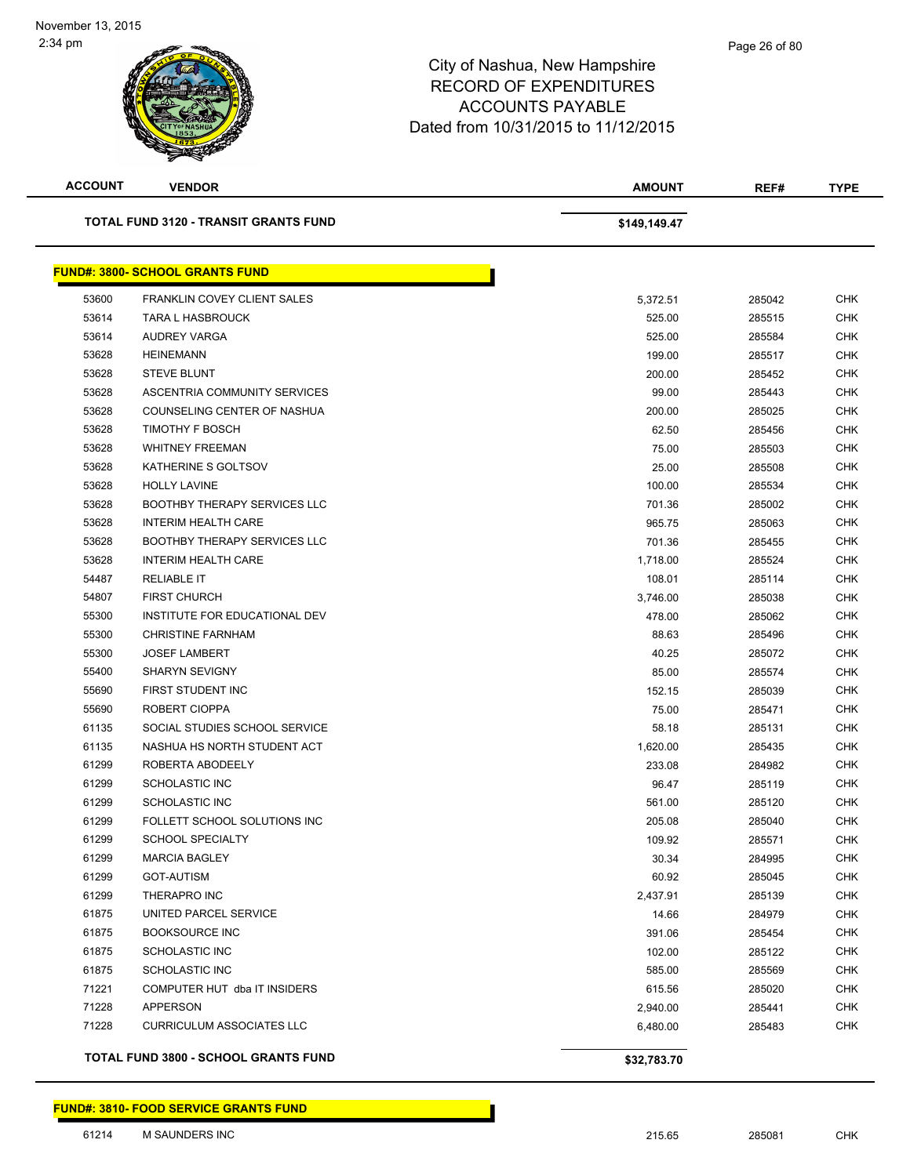| <b>ACCOUNT</b> | <b>VENDOR</b>                                | <b>AMOUNT</b> | REF#   | <b>TYPE</b> |
|----------------|----------------------------------------------|---------------|--------|-------------|
|                | <b>TOTAL FUND 3120 - TRANSIT GRANTS FUND</b> | \$149,149.47  |        |             |
|                | <b>FUND#: 3800- SCHOOL GRANTS FUND</b>       |               |        |             |
| 53600          | <b>FRANKLIN COVEY CLIENT SALES</b>           | 5,372.51      | 285042 | <b>CHK</b>  |
| 53614          | <b>TARA L HASBROUCK</b>                      | 525.00        | 285515 | <b>CHK</b>  |
| 53614          | <b>AUDREY VARGA</b>                          | 525.00        | 285584 | <b>CHK</b>  |
| 53628          | <b>HEINEMANN</b>                             | 199.00        | 285517 | <b>CHK</b>  |
| 53628          | <b>STEVE BLUNT</b>                           | 200.00        | 285452 | <b>CHK</b>  |
| 53628          | ASCENTRIA COMMUNITY SERVICES                 | 99.00         | 285443 | <b>CHK</b>  |
| 53628          | COUNSELING CENTER OF NASHUA                  | 200.00        | 285025 | <b>CHK</b>  |
| 53628          | TIMOTHY F BOSCH                              | 62.50         | 285456 | <b>CHK</b>  |
| 53628          | <b>WHITNEY FREEMAN</b>                       | 75.00         | 285503 | <b>CHK</b>  |
| 53628          | KATHERINE S GOLTSOV                          | 25.00         | 285508 | <b>CHK</b>  |
| 53628          | <b>HOLLY LAVINE</b>                          | 100.00        | 285534 | <b>CHK</b>  |
| 53628          | <b>BOOTHBY THERAPY SERVICES LLC</b>          | 701.36        | 285002 | <b>CHK</b>  |
| 53628          | <b>INTERIM HEALTH CARE</b>                   | 965.75        | 285063 | <b>CHK</b>  |
| 53628          | <b>BOOTHBY THERAPY SERVICES LLC</b>          | 701.36        | 285455 | <b>CHK</b>  |
| 53628          | <b>INTERIM HEALTH CARE</b>                   | 1,718.00      | 285524 | <b>CHK</b>  |
| 54487          | <b>RELIABLE IT</b>                           | 108.01        | 285114 | <b>CHK</b>  |
| 54807          | <b>FIRST CHURCH</b>                          | 3,746.00      | 285038 | <b>CHK</b>  |
| 55300          | INSTITUTE FOR EDUCATIONAL DEV                | 478.00        | 285062 | <b>CHK</b>  |
| 55300          | <b>CHRISTINE FARNHAM</b>                     | 88.63         | 285496 | <b>CHK</b>  |
| 55300          | <b>JOSEF LAMBERT</b>                         | 40.25         | 285072 | <b>CHK</b>  |
| 55400          | <b>SHARYN SEVIGNY</b>                        | 85.00         | 285574 | <b>CHK</b>  |
| 55690          | FIRST STUDENT INC                            | 152.15        | 285039 | <b>CHK</b>  |
| 55690          | ROBERT CIOPPA                                | 75.00         | 285471 | <b>CHK</b>  |
| 61135          | SOCIAL STUDIES SCHOOL SERVICE                | 58.18         | 285131 | <b>CHK</b>  |
| 61135          | NASHUA HS NORTH STUDENT ACT                  | 1,620.00      | 285435 | <b>CHK</b>  |
| 61299          | ROBERTA ABODEELY                             | 233.08        | 284982 | <b>CHK</b>  |
| 61299          | <b>SCHOLASTIC INC</b>                        | 96.47         | 285119 | CHK         |
| 61299          | <b>SCHOLASTIC INC</b>                        | 561.00        | 285120 | CHK         |
| 61299          | FOLLETT SCHOOL SOLUTIONS INC                 | 205.08        | 285040 | <b>CHK</b>  |
| 61299          | <b>SCHOOL SPECIALTY</b>                      | 109.92        | 285571 | <b>CHK</b>  |
| 61299          | <b>MARCIA BAGLEY</b>                         | 30.34         | 284995 | <b>CHK</b>  |
| 61299          | <b>GOT-AUTISM</b>                            | 60.92         | 285045 | <b>CHK</b>  |
| 61299          | THERAPRO INC                                 | 2,437.91      | 285139 | <b>CHK</b>  |
| 61875          | UNITED PARCEL SERVICE                        | 14.66         | 284979 | <b>CHK</b>  |
| 61875          | <b>BOOKSOURCE INC</b>                        | 391.06        | 285454 | <b>CHK</b>  |
| 61875          | SCHOLASTIC INC                               | 102.00        | 285122 | <b>CHK</b>  |
| 61875          | SCHOLASTIC INC                               | 585.00        | 285569 | <b>CHK</b>  |
| 71221          | COMPUTER HUT dba IT INSIDERS                 | 615.56        | 285020 | CHK         |
| 71228          | <b>APPERSON</b>                              | 2,940.00      | 285441 | <b>CHK</b>  |
| 71228          | <b>CURRICULUM ASSOCIATES LLC</b>             | 6,480.00      | 285483 | <b>CHK</b>  |
|                | TOTAL FUND 3800 - SCHOOL GRANTS FUND         | \$32,783.70   |        |             |

**FUND#: 3810- FOOD SERVICE GRANTS FUND**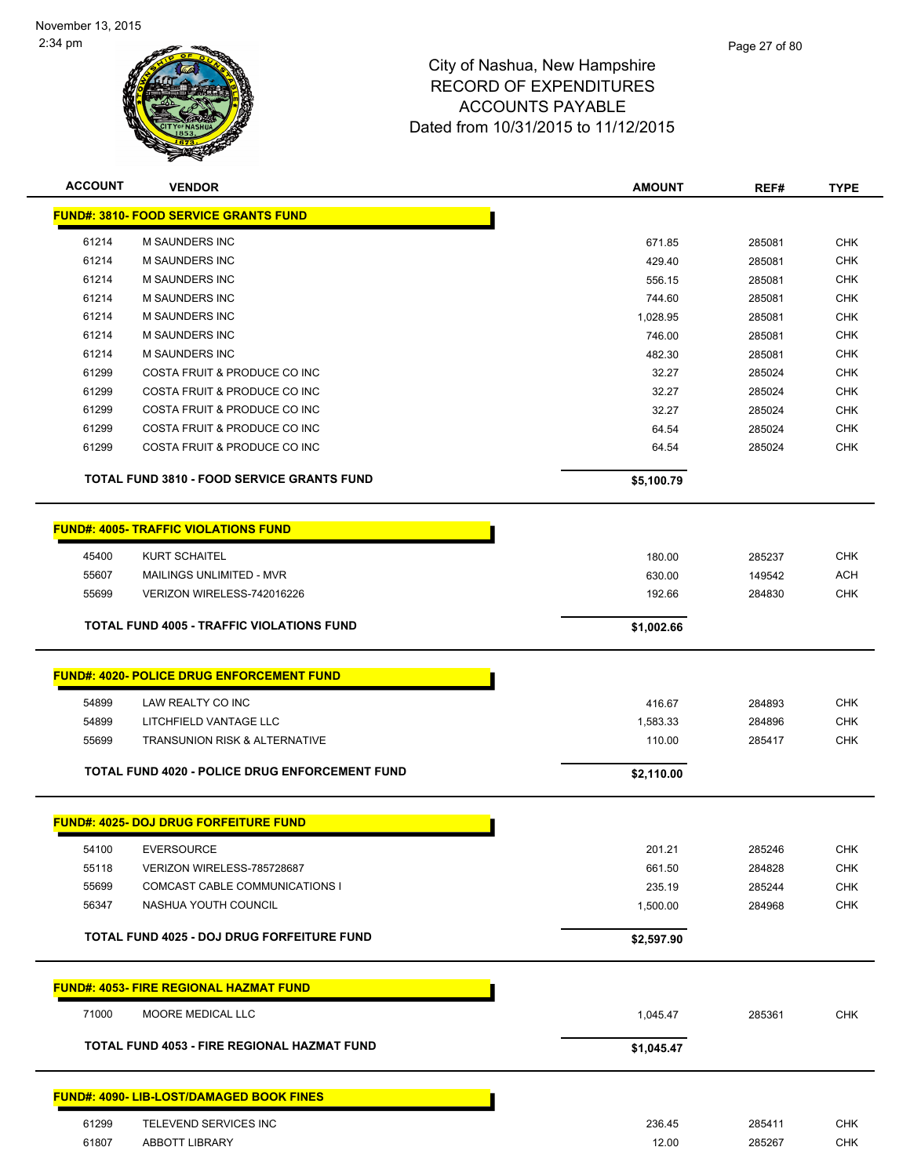

| <b>ACCOUNT</b> | <b>VENDOR</b>                                         | <b>AMOUNT</b> | REF#   | <b>TYPE</b> |
|----------------|-------------------------------------------------------|---------------|--------|-------------|
|                | <b>FUND#: 3810- FOOD SERVICE GRANTS FUND</b>          |               |        |             |
| 61214          | M SAUNDERS INC                                        | 671.85        | 285081 | <b>CHK</b>  |
| 61214          | <b>M SAUNDERS INC</b>                                 | 429.40        | 285081 | <b>CHK</b>  |
| 61214          | <b>M SAUNDERS INC</b>                                 | 556.15        | 285081 | <b>CHK</b>  |
| 61214          | <b>M SAUNDERS INC</b>                                 | 744.60        | 285081 | CHK         |
| 61214          | <b>M SAUNDERS INC</b>                                 | 1,028.95      | 285081 | CHK         |
| 61214          | <b>M SAUNDERS INC</b>                                 | 746.00        | 285081 | CHK         |
| 61214          | <b>M SAUNDERS INC</b>                                 | 482.30        | 285081 | <b>CHK</b>  |
| 61299          | COSTA FRUIT & PRODUCE CO INC                          | 32.27         | 285024 | <b>CHK</b>  |
| 61299          | COSTA FRUIT & PRODUCE CO INC                          | 32.27         | 285024 | <b>CHK</b>  |
| 61299          | COSTA FRUIT & PRODUCE CO INC                          | 32.27         | 285024 | CHK         |
| 61299          | COSTA FRUIT & PRODUCE CO INC                          | 64.54         | 285024 | <b>CHK</b>  |
| 61299          | COSTA FRUIT & PRODUCE CO INC                          | 64.54         | 285024 | <b>CHK</b>  |
|                | <b>TOTAL FUND 3810 - FOOD SERVICE GRANTS FUND</b>     | \$5,100.79    |        |             |
|                | <b>FUND#: 4005- TRAFFIC VIOLATIONS FUND</b>           |               |        |             |
| 45400          | <b>KURT SCHAITEL</b>                                  | 180.00        | 285237 | <b>CHK</b>  |
| 55607          | MAILINGS UNLIMITED - MVR                              | 630.00        | 149542 | <b>ACH</b>  |
| 55699          | VERIZON WIRELESS-742016226                            | 192.66        | 284830 | <b>CHK</b>  |
|                | <b>TOTAL FUND 4005 - TRAFFIC VIOLATIONS FUND</b>      | \$1,002.66    |        |             |
|                |                                                       |               |        |             |
|                | <b>FUND#: 4020- POLICE DRUG ENFORCEMENT FUND</b>      |               |        |             |
| 54899          | LAW REALTY CO INC                                     | 416.67        | 284893 | <b>CHK</b>  |
| 54899          | LITCHFIELD VANTAGE LLC                                | 1,583.33      | 284896 | <b>CHK</b>  |
| 55699          | <b>TRANSUNION RISK &amp; ALTERNATIVE</b>              | 110.00        | 285417 | <b>CHK</b>  |
|                | <b>TOTAL FUND 4020 - POLICE DRUG ENFORCEMENT FUND</b> | \$2,110.00    |        |             |
|                | <b>FUND#: 4025- DOJ DRUG FORFEITURE FUND</b>          |               |        |             |
|                |                                                       |               |        |             |
| 54100          | <b>EVERSOURCE</b>                                     | 201.21        | 285246 | <b>CHK</b>  |
| 55118          | VERIZON WIRELESS-785728687                            | 661.50        | 284828 | <b>CHK</b>  |
| 55699          | <b>COMCAST CABLE COMMUNICATIONS I</b>                 | 235.19        | 285244 | <b>CHK</b>  |
| 56347          | NASHUA YOUTH COUNCIL                                  | 1,500.00      | 284968 | <b>CHK</b>  |
|                | TOTAL FUND 4025 - DOJ DRUG FORFEITURE FUND            | \$2,597.90    |        |             |
|                | <b>FUND#: 4053- FIRE REGIONAL HAZMAT FUND</b>         |               |        |             |
| 71000          | MOORE MEDICAL LLC                                     | 1,045.47      | 285361 | <b>CHK</b>  |
|                | TOTAL FUND 4053 - FIRE REGIONAL HAZMAT FUND           | \$1,045.47    |        |             |
|                |                                                       |               |        |             |
|                | <b>FUND#: 4090- LIB-LOST/DAMAGED BOOK FINES</b>       |               |        |             |
| 61299          | TELEVEND SERVICES INC                                 | 236.45        | 285411 | <b>CHK</b>  |
| 61807          | ABBOTT LIBRARY                                        | 12.00         | 285267 | <b>CHK</b>  |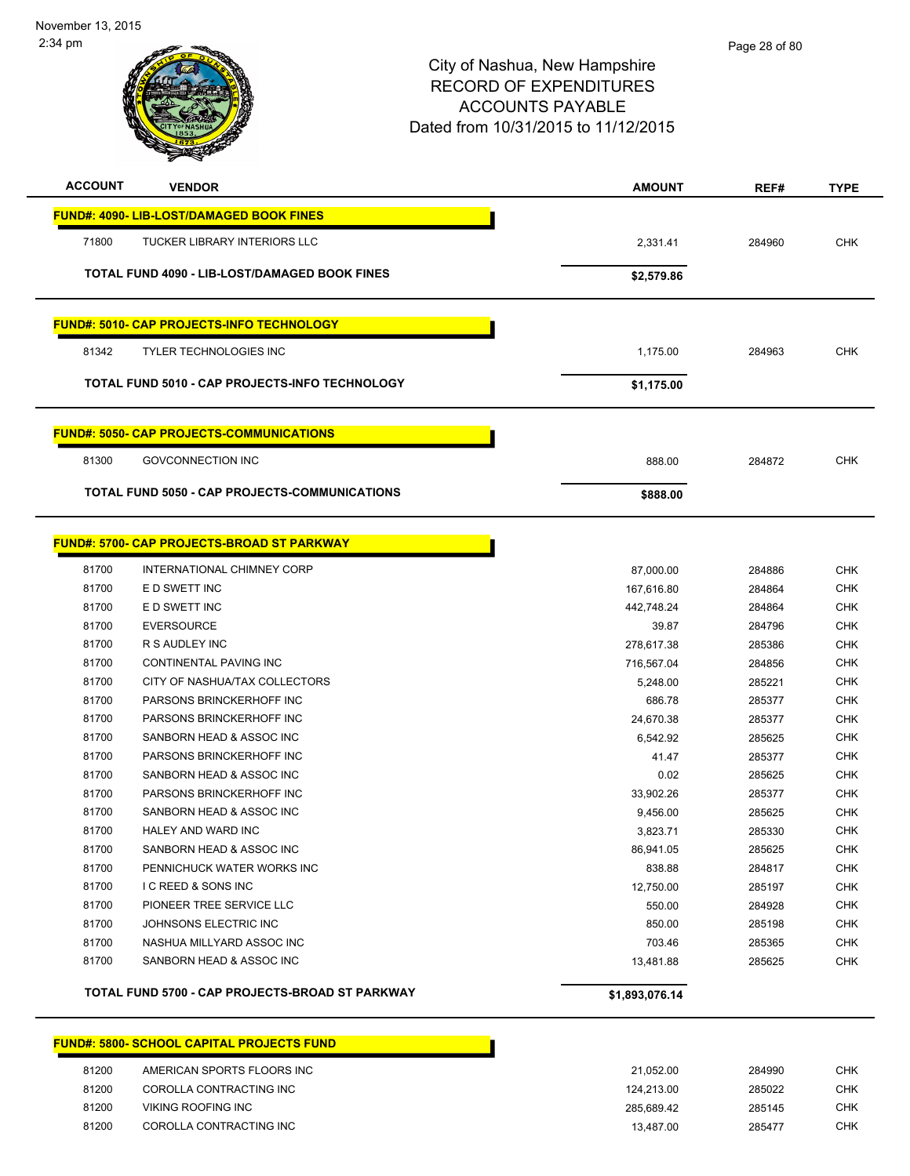

| <b>ACCOUNT</b> | <b>VENDOR</b>                                         | <b>AMOUNT</b> | REF#   | <b>TYPE</b> |
|----------------|-------------------------------------------------------|---------------|--------|-------------|
|                | <b>FUND#: 4090- LIB-LOST/DAMAGED BOOK FINES</b>       |               |        |             |
| 71800          | <b>TUCKER LIBRARY INTERIORS LLC</b>                   | 2,331.41      | 284960 | <b>CHK</b>  |
|                | <b>TOTAL FUND 4090 - LIB-LOST/DAMAGED BOOK FINES</b>  | \$2,579.86    |        |             |
|                | <b>FUND#: 5010- CAP PROJECTS-INFO TECHNOLOGY</b>      |               |        |             |
| 81342          | <b>TYLER TECHNOLOGIES INC</b>                         | 1,175.00      | 284963 | <b>CHK</b>  |
|                | <b>TOTAL FUND 5010 - CAP PROJECTS-INFO TECHNOLOGY</b> | \$1,175.00    |        |             |
|                | <b>FUND#: 5050- CAP PROJECTS-COMMUNICATIONS</b>       |               |        |             |
| 81300          | <b>GOVCONNECTION INC</b>                              | 888.00        | 284872 | <b>CHK</b>  |
|                | <b>TOTAL FUND 5050 - CAP PROJECTS-COMMUNICATIONS</b>  | \$888.00      |        |             |

П

### **FUND#: 5700- CAP PROJECTS-BROAD ST PARKWAY**

|       | TOTAL FUND 5700 - CAP PROJECTS-BROAD ST PARKWAY | \$1.893.076.14 |        |            |
|-------|-------------------------------------------------|----------------|--------|------------|
| 81700 | SANBORN HEAD & ASSOC INC                        | 13,481.88      | 285625 | <b>CHK</b> |
| 81700 | NASHUA MILLYARD ASSOC INC                       | 703.46         | 285365 | <b>CHK</b> |
| 81700 | JOHNSONS ELECTRIC INC                           | 850.00         | 285198 | <b>CHK</b> |
| 81700 | PIONEER TREE SERVICE LLC                        | 550.00         | 284928 | <b>CHK</b> |
| 81700 | <b>IC REED &amp; SONS INC</b>                   | 12,750.00      | 285197 | <b>CHK</b> |
| 81700 | PENNICHUCK WATER WORKS INC                      | 838.88         | 284817 | <b>CHK</b> |
| 81700 | SANBORN HEAD & ASSOC INC                        | 86,941.05      | 285625 | <b>CHK</b> |
| 81700 | <b>HALEY AND WARD INC</b>                       | 3,823.71       | 285330 | <b>CHK</b> |
| 81700 | SANBORN HEAD & ASSOC INC                        | 9,456.00       | 285625 | <b>CHK</b> |
| 81700 | PARSONS BRINCKERHOFF INC                        | 33,902.26      | 285377 | <b>CHK</b> |
| 81700 | SANBORN HEAD & ASSOC INC                        | 0.02           | 285625 | <b>CHK</b> |
| 81700 | PARSONS BRINCKERHOFF INC                        | 41.47          | 285377 | <b>CHK</b> |
| 81700 | SANBORN HEAD & ASSOC INC                        | 6,542.92       | 285625 | <b>CHK</b> |
| 81700 | PARSONS BRINCKERHOFF INC                        | 24.670.38      | 285377 | <b>CHK</b> |
| 81700 | PARSONS BRINCKERHOFF INC                        | 686.78         | 285377 | <b>CHK</b> |
| 81700 | CITY OF NASHUA/TAX COLLECTORS                   | 5.248.00       | 285221 | <b>CHK</b> |
| 81700 | <b>CONTINENTAL PAVING INC</b>                   | 716,567.04     | 284856 | <b>CHK</b> |
| 81700 | R S AUDLEY INC                                  | 278,617.38     | 285386 | <b>CHK</b> |
| 81700 | <b>EVERSOURCE</b>                               | 39.87          | 284796 | <b>CHK</b> |
| 81700 | E D SWETT INC                                   | 442,748.24     | 284864 | <b>CHK</b> |
| 81700 | E D SWETT INC                                   | 167,616.80     | 284864 | <b>CHK</b> |
| 81700 | INTERNATIONAL CHIMNEY CORP                      | 87,000.00      | 284886 | <b>CHK</b> |

# **FUND#: 5800- SCHOOL CAPITAL PROJECTS FUND**

| 81200 | AMERICAN SPORTS FLOORS INC | 21.052.00  | 284990 | снк |
|-------|----------------------------|------------|--------|-----|
| 81200 | COROLLA CONTRACTING INC    | 124.213.00 | 285022 | снк |
| 81200 | VIKING ROOFING INC         | 285.689.42 | 285145 | CHK |
| 81200 | COROLLA CONTRACTING INC    | 13.487.00  | 285477 | CHK |

П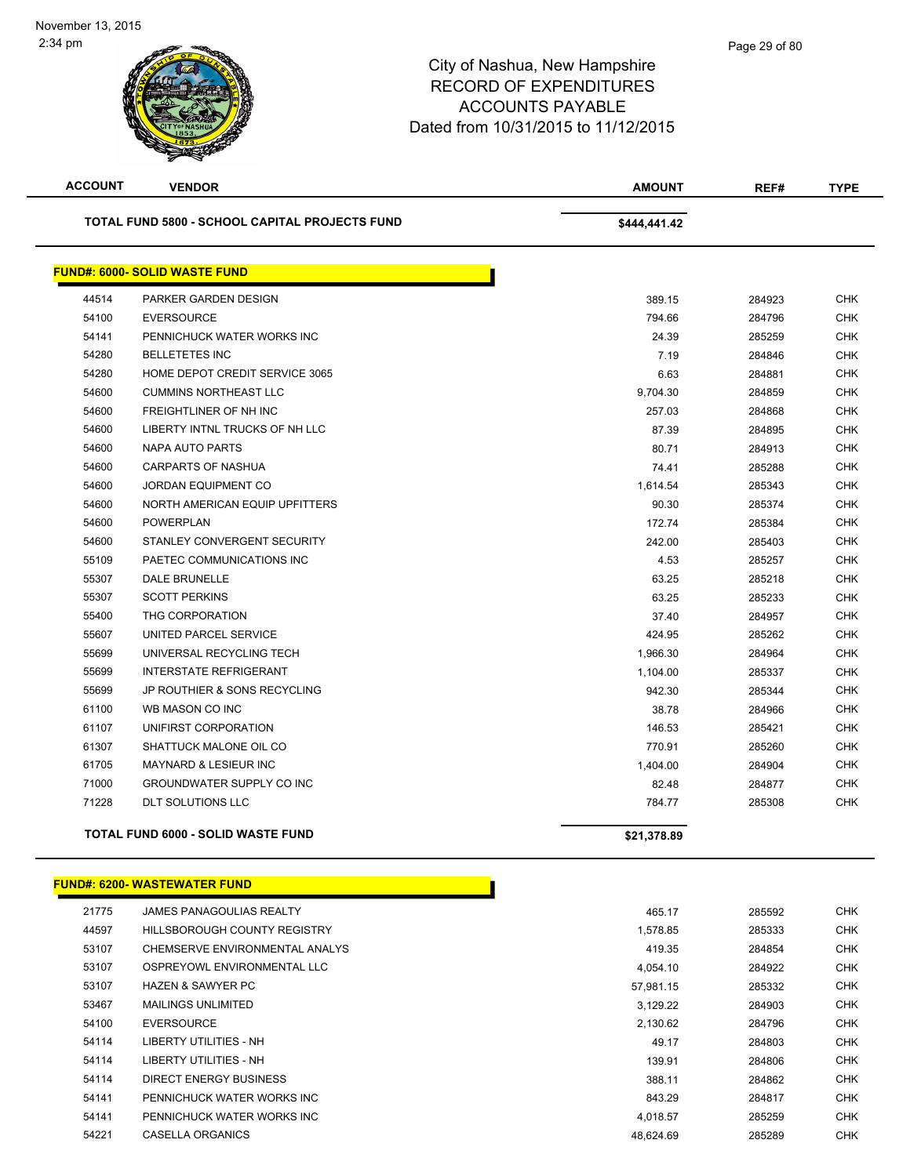| <b>ACCOUNT</b> | <b>VENDOR</b>                                         | <b>AMOUNT</b> | REF#   | <b>TYPE</b> |
|----------------|-------------------------------------------------------|---------------|--------|-------------|
|                | <b>TOTAL FUND 5800 - SCHOOL CAPITAL PROJECTS FUND</b> | \$444,441.42  |        |             |
|                | <b>FUND#: 6000- SOLID WASTE FUND</b>                  |               |        |             |
| 44514          | PARKER GARDEN DESIGN                                  | 389.15        | 284923 | <b>CHK</b>  |
| 54100          | <b>EVERSOURCE</b>                                     | 794.66        | 284796 | <b>CHK</b>  |
| 54141          | PENNICHUCK WATER WORKS INC                            | 24.39         | 285259 | <b>CHK</b>  |
| 54280          | <b>BELLETETES INC</b>                                 | 7.19          | 284846 | <b>CHK</b>  |
| 54280          | HOME DEPOT CREDIT SERVICE 3065                        | 6.63          | 284881 | <b>CHK</b>  |
| 54600          | <b>CUMMINS NORTHEAST LLC</b>                          | 9,704.30      | 284859 | <b>CHK</b>  |
| 54600          | <b>FREIGHTLINER OF NH INC</b>                         | 257.03        | 284868 | <b>CHK</b>  |
| 54600          | LIBERTY INTNL TRUCKS OF NH LLC                        | 87.39         | 284895 | <b>CHK</b>  |
| 54600          | NAPA AUTO PARTS                                       | 80.71         | 284913 | <b>CHK</b>  |
| 54600          | <b>CARPARTS OF NASHUA</b>                             | 74.41         | 285288 | <b>CHK</b>  |
| 54600          | JORDAN EQUIPMENT CO                                   | 1,614.54      | 285343 | <b>CHK</b>  |
| 54600          | NORTH AMERICAN EQUIP UPFITTERS                        | 90.30         | 285374 | <b>CHK</b>  |
| 54600          | <b>POWERPLAN</b>                                      | 172.74        | 285384 | <b>CHK</b>  |
| 54600          | STANLEY CONVERGENT SECURITY                           | 242.00        | 285403 | <b>CHK</b>  |
| 55109          | PAETEC COMMUNICATIONS INC                             | 4.53          | 285257 | <b>CHK</b>  |
| 55307          | <b>DALE BRUNELLE</b>                                  | 63.25         | 285218 | <b>CHK</b>  |
| 55307          | <b>SCOTT PERKINS</b>                                  | 63.25         | 285233 | <b>CHK</b>  |
| 55400          | THG CORPORATION                                       | 37.40         | 284957 | <b>CHK</b>  |
| 55607          | UNITED PARCEL SERVICE                                 | 424.95        | 285262 | <b>CHK</b>  |
| 55699          | UNIVERSAL RECYCLING TECH                              | 1,966.30      | 284964 | <b>CHK</b>  |
| 55699          | <b>INTERSTATE REFRIGERANT</b>                         | 1,104.00      | 285337 | <b>CHK</b>  |
| 55699          | JP ROUTHIER & SONS RECYCLING                          | 942.30        | 285344 | <b>CHK</b>  |
| 61100          | WB MASON CO INC                                       | 38.78         | 284966 | CHK         |
| 61107          | UNIFIRST CORPORATION                                  | 146.53        | 285421 | <b>CHK</b>  |
| 61307          | SHATTUCK MALONE OIL CO                                | 770.91        | 285260 | <b>CHK</b>  |
| 61705          | <b>MAYNARD &amp; LESIEUR INC</b>                      | 1,404.00      | 284904 | <b>CHK</b>  |
| 71000          | GROUNDWATER SUPPLY CO INC                             | 82.48         | 284877 | <b>CHK</b>  |
| 71228          | <b>DLT SOLUTIONS LLC</b>                              | 784.77        | 285308 | <b>CHK</b>  |
|                | <b>TOTAL FUND 6000 - SOLID WASTE FUND</b>             | \$21,378.89   |        |             |
|                |                                                       |               |        |             |

### **FUND#: 6200- WASTEWATER FUND**

| 21775 | <b>JAMES PANAGOULIAS REALTY</b> | 465.17    | 285592 | <b>CHK</b> |
|-------|---------------------------------|-----------|--------|------------|
| 44597 | HILLSBOROUGH COUNTY REGISTRY    | 1,578.85  | 285333 | <b>CHK</b> |
| 53107 | CHEMSERVE ENVIRONMENTAL ANALYS  | 419.35    | 284854 | <b>CHK</b> |
| 53107 | OSPREYOWL ENVIRONMENTAL LLC     | 4.054.10  | 284922 | <b>CHK</b> |
| 53107 | <b>HAZEN &amp; SAWYER PC</b>    | 57.981.15 | 285332 | <b>CHK</b> |
| 53467 | <b>MAILINGS UNLIMITED</b>       | 3.129.22  | 284903 | <b>CHK</b> |
| 54100 | <b>EVERSOURCE</b>               | 2,130.62  | 284796 | <b>CHK</b> |
| 54114 | LIBERTY UTILITIES - NH          | 49.17     | 284803 | <b>CHK</b> |
| 54114 | LIBERTY UTILITIES - NH          | 139.91    | 284806 | <b>CHK</b> |
| 54114 | DIRECT ENERGY BUSINESS          | 388.11    | 284862 | <b>CHK</b> |
| 54141 | PENNICHUCK WATER WORKS INC      | 843.29    | 284817 | <b>CHK</b> |
| 54141 | PENNICHUCK WATER WORKS INC      | 4.018.57  | 285259 | <b>CHK</b> |
| 54221 | CASELLA ORGANICS                | 48.624.69 | 285289 | <b>CHK</b> |

Γ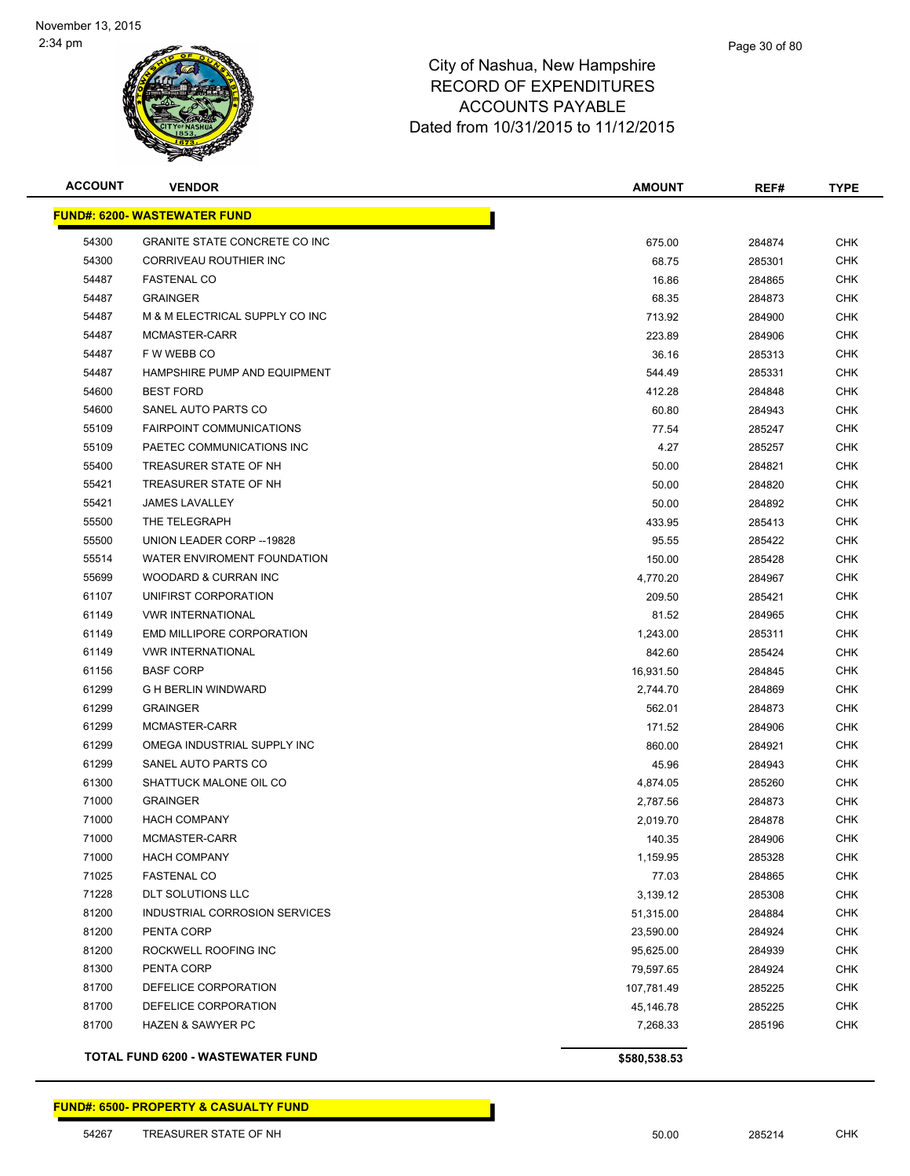

| <b>ACCOUNT</b> | <b>VENDOR</b>                        | <b>AMOUNT</b> | REF#   | <b>TYPE</b> |
|----------------|--------------------------------------|---------------|--------|-------------|
|                | <b>FUND#: 6200- WASTEWATER FUND</b>  |               |        |             |
| 54300          | <b>GRANITE STATE CONCRETE CO INC</b> | 675.00        | 284874 | <b>CHK</b>  |
| 54300          | CORRIVEAU ROUTHIER INC               | 68.75         | 285301 | <b>CHK</b>  |
| 54487          | <b>FASTENAL CO</b>                   | 16.86         | 284865 | <b>CHK</b>  |
| 54487          | <b>GRAINGER</b>                      | 68.35         | 284873 | <b>CHK</b>  |
| 54487          | M & M ELECTRICAL SUPPLY CO INC       | 713.92        | 284900 | <b>CHK</b>  |
| 54487          | MCMASTER-CARR                        | 223.89        | 284906 | <b>CHK</b>  |
| 54487          | F W WEBB CO                          | 36.16         | 285313 | <b>CHK</b>  |
| 54487          | HAMPSHIRE PUMP AND EQUIPMENT         | 544.49        | 285331 | <b>CHK</b>  |
| 54600          | <b>BEST FORD</b>                     | 412.28        | 284848 | CHK         |
| 54600          | SANEL AUTO PARTS CO                  | 60.80         | 284943 | <b>CHK</b>  |
| 55109          | <b>FAIRPOINT COMMUNICATIONS</b>      | 77.54         | 285247 | CHK         |
| 55109          | PAETEC COMMUNICATIONS INC            | 4.27          | 285257 | CHK         |
| 55400          | TREASURER STATE OF NH                | 50.00         | 284821 | CHK         |
| 55421          | TREASURER STATE OF NH                | 50.00         | 284820 | <b>CHK</b>  |
| 55421          | <b>JAMES LAVALLEY</b>                | 50.00         | 284892 | CHK         |
| 55500          | THE TELEGRAPH                        | 433.95        | 285413 | <b>CHK</b>  |
| 55500          | UNION LEADER CORP -- 19828           | 95.55         | 285422 | <b>CHK</b>  |
| 55514          | WATER ENVIROMENT FOUNDATION          | 150.00        | 285428 | CHK         |
| 55699          | WOODARD & CURRAN INC                 | 4,770.20      | 284967 | <b>CHK</b>  |
| 61107          | UNIFIRST CORPORATION                 | 209.50        | 285421 | CHK         |
| 61149          | <b>VWR INTERNATIONAL</b>             | 81.52         | 284965 | <b>CHK</b>  |
| 61149          | EMD MILLIPORE CORPORATION            | 1,243.00      | 285311 | CHK         |
| 61149          | <b>VWR INTERNATIONAL</b>             | 842.60        | 285424 | CHK         |
| 61156          | <b>BASF CORP</b>                     | 16,931.50     | 284845 | <b>CHK</b>  |
| 61299          | <b>G H BERLIN WINDWARD</b>           | 2,744.70      | 284869 | <b>CHK</b>  |
| 61299          | <b>GRAINGER</b>                      | 562.01        | 284873 | <b>CHK</b>  |
| 61299          | MCMASTER-CARR                        | 171.52        | 284906 | <b>CHK</b>  |
| 61299          | OMEGA INDUSTRIAL SUPPLY INC          | 860.00        | 284921 | <b>CHK</b>  |
| 61299          | SANEL AUTO PARTS CO                  | 45.96         | 284943 | <b>CHK</b>  |
| 61300          | SHATTUCK MALONE OIL CO               | 4,874.05      | 285260 | <b>CHK</b>  |
| 71000          | <b>GRAINGER</b>                      | 2,787.56      | 284873 | CHK         |
| 71000          | <b>HACH COMPANY</b>                  | 2,019.70      | 284878 | CHK         |
| 71000          | MCMASTER-CARR                        | 140.35        | 284906 | <b>CHK</b>  |
| 71000          | <b>HACH COMPANY</b>                  | 1,159.95      | 285328 | CHK         |
| 71025          | <b>FASTENAL CO</b>                   | 77.03         | 284865 | <b>CHK</b>  |
| 71228          | DLT SOLUTIONS LLC                    | 3,139.12      | 285308 | <b>CHK</b>  |
| 81200          | INDUSTRIAL CORROSION SERVICES        | 51,315.00     | 284884 | <b>CHK</b>  |
| 81200          | PENTA CORP                           | 23,590.00     | 284924 | <b>CHK</b>  |
| 81200          | ROCKWELL ROOFING INC                 | 95,625.00     | 284939 | <b>CHK</b>  |
| 81300          | PENTA CORP                           | 79,597.65     | 284924 | CHK         |
| 81700          | DEFELICE CORPORATION                 | 107,781.49    | 285225 | <b>CHK</b>  |
| 81700          | DEFELICE CORPORATION                 | 45,146.78     | 285225 | <b>CHK</b>  |
| 81700          | <b>HAZEN &amp; SAWYER PC</b>         | 7,268.33      | 285196 | <b>CHK</b>  |
|                | TOTAL FUND 6200 - WASTEWATER FUND    | \$580,538.53  |        |             |

Г

**FUND#: 6500- PROPERTY & CASUALTY FUND**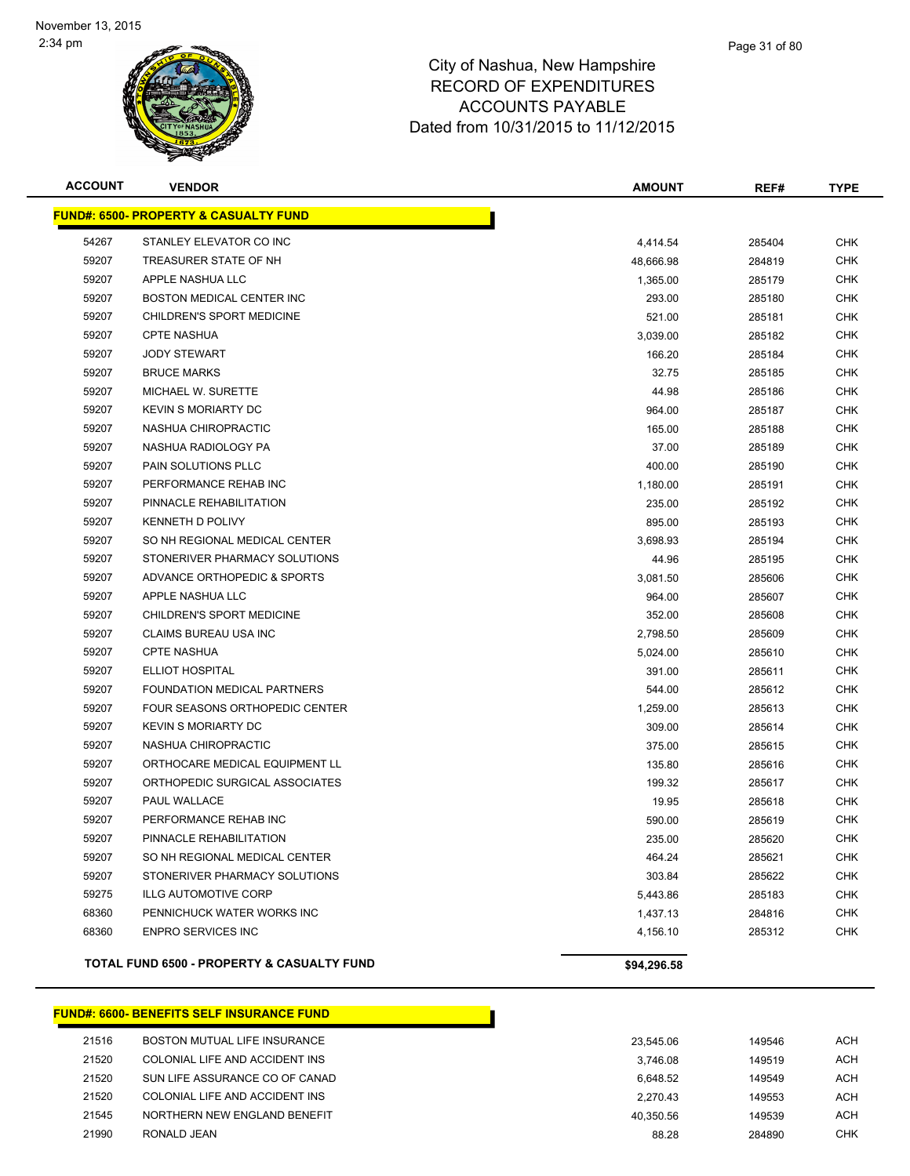

| <b>ACCOUNT</b> | <b>VENDOR</b>                                         | <b>AMOUNT</b> | REF#   | <b>TYPE</b> |
|----------------|-------------------------------------------------------|---------------|--------|-------------|
|                | <b>FUND#: 6500- PROPERTY &amp; CASUALTY FUND</b>      |               |        |             |
| 54267          | STANLEY ELEVATOR CO INC                               | 4,414.54      | 285404 | <b>CHK</b>  |
| 59207          | TREASURER STATE OF NH                                 | 48,666.98     | 284819 | <b>CHK</b>  |
| 59207          | APPLE NASHUA LLC                                      | 1,365.00      | 285179 | <b>CHK</b>  |
| 59207          | BOSTON MEDICAL CENTER INC                             | 293.00        | 285180 | <b>CHK</b>  |
| 59207          | CHILDREN'S SPORT MEDICINE                             | 521.00        | 285181 | <b>CHK</b>  |
| 59207          | <b>CPTE NASHUA</b>                                    | 3,039.00      | 285182 | <b>CHK</b>  |
| 59207          | <b>JODY STEWART</b>                                   | 166.20        | 285184 | <b>CHK</b>  |
| 59207          | <b>BRUCE MARKS</b>                                    | 32.75         | 285185 | <b>CHK</b>  |
| 59207          | MICHAEL W. SURETTE                                    | 44.98         | 285186 | <b>CHK</b>  |
| 59207          | <b>KEVIN S MORIARTY DC</b>                            | 964.00        | 285187 | <b>CHK</b>  |
| 59207          | NASHUA CHIROPRACTIC                                   | 165.00        | 285188 | <b>CHK</b>  |
| 59207          | NASHUA RADIOLOGY PA                                   | 37.00         | 285189 | <b>CHK</b>  |
| 59207          | PAIN SOLUTIONS PLLC                                   | 400.00        | 285190 | <b>CHK</b>  |
| 59207          | PERFORMANCE REHAB INC                                 | 1,180.00      | 285191 | <b>CHK</b>  |
| 59207          | PINNACLE REHABILITATION                               | 235.00        | 285192 | <b>CHK</b>  |
| 59207          | KENNETH D POLIVY                                      | 895.00        | 285193 | <b>CHK</b>  |
| 59207          | SO NH REGIONAL MEDICAL CENTER                         | 3,698.93      | 285194 | <b>CHK</b>  |
| 59207          | STONERIVER PHARMACY SOLUTIONS                         | 44.96         | 285195 | CHK         |
| 59207          | ADVANCE ORTHOPEDIC & SPORTS                           | 3,081.50      | 285606 | <b>CHK</b>  |
| 59207          | APPLE NASHUA LLC                                      | 964.00        | 285607 | <b>CHK</b>  |
| 59207          | CHILDREN'S SPORT MEDICINE                             | 352.00        | 285608 | <b>CHK</b>  |
| 59207          | CLAIMS BUREAU USA INC                                 | 2,798.50      | 285609 | <b>CHK</b>  |
| 59207          | <b>CPTE NASHUA</b>                                    | 5,024.00      | 285610 | <b>CHK</b>  |
| 59207          | ELLIOT HOSPITAL                                       | 391.00        | 285611 | <b>CHK</b>  |
| 59207          | FOUNDATION MEDICAL PARTNERS                           | 544.00        | 285612 | <b>CHK</b>  |
| 59207          | FOUR SEASONS ORTHOPEDIC CENTER                        | 1,259.00      | 285613 | <b>CHK</b>  |
| 59207          | <b>KEVIN S MORIARTY DC</b>                            | 309.00        | 285614 | <b>CHK</b>  |
| 59207          | NASHUA CHIROPRACTIC                                   | 375.00        | 285615 | <b>CHK</b>  |
| 59207          | ORTHOCARE MEDICAL EQUIPMENT LL                        | 135.80        | 285616 | <b>CHK</b>  |
| 59207          | ORTHOPEDIC SURGICAL ASSOCIATES                        | 199.32        | 285617 | <b>CHK</b>  |
| 59207          | PAUL WALLACE                                          | 19.95         | 285618 | <b>CHK</b>  |
| 59207          | PERFORMANCE REHAB INC                                 | 590.00        | 285619 | <b>CHK</b>  |
| 59207          | PINNACLE REHABILITATION                               | 235.00        | 285620 | <b>CHK</b>  |
| 59207          | SO NH REGIONAL MEDICAL CENTER                         | 464.24        | 285621 | CHK         |
| 59207          | STONERIVER PHARMACY SOLUTIONS                         | 303.84        | 285622 | <b>CHK</b>  |
| 59275          | <b>ILLG AUTOMOTIVE CORP</b>                           | 5,443.86      | 285183 | <b>CHK</b>  |
| 68360          | PENNICHUCK WATER WORKS INC                            | 1,437.13      | 284816 | <b>CHK</b>  |
| 68360          | <b>ENPRO SERVICES INC</b>                             | 4,156.10      | 285312 | <b>CHK</b>  |
|                | <b>TOTAL FUND 6500 - PROPERTY &amp; CASUALTY FUND</b> | \$94,296.58   |        |             |

### **FUND#: 6600- BENEFITS SELF INSURANCE FUND**

| 21516 | BOSTON MUTUAL LIFE INSURANCE   | 23.545.06 | 149546 | <b>ACH</b> |
|-------|--------------------------------|-----------|--------|------------|
| 21520 | COLONIAL LIFE AND ACCIDENT INS | 3.746.08  | 149519 | <b>ACH</b> |
| 21520 | SUN LIFE ASSURANCE CO OF CANAD | 6.648.52  | 149549 | <b>ACH</b> |
| 21520 | COLONIAL LIFE AND ACCIDENT INS | 2.270.43  | 149553 | <b>ACH</b> |
| 21545 | NORTHERN NEW ENGLAND BENEFIT   | 40.350.56 | 149539 | <b>ACH</b> |
| 21990 | RONALD JEAN                    | 88.28     | 284890 | CHK        |

Т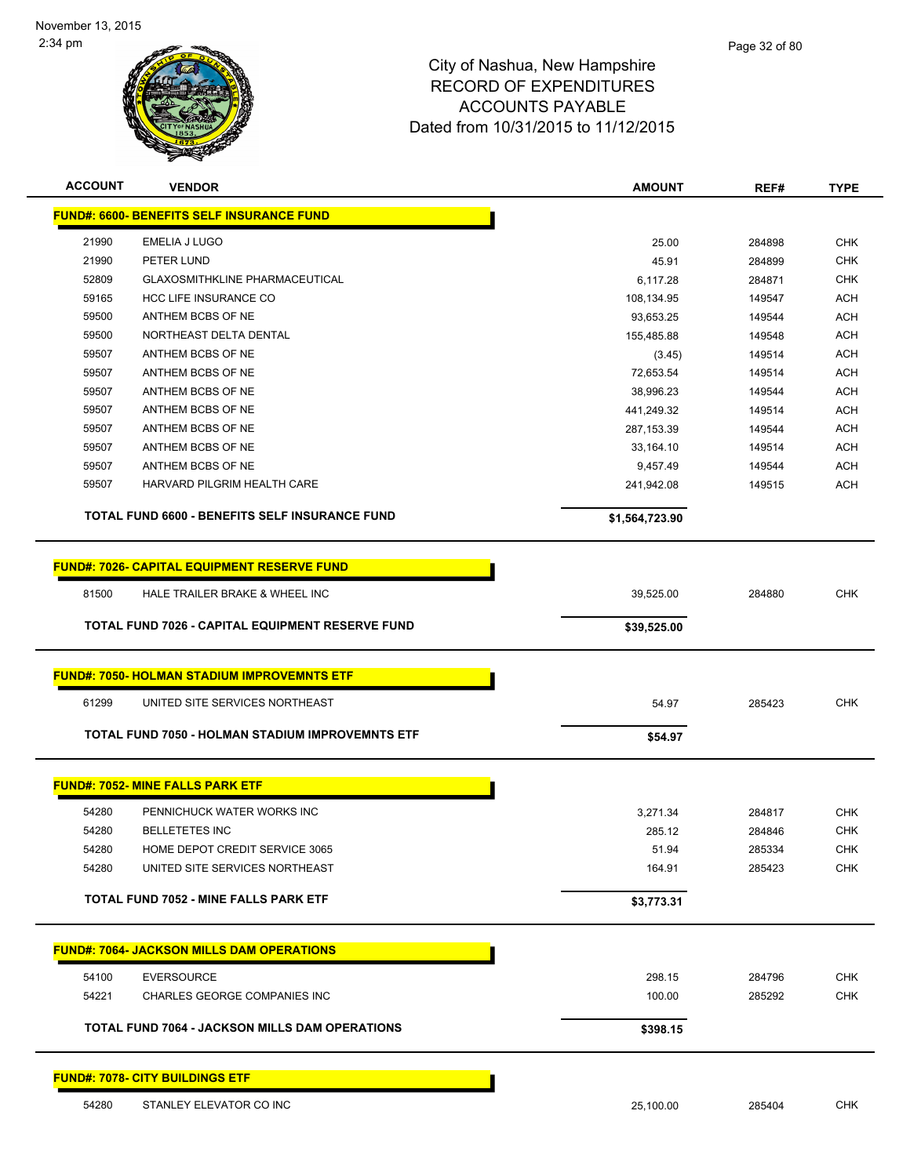

| <b>ACCOUNT</b> | <b>VENDOR</b>                                      | <b>AMOUNT</b>  | REF#   | <b>TYPE</b> |
|----------------|----------------------------------------------------|----------------|--------|-------------|
|                | <b>FUND#: 6600- BENEFITS SELF INSURANCE FUND</b>   |                |        |             |
| 21990          | EMELIA J LUGO                                      | 25.00          | 284898 | CHK         |
| 21990          | PETER LUND                                         | 45.91          | 284899 | <b>CHK</b>  |
| 52809          | <b>GLAXOSMITHKLINE PHARMACEUTICAL</b>              | 6,117.28       | 284871 | <b>CHK</b>  |
| 59165          | HCC LIFE INSURANCE CO                              | 108,134.95     | 149547 | <b>ACH</b>  |
| 59500          | ANTHEM BCBS OF NE                                  | 93,653.25      | 149544 | <b>ACH</b>  |
| 59500          | NORTHEAST DELTA DENTAL                             | 155,485.88     | 149548 | ACH         |
| 59507          | ANTHEM BCBS OF NE                                  | (3.45)         | 149514 | ACH         |
| 59507          | ANTHEM BCBS OF NE                                  | 72,653.54      | 149514 | ACH         |
| 59507          | ANTHEM BCBS OF NE                                  | 38,996.23      | 149544 | <b>ACH</b>  |
| 59507          | ANTHEM BCBS OF NE                                  | 441,249.32     | 149514 | <b>ACH</b>  |
| 59507          | ANTHEM BCBS OF NE                                  | 287, 153.39    | 149544 | <b>ACH</b>  |
| 59507          | ANTHEM BCBS OF NE                                  | 33,164.10      | 149514 | <b>ACH</b>  |
| 59507          | ANTHEM BCBS OF NE                                  | 9,457.49       | 149544 | <b>ACH</b>  |
| 59507          | HARVARD PILGRIM HEALTH CARE                        | 241,942.08     | 149515 | <b>ACH</b>  |
|                | TOTAL FUND 6600 - BENEFITS SELF INSURANCE FUND     | \$1,564,723.90 |        |             |
|                | <b>FUND#: 7026- CAPITAL EQUIPMENT RESERVE FUND</b> |                |        |             |
| 81500          | HALE TRAILER BRAKE & WHEEL INC                     | 39,525.00      | 284880 | <b>CHK</b>  |
|                |                                                    |                |        |             |
|                | TOTAL FUND 7026 - CAPITAL EQUIPMENT RESERVE FUND   | \$39,525.00    |        |             |
|                | <b>FUND#: 7050- HOLMAN STADIUM IMPROVEMNTS ETF</b> |                |        |             |
| 61299          | UNITED SITE SERVICES NORTHEAST                     | 54.97          | 285423 | CHK         |
|                | TOTAL FUND 7050 - HOLMAN STADIUM IMPROVEMNTS ETF   |                |        |             |
|                |                                                    | \$54.97        |        |             |
|                | <b>FUND#: 7052- MINE FALLS PARK ETF</b>            |                |        |             |
| 54280          | PENNICHUCK WATER WORKS INC                         | 3,271.34       | 284817 | CHK         |
| 54280          | <b>BELLETETES INC</b>                              | 285.12         | 284846 | <b>CHK</b>  |
| 54280          | HOME DEPOT CREDIT SERVICE 3065                     | 51.94          | 285334 | <b>CHK</b>  |
| 54280          | UNITED SITE SERVICES NORTHEAST                     | 164.91         | 285423 | <b>CHK</b>  |
|                | <b>TOTAL FUND 7052 - MINE FALLS PARK ETF</b>       | \$3,773.31     |        |             |
|                |                                                    |                |        |             |
|                | <b>FUND#: 7064- JACKSON MILLS DAM OPERATIONS</b>   |                |        |             |
| 54100          | <b>EVERSOURCE</b>                                  | 298.15         | 284796 | <b>CHK</b>  |
| 54221          | CHARLES GEORGE COMPANIES INC                       | 100.00         | 285292 | <b>CHK</b>  |
|                | TOTAL FUND 7064 - JACKSON MILLS DAM OPERATIONS     | \$398.15       |        |             |
|                | <b>FUND#: 7078- CITY BUILDINGS ETF</b>             |                |        |             |
|                |                                                    |                |        |             |

54280 STANLEY ELEVATOR CO INC 25,100.00 285404 CHK

Page 32 of 80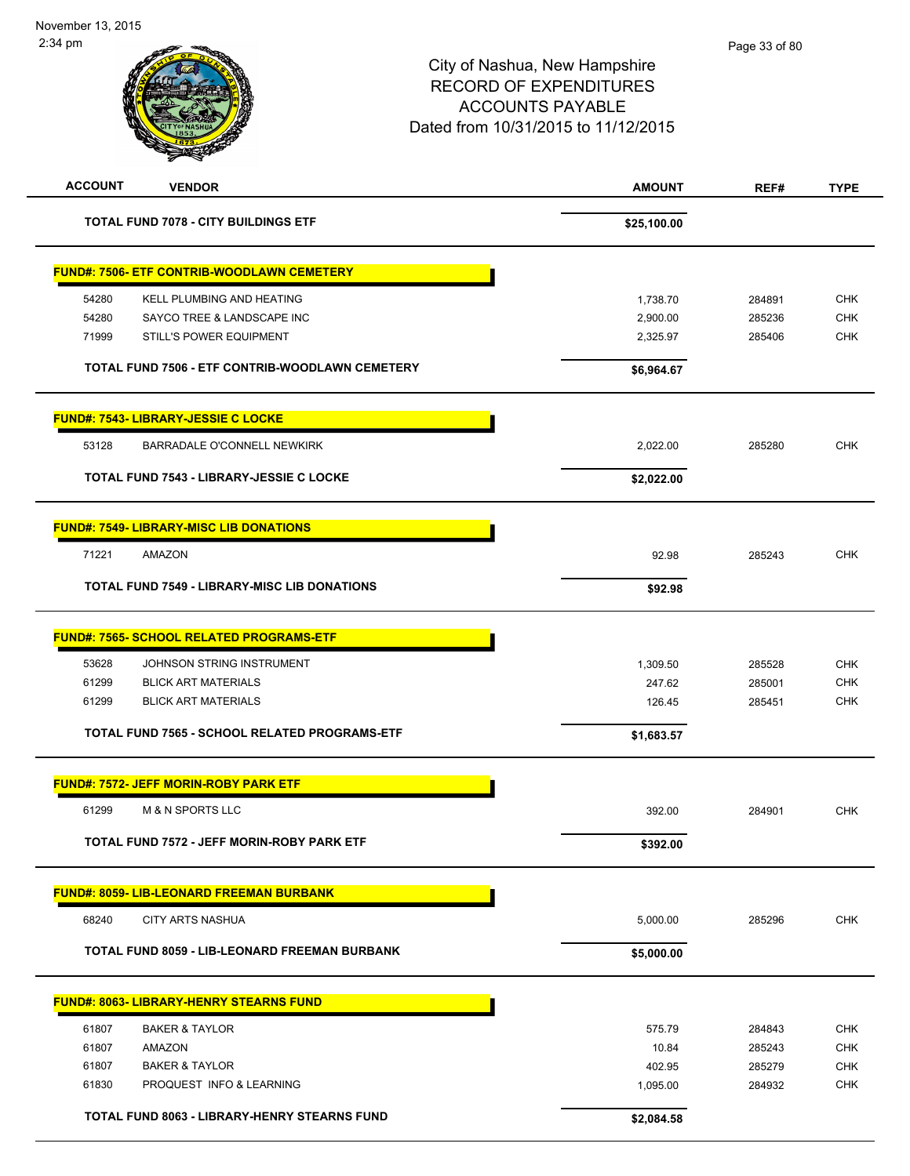| <b>ACCOUNT</b><br><b>VENDOR</b>                     | <b>AMOUNT</b> | REF#   | <b>TYPE</b> |
|-----------------------------------------------------|---------------|--------|-------------|
| <b>TOTAL FUND 7078 - CITY BUILDINGS ETF</b>         | \$25,100.00   |        |             |
| <b>FUND#: 7506- ETF CONTRIB-WOODLAWN CEMETERY</b>   |               |        |             |
| 54280<br>KELL PLUMBING AND HEATING                  | 1,738.70      | 284891 | <b>CHK</b>  |
| 54280<br>SAYCO TREE & LANDSCAPE INC                 | 2,900.00      | 285236 | <b>CHK</b>  |
| 71999<br>STILL'S POWER EQUIPMENT                    | 2,325.97      | 285406 | <b>CHK</b>  |
| TOTAL FUND 7506 - ETF CONTRIB-WOODLAWN CEMETERY     | \$6,964.67    |        |             |
| FUND#: 7543- LIBRARY-JESSIE C LOCKE                 |               |        |             |
| 53128<br>BARRADALE O'CONNELL NEWKIRK                | 2,022.00      | 285280 | <b>CHK</b>  |
| <b>TOTAL FUND 7543 - LIBRARY-JESSIE C LOCKE</b>     | \$2,022.00    |        |             |
| <b>FUND#: 7549- LIBRARY-MISC LIB DONATIONS</b>      |               |        |             |
| 71221<br><b>AMAZON</b>                              | 92.98         | 285243 | <b>CHK</b>  |
| <b>TOTAL FUND 7549 - LIBRARY-MISC LIB DONATIONS</b> | \$92.98       |        |             |
|                                                     |               |        |             |
| <b>FUND#: 7565- SCHOOL RELATED PROGRAMS-ETF</b>     |               |        |             |
| 53628<br>JOHNSON STRING INSTRUMENT                  | 1,309.50      | 285528 | <b>CHK</b>  |
| 61299<br><b>BLICK ART MATERIALS</b>                 | 247.62        | 285001 | <b>CHK</b>  |
| 61299<br><b>BLICK ART MATERIALS</b>                 | 126.45        | 285451 | <b>CHK</b>  |
| TOTAL FUND 7565 - SCHOOL RELATED PROGRAMS-ETF       | \$1,683.57    |        |             |
| <b>FUND#: 7572- JEFF MORIN-ROBY PARK ETF</b>        |               |        |             |
| 61299<br><b>M &amp; N SPORTS LLC</b>                | 392.00        | 284901 | <b>CHK</b>  |
| TOTAL FUND 7572 - JEFF MORIN-ROBY PARK ETF          | \$392.00      |        |             |
| <b>FUND#: 8059- LIB-LEONARD FREEMAN BURBANK</b>     |               |        |             |
| 68240<br><b>CITY ARTS NASHUA</b>                    | 5,000.00      | 285296 | <b>CHK</b>  |
| TOTAL FUND 8059 - LIB-LEONARD FREEMAN BURBANK       | \$5,000.00    |        |             |
| <b>FUND#: 8063- LIBRARY-HENRY STEARNS FUND</b>      |               |        |             |
| 61807<br><b>BAKER &amp; TAYLOR</b>                  | 575.79        | 284843 | <b>CHK</b>  |
| 61807<br><b>AMAZON</b>                              | 10.84         | 285243 | <b>CHK</b>  |
| 61807<br><b>BAKER &amp; TAYLOR</b>                  | 402.95        | 285279 | <b>CHK</b>  |
| 61830<br>PROQUEST INFO & LEARNING                   | 1,095.00      | 284932 | <b>CHK</b>  |
| TOTAL FUND 8063 - LIBRARY-HENRY STEARNS FUND        | \$2,084.58    |        |             |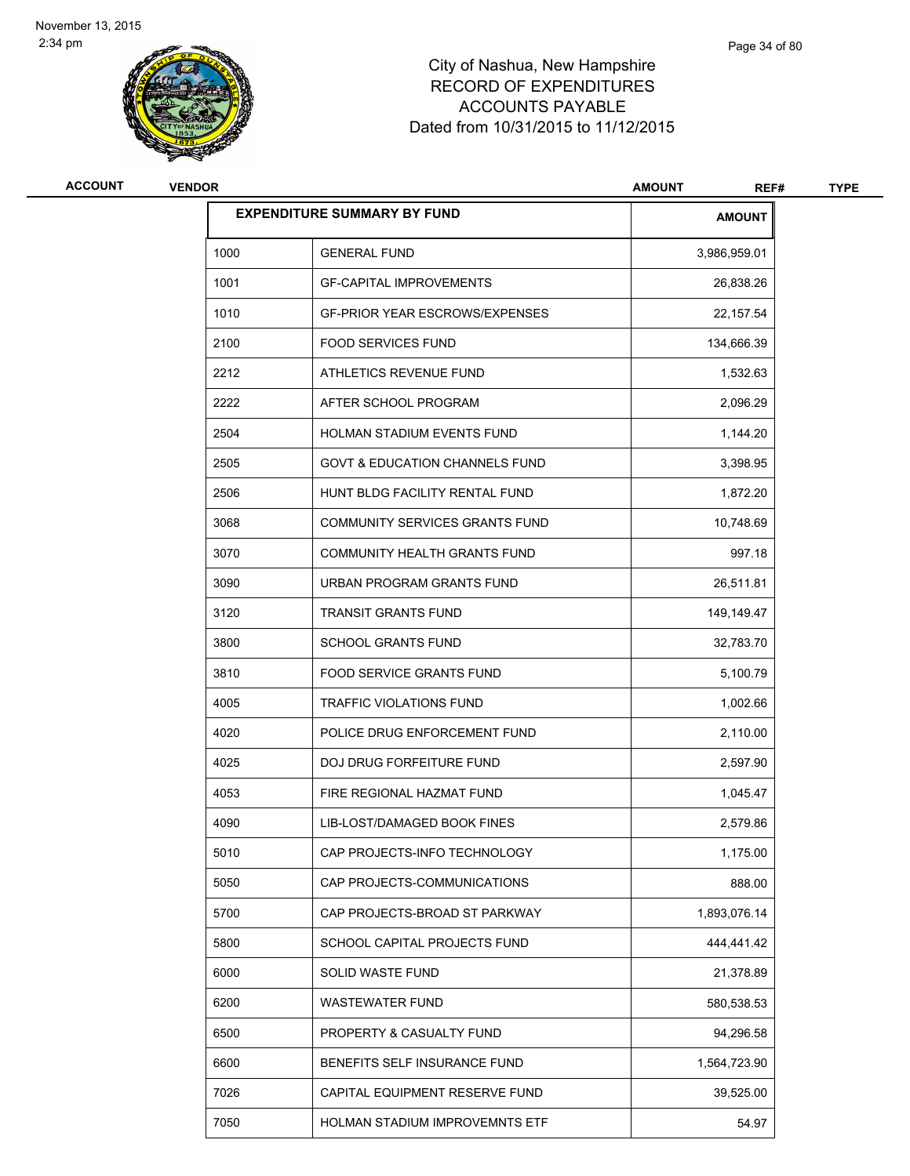

| ACCOUNT | <b>VENDOR</b><br><b>AMOUNT</b> |                                           |               | <b>TYPE</b> |
|---------|--------------------------------|-------------------------------------------|---------------|-------------|
|         |                                | <b>EXPENDITURE SUMMARY BY FUND</b>        | <b>AMOUNT</b> |             |
|         | 1000                           | <b>GENERAL FUND</b>                       | 3,986,959.01  |             |
|         | 1001                           | <b>GF-CAPITAL IMPROVEMENTS</b>            | 26,838.26     |             |
|         | 1010                           | <b>GF-PRIOR YEAR ESCROWS/EXPENSES</b>     | 22, 157.54    |             |
|         | 2100                           | <b>FOOD SERVICES FUND</b>                 | 134,666.39    |             |
|         | 2212                           | ATHLETICS REVENUE FUND                    | 1,532.63      |             |
|         | 2222                           | AFTER SCHOOL PROGRAM                      | 2,096.29      |             |
|         | 2504                           | HOLMAN STADIUM EVENTS FUND                | 1,144.20      |             |
|         | 2505                           | <b>GOVT &amp; EDUCATION CHANNELS FUND</b> | 3,398.95      |             |
|         | 2506                           | HUNT BLDG FACILITY RENTAL FUND            | 1,872.20      |             |
|         | 3068                           | COMMUNITY SERVICES GRANTS FUND            | 10,748.69     |             |
|         | 3070                           | <b>COMMUNITY HEALTH GRANTS FUND</b>       | 997.18        |             |
|         | 3090                           | URBAN PROGRAM GRANTS FUND                 | 26,511.81     |             |
|         | 3120                           | <b>TRANSIT GRANTS FUND</b>                | 149,149.47    |             |
|         | 3800                           | <b>SCHOOL GRANTS FUND</b>                 | 32,783.70     |             |
|         | 3810                           | <b>FOOD SERVICE GRANTS FUND</b>           | 5,100.79      |             |
|         | 4005                           | TRAFFIC VIOLATIONS FUND                   | 1,002.66      |             |
|         | 4020                           | POLICE DRUG ENFORCEMENT FUND              | 2,110.00      |             |
|         | 4025                           | <b>DOJ DRUG FORFEITURE FUND</b>           | 2,597.90      |             |
|         | 4053                           | FIRE REGIONAL HAZMAT FUND                 | 1,045.47      |             |
|         | 4090                           | LIB-LOST/DAMAGED BOOK FINES               | 2,579.86      |             |
|         | 5010                           | CAP PROJECTS-INFO TECHNOLOGY              | 1,175.00      |             |
|         | 5050                           | CAP PROJECTS-COMMUNICATIONS               | 888.00        |             |
|         | 5700                           | CAP PROJECTS-BROAD ST PARKWAY             | 1,893,076.14  |             |
|         | 5800                           | SCHOOL CAPITAL PROJECTS FUND              | 444,441.42    |             |
|         | 6000                           | SOLID WASTE FUND                          | 21,378.89     |             |
|         | 6200                           | <b>WASTEWATER FUND</b>                    | 580,538.53    |             |
|         | 6500                           | PROPERTY & CASUALTY FUND                  | 94,296.58     |             |
|         | 6600                           | BENEFITS SELF INSURANCE FUND              | 1,564,723.90  |             |
|         | 7026                           | CAPITAL EQUIPMENT RESERVE FUND            | 39,525.00     |             |
|         | 7050                           | HOLMAN STADIUM IMPROVEMNTS ETF            | 54.97         |             |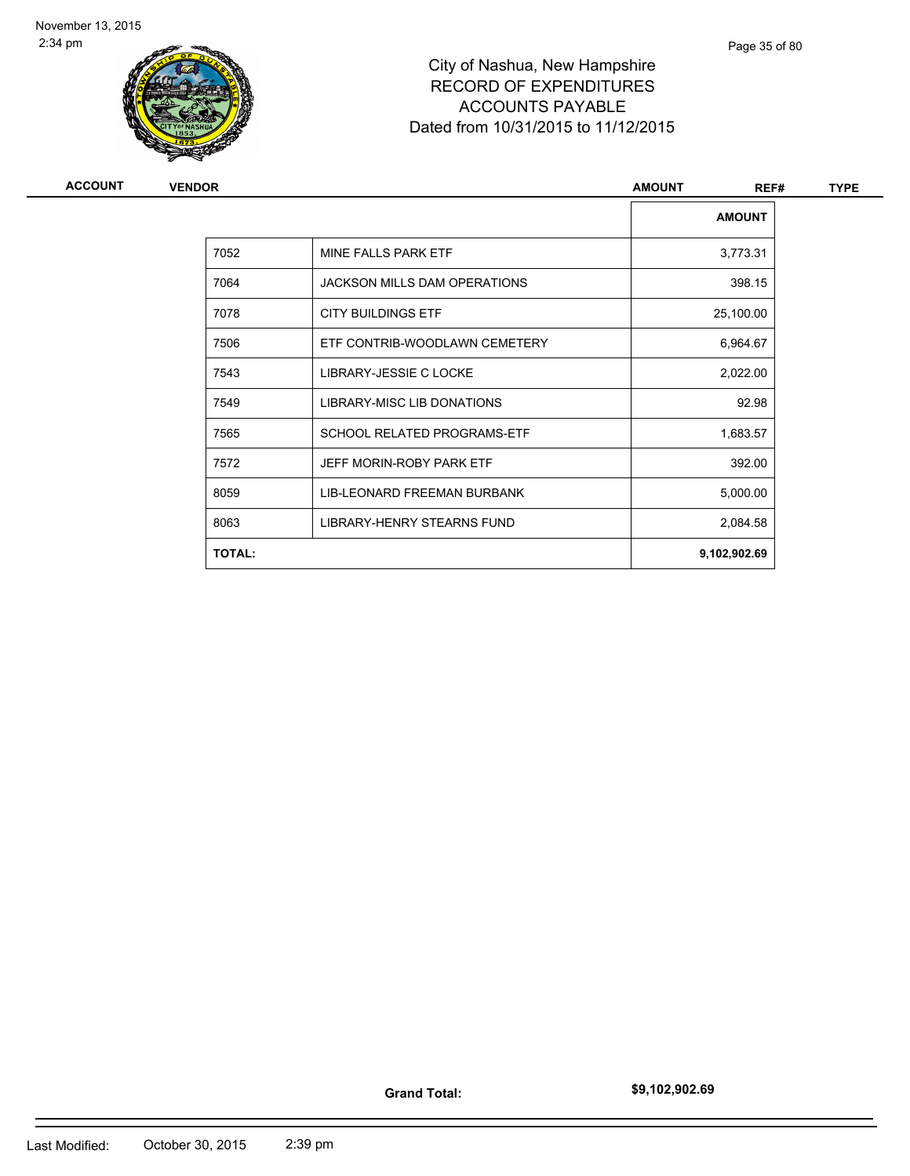

| <b>ACCOUNT</b> | <b>VENDOR</b> |                                     | <b>AMOUNT</b><br>REF# | <b>TYPE</b> |
|----------------|---------------|-------------------------------------|-----------------------|-------------|
|                |               |                                     | <b>AMOUNT</b>         |             |
|                | 7052          | MINE FALLS PARK ETF                 | 3,773.31              |             |
|                | 7064          | <b>JACKSON MILLS DAM OPERATIONS</b> | 398.15                |             |
|                | 7078          | <b>CITY BUILDINGS ETF</b>           | 25,100.00             |             |
|                | 7506          | ETF CONTRIB-WOODLAWN CEMETERY       | 6,964.67              |             |
|                | 7543          | LIBRARY-JESSIE C LOCKE              | 2,022.00              |             |
|                | 7549          | LIBRARY-MISC LIB DONATIONS          | 92.98                 |             |
|                | 7565          | SCHOOL RELATED PROGRAMS-ETF         | 1,683.57              |             |
|                | 7572          | JEFF MORIN-ROBY PARK ETF            | 392.00                |             |
|                | 8059          | LIB-LEONARD FREEMAN BURBANK         | 5,000.00              |             |
|                | 8063          | LIBRARY-HENRY STEARNS FUND          | 2,084.58              |             |
|                | <b>TOTAL:</b> |                                     | 9,102,902.69          |             |
|                |               |                                     |                       |             |

**Grand Total:**

**\$9,102,902.69**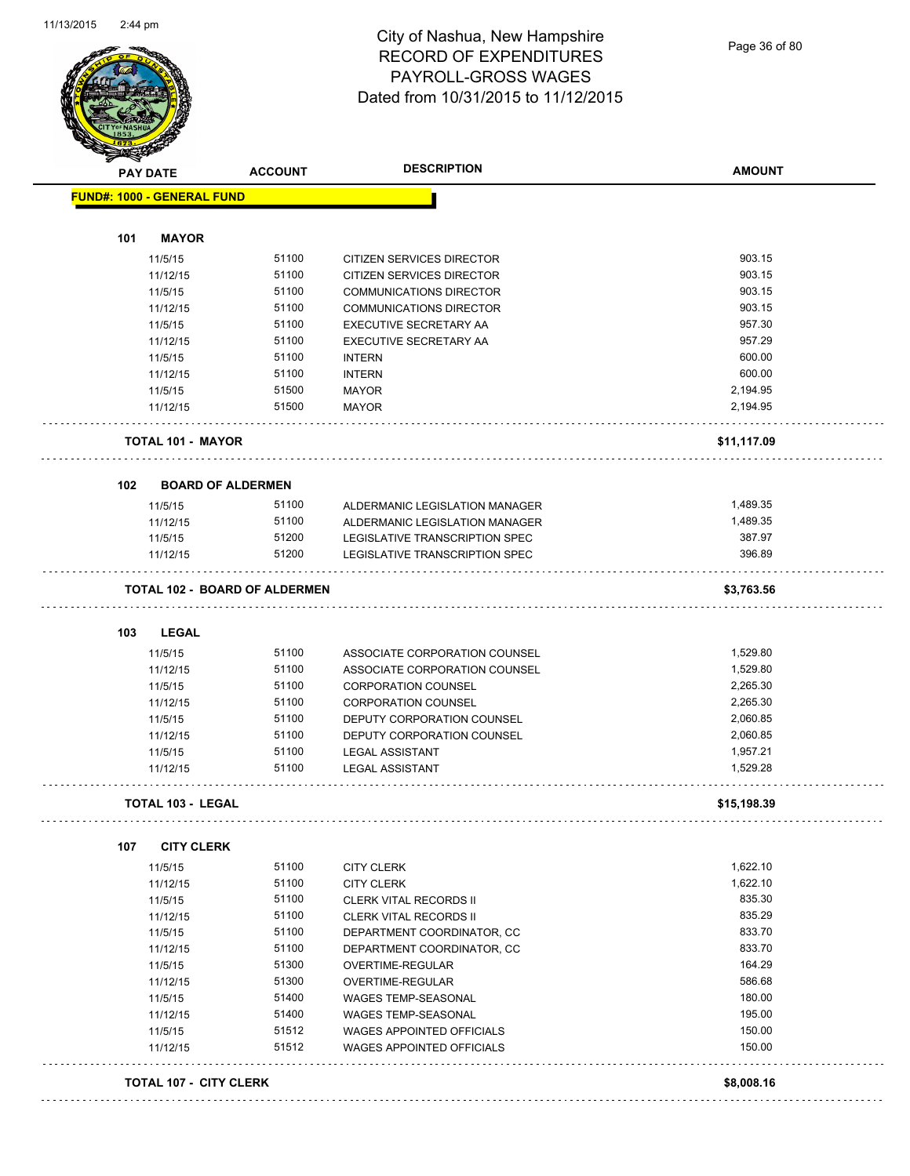

### City of Nashua, New Hampshire RECORD OF EXPENDITURES PAYROLL-GROSS WAGES Dated from 10/31/2015 to 11/12/2015

Page 36 of 80

|     | <b>PAY DATE</b>                   | <b>ACCOUNT</b>                       | <b>DESCRIPTION</b>               | <b>AMOUNT</b> |
|-----|-----------------------------------|--------------------------------------|----------------------------------|---------------|
|     | <b>FUND#: 1000 - GENERAL FUND</b> |                                      |                                  |               |
| 101 | <b>MAYOR</b>                      |                                      |                                  |               |
|     | 11/5/15                           | 51100                                | <b>CITIZEN SERVICES DIRECTOR</b> | 903.15        |
|     | 11/12/15                          | 51100                                | CITIZEN SERVICES DIRECTOR        | 903.15        |
|     | 11/5/15                           | 51100                                | <b>COMMUNICATIONS DIRECTOR</b>   | 903.15        |
|     | 11/12/15                          | 51100                                | <b>COMMUNICATIONS DIRECTOR</b>   | 903.15        |
|     | 11/5/15                           | 51100                                | EXECUTIVE SECRETARY AA           | 957.30        |
|     | 11/12/15                          | 51100                                | <b>EXECUTIVE SECRETARY AA</b>    | 957.29        |
|     | 11/5/15                           | 51100                                | <b>INTERN</b>                    | 600.00        |
|     | 11/12/15                          | 51100                                | <b>INTERN</b>                    | 600.00        |
|     | 11/5/15                           | 51500                                | <b>MAYOR</b>                     | 2,194.95      |
|     | 11/12/15                          | 51500                                | <b>MAYOR</b>                     | 2,194.95      |
|     | <b>TOTAL 101 - MAYOR</b>          |                                      |                                  | \$11,117.09   |
| 102 | <b>BOARD OF ALDERMEN</b>          |                                      |                                  |               |
|     | 11/5/15                           | 51100                                | ALDERMANIC LEGISLATION MANAGER   | 1,489.35      |
|     | 11/12/15                          | 51100                                | ALDERMANIC LEGISLATION MANAGER   | 1,489.35      |
|     | 11/5/15                           | 51200                                | LEGISLATIVE TRANSCRIPTION SPEC   | 387.97        |
|     | 11/12/15                          | 51200                                | LEGISLATIVE TRANSCRIPTION SPEC   | 396.89        |
|     |                                   | <b>TOTAL 102 - BOARD OF ALDERMEN</b> |                                  | \$3,763.56    |
|     |                                   |                                      |                                  |               |
| 103 | <b>LEGAL</b>                      | 51100                                |                                  | 1,529.80      |
|     | 11/5/15                           | 51100                                | ASSOCIATE CORPORATION COUNSEL    | 1,529.80      |
|     | 11/12/15                          | 51100                                | ASSOCIATE CORPORATION COUNSEL    | 2,265.30      |
|     | 11/5/15                           |                                      | <b>CORPORATION COUNSEL</b>       |               |
|     | 11/12/15                          | 51100                                | <b>CORPORATION COUNSEL</b>       | 2,265.30      |
|     | 11/5/15                           | 51100                                | DEPUTY CORPORATION COUNSEL       | 2,060.85      |
|     | 11/12/15                          | 51100                                | DEPUTY CORPORATION COUNSEL       | 2,060.85      |
|     | 11/5/15                           | 51100                                | <b>LEGAL ASSISTANT</b>           | 1,957.21      |
|     | 11/12/15                          | 51100                                | <b>LEGAL ASSISTANT</b>           | 1,529.28      |
|     | <b>TOTAL 103 - LEGAL</b>          |                                      |                                  | \$15,198.39   |
| 107 | <b>CITY CLERK</b>                 |                                      |                                  |               |
|     | 11/5/15                           | 51100                                | <b>CITY CLERK</b>                | 1,622.10      |
|     | 11/12/15                          | 51100                                | <b>CITY CLERK</b>                | 1,622.10      |
|     | 11/5/15                           | 51100                                | <b>CLERK VITAL RECORDS II</b>    | 835.30        |
|     | 11/12/15                          | 51100                                | <b>CLERK VITAL RECORDS II</b>    | 835.29        |
|     | 11/5/15                           | 51100                                | DEPARTMENT COORDINATOR, CC       | 833.70        |
|     | 11/12/15                          | 51100                                | DEPARTMENT COORDINATOR, CC       | 833.70        |
|     | 11/5/15                           | 51300                                | OVERTIME-REGULAR                 | 164.29        |
|     | 11/12/15                          | 51300                                | OVERTIME-REGULAR                 | 586.68        |
|     | 11/5/15                           | 51400                                | <b>WAGES TEMP-SEASONAL</b>       | 180.00        |
|     | 11/12/15                          | 51400                                | <b>WAGES TEMP-SEASONAL</b>       | 195.00        |
|     | 11/5/15                           | 51512                                | <b>WAGES APPOINTED OFFICIALS</b> | 150.00        |
|     |                                   | 51512                                | WAGES APPOINTED OFFICIALS        | 150.00        |
|     | 11/12/15                          |                                      |                                  |               |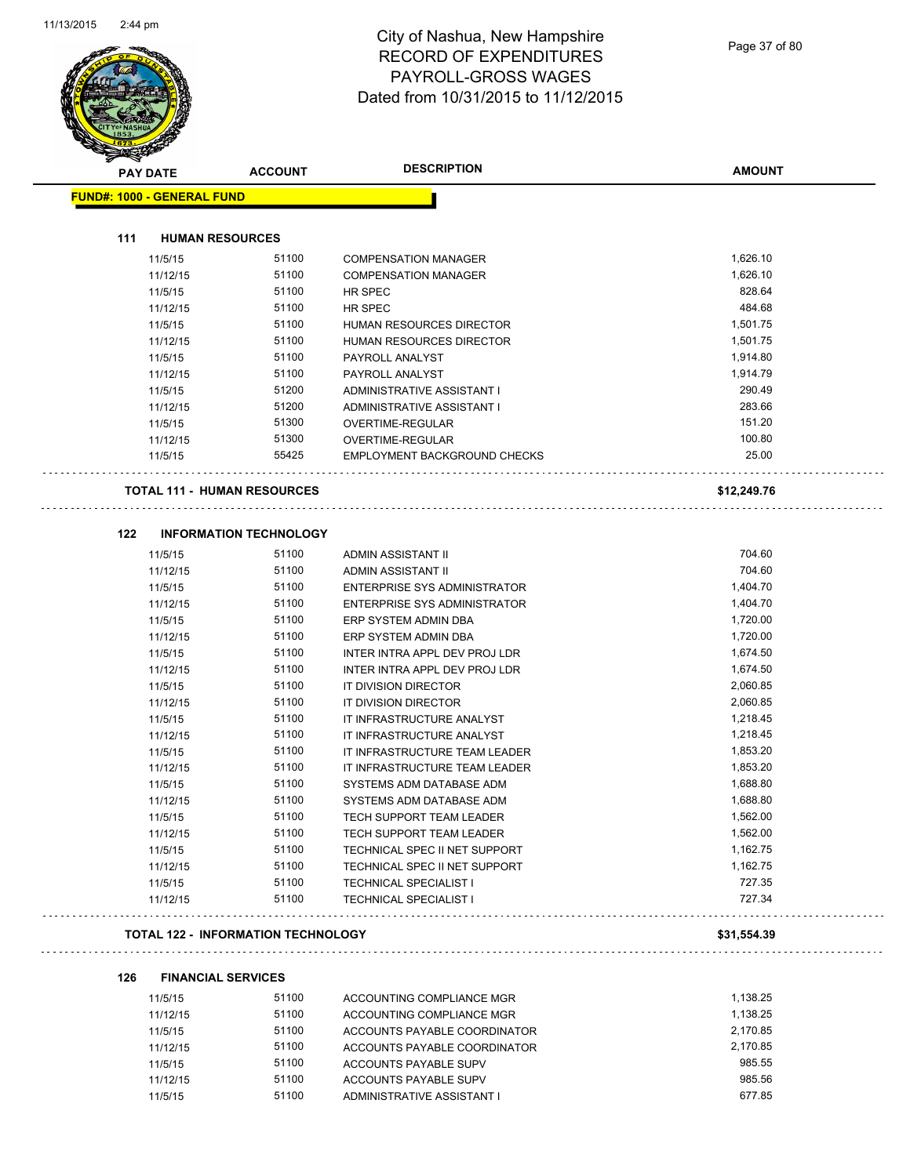$\overline{a}$ 



# City of Nashua, New Hampshire RECORD OF EXPENDITURES PAYROLL-GROSS WAGES Dated from 10/31/2015 to 11/12/2015

| <b>PAY DATE</b>                   | <b>ACCOUNT</b>                            | <b>DESCRIPTION</b>                                       | <b>AMOUNT</b>        |
|-----------------------------------|-------------------------------------------|----------------------------------------------------------|----------------------|
| <b>FUND#: 1000 - GENERAL FUND</b> |                                           |                                                          |                      |
| 111<br><b>HUMAN RESOURCES</b>     |                                           |                                                          |                      |
|                                   |                                           |                                                          |                      |
| 11/5/15                           | 51100<br>51100                            | <b>COMPENSATION MANAGER</b>                              | 1,626.10<br>1,626.10 |
| 11/12/15                          | 51100                                     | <b>COMPENSATION MANAGER</b>                              | 828.64               |
| 11/5/15<br>11/12/15               |                                           | HR SPEC                                                  | 484.68               |
|                                   | 51100<br>51100                            | HR SPEC                                                  | 1,501.75             |
| 11/5/15                           | 51100                                     | HUMAN RESOURCES DIRECTOR                                 |                      |
| 11/12/15                          | 51100                                     | HUMAN RESOURCES DIRECTOR                                 | 1,501.75<br>1,914.80 |
| 11/5/15                           | 51100                                     | PAYROLL ANALYST                                          | 1,914.79             |
| 11/12/15                          | 51200                                     | PAYROLL ANALYST                                          | 290.49               |
| 11/5/15<br>11/12/15               | 51200                                     | ADMINISTRATIVE ASSISTANT I<br>ADMINISTRATIVE ASSISTANT I | 283.66               |
| 11/5/15                           | 51300                                     | OVERTIME-REGULAR                                         | 151.20               |
| 11/12/15                          | 51300                                     |                                                          | 100.80               |
| 11/5/15                           | 55425                                     | OVERTIME-REGULAR<br>EMPLOYMENT BACKGROUND CHECKS         | 25.00                |
|                                   |                                           |                                                          |                      |
| TOTAL 111 - HUMAN RESOURCES       |                                           |                                                          | \$12,249.76          |
| 122                               | <b>INFORMATION TECHNOLOGY</b>             |                                                          |                      |
| 11/5/15                           | 51100                                     |                                                          | 704.60               |
| 11/12/15                          | 51100                                     | ADMIN ASSISTANT II<br>ADMIN ASSISTANT II                 | 704.60               |
| 11/5/15                           | 51100                                     | ENTERPRISE SYS ADMINISTRATOR                             | 1,404.70             |
| 11/12/15                          | 51100                                     | ENTERPRISE SYS ADMINISTRATOR                             | 1,404.70             |
| 11/5/15                           | 51100                                     | ERP SYSTEM ADMIN DBA                                     | 1,720.00             |
| 11/12/15                          | 51100                                     | ERP SYSTEM ADMIN DBA                                     | 1,720.00             |
| 11/5/15                           | 51100                                     | INTER INTRA APPL DEV PROJ LDR                            | 1,674.50             |
| 11/12/15                          | 51100                                     | INTER INTRA APPL DEV PROJ LDR                            | 1,674.50             |
| 11/5/15                           | 51100                                     | IT DIVISION DIRECTOR                                     | 2,060.85             |
| 11/12/15                          | 51100                                     | IT DIVISION DIRECTOR                                     | 2,060.85             |
| 11/5/15                           | 51100                                     | IT INFRASTRUCTURE ANALYST                                | 1,218.45             |
| 11/12/15                          | 51100                                     | IT INFRASTRUCTURE ANALYST                                | 1,218.45             |
| 11/5/15                           | 51100                                     | IT INFRASTRUCTURE TEAM LEADER                            | 1,853.20             |
| 11/12/15                          | 51100                                     | IT INFRASTRUCTURE TEAM LEADER                            | 1,853.20             |
| 11/5/15                           | 51100                                     | SYSTEMS ADM DATABASE ADM                                 | 1,688.80             |
| 11/12/15                          | 51100                                     | SYSTEMS ADM DATABASE ADM                                 | 1,688.80             |
| 11/5/15                           | 51100                                     | TECH SUPPORT TEAM LEADER                                 | 1,562.00             |
| 11/12/15                          | 51100                                     | TECH SUPPORT TEAM LEADER                                 | 1,562.00             |
| 11/5/15                           | 51100                                     | TECHNICAL SPEC II NET SUPPORT                            | 1,162.75             |
| 11/12/15                          | 51100                                     | TECHNICAL SPEC II NET SUPPORT                            | 1,162.75             |
| 11/5/15                           | 51100                                     | <b>TECHNICAL SPECIALIST I</b>                            | 727.35               |
| 11/12/15                          | 51100                                     | <b>TECHNICAL SPECIALIST I</b>                            | 727.34               |
|                                   |                                           |                                                          |                      |
|                                   | <b>TOTAL 122 - INFORMATION TECHNOLOGY</b> |                                                          | \$31,554.39          |

**126 FINANCIAL SERVICES**

| 11/5/15  | 51100 | ACCOUNTING COMPLIANCE MGR    | 1.138.25 |
|----------|-------|------------------------------|----------|
| 11/12/15 | 51100 | ACCOUNTING COMPLIANCE MGR    | 1.138.25 |
| 11/5/15  | 51100 | ACCOUNTS PAYABLE COORDINATOR | 2.170.85 |
| 11/12/15 | 51100 | ACCOUNTS PAYABLE COORDINATOR | 2,170.85 |
| 11/5/15  | 51100 | ACCOUNTS PAYABLE SUPV        | 985.55   |
| 11/12/15 | 51100 | ACCOUNTS PAYABLE SUPV        | 985.56   |
| 11/5/15  | 51100 | ADMINISTRATIVE ASSISTANT I   | 677.85   |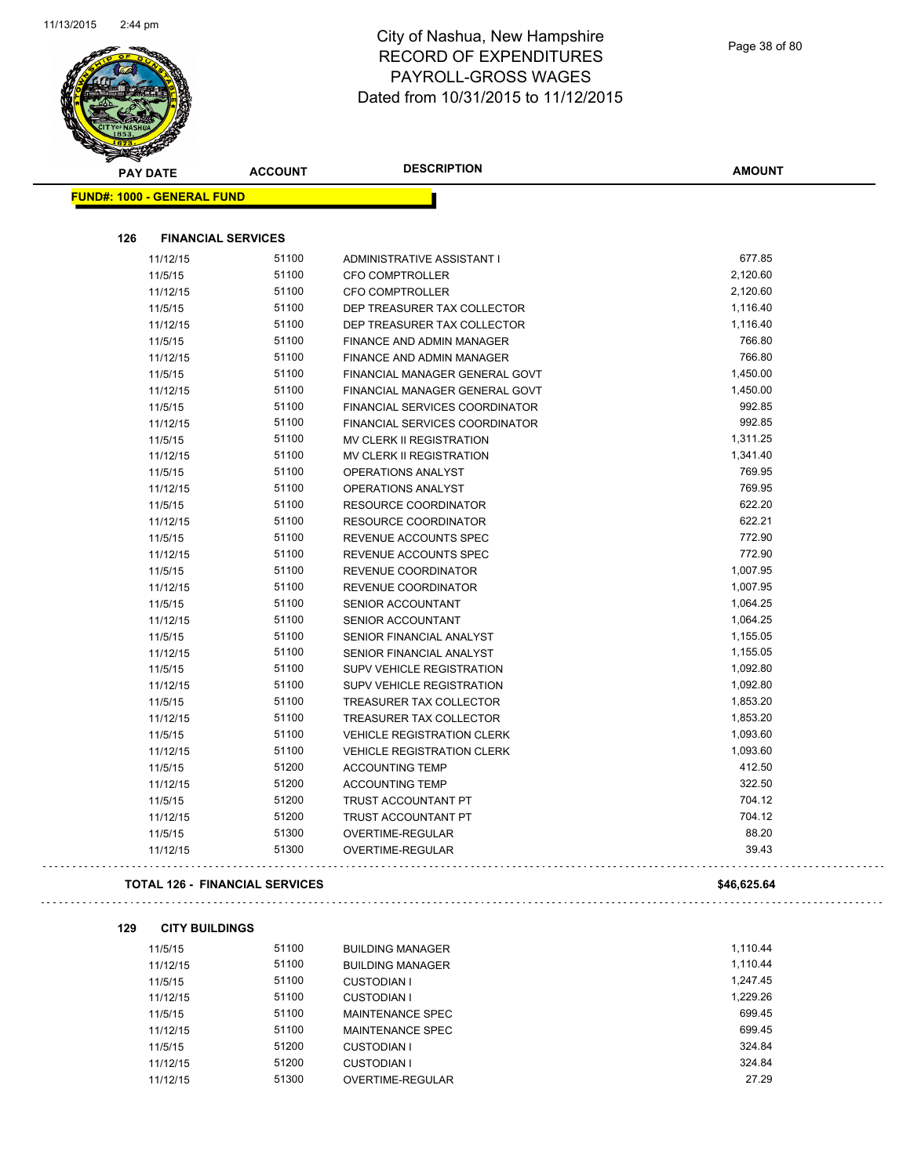

| <b>PAY DATE</b>                   | <b>ACCOUNT</b>                        | <b>DESCRIPTION</b>                                                      | <b>AMOUNT</b>      |
|-----------------------------------|---------------------------------------|-------------------------------------------------------------------------|--------------------|
| <b>FUND#: 1000 - GENERAL FUND</b> |                                       |                                                                         |                    |
|                                   |                                       |                                                                         |                    |
| 126                               | <b>FINANCIAL SERVICES</b>             |                                                                         |                    |
| 11/12/15                          | 51100                                 | ADMINISTRATIVE ASSISTANT I                                              | 677.85             |
| 11/5/15                           | 51100                                 | <b>CFO COMPTROLLER</b>                                                  | 2,120.60           |
| 11/12/15                          | 51100                                 | <b>CFO COMPTROLLER</b>                                                  | 2,120.60           |
| 11/5/15                           | 51100                                 | DEP TREASURER TAX COLLECTOR                                             | 1,116.40           |
| 11/12/15                          | 51100                                 | DEP TREASURER TAX COLLECTOR                                             | 1,116.40           |
| 11/5/15                           | 51100                                 | FINANCE AND ADMIN MANAGER                                               | 766.80             |
| 11/12/15                          | 51100                                 | FINANCE AND ADMIN MANAGER                                               | 766.80             |
| 11/5/15                           | 51100                                 | FINANCIAL MANAGER GENERAL GOVT                                          | 1,450.00           |
| 11/12/15                          | 51100<br>51100                        | FINANCIAL MANAGER GENERAL GOVT                                          | 1,450.00<br>992.85 |
| 11/5/15                           | 51100                                 | FINANCIAL SERVICES COORDINATOR<br><b>FINANCIAL SERVICES COORDINATOR</b> | 992.85             |
| 11/12/15                          | 51100                                 | <b>MV CLERK II REGISTRATION</b>                                         | 1,311.25           |
| 11/5/15<br>11/12/15               | 51100                                 | <b>MV CLERK II REGISTRATION</b>                                         | 1,341.40           |
| 11/5/15                           | 51100                                 | OPERATIONS ANALYST                                                      | 769.95             |
| 11/12/15                          | 51100                                 | <b>OPERATIONS ANALYST</b>                                               | 769.95             |
| 11/5/15                           | 51100                                 | <b>RESOURCE COORDINATOR</b>                                             | 622.20             |
| 11/12/15                          | 51100                                 | RESOURCE COORDINATOR                                                    | 622.21             |
| 11/5/15                           | 51100                                 | REVENUE ACCOUNTS SPEC                                                   | 772.90             |
| 11/12/15                          | 51100                                 | REVENUE ACCOUNTS SPEC                                                   | 772.90             |
| 11/5/15                           | 51100                                 | REVENUE COORDINATOR                                                     | 1,007.95           |
| 11/12/15                          | 51100                                 | REVENUE COORDINATOR                                                     | 1,007.95           |
| 11/5/15                           | 51100                                 | SENIOR ACCOUNTANT                                                       | 1,064.25           |
| 11/12/15                          | 51100                                 | SENIOR ACCOUNTANT                                                       | 1,064.25           |
| 11/5/15                           | 51100                                 | SENIOR FINANCIAL ANALYST                                                | 1,155.05           |
| 11/12/15                          | 51100                                 | SENIOR FINANCIAL ANALYST                                                | 1,155.05           |
| 11/5/15                           | 51100                                 | SUPV VEHICLE REGISTRATION                                               | 1,092.80           |
| 11/12/15                          | 51100                                 | SUPV VEHICLE REGISTRATION                                               | 1,092.80           |
| 11/5/15                           | 51100                                 | TREASURER TAX COLLECTOR                                                 | 1,853.20           |
| 11/12/15                          | 51100                                 | TREASURER TAX COLLECTOR                                                 | 1,853.20           |
| 11/5/15                           | 51100                                 | <b>VEHICLE REGISTRATION CLERK</b>                                       | 1,093.60           |
| 11/12/15                          | 51100                                 | <b>VEHICLE REGISTRATION CLERK</b>                                       | 1,093.60           |
| 11/5/15                           | 51200                                 | <b>ACCOUNTING TEMP</b>                                                  | 412.50             |
| 11/12/15                          | 51200                                 | <b>ACCOUNTING TEMP</b>                                                  | 322.50             |
| 11/5/15                           | 51200                                 | TRUST ACCOUNTANT PT                                                     | 704.12             |
| 11/12/15                          | 51200                                 | TRUST ACCOUNTANT PT                                                     | 704.12             |
| 11/5/15                           | 51300                                 | OVERTIME-REGULAR                                                        | 88.20              |
| 11/12/15                          | 51300                                 | OVERTIME-REGULAR                                                        | 39.43              |
|                                   | <b>TOTAL 126 - FINANCIAL SERVICES</b> |                                                                         | \$46,625.64        |
| 129<br><b>CITY BUILDINGS</b>      |                                       |                                                                         |                    |
| 11/5/15                           | 51100                                 | <b>BUILDING MANAGER</b>                                                 | 1,110.44           |
| 11/12/15                          | 51100                                 | <b>BUILDING MANAGER</b>                                                 | 1,110.44           |
| 11/5/15                           | 51100                                 | <b>CUSTODIAN I</b>                                                      | 1,247.45           |
| 11/12/15                          | 51100                                 | <b>CUSTODIAN I</b>                                                      | 1,229.26           |
| 11/5/15                           | 51100                                 | MAINTENANCE SPEC                                                        | 699.45             |
| 11/12/15                          | 51100                                 | MAINTENANCE SPEC                                                        | 699.45             |
| 11/5/15                           | 51200                                 | <b>CUSTODIAN I</b>                                                      | 324.84             |
| 11/12/15                          | 51200                                 | <b>CUSTODIAN I</b>                                                      | 324.84             |
| 11/12/15                          | 51300                                 | OVERTIME-REGULAR                                                        | 27.29              |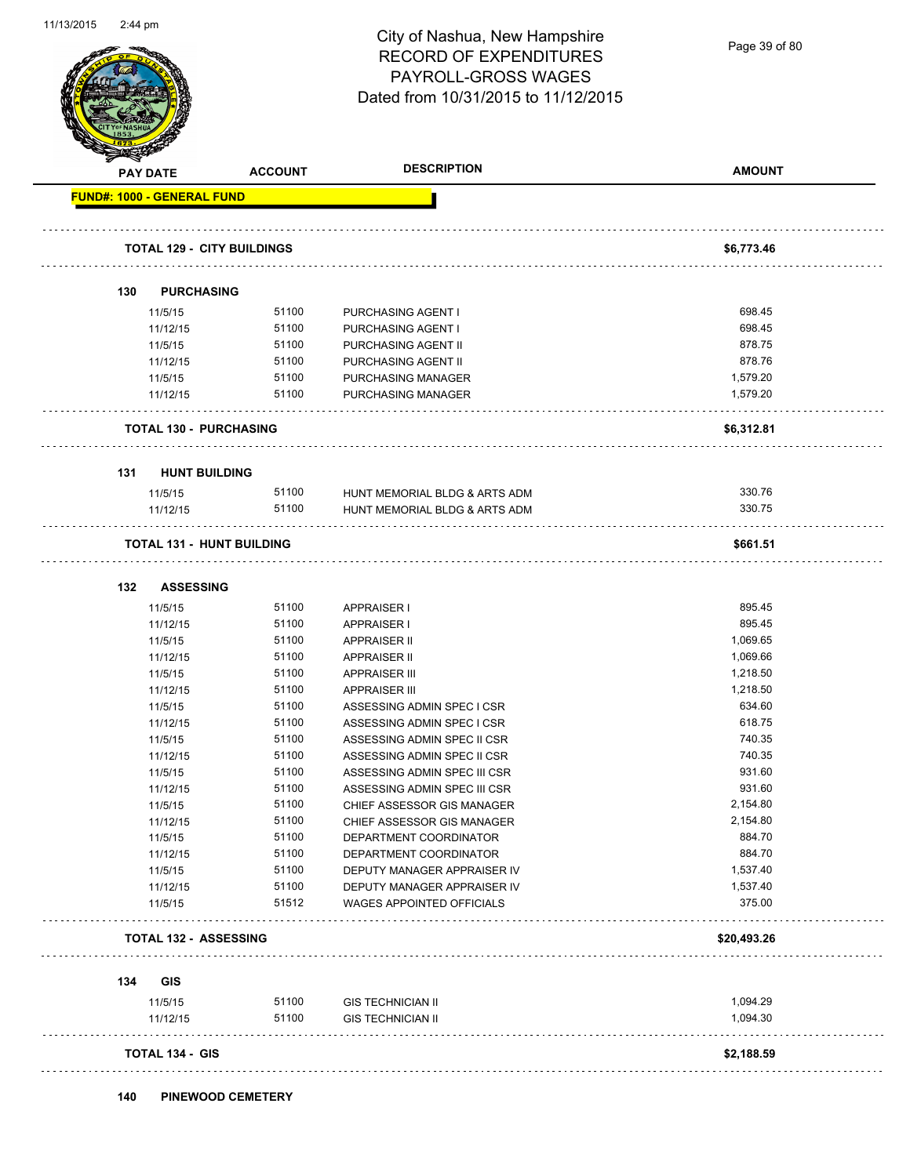Page 39 of 80

| <b>PAY DATE</b>                   |       |                               |             |
|-----------------------------------|-------|-------------------------------|-------------|
| <b>FUND#: 1000 - GENERAL FUND</b> |       |                               |             |
| <b>TOTAL 129 - CITY BUILDINGS</b> |       |                               | \$6,773.46  |
| <b>PURCHASING</b><br>130          |       |                               |             |
| 11/5/15                           | 51100 | PURCHASING AGENT I            | 698.45      |
| 11/12/15                          | 51100 | PURCHASING AGENT I            | 698.45      |
| 11/5/15                           | 51100 | PURCHASING AGENT II           | 878.75      |
| 11/12/15                          | 51100 | PURCHASING AGENT II           | 878.76      |
| 11/5/15                           | 51100 | PURCHASING MANAGER            | 1,579.20    |
| 11/12/15                          | 51100 | PURCHASING MANAGER            | 1,579.20    |
| <b>TOTAL 130 - PURCHASING</b>     |       |                               | \$6,312.81  |
| <b>HUNT BUILDING</b><br>131       |       |                               |             |
| 11/5/15                           | 51100 | HUNT MEMORIAL BLDG & ARTS ADM | 330.76      |
| 11/12/15                          | 51100 | HUNT MEMORIAL BLDG & ARTS ADM | 330.75      |
| <b>TOTAL 131 - HUNT BUILDING</b>  |       |                               | \$661.51    |
| <b>ASSESSING</b><br>132           |       |                               |             |
| 11/5/15                           | 51100 | APPRAISER I                   | 895.45      |
| 11/12/15                          | 51100 | <b>APPRAISER I</b>            | 895.45      |
| 11/5/15                           | 51100 | <b>APPRAISER II</b>           | 1,069.65    |
| 11/12/15                          | 51100 | <b>APPRAISER II</b>           | 1,069.66    |
| 11/5/15                           | 51100 | <b>APPRAISER III</b>          | 1,218.50    |
| 11/12/15                          | 51100 | <b>APPRAISER III</b>          | 1,218.50    |
| 11/5/15                           | 51100 | ASSESSING ADMIN SPEC I CSR    | 634.60      |
| 11/12/15                          | 51100 | ASSESSING ADMIN SPEC I CSR    | 618.75      |
| 11/5/15                           | 51100 | ASSESSING ADMIN SPEC II CSR   | 740.35      |
| 11/12/15                          | 51100 | ASSESSING ADMIN SPEC II CSR   | 740.35      |
| 11/5/15                           | 51100 | ASSESSING ADMIN SPEC III CSR  | 931.60      |
| 11/12/15                          | 51100 | ASSESSING ADMIN SPEC III CSR  | 931.60      |
| 11/5/15                           | 51100 | CHIEF ASSESSOR GIS MANAGER    | 2,154.80    |
| 11/12/15                          | 51100 | CHIEF ASSESSOR GIS MANAGER    | 2,154.80    |
| 11/5/15                           | 51100 | DEPARTMENT COORDINATOR        | 884.70      |
| 11/12/15                          | 51100 | DEPARTMENT COORDINATOR        | 884.70      |
| 11/5/15                           | 51100 | DEPUTY MANAGER APPRAISER IV   | 1,537.40    |
| 11/12/15                          | 51100 | DEPUTY MANAGER APPRAISER IV   | 1,537.40    |
| 11/5/15                           | 51512 | WAGES APPOINTED OFFICIALS     | 375.00      |
| TOTAL 132 - ASSESSING             |       |                               | \$20,493.26 |
| GIS<br>134                        |       |                               |             |
| 11/5/15                           | 51100 | <b>GIS TECHNICIAN II</b>      | 1,094.29    |
| 11/12/15                          | 51100 | <b>GIS TECHNICIAN II</b>      | 1,094.30    |
| <b>TOTAL 134 - GIS</b>            |       |                               | \$2,188.59  |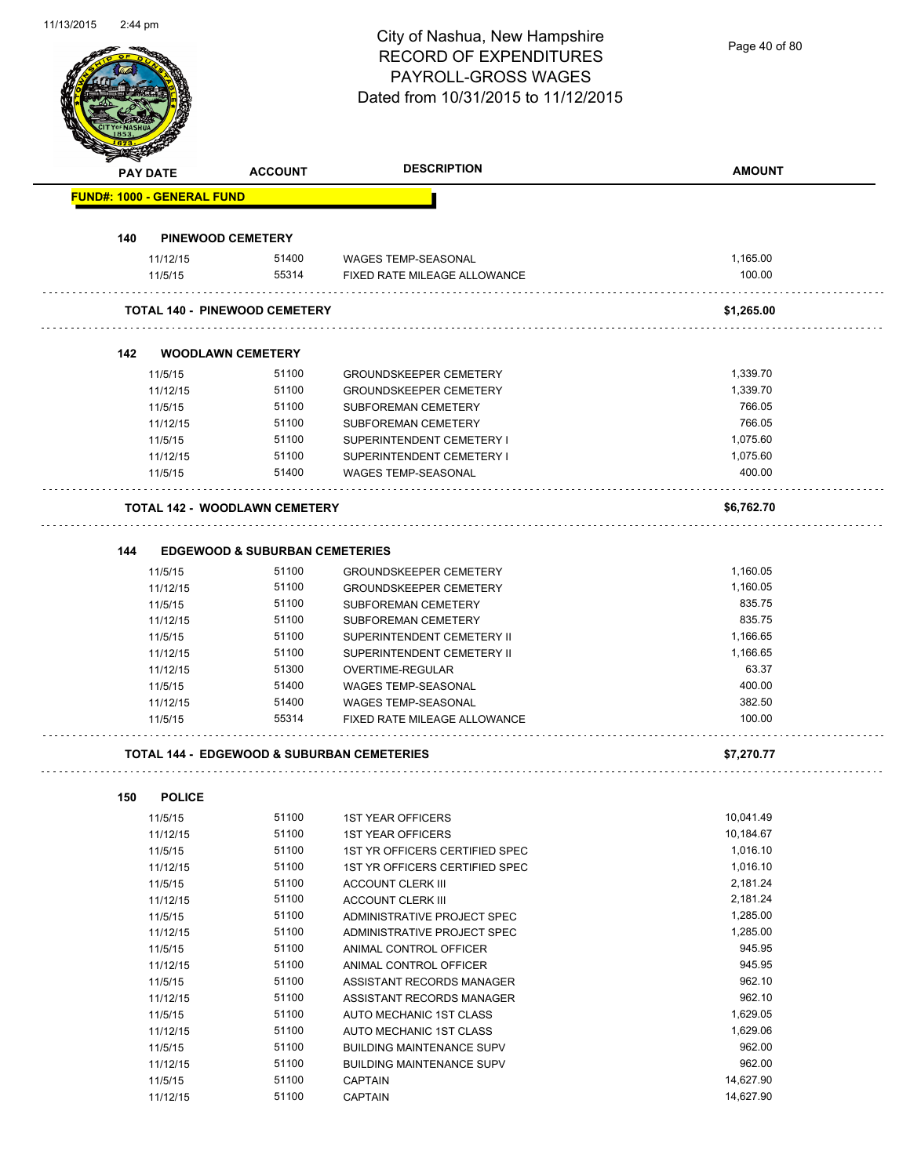|     | <b>PAY DATE</b>                   | <b>ACCOUNT</b>                            | <b>DESCRIPTION</b>                                         | <b>AMOUNT</b>      |
|-----|-----------------------------------|-------------------------------------------|------------------------------------------------------------|--------------------|
|     | <b>FUND#: 1000 - GENERAL FUND</b> |                                           |                                                            |                    |
| 140 |                                   | <b>PINEWOOD CEMETERY</b>                  |                                                            |                    |
|     |                                   | 51400                                     |                                                            | 1,165.00           |
|     | 11/12/15<br>11/5/15               | 55314                                     | <b>WAGES TEMP-SEASONAL</b><br>FIXED RATE MILEAGE ALLOWANCE | 100.00             |
|     |                                   |                                           |                                                            |                    |
|     |                                   | <b>TOTAL 140 - PINEWOOD CEMETERY</b>      |                                                            | \$1,265.00         |
| 142 |                                   | <b>WOODLAWN CEMETERY</b>                  |                                                            |                    |
|     | 11/5/15                           | 51100                                     | <b>GROUNDSKEEPER CEMETERY</b>                              | 1,339.70           |
|     | 11/12/15                          | 51100                                     | <b>GROUNDSKEEPER CEMETERY</b>                              | 1,339.70           |
|     | 11/5/15                           | 51100                                     | <b>SUBFOREMAN CEMETERY</b>                                 | 766.05             |
|     | 11/12/15                          | 51100                                     | <b>SUBFOREMAN CEMETERY</b>                                 | 766.05             |
|     | 11/5/15                           | 51100                                     | SUPERINTENDENT CEMETERY I                                  | 1,075.60           |
|     | 11/12/15                          | 51100                                     | SUPERINTENDENT CEMETERY I                                  | 1,075.60           |
|     | 11/5/15                           | 51400                                     | <b>WAGES TEMP-SEASONAL</b>                                 | 400.00             |
|     |                                   | <b>TOTAL 142 - WOODLAWN CEMETERY</b>      |                                                            | \$6,762.70         |
|     |                                   |                                           |                                                            |                    |
| 144 |                                   | <b>EDGEWOOD &amp; SUBURBAN CEMETERIES</b> |                                                            |                    |
|     | 11/5/15                           | 51100                                     | <b>GROUNDSKEEPER CEMETERY</b>                              | 1,160.05           |
|     | 11/12/15                          | 51100                                     | <b>GROUNDSKEEPER CEMETERY</b>                              | 1,160.05           |
|     | 11/5/15                           | 51100                                     | SUBFOREMAN CEMETERY                                        | 835.75             |
|     | 11/12/15                          | 51100                                     | <b>SUBFOREMAN CEMETERY</b>                                 | 835.75             |
|     | 11/5/15                           | 51100                                     | SUPERINTENDENT CEMETERY II                                 | 1,166.65           |
|     | 11/12/15                          | 51100                                     | SUPERINTENDENT CEMETERY II                                 | 1,166.65           |
|     | 11/12/15                          | 51300                                     | OVERTIME-REGULAR                                           | 63.37              |
|     | 11/5/15                           | 51400                                     | <b>WAGES TEMP-SEASONAL</b>                                 | 400.00             |
|     | 11/12/15                          | 51400                                     | WAGES TEMP-SEASONAL                                        | 382.50             |
|     | 11/5/15                           | 55314                                     | FIXED RATE MILEAGE ALLOWANCE                               | 100.00             |
|     |                                   |                                           | <b>TOTAL 144 - EDGEWOOD &amp; SUBURBAN CEMETERIES</b>      | \$7,270.77         |
|     |                                   |                                           |                                                            |                    |
| 150 | <b>POLICE</b>                     | 51100                                     |                                                            | 10,041.49          |
|     | 11/5/15                           | 51100                                     | <b>1ST YEAR OFFICERS</b>                                   | 10,184.67          |
|     | 11/12/15                          | 51100                                     | <b>1ST YEAR OFFICERS</b>                                   |                    |
|     | 11/5/15                           |                                           | 1ST YR OFFICERS CERTIFIED SPEC                             | 1,016.10           |
|     | 11/12/15                          | 51100                                     | 1ST YR OFFICERS CERTIFIED SPEC                             | 1,016.10           |
|     | 11/5/15                           | 51100                                     | <b>ACCOUNT CLERK III</b>                                   | 2,181.24           |
|     | 11/12/15                          | 51100                                     | <b>ACCOUNT CLERK III</b>                                   | 2,181.24           |
|     | 11/5/15                           | 51100                                     | ADMINISTRATIVE PROJECT SPEC                                | 1,285.00           |
|     | 11/12/15                          | 51100                                     | ADMINISTRATIVE PROJECT SPEC                                | 1,285.00           |
|     | 11/5/15                           | 51100                                     | ANIMAL CONTROL OFFICER                                     | 945.95             |
|     | 11/12/15                          | 51100                                     | ANIMAL CONTROL OFFICER                                     | 945.95             |
|     | 11/5/15                           | 51100                                     | ASSISTANT RECORDS MANAGER                                  | 962.10             |
|     | 11/12/15                          | 51100                                     | ASSISTANT RECORDS MANAGER                                  | 962.10             |
|     | 11/5/15                           | 51100                                     | AUTO MECHANIC 1ST CLASS                                    | 1,629.05           |
|     | 11/12/15                          | 51100<br>51100                            | AUTO MECHANIC 1ST CLASS                                    | 1,629.06<br>962.00 |
|     | 11/5/15                           |                                           | <b>BUILDING MAINTENANCE SUPV</b>                           |                    |

11/12/15 51100 BUILDING MAINTENANCE SUPV 962.00 11/5/15 51100 CAPTAIN 14,627.90 11/12/15 51100 CAPTAIN 5 20 14,627.90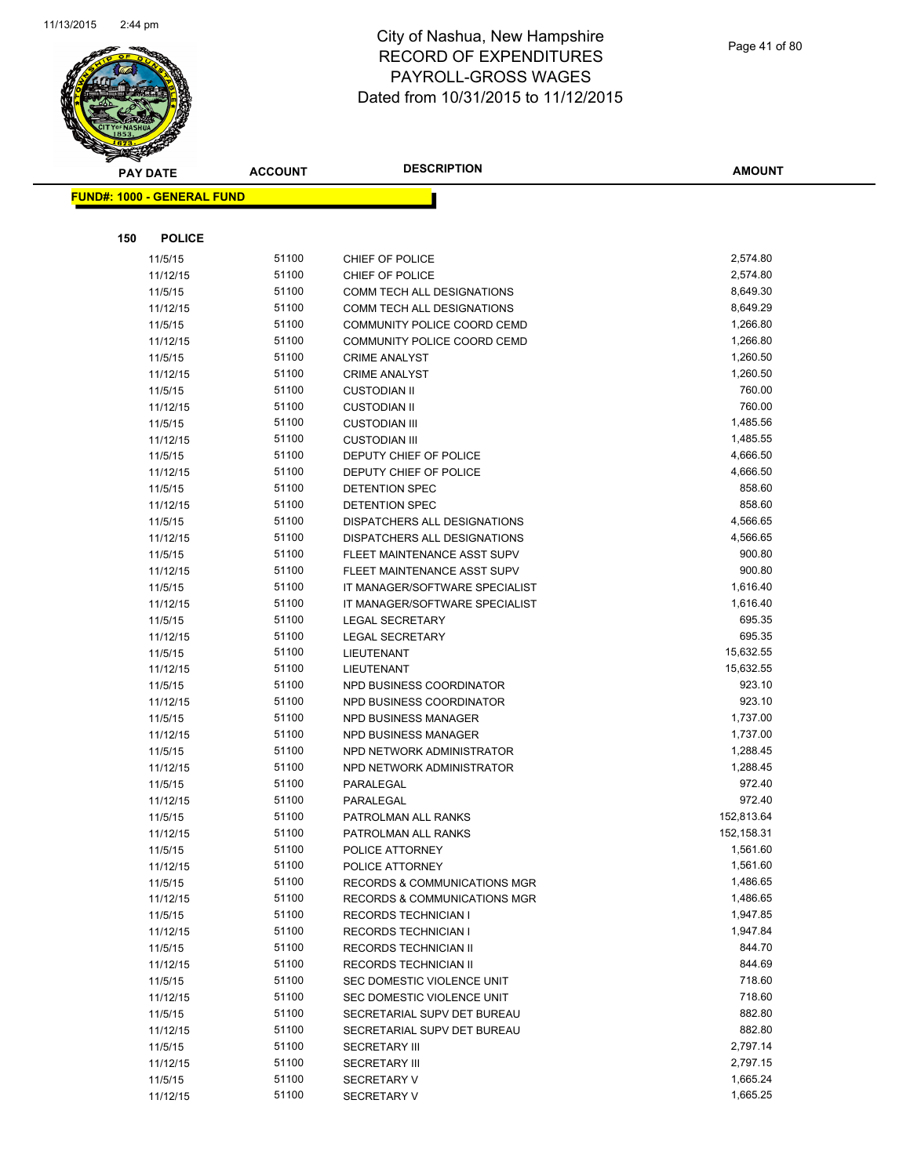

|     | <b>PAY DATE</b>                   | <b>ACCOUNT</b> | <b>DESCRIPTION</b>             | <b>AMOUNT</b> |
|-----|-----------------------------------|----------------|--------------------------------|---------------|
|     | <b>FUND#: 1000 - GENERAL FUND</b> |                |                                |               |
|     |                                   |                |                                |               |
| 150 | <b>POLICE</b>                     |                |                                |               |
|     | 11/5/15                           | 51100          | CHIEF OF POLICE                | 2,574.80      |
|     | 11/12/15                          | 51100          | CHIEF OF POLICE                | 2,574.80      |
|     | 11/5/15                           | 51100          | COMM TECH ALL DESIGNATIONS     | 8,649.30      |
|     | 11/12/15                          | 51100          | COMM TECH ALL DESIGNATIONS     | 8,649.29      |
|     | 11/5/15                           | 51100          | COMMUNITY POLICE COORD CEMD    | 1,266.80      |
|     | 11/12/15                          | 51100          | COMMUNITY POLICE COORD CEMD    | 1,266.80      |
|     | 11/5/15                           | 51100          | <b>CRIME ANALYST</b>           | 1,260.50      |
|     | 11/12/15                          | 51100          | <b>CRIME ANALYST</b>           | 1,260.50      |
|     | 11/5/15                           | 51100          | <b>CUSTODIAN II</b>            | 760.00        |
|     | 11/12/15                          | 51100          | <b>CUSTODIAN II</b>            | 760.00        |
|     | 11/5/15                           | 51100          | <b>CUSTODIAN III</b>           | 1,485.56      |
|     | 11/12/15                          | 51100          | <b>CUSTODIAN III</b>           | 1,485.55      |
|     | 11/5/15                           | 51100          | DEPUTY CHIEF OF POLICE         | 4,666.50      |
|     | 11/12/15                          | 51100          | DEPUTY CHIEF OF POLICE         | 4,666.50      |
|     | 11/5/15                           | 51100          | <b>DETENTION SPEC</b>          | 858.60        |
|     | 11/12/15                          | 51100          | <b>DETENTION SPEC</b>          | 858.60        |
|     | 11/5/15                           | 51100          | DISPATCHERS ALL DESIGNATIONS   | 4,566.65      |
|     | 11/12/15                          | 51100          | DISPATCHERS ALL DESIGNATIONS   | 4,566.65      |
|     | 11/5/15                           | 51100          | FLEET MAINTENANCE ASST SUPV    | 900.80        |
|     | 11/12/15                          | 51100          | FLEET MAINTENANCE ASST SUPV    | 900.80        |
|     | 11/5/15                           | 51100          | IT MANAGER/SOFTWARE SPECIALIST | 1,616.40      |
|     | 11/12/15                          | 51100          | IT MANAGER/SOFTWARE SPECIALIST | 1,616.40      |
|     | 11/5/15                           | 51100          | <b>LEGAL SECRETARY</b>         | 695.35        |
|     | 11/12/15                          | 51100          | <b>LEGAL SECRETARY</b>         | 695.35        |
|     | 11/5/15                           | 51100          | LIEUTENANT                     | 15,632.55     |
|     | 11/12/15                          | 51100          | LIEUTENANT                     | 15,632.55     |
|     | 11/5/15                           | 51100          | NPD BUSINESS COORDINATOR       | 923.10        |
|     | 11/12/15                          | 51100          | NPD BUSINESS COORDINATOR       | 923.10        |
|     | 11/5/15                           | 51100          | NPD BUSINESS MANAGER           | 1,737.00      |
|     | 11/12/15                          | 51100          | NPD BUSINESS MANAGER           | 1,737.00      |
|     | 11/5/15                           | 51100          | NPD NETWORK ADMINISTRATOR      | 1,288.45      |
|     | 11/12/15                          | 51100          | NPD NETWORK ADMINISTRATOR      | 1,288.45      |
|     | 11/5/15                           | 51100          | PARALEGAL                      | 972.40        |
|     | 11/12/15                          | 51100          | PARALEGAL                      | 972.40        |
|     | 11/5/15                           | 51100          | PATROLMAN ALL RANKS            | 152,813.64    |
|     | 11/12/15                          | 51100          | PATROLMAN ALL RANKS            | 152,158.31    |
|     | 11/5/15                           | 51100          | POLICE ATTORNEY                | 1,561.60      |
|     | 11/12/15                          | 51100          | POLICE ATTORNEY                | 1,561.60      |
|     | 11/5/15                           | 51100          | RECORDS & COMMUNICATIONS MGR   | 1,486.65      |
|     | 11/12/15                          | 51100          | RECORDS & COMMUNICATIONS MGR   | 1,486.65      |
|     | 11/5/15                           | 51100          | RECORDS TECHNICIAN I           | 1,947.85      |
|     | 11/12/15                          | 51100          | <b>RECORDS TECHNICIAN I</b>    | 1,947.84      |
|     | 11/5/15                           | 51100          | RECORDS TECHNICIAN II          | 844.70        |
|     | 11/12/15                          | 51100          | RECORDS TECHNICIAN II          | 844.69        |
|     | 11/5/15                           | 51100          | SEC DOMESTIC VIOLENCE UNIT     | 718.60        |
|     | 11/12/15                          | 51100          | SEC DOMESTIC VIOLENCE UNIT     | 718.60        |
|     | 11/5/15                           | 51100          | SECRETARIAL SUPV DET BUREAU    | 882.80        |
|     | 11/12/15                          | 51100          | SECRETARIAL SUPV DET BUREAU    | 882.80        |
|     | 11/5/15                           | 51100          | <b>SECRETARY III</b>           | 2,797.14      |
|     | 11/12/15                          | 51100          | <b>SECRETARY III</b>           | 2,797.15      |
|     | 11/5/15                           | 51100          | <b>SECRETARY V</b>             | 1,665.24      |
|     | 11/12/15                          | 51100          | <b>SECRETARY V</b>             | 1,665.25      |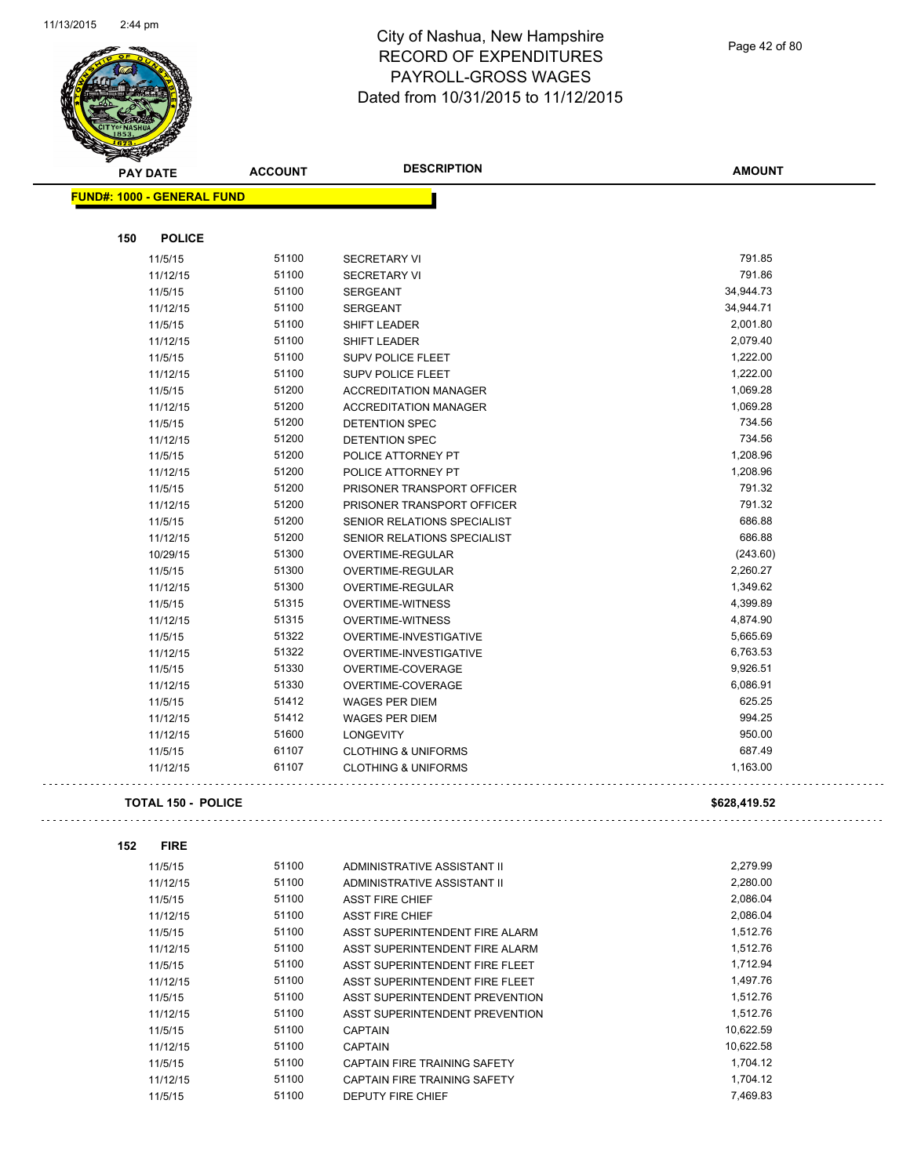

Page 42 of 80

 $\bar{\mathbb{Z}}$  .

| $\tilde{\phantom{a}}$ | <b>PAY DATE</b>                   | <b>ACCOUNT</b> | <b>DESCRIPTION</b>             | <b>AMOUNT</b> |
|-----------------------|-----------------------------------|----------------|--------------------------------|---------------|
|                       | <b>FUND#: 1000 - GENERAL FUND</b> |                |                                |               |
|                       |                                   |                |                                |               |
| 150                   | <b>POLICE</b>                     |                |                                |               |
|                       | 11/5/15                           | 51100          | <b>SECRETARY VI</b>            | 791.85        |
|                       | 11/12/15                          | 51100          | <b>SECRETARY VI</b>            | 791.86        |
|                       | 11/5/15                           | 51100          | <b>SERGEANT</b>                | 34,944.73     |
|                       | 11/12/15                          | 51100          | <b>SERGEANT</b>                | 34,944.71     |
|                       | 11/5/15                           | 51100          | <b>SHIFT LEADER</b>            | 2,001.80      |
|                       | 11/12/15                          | 51100          | SHIFT LEADER                   | 2,079.40      |
|                       | 11/5/15                           | 51100          | <b>SUPV POLICE FLEET</b>       | 1,222.00      |
|                       | 11/12/15                          | 51100          | <b>SUPV POLICE FLEET</b>       | 1,222.00      |
|                       | 11/5/15                           | 51200          | <b>ACCREDITATION MANAGER</b>   | 1,069.28      |
|                       | 11/12/15                          | 51200          | <b>ACCREDITATION MANAGER</b>   | 1,069.28      |
|                       | 11/5/15                           | 51200          | DETENTION SPEC                 | 734.56        |
|                       | 11/12/15                          | 51200          | <b>DETENTION SPEC</b>          | 734.56        |
|                       | 11/5/15                           | 51200          | POLICE ATTORNEY PT             | 1,208.96      |
|                       | 11/12/15                          | 51200          | POLICE ATTORNEY PT             | 1,208.96      |
|                       | 11/5/15                           | 51200          | PRISONER TRANSPORT OFFICER     | 791.32        |
|                       | 11/12/15                          | 51200          | PRISONER TRANSPORT OFFICER     | 791.32        |
|                       | 11/5/15                           | 51200          | SENIOR RELATIONS SPECIALIST    | 686.88        |
|                       | 11/12/15                          | 51200          | SENIOR RELATIONS SPECIALIST    | 686.88        |
|                       | 10/29/15                          | 51300          | OVERTIME-REGULAR               | (243.60)      |
|                       | 11/5/15                           | 51300          | OVERTIME-REGULAR               | 2,260.27      |
|                       | 11/12/15                          | 51300          | OVERTIME-REGULAR               | 1,349.62      |
|                       | 11/5/15                           | 51315          | <b>OVERTIME-WITNESS</b>        | 4,399.89      |
|                       | 11/12/15                          | 51315          | <b>OVERTIME-WITNESS</b>        | 4,874.90      |
|                       | 11/5/15                           | 51322          | OVERTIME-INVESTIGATIVE         | 5,665.69      |
|                       | 11/12/15                          | 51322          | OVERTIME-INVESTIGATIVE         | 6,763.53      |
|                       | 11/5/15                           | 51330          | OVERTIME-COVERAGE              | 9,926.51      |
|                       | 11/12/15                          | 51330          | OVERTIME-COVERAGE              | 6,086.91      |
|                       | 11/5/15                           | 51412          | <b>WAGES PER DIEM</b>          | 625.25        |
|                       | 11/12/15                          | 51412          | <b>WAGES PER DIEM</b>          | 994.25        |
|                       | 11/12/15                          | 51600          | <b>LONGEVITY</b>               | 950.00        |
|                       | 11/5/15                           | 61107          | <b>CLOTHING &amp; UNIFORMS</b> | 687.49        |
|                       | 11/12/15                          | 61107          | <b>CLOTHING &amp; UNIFORMS</b> | 1,163.00      |
|                       | <b>TOTAL 150 - POLICE</b>         |                |                                | \$628,419.52  |
| 152                   | <b>FIRE</b>                       |                |                                |               |
|                       | 11/5/15                           | 51100          | ADMINISTRATIVE ASSISTANT II    | 2,279.99      |
|                       | 11/12/15                          | 51100          | ADMINISTRATIVE ASSISTANT II    | 2,280.00      |
|                       | 11/5/15                           | 51100          | <b>ASST FIRE CHIEF</b>         | 2,086.04      |
|                       | 11/12/15                          | 51100          | <b>ASST FIRE CHIEF</b>         | 2,086.04      |
|                       | 11/5/15                           | 51100          | ASST SUPERINTENDENT FIRE ALARM | 1,512.76      |
|                       | 11/12/15                          | 51100          | ASST SUPERINTENDENT FIRE ALARM | 1,512.76      |
|                       | 11/5/15                           | 51100          | ASST SUPERINTENDENT FIRE FLEET | 1,712.94      |
|                       | 11/12/15                          | 51100          | ASST SUPERINTENDENT FIRE FLEET | 1,497.76      |
|                       | 11/5/15                           | 51100          | ASST SUPERINTENDENT PREVENTION | 1,512.76      |
|                       | 11/12/15                          | 51100          | ASST SUPERINTENDENT PREVENTION | 1,512.76      |
|                       | 11/5/15                           | 51100          | <b>CAPTAIN</b>                 | 10,622.59     |
|                       | 11/12/15                          | 51100          | <b>CAPTAIN</b>                 | 10,622.58     |
|                       | 11/5/15                           | 51100          | CAPTAIN FIRE TRAINING SAFETY   | 1,704.12      |
|                       | 11/12/15                          | 51100          | CAPTAIN FIRE TRAINING SAFETY   | 1,704.12      |
|                       | 11/5/15                           | 51100          | DEPUTY FIRE CHIEF              | 7,469.83      |
|                       |                                   |                |                                |               |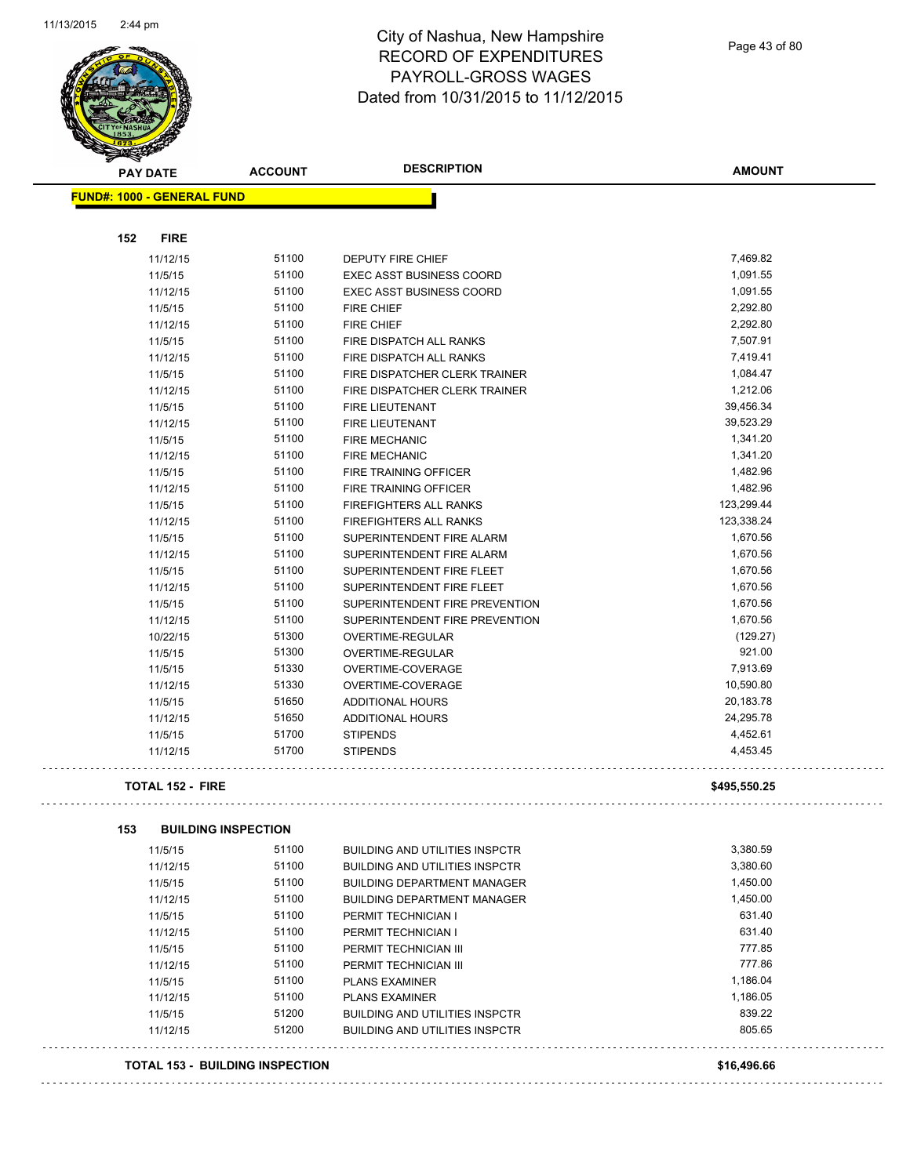

| $\mathscr{D} \curvearrowright$<br><b>PAY DATE</b> | <b>ACCOUNT</b> | <b>DESCRIPTION</b>                    | <b>AMOUNT</b> |
|---------------------------------------------------|----------------|---------------------------------------|---------------|
| <b>FUND#: 1000 - GENERAL FUND</b>                 |                |                                       |               |
|                                                   |                |                                       |               |
| 152<br><b>FIRE</b>                                |                |                                       |               |
| 11/12/15                                          | 51100          | <b>DEPUTY FIRE CHIEF</b>              | 7,469.82      |
| 11/5/15                                           | 51100          | <b>EXEC ASST BUSINESS COORD</b>       | 1,091.55      |
| 11/12/15                                          | 51100          | <b>EXEC ASST BUSINESS COORD</b>       | 1,091.55      |
| 11/5/15                                           | 51100          | <b>FIRE CHIEF</b>                     | 2,292.80      |
| 11/12/15                                          | 51100          | <b>FIRE CHIEF</b>                     | 2,292.80      |
| 11/5/15                                           | 51100          | FIRE DISPATCH ALL RANKS               | 7,507.91      |
| 11/12/15                                          | 51100          | FIRE DISPATCH ALL RANKS               | 7,419.41      |
| 11/5/15                                           | 51100          | FIRE DISPATCHER CLERK TRAINER         | 1,084.47      |
| 11/12/15                                          | 51100          | FIRE DISPATCHER CLERK TRAINER         | 1,212.06      |
| 11/5/15                                           | 51100          | <b>FIRE LIEUTENANT</b>                | 39,456.34     |
| 11/12/15                                          | 51100          | <b>FIRE LIEUTENANT</b>                | 39,523.29     |
| 11/5/15                                           | 51100          | <b>FIRE MECHANIC</b>                  | 1,341.20      |
| 11/12/15                                          | 51100          | <b>FIRE MECHANIC</b>                  | 1,341.20      |
| 11/5/15                                           | 51100          | FIRE TRAINING OFFICER                 | 1,482.96      |
| 11/12/15                                          | 51100          | FIRE TRAINING OFFICER                 | 1,482.96      |
| 11/5/15                                           | 51100          | <b>FIREFIGHTERS ALL RANKS</b>         | 123,299.44    |
| 11/12/15                                          | 51100          | <b>FIREFIGHTERS ALL RANKS</b>         | 123,338.24    |
| 11/5/15                                           | 51100          | SUPERINTENDENT FIRE ALARM             | 1,670.56      |
| 11/12/15                                          | 51100          | SUPERINTENDENT FIRE ALARM             | 1,670.56      |
| 11/5/15                                           | 51100          | SUPERINTENDENT FIRE FLEET             | 1,670.56      |
| 11/12/15                                          | 51100          | SUPERINTENDENT FIRE FLEET             | 1,670.56      |
| 11/5/15                                           | 51100          | SUPERINTENDENT FIRE PREVENTION        | 1,670.56      |
| 11/12/15                                          | 51100          | SUPERINTENDENT FIRE PREVENTION        | 1,670.56      |
| 10/22/15                                          | 51300          | OVERTIME-REGULAR                      | (129.27)      |
| 11/5/15                                           | 51300          | OVERTIME-REGULAR                      | 921.00        |
| 11/5/15                                           | 51330          | OVERTIME-COVERAGE                     | 7,913.69      |
| 11/12/15                                          | 51330          | OVERTIME-COVERAGE                     | 10,590.80     |
| 11/5/15                                           | 51650          | <b>ADDITIONAL HOURS</b>               | 20,183.78     |
| 11/12/15                                          | 51650          | ADDITIONAL HOURS                      | 24,295.78     |
| 11/5/15                                           | 51700          | <b>STIPENDS</b>                       | 4,452.61      |
| 11/12/15                                          | 51700          | <b>STIPENDS</b>                       | 4,453.45      |
| <b>TOTAL 152 - FIRE</b>                           |                |                                       | \$495,550.25  |
|                                                   |                |                                       |               |
| 153<br><b>BUILDING INSPECTION</b>                 |                |                                       |               |
| 11/5/15                                           | 51100          | <b>BUILDING AND UTILITIES INSPCTR</b> | 3,380.59      |
| 11/12/15                                          | 51100          | <b>BUILDING AND UTILITIES INSPCTR</b> | 3,380.60      |
| 11/5/15                                           | 51100          | <b>BUILDING DEPARTMENT MANAGER</b>    | 1,450.00      |
| 11/12/15                                          | 51100          | <b>BUILDING DEPARTMENT MANAGER</b>    | 1,450.00      |
| 11/5/15                                           | 51100          | PERMIT TECHNICIAN I                   | 631.40        |
| 11/12/15                                          | 51100          | PERMIT TECHNICIAN I                   | 631.40        |
| 11/5/15                                           | 51100          | PERMIT TECHNICIAN III                 | 777.85        |
| 11/12/15                                          | 51100          | PERMIT TECHNICIAN III                 | 777.86        |
| 11/5/15                                           | 51100          | <b>PLANS EXAMINER</b>                 | 1,186.04      |
| 11/12/15                                          | 51100          | <b>PLANS EXAMINER</b>                 | 1,186.05      |
| 11/5/15                                           | 51200          | <b>BUILDING AND UTILITIES INSPCTR</b> | 839.22        |
| 11/12/15                                          | 51200          | <b>BUILDING AND UTILITIES INSPCTR</b> | 805.65        |
| <b>TOTAL 153 - BUILDING INSPECTION</b>            |                |                                       | \$16,496.66   |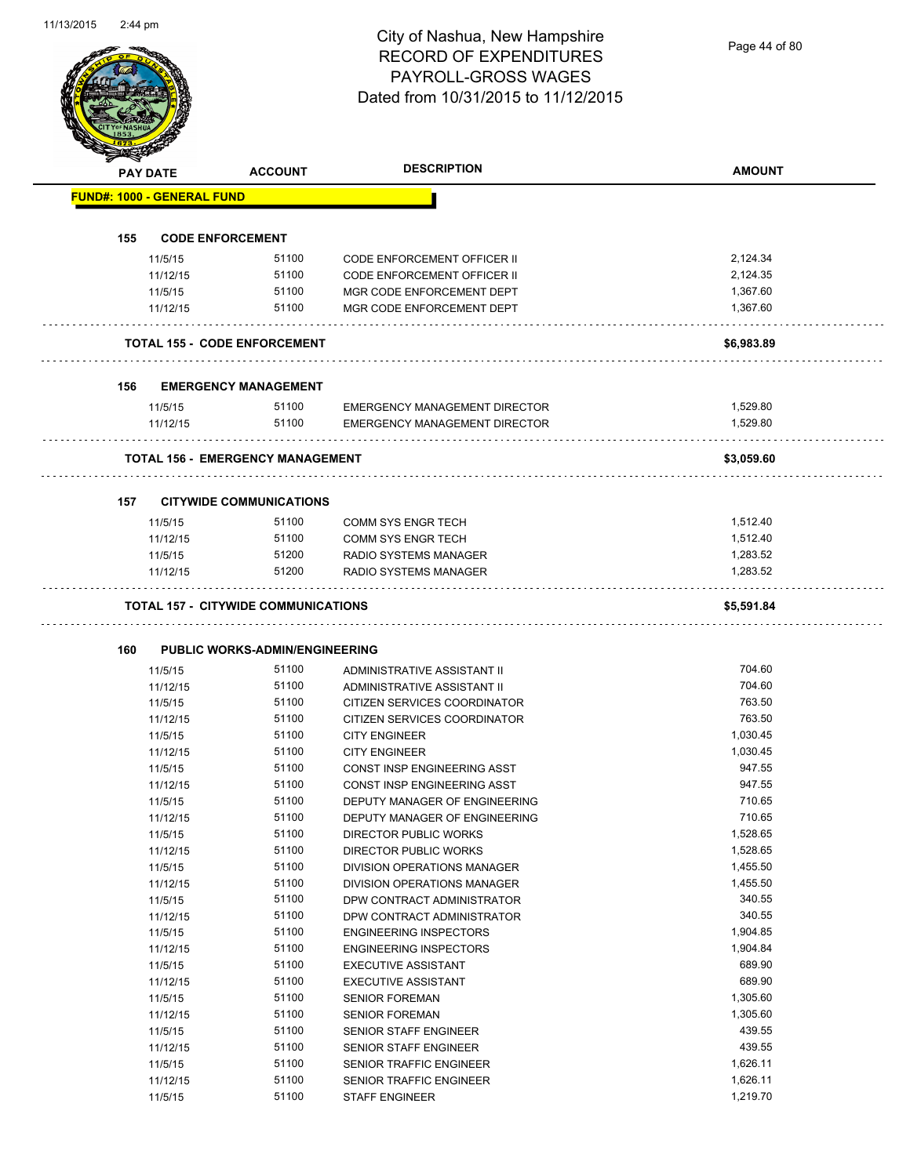Page 44 of 80

| <b>FUND#: 1000 - GENERAL FUND</b><br><b>CODE ENFORCEMENT</b><br>155<br>11/5/15<br>11/12/15<br>11/5/15<br>11/12/15<br><b>TOTAL 155 - CODE ENFORCEMENT</b><br>156<br><b>EMERGENCY MANAGEMENT</b><br>11/5/15<br>11/12/15<br><b>TOTAL 156 - EMERGENCY MANAGEMENT</b><br><b>CITYWIDE COMMUNICATIONS</b><br>157 —<br>11/5/15<br>11/12/15<br>11/5/15<br>11/12/15<br><b>TOTAL 157 - CITYWIDE COMMUNICATIONS</b><br>160<br><b>PUBLIC WORKS-ADMIN/ENGINEERING</b><br>11/5/15<br>11/12/15<br>11/5/15<br>11/12/15<br>11/5/15<br>11/12/15<br>11/5/15<br>11/12/15<br>11/5/15<br>11/12/15<br>11/5/15<br>11/12/15<br>11/5/15<br>11/12/15<br>11/5/15<br>11/12/15<br>11/5/15<br>11/12/15<br>11/5/15<br>11/12/15<br>11/5/15<br>11/12/15 | 51100<br>51100<br>51100<br>51100 | <b>CODE ENFORCEMENT OFFICER II</b><br><b>CODE ENFORCEMENT OFFICER II</b><br>MGR CODE ENFORCEMENT DEPT | 2,124.34<br>2,124.35 |
|----------------------------------------------------------------------------------------------------------------------------------------------------------------------------------------------------------------------------------------------------------------------------------------------------------------------------------------------------------------------------------------------------------------------------------------------------------------------------------------------------------------------------------------------------------------------------------------------------------------------------------------------------------------------------------------------------------------------|----------------------------------|-------------------------------------------------------------------------------------------------------|----------------------|
|                                                                                                                                                                                                                                                                                                                                                                                                                                                                                                                                                                                                                                                                                                                      |                                  |                                                                                                       |                      |
|                                                                                                                                                                                                                                                                                                                                                                                                                                                                                                                                                                                                                                                                                                                      |                                  |                                                                                                       |                      |
|                                                                                                                                                                                                                                                                                                                                                                                                                                                                                                                                                                                                                                                                                                                      |                                  |                                                                                                       |                      |
|                                                                                                                                                                                                                                                                                                                                                                                                                                                                                                                                                                                                                                                                                                                      |                                  |                                                                                                       |                      |
|                                                                                                                                                                                                                                                                                                                                                                                                                                                                                                                                                                                                                                                                                                                      |                                  |                                                                                                       | 1,367.60             |
|                                                                                                                                                                                                                                                                                                                                                                                                                                                                                                                                                                                                                                                                                                                      |                                  | MGR CODE ENFORCEMENT DEPT                                                                             | 1,367.60             |
|                                                                                                                                                                                                                                                                                                                                                                                                                                                                                                                                                                                                                                                                                                                      |                                  |                                                                                                       | \$6,983.89           |
|                                                                                                                                                                                                                                                                                                                                                                                                                                                                                                                                                                                                                                                                                                                      |                                  |                                                                                                       |                      |
|                                                                                                                                                                                                                                                                                                                                                                                                                                                                                                                                                                                                                                                                                                                      | 51100                            | <b>EMERGENCY MANAGEMENT DIRECTOR</b>                                                                  | 1,529.80             |
|                                                                                                                                                                                                                                                                                                                                                                                                                                                                                                                                                                                                                                                                                                                      | 51100                            | EMERGENCY MANAGEMENT DIRECTOR                                                                         | 1.529.80             |
|                                                                                                                                                                                                                                                                                                                                                                                                                                                                                                                                                                                                                                                                                                                      |                                  |                                                                                                       | \$3.059.60           |
|                                                                                                                                                                                                                                                                                                                                                                                                                                                                                                                                                                                                                                                                                                                      |                                  |                                                                                                       |                      |
|                                                                                                                                                                                                                                                                                                                                                                                                                                                                                                                                                                                                                                                                                                                      | 51100                            | COMM SYS ENGR TECH                                                                                    | 1,512.40             |
|                                                                                                                                                                                                                                                                                                                                                                                                                                                                                                                                                                                                                                                                                                                      | 51100                            | <b>COMM SYS ENGR TECH</b>                                                                             | 1,512.40             |
|                                                                                                                                                                                                                                                                                                                                                                                                                                                                                                                                                                                                                                                                                                                      | 51200                            | RADIO SYSTEMS MANAGER                                                                                 | 1,283.52             |
|                                                                                                                                                                                                                                                                                                                                                                                                                                                                                                                                                                                                                                                                                                                      | 51200                            | RADIO SYSTEMS MANAGER                                                                                 | 1,283.52             |
|                                                                                                                                                                                                                                                                                                                                                                                                                                                                                                                                                                                                                                                                                                                      |                                  |                                                                                                       |                      |
|                                                                                                                                                                                                                                                                                                                                                                                                                                                                                                                                                                                                                                                                                                                      | 51100                            | ADMINISTRATIVE ASSISTANT II                                                                           | 704.60               |
|                                                                                                                                                                                                                                                                                                                                                                                                                                                                                                                                                                                                                                                                                                                      | 51100                            | ADMINISTRATIVE ASSISTANT II                                                                           | 704.60               |
|                                                                                                                                                                                                                                                                                                                                                                                                                                                                                                                                                                                                                                                                                                                      | 51100<br>51100                   | CITIZEN SERVICES COORDINATOR                                                                          | 763.50<br>763.50     |
|                                                                                                                                                                                                                                                                                                                                                                                                                                                                                                                                                                                                                                                                                                                      | 51100                            | CITIZEN SERVICES COORDINATOR<br><b>CITY ENGINEER</b>                                                  | 1,030.45             |
|                                                                                                                                                                                                                                                                                                                                                                                                                                                                                                                                                                                                                                                                                                                      | 51100                            | <b>CITY ENGINEER</b>                                                                                  | 1,030.45             |
|                                                                                                                                                                                                                                                                                                                                                                                                                                                                                                                                                                                                                                                                                                                      | 51100                            | <b>CONST INSP ENGINEERING ASST</b>                                                                    | 947.55               |
|                                                                                                                                                                                                                                                                                                                                                                                                                                                                                                                                                                                                                                                                                                                      | 51100                            | CONST INSP ENGINEERING ASST                                                                           | 947.55               |
|                                                                                                                                                                                                                                                                                                                                                                                                                                                                                                                                                                                                                                                                                                                      | 51100                            | DEPUTY MANAGER OF ENGINEERING                                                                         | 710.65               |
|                                                                                                                                                                                                                                                                                                                                                                                                                                                                                                                                                                                                                                                                                                                      | 51100                            | DEPUTY MANAGER OF ENGINEERING                                                                         | 710.65               |
|                                                                                                                                                                                                                                                                                                                                                                                                                                                                                                                                                                                                                                                                                                                      | 51100                            | DIRECTOR PUBLIC WORKS                                                                                 | 1,528.65             |
|                                                                                                                                                                                                                                                                                                                                                                                                                                                                                                                                                                                                                                                                                                                      | 51100                            | DIRECTOR PUBLIC WORKS                                                                                 | 1,528.65             |
|                                                                                                                                                                                                                                                                                                                                                                                                                                                                                                                                                                                                                                                                                                                      | 51100                            | DIVISION OPERATIONS MANAGER                                                                           | 1,455.50             |
|                                                                                                                                                                                                                                                                                                                                                                                                                                                                                                                                                                                                                                                                                                                      | 51100                            | DIVISION OPERATIONS MANAGER                                                                           | 1,455.50             |
|                                                                                                                                                                                                                                                                                                                                                                                                                                                                                                                                                                                                                                                                                                                      | 51100                            | DPW CONTRACT ADMINISTRATOR                                                                            | 340.55               |
|                                                                                                                                                                                                                                                                                                                                                                                                                                                                                                                                                                                                                                                                                                                      | 51100                            | DPW CONTRACT ADMINISTRATOR                                                                            | 340.55               |
|                                                                                                                                                                                                                                                                                                                                                                                                                                                                                                                                                                                                                                                                                                                      | 51100                            | <b>ENGINEERING INSPECTORS</b>                                                                         | 1,904.85             |
|                                                                                                                                                                                                                                                                                                                                                                                                                                                                                                                                                                                                                                                                                                                      | 51100                            | <b>ENGINEERING INSPECTORS</b>                                                                         | 1,904.84             |
|                                                                                                                                                                                                                                                                                                                                                                                                                                                                                                                                                                                                                                                                                                                      | 51100                            | <b>EXECUTIVE ASSISTANT</b>                                                                            | 689.90               |
|                                                                                                                                                                                                                                                                                                                                                                                                                                                                                                                                                                                                                                                                                                                      | 51100                            | <b>EXECUTIVE ASSISTANT</b>                                                                            | 689.90               |
|                                                                                                                                                                                                                                                                                                                                                                                                                                                                                                                                                                                                                                                                                                                      | 51100                            | <b>SENIOR FOREMAN</b>                                                                                 | 1,305.60             |
|                                                                                                                                                                                                                                                                                                                                                                                                                                                                                                                                                                                                                                                                                                                      |                                  | <b>SENIOR FOREMAN</b>                                                                                 | 1,305.60             |
| 11/5/15                                                                                                                                                                                                                                                                                                                                                                                                                                                                                                                                                                                                                                                                                                              | 51100                            | SENIOR STAFF ENGINEER                                                                                 | 439.55               |
| 11/12/15                                                                                                                                                                                                                                                                                                                                                                                                                                                                                                                                                                                                                                                                                                             | 51100                            | SENIOR STAFF ENGINEER                                                                                 | 439.55               |
| 11/5/15                                                                                                                                                                                                                                                                                                                                                                                                                                                                                                                                                                                                                                                                                                              | 51100                            |                                                                                                       | 1,626.11             |
| 11/12/15<br>11/5/15                                                                                                                                                                                                                                                                                                                                                                                                                                                                                                                                                                                                                                                                                                  | 51100<br>51100                   | SENIOR TRAFFIC ENGINEER<br>SENIOR TRAFFIC ENGINEER                                                    | 1,626.11             |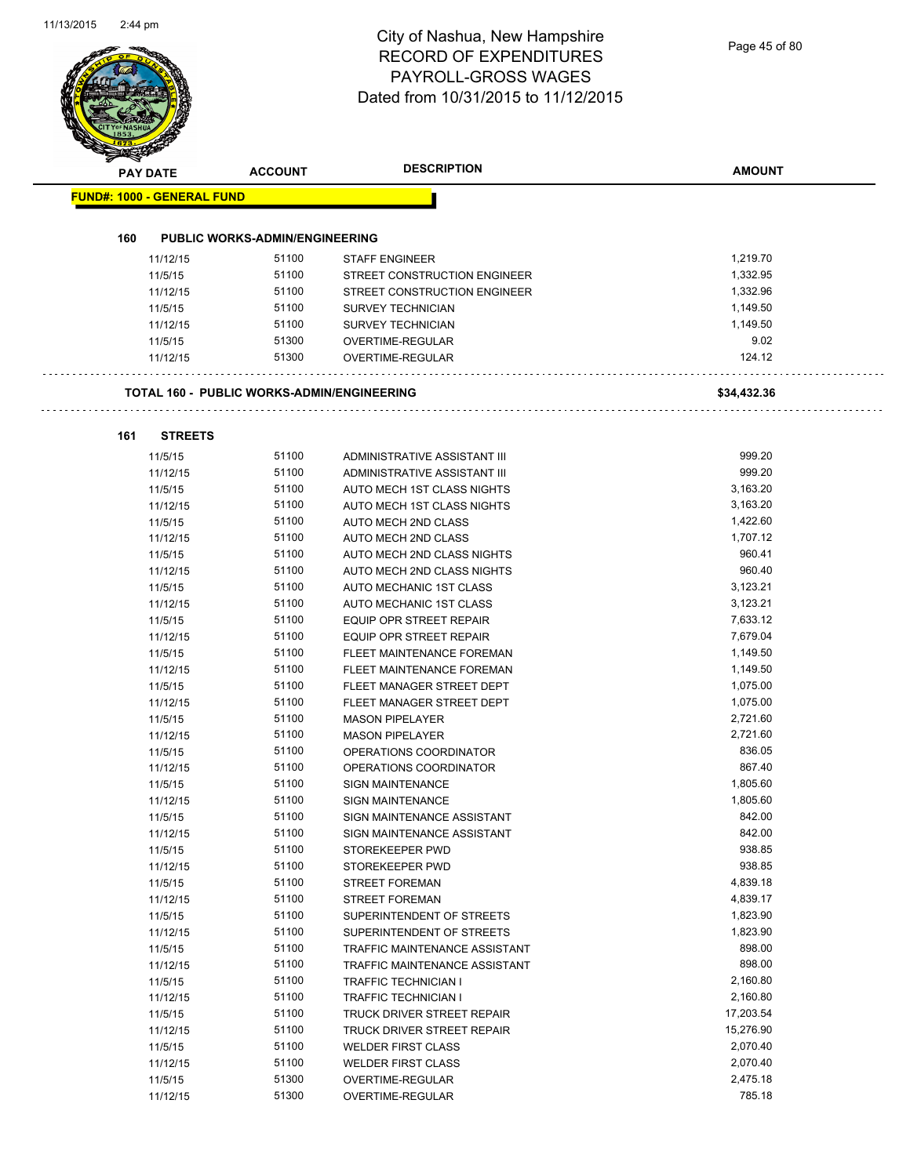# City of Nashua, New Hampshire RECORD OF EXPENDITURES PAYROLL-GROSS WAGES

|                                   |                |                                                   | <b>DESCRIPTION</b>            |                    |
|-----------------------------------|----------------|---------------------------------------------------|-------------------------------|--------------------|
| <b>PAY DATE</b>                   |                | <b>ACCOUNT</b>                                    |                               | <b>AMOUNT</b>      |
| <b>FUND#: 1000 - GENERAL FUND</b> |                |                                                   |                               |                    |
| 160                               |                | <b>PUBLIC WORKS-ADMIN/ENGINEERING</b>             |                               |                    |
|                                   | 11/12/15       | 51100                                             | <b>STAFF ENGINEER</b>         | 1,219.70           |
|                                   | 11/5/15        | 51100                                             | STREET CONSTRUCTION ENGINEER  | 1,332.95           |
|                                   | 11/12/15       | 51100                                             | STREET CONSTRUCTION ENGINEER  | 1,332.96           |
|                                   | 11/5/15        | 51100                                             | <b>SURVEY TECHNICIAN</b>      | 1,149.50           |
|                                   | 11/12/15       | 51100                                             | <b>SURVEY TECHNICIAN</b>      | 1,149.50           |
|                                   | 11/5/15        | 51300                                             | OVERTIME-REGULAR              | 9.02               |
|                                   | 11/12/15       | 51300                                             | OVERTIME-REGULAR              | 124.12             |
|                                   |                | <b>TOTAL 160 - PUBLIC WORKS-ADMIN/ENGINEERING</b> |                               | \$34,432.36        |
| 161                               | <b>STREETS</b> |                                                   |                               |                    |
|                                   | 11/5/15        | 51100                                             | ADMINISTRATIVE ASSISTANT III  | 999.20             |
|                                   | 11/12/15       | 51100                                             | ADMINISTRATIVE ASSISTANT III  | 999.20             |
|                                   | 11/5/15        | 51100                                             | AUTO MECH 1ST CLASS NIGHTS    | 3,163.20           |
|                                   | 11/12/15       | 51100                                             | AUTO MECH 1ST CLASS NIGHTS    | 3,163.20           |
|                                   | 11/5/15        | 51100                                             | AUTO MECH 2ND CLASS           | 1,422.60           |
|                                   | 11/12/15       | 51100                                             | AUTO MECH 2ND CLASS           | 1,707.12           |
|                                   | 11/5/15        | 51100                                             | AUTO MECH 2ND CLASS NIGHTS    | 960.41             |
|                                   | 11/12/15       | 51100                                             | AUTO MECH 2ND CLASS NIGHTS    | 960.40             |
|                                   | 11/5/15        | 51100                                             | AUTO MECHANIC 1ST CLASS       | 3,123.21           |
|                                   | 11/12/15       | 51100                                             | AUTO MECHANIC 1ST CLASS       | 3,123.21           |
|                                   | 11/5/15        | 51100                                             | EQUIP OPR STREET REPAIR       | 7,633.12           |
|                                   | 11/12/15       | 51100                                             | EQUIP OPR STREET REPAIR       | 7,679.04           |
|                                   | 11/5/15        | 51100                                             | FLEET MAINTENANCE FOREMAN     | 1,149.50           |
|                                   | 11/12/15       | 51100                                             | FLEET MAINTENANCE FOREMAN     | 1,149.50           |
|                                   | 11/5/15        | 51100                                             | FLEET MANAGER STREET DEPT     | 1,075.00           |
|                                   | 11/12/15       | 51100                                             | FLEET MANAGER STREET DEPT     | 1,075.00           |
|                                   | 11/5/15        | 51100                                             | <b>MASON PIPELAYER</b>        | 2,721.60           |
|                                   | 11/12/15       | 51100                                             | <b>MASON PIPELAYER</b>        | 2,721.60           |
|                                   | 11/5/15        | 51100                                             | OPERATIONS COORDINATOR        | 836.05             |
|                                   | 11/12/15       | 51100                                             | OPERATIONS COORDINATOR        | 867.40             |
|                                   | 11/5/15        | 51100                                             | <b>SIGN MAINTENANCE</b>       | 1,805.60           |
|                                   | 11/12/15       | 51100                                             | <b>SIGN MAINTENANCE</b>       | 1,805.60           |
|                                   | 11/5/15        | 51100                                             | SIGN MAINTENANCE ASSISTANT    | 842.00             |
|                                   | 11/12/15       | 51100                                             | SIGN MAINTENANCE ASSISTANT    | 842.00             |
|                                   | 11/5/15        | 51100                                             | STOREKEEPER PWD               | 938.85             |
|                                   | 11/12/15       | 51100                                             | STOREKEEPER PWD               | 938.85             |
|                                   | 11/5/15        | 51100                                             | <b>STREET FOREMAN</b>         | 4,839.18           |
|                                   | 11/12/15       | 51100                                             | <b>STREET FOREMAN</b>         | 4,839.17           |
|                                   | 11/5/15        | 51100                                             | SUPERINTENDENT OF STREETS     | 1,823.90           |
|                                   | 11/12/15       | 51100                                             | SUPERINTENDENT OF STREETS     | 1,823.90           |
|                                   | 11/5/15        | 51100                                             | TRAFFIC MAINTENANCE ASSISTANT | 898.00             |
|                                   | 11/12/15       | 51100                                             | TRAFFIC MAINTENANCE ASSISTANT | 898.00             |
|                                   | 11/5/15        | 51100                                             | <b>TRAFFIC TECHNICIAN I</b>   | 2,160.80           |
|                                   | 11/12/15       | 51100                                             | TRAFFIC TECHNICIAN I          | 2,160.80           |
|                                   | 11/5/15        | 51100                                             | TRUCK DRIVER STREET REPAIR    | 17,203.54          |
|                                   | 11/12/15       | 51100                                             | TRUCK DRIVER STREET REPAIR    | 15,276.90          |
|                                   | 11/5/15        | 51100                                             | <b>WELDER FIRST CLASS</b>     | 2,070.40           |
|                                   | 11/12/15       | 51100                                             | <b>WELDER FIRST CLASS</b>     | 2,070.40           |
|                                   | 11/5/15        | 51300                                             | OVERTIME-REGULAR              | 2,475.18<br>785.18 |
|                                   | 11/12/15       | 51300                                             | OVERTIME-REGULAR              |                    |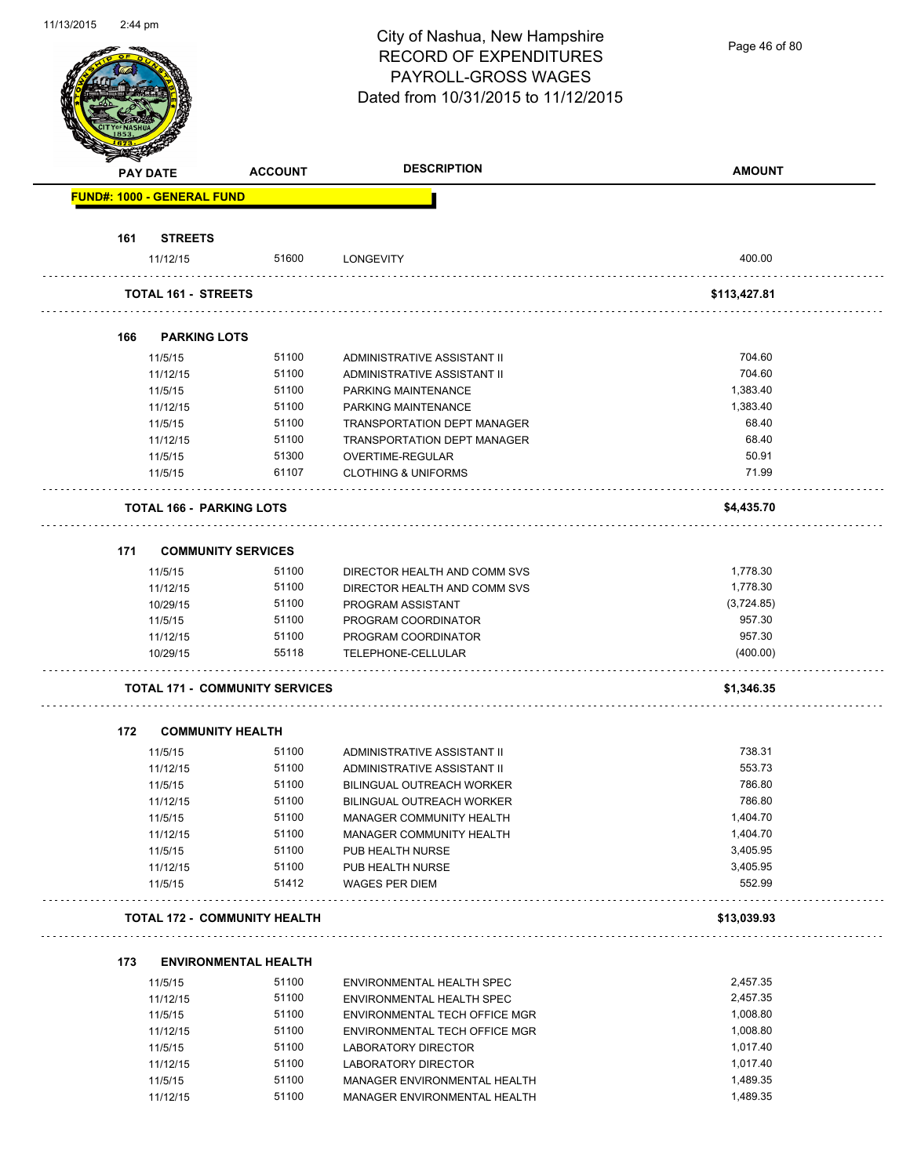Page 46 of 80

| <b>PAY DATE</b>                   | <b>ACCOUNT</b>                        | <b>DESCRIPTION</b>                                  | <b>AMOUNT</b>        |
|-----------------------------------|---------------------------------------|-----------------------------------------------------|----------------------|
| <b>FUND#: 1000 - GENERAL FUND</b> |                                       |                                                     |                      |
|                                   |                                       |                                                     |                      |
| 161<br><b>STREETS</b><br>11/12/15 | 51600                                 | LONGEVITY                                           | 400.00               |
| <b>TOTAL 161 - STREETS</b>        |                                       |                                                     | \$113,427.81         |
|                                   |                                       |                                                     |                      |
| 166                               | <b>PARKING LOTS</b>                   |                                                     |                      |
| 11/5/15                           | 51100                                 | ADMINISTRATIVE ASSISTANT II                         | 704.60               |
| 11/12/15                          | 51100                                 | ADMINISTRATIVE ASSISTANT II                         | 704.60               |
| 11/5/15                           | 51100                                 | PARKING MAINTENANCE                                 | 1,383.40             |
| 11/12/15                          | 51100                                 | PARKING MAINTENANCE                                 | 1,383.40             |
| 11/5/15                           | 51100                                 | TRANSPORTATION DEPT MANAGER                         | 68.40                |
| 11/12/15                          | 51100                                 | <b>TRANSPORTATION DEPT MANAGER</b>                  | 68.40                |
| 11/5/15                           | 51300                                 | OVERTIME-REGULAR                                    | 50.91                |
| 11/5/15                           | 61107                                 | <b>CLOTHING &amp; UNIFORMS</b>                      | 71.99                |
|                                   | <b>TOTAL 166 - PARKING LOTS</b>       |                                                     | \$4,435.70           |
| 171                               | <b>COMMUNITY SERVICES</b>             |                                                     |                      |
| 11/5/15                           | 51100                                 | DIRECTOR HEALTH AND COMM SVS                        | 1,778.30             |
| 11/12/15                          | 51100                                 | DIRECTOR HEALTH AND COMM SVS                        | 1,778.30             |
|                                   | 51100                                 |                                                     | (3,724.85)           |
| 10/29/15                          |                                       | PROGRAM ASSISTANT                                   | 957.30               |
| 11/5/15                           | 51100                                 | PROGRAM COORDINATOR                                 | 957.30               |
| 11/12/15                          | 51100<br>55118                        | PROGRAM COORDINATOR                                 | (400.00)             |
| 10/29/15                          |                                       | TELEPHONE-CELLULAR                                  |                      |
|                                   | <b>TOTAL 171 - COMMUNITY SERVICES</b> |                                                     | \$1,346.35           |
| 172                               | <b>COMMUNITY HEALTH</b>               |                                                     |                      |
| 11/5/15                           | 51100                                 | ADMINISTRATIVE ASSISTANT II                         | 738.31               |
| 11/12/15                          | 51100                                 | ADMINISTRATIVE ASSISTANT II                         | 553.73               |
| 11/5/15                           | 51100                                 | BILINGUAL OUTREACH WORKER                           | 786.80               |
| 11/12/15                          | 51100                                 | BILINGUAL OUTREACH WORKER                           | 786.80               |
| 11/5/15                           | 51100                                 | MANAGER COMMUNITY HEALTH                            | 1,404.70             |
| 11/12/15                          | 51100                                 | MANAGER COMMUNITY HEALTH                            | 1,404.70             |
| 11/5/15                           | 51100                                 | PUB HEALTH NURSE                                    | 3,405.95             |
| 11/12/15                          | 51100                                 | PUB HEALTH NURSE                                    | 3,405.95             |
| 11/5/15                           | 51412                                 | <b>WAGES PER DIEM</b>                               | 552.99               |
|                                   | <b>TOTAL 172 - COMMUNITY HEALTH</b>   |                                                     | \$13,039.93          |
|                                   |                                       |                                                     |                      |
| 173<br>11/5/15                    | <b>ENVIRONMENTAL HEALTH</b><br>51100  | ENVIRONMENTAL HEALTH SPEC                           | 2,457.35             |
|                                   | 51100                                 | ENVIRONMENTAL HEALTH SPEC                           | 2,457.35             |
|                                   | 51100                                 | ENVIRONMENTAL TECH OFFICE MGR                       | 1,008.80             |
| 11/12/15                          |                                       |                                                     | 1,008.80             |
| 11/5/15                           |                                       |                                                     |                      |
| 11/12/15                          | 51100                                 | ENVIRONMENTAL TECH OFFICE MGR                       |                      |
| 11/5/15                           | 51100                                 | LABORATORY DIRECTOR                                 | 1,017.40             |
| 11/12/15<br>11/5/15               | 51100<br>51100                        | LABORATORY DIRECTOR<br>MANAGER ENVIRONMENTAL HEALTH | 1,017.40<br>1,489.35 |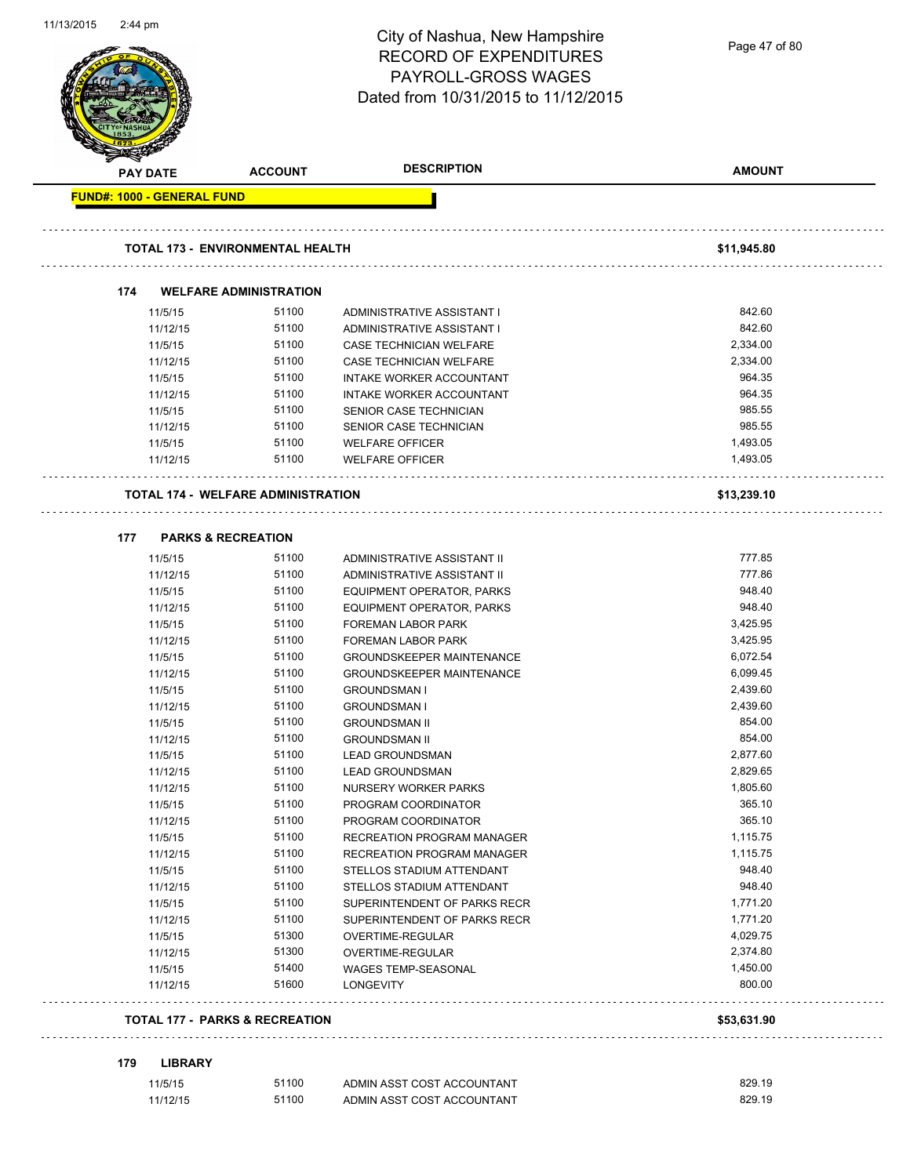| 11/13/2015<br>2:44 pm             |                     |                                           | City of Nashua, New Hampshire<br><b>RECORD OF EXPENDITURES</b><br>PAYROLL-GROSS WAGES<br>Dated from 10/31/2015 to 11/12/2015 | Page 47 of 80        |
|-----------------------------------|---------------------|-------------------------------------------|------------------------------------------------------------------------------------------------------------------------------|----------------------|
| PAY DATE                          |                     | <b>ACCOUNT</b>                            | <b>DESCRIPTION</b>                                                                                                           | <b>AMOUNT</b>        |
| <b>FUND#: 1000 - GENERAL FUND</b> |                     |                                           |                                                                                                                              |                      |
|                                   |                     | <b>TOTAL 173 - ENVIRONMENTAL HEALTH</b>   |                                                                                                                              | \$11,945.80          |
| 174                               |                     | <b>WELFARE ADMINISTRATION</b>             |                                                                                                                              |                      |
|                                   | 11/5/15             | 51100                                     | ADMINISTRATIVE ASSISTANT I                                                                                                   | 842.60               |
|                                   | 11/12/15            | 51100                                     | ADMINISTRATIVE ASSISTANT I                                                                                                   | 842.60               |
|                                   | 11/5/15             | 51100                                     | <b>CASE TECHNICIAN WELFARE</b>                                                                                               | 2,334.00             |
|                                   | 11/12/15            | 51100                                     | <b>CASE TECHNICIAN WELFARE</b>                                                                                               | 2,334.00             |
|                                   | 11/5/15             | 51100                                     | INTAKE WORKER ACCOUNTANT                                                                                                     | 964.35               |
|                                   | 11/12/15            | 51100                                     | INTAKE WORKER ACCOUNTANT                                                                                                     | 964.35               |
|                                   | 11/5/15             | 51100                                     | SENIOR CASE TECHNICIAN                                                                                                       | 985.55               |
|                                   | 11/12/15            | 51100                                     | SENIOR CASE TECHNICIAN                                                                                                       | 985.55               |
|                                   | 11/5/15             | 51100                                     | <b>WELFARE OFFICER</b>                                                                                                       | 1,493.05             |
|                                   | 11/12/15            | 51100                                     | <b>WELFARE OFFICER</b>                                                                                                       | 1,493.05             |
|                                   |                     | <b>TOTAL 174 - WELFARE ADMINISTRATION</b> |                                                                                                                              | \$13,239.10          |
| 177                               |                     | <b>PARKS &amp; RECREATION</b>             |                                                                                                                              |                      |
|                                   | 11/5/15             | 51100                                     |                                                                                                                              | 777.85               |
|                                   | 11/12/15            | 51100                                     | ADMINISTRATIVE ASSISTANT II<br>ADMINISTRATIVE ASSISTANT II                                                                   | 777.86               |
|                                   | 11/5/15             | 51100                                     |                                                                                                                              | 948.40               |
|                                   | 11/12/15            | 51100                                     | EQUIPMENT OPERATOR, PARKS<br>EQUIPMENT OPERATOR, PARKS                                                                       | 948.40               |
|                                   | 11/5/15             | 51100                                     | FOREMAN LABOR PARK                                                                                                           | 3,425.95             |
|                                   | 11/12/15            | 51100                                     | FOREMAN LABOR PARK                                                                                                           | 3,425.95             |
|                                   | 11/5/15             | 51100                                     | <b>GROUNDSKEEPER MAINTENANCE</b>                                                                                             | 6,072.54             |
|                                   | 11/12/15            | 51100                                     | <b>GROUNDSKEEPER MAINTENANCE</b>                                                                                             | 6,099.45             |
|                                   |                     | 51100                                     |                                                                                                                              | 2,439.60             |
|                                   | 11/5/15             | 51100                                     | <b>GROUNDSMAN I</b>                                                                                                          | 2,439.60             |
|                                   | 11/12/15            |                                           | <b>GROUNDSMAN I</b>                                                                                                          |                      |
|                                   | 11/5/15             | 51100                                     | <b>GROUNDSMAN II</b>                                                                                                         | 854.00<br>854.00     |
|                                   | 11/12/15            | 51100                                     | <b>GROUNDSMAN II</b>                                                                                                         | 2,877.60             |
|                                   | 11/5/15             | 51100                                     | <b>LEAD GROUNDSMAN</b>                                                                                                       |                      |
|                                   | 11/12/15            | 51100<br>51100                            | <b>LEAD GROUNDSMAN</b><br>NURSERY WORKER PARKS                                                                               | 2,829.65<br>1,805.60 |
|                                   | 11/12/15<br>11/5/15 | 51100                                     | PROGRAM COORDINATOR                                                                                                          | 365.10               |
|                                   | 11/12/15            | 51100                                     | PROGRAM COORDINATOR                                                                                                          | 365.10               |
|                                   | 11/5/15             | 51100                                     |                                                                                                                              | 1,115.75             |
|                                   | 11/12/15            | 51100                                     | RECREATION PROGRAM MANAGER<br>RECREATION PROGRAM MANAGER                                                                     | 1,115.75             |
|                                   | 11/5/15             | 51100                                     | STELLOS STADIUM ATTENDANT                                                                                                    | 948.40               |
|                                   | 11/12/15            | 51100                                     | STELLOS STADIUM ATTENDANT                                                                                                    | 948.40               |
|                                   | 11/5/15             | 51100                                     | SUPERINTENDENT OF PARKS RECR                                                                                                 | 1,771.20             |
|                                   | 11/12/15            | 51100                                     | SUPERINTENDENT OF PARKS RECR                                                                                                 | 1,771.20             |
|                                   | 11/5/15             | 51300                                     | OVERTIME-REGULAR                                                                                                             | 4,029.75             |
|                                   | 11/12/15            | 51300                                     | OVERTIME-REGULAR                                                                                                             | 2,374.80             |
|                                   | 11/5/15             | 51400                                     | WAGES TEMP-SEASONAL                                                                                                          | 1,450.00             |
|                                   | 11/12/15            | 51600                                     | <b>LONGEVITY</b>                                                                                                             | 800.00               |
|                                   |                     |                                           |                                                                                                                              |                      |
|                                   |                     | <b>TOTAL 177 - PARKS &amp; RECREATION</b> |                                                                                                                              | \$53,631.90          |
| 179                               | <b>LIBRARY</b>      |                                           |                                                                                                                              |                      |
|                                   | 11/5/15             | 51100                                     | ADMIN ASST COST ACCOUNTANT                                                                                                   | 829.19               |
|                                   | 11/12/15            | 51100                                     | ADMIN ASST COST ACCOUNTANT                                                                                                   | 829.19               |

11/13/2015 2:44 pm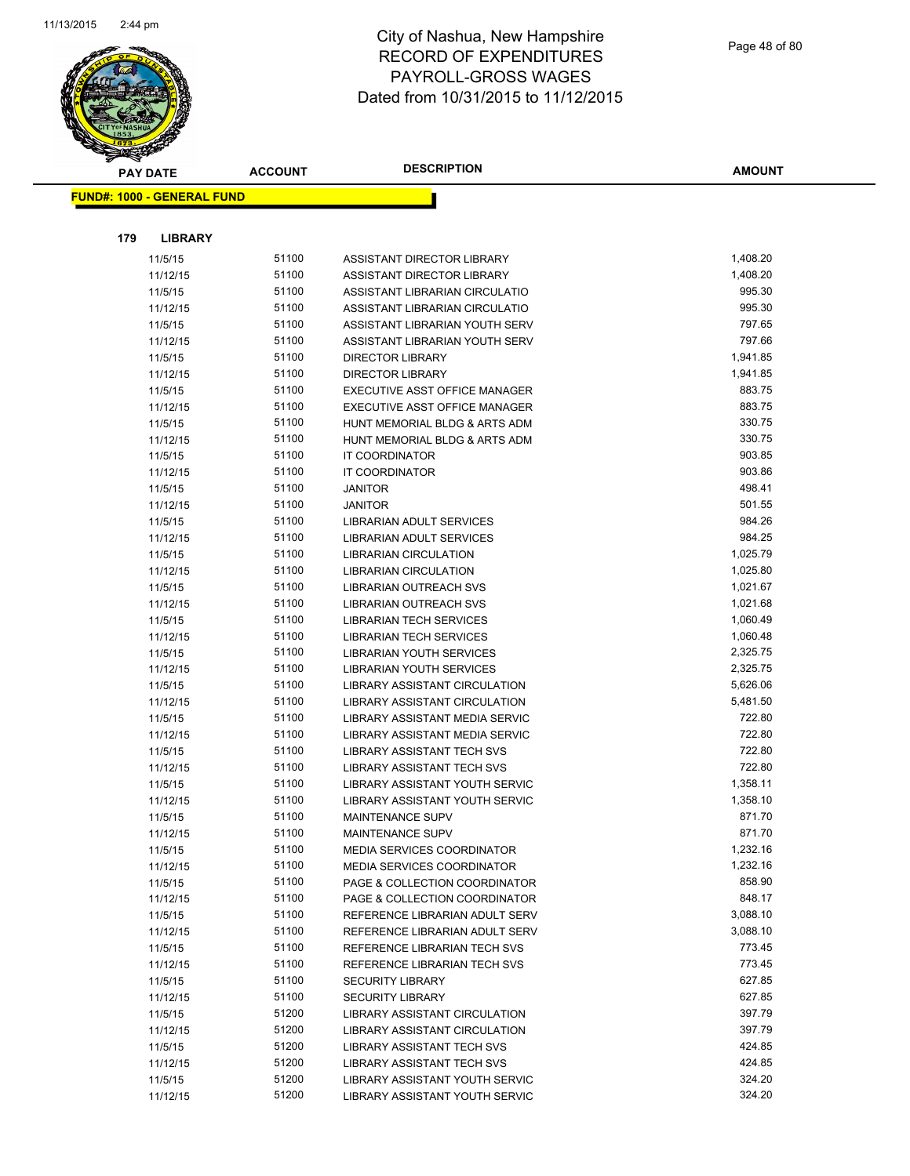

|     | <b>PAY DATE</b>                   | <b>ACCOUNT</b> | <b>DESCRIPTION</b>                                             | <b>AMOUNT</b>        |
|-----|-----------------------------------|----------------|----------------------------------------------------------------|----------------------|
|     | <b>FUND#: 1000 - GENERAL FUND</b> |                |                                                                |                      |
|     |                                   |                |                                                                |                      |
|     |                                   |                |                                                                |                      |
| 179 | <b>LIBRARY</b>                    |                |                                                                |                      |
|     | 11/5/15                           | 51100          | ASSISTANT DIRECTOR LIBRARY                                     | 1,408.20             |
|     | 11/12/15                          | 51100          | ASSISTANT DIRECTOR LIBRARY                                     | 1,408.20             |
|     | 11/5/15                           | 51100          | ASSISTANT LIBRARIAN CIRCULATIO                                 | 995.30               |
|     | 11/12/15                          | 51100          | ASSISTANT LIBRARIAN CIRCULATIO                                 | 995.30               |
|     | 11/5/15                           | 51100          | ASSISTANT LIBRARIAN YOUTH SERV                                 | 797.65               |
|     | 11/12/15                          | 51100          | ASSISTANT LIBRARIAN YOUTH SERV                                 | 797.66               |
|     | 11/5/15                           | 51100<br>51100 | <b>DIRECTOR LIBRARY</b>                                        | 1,941.85<br>1,941.85 |
|     | 11/12/15<br>11/5/15               | 51100          | <b>DIRECTOR LIBRARY</b>                                        | 883.75               |
|     | 11/12/15                          | 51100          | EXECUTIVE ASST OFFICE MANAGER<br>EXECUTIVE ASST OFFICE MANAGER | 883.75               |
|     | 11/5/15                           | 51100          | HUNT MEMORIAL BLDG & ARTS ADM                                  | 330.75               |
|     | 11/12/15                          | 51100          | HUNT MEMORIAL BLDG & ARTS ADM                                  | 330.75               |
|     | 11/5/15                           | 51100          | IT COORDINATOR                                                 | 903.85               |
|     | 11/12/15                          | 51100          | IT COORDINATOR                                                 | 903.86               |
|     | 11/5/15                           | 51100          | <b>JANITOR</b>                                                 | 498.41               |
|     | 11/12/15                          | 51100          | <b>JANITOR</b>                                                 | 501.55               |
|     | 11/5/15                           | 51100          | LIBRARIAN ADULT SERVICES                                       | 984.26               |
|     | 11/12/15                          | 51100          | LIBRARIAN ADULT SERVICES                                       | 984.25               |
|     | 11/5/15                           | 51100          | <b>LIBRARIAN CIRCULATION</b>                                   | 1,025.79             |
|     | 11/12/15                          | 51100          | <b>LIBRARIAN CIRCULATION</b>                                   | 1,025.80             |
|     | 11/5/15                           | 51100          | LIBRARIAN OUTREACH SVS                                         | 1,021.67             |
|     | 11/12/15                          | 51100          | LIBRARIAN OUTREACH SVS                                         | 1,021.68             |
|     | 11/5/15                           | 51100          | LIBRARIAN TECH SERVICES                                        | 1,060.49             |
|     | 11/12/15                          | 51100          | LIBRARIAN TECH SERVICES                                        | 1,060.48             |
|     | 11/5/15                           | 51100          | LIBRARIAN YOUTH SERVICES                                       | 2,325.75             |
|     | 11/12/15                          | 51100          | LIBRARIAN YOUTH SERVICES                                       | 2,325.75             |
|     | 11/5/15                           | 51100          | LIBRARY ASSISTANT CIRCULATION                                  | 5,626.06             |
|     | 11/12/15                          | 51100          | LIBRARY ASSISTANT CIRCULATION                                  | 5,481.50             |
|     | 11/5/15                           | 51100          | LIBRARY ASSISTANT MEDIA SERVIC                                 | 722.80               |
|     | 11/12/15                          | 51100          | LIBRARY ASSISTANT MEDIA SERVIC                                 | 722.80               |
|     | 11/5/15                           | 51100          | <b>LIBRARY ASSISTANT TECH SVS</b>                              | 722.80               |
|     | 11/12/15                          | 51100          | <b>LIBRARY ASSISTANT TECH SVS</b>                              | 722.80               |
|     | 11/5/15                           | 51100          | LIBRARY ASSISTANT YOUTH SERVIC                                 | 1,358.11             |
|     | 11/12/15                          | 51100          | LIBRARY ASSISTANT YOUTH SERVIC                                 | 1,358.10             |
|     | 11/5/15                           | 51100          | MAINTENANCE SUPV                                               | 871.70               |
|     | 11/12/15                          | 51100          | MAINTENANCE SUPV                                               | 871.70               |
|     | 11/5/15                           | 51100          | <b>MEDIA SERVICES COORDINATOR</b>                              | 1,232.16             |
|     | 11/12/15                          | 51100          | <b>MEDIA SERVICES COORDINATOR</b>                              | 1,232.16             |
|     | 11/5/15                           | 51100          | PAGE & COLLECTION COORDINATOR                                  | 858.90               |
|     | 11/12/15                          | 51100          | PAGE & COLLECTION COORDINATOR                                  | 848.17               |
|     | 11/5/15                           | 51100          | REFERENCE LIBRARIAN ADULT SERV                                 | 3,088.10             |
|     | 11/12/15                          | 51100          | REFERENCE LIBRARIAN ADULT SERV                                 | 3,088.10             |
|     | 11/5/15                           | 51100          | REFERENCE LIBRARIAN TECH SVS                                   | 773.45               |
|     | 11/12/15                          | 51100          | REFERENCE LIBRARIAN TECH SVS                                   | 773.45               |
|     | 11/5/15                           | 51100          | <b>SECURITY LIBRARY</b>                                        | 627.85               |
|     | 11/12/15                          | 51100          | <b>SECURITY LIBRARY</b>                                        | 627.85               |
|     | 11/5/15                           | 51200          | LIBRARY ASSISTANT CIRCULATION                                  | 397.79               |
|     | 11/12/15                          | 51200          | LIBRARY ASSISTANT CIRCULATION                                  | 397.79               |
|     | 11/5/15                           | 51200          | LIBRARY ASSISTANT TECH SVS                                     | 424.85               |
|     | 11/12/15                          | 51200          | <b>LIBRARY ASSISTANT TECH SVS</b>                              | 424.85               |
|     | 11/5/15                           | 51200          | LIBRARY ASSISTANT YOUTH SERVIC                                 | 324.20               |
|     | 11/12/15                          | 51200          | LIBRARY ASSISTANT YOUTH SERVIC                                 | 324.20               |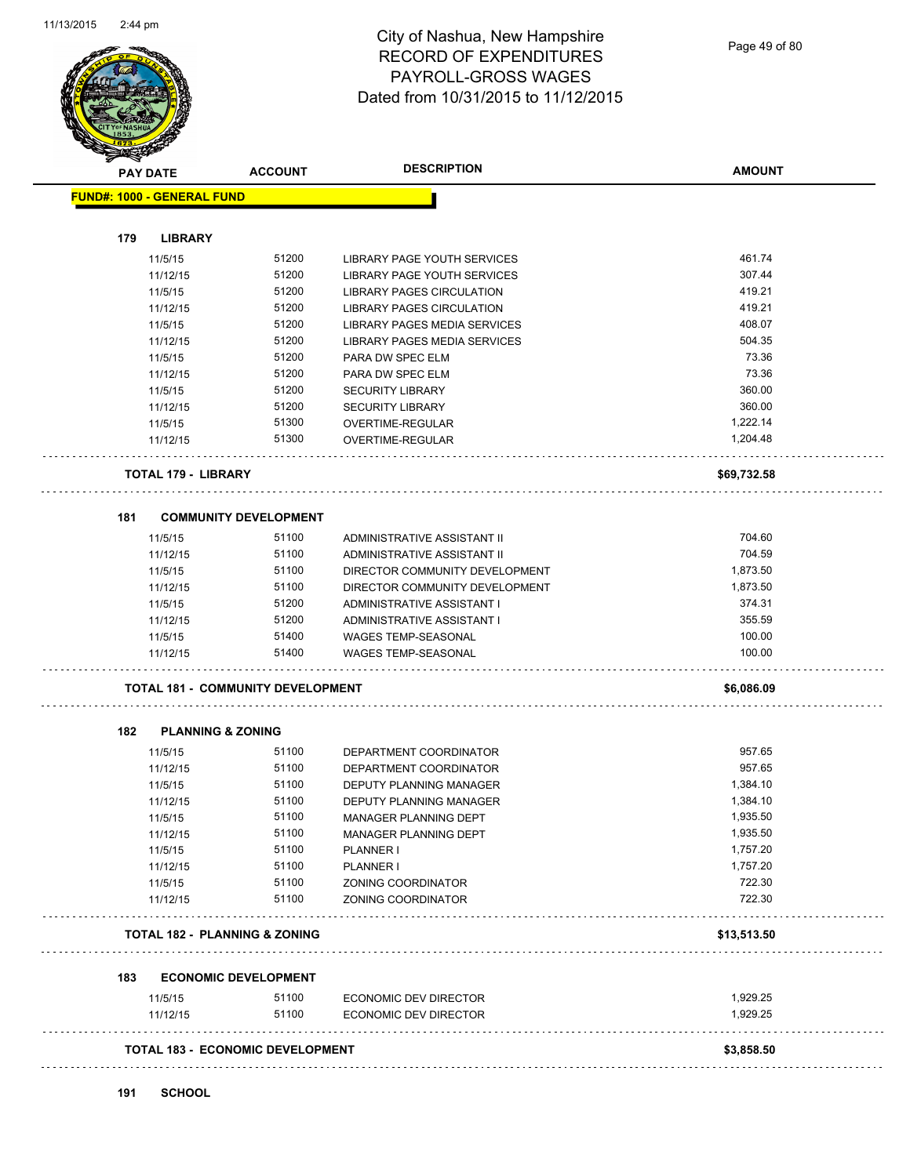

|     | <b>PAY DATE</b>                   | <b>ACCOUNT</b>                           | <b>DESCRIPTION</b>               | <b>AMOUNT</b> |
|-----|-----------------------------------|------------------------------------------|----------------------------------|---------------|
|     | <b>FUND#: 1000 - GENERAL FUND</b> |                                          |                                  |               |
|     |                                   |                                          |                                  |               |
| 179 | <b>LIBRARY</b>                    |                                          |                                  |               |
|     | 11/5/15                           | 51200                                    | LIBRARY PAGE YOUTH SERVICES      | 461.74        |
|     | 11/12/15                          | 51200                                    | LIBRARY PAGE YOUTH SERVICES      | 307.44        |
|     | 11/5/15                           | 51200                                    | <b>LIBRARY PAGES CIRCULATION</b> | 419.21        |
|     | 11/12/15                          | 51200                                    | LIBRARY PAGES CIRCULATION        | 419.21        |
|     | 11/5/15                           | 51200                                    | LIBRARY PAGES MEDIA SERVICES     | 408.07        |
|     | 11/12/15                          | 51200                                    | LIBRARY PAGES MEDIA SERVICES     | 504.35        |
|     | 11/5/15                           | 51200                                    | PARA DW SPEC ELM                 | 73.36         |
|     | 11/12/15                          | 51200                                    | PARA DW SPEC ELM                 | 73.36         |
|     | 11/5/15                           | 51200                                    | <b>SECURITY LIBRARY</b>          | 360.00        |
|     | 11/12/15                          | 51200                                    | <b>SECURITY LIBRARY</b>          | 360.00        |
|     | 11/5/15                           | 51300                                    | OVERTIME-REGULAR                 | 1,222.14      |
|     | 11/12/15                          | 51300                                    | OVERTIME-REGULAR                 | 1,204.48      |
|     | <b>TOTAL 179 - LIBRARY</b>        |                                          |                                  | \$69,732.58   |
|     |                                   |                                          |                                  |               |
| 181 |                                   | <b>COMMUNITY DEVELOPMENT</b>             |                                  |               |
|     | 11/5/15                           | 51100                                    | ADMINISTRATIVE ASSISTANT II      | 704.60        |
|     | 11/12/15                          | 51100                                    | ADMINISTRATIVE ASSISTANT II      | 704.59        |
|     | 11/5/15                           | 51100                                    | DIRECTOR COMMUNITY DEVELOPMENT   | 1,873.50      |
|     | 11/12/15                          | 51100                                    | DIRECTOR COMMUNITY DEVELOPMENT   | 1,873.50      |
|     | 11/5/15                           | 51200                                    | ADMINISTRATIVE ASSISTANT I       | 374.31        |
|     | 11/12/15                          | 51200                                    | ADMINISTRATIVE ASSISTANT I       | 355.59        |
|     | 11/5/15                           | 51400                                    | WAGES TEMP-SEASONAL              | 100.00        |
|     | 11/12/15                          | 51400                                    | <b>WAGES TEMP-SEASONAL</b>       | 100.00        |
|     |                                   | <b>TOTAL 181 - COMMUNITY DEVELOPMENT</b> |                                  | \$6,086.09    |
| 182 | <b>PLANNING &amp; ZONING</b>      |                                          |                                  |               |
|     | 11/5/15                           | 51100                                    | DEPARTMENT COORDINATOR           | 957.65        |
|     | 11/12/15                          | 51100                                    | DEPARTMENT COORDINATOR           | 957.65        |
|     | 11/5/15                           | 51100                                    | <b>DEPUTY PLANNING MANAGER</b>   | 1,384.10      |
|     | 11/12/15                          | 51100                                    | DEPUTY PLANNING MANAGER          | 1,384.10      |
|     | 11/5/15                           | 51100                                    | MANAGER PLANNING DEPT            | 1,935.50      |
|     | 11/12/15                          | 51100                                    | MANAGER PLANNING DEPT            | 1,935.50      |
|     |                                   | 51100                                    |                                  | 1,757.20      |
|     | 11/5/15<br>11/12/15               | 51100                                    | PLANNER I<br>PLANNER I           | 1,757.20      |
|     |                                   | 51100                                    |                                  | 722.30        |
|     | 11/5/15                           |                                          | ZONING COORDINATOR               |               |
|     | 11/12/15                          | 51100                                    | ZONING COORDINATOR               | 722.30        |
|     |                                   | <b>TOTAL 182 - PLANNING &amp; ZONING</b> |                                  | \$13,513.50   |
| 183 |                                   | <b>ECONOMIC DEVELOPMENT</b>              |                                  |               |
|     | 11/5/15                           | 51100                                    | <b>ECONOMIC DEV DIRECTOR</b>     | 1,929.25      |
|     | 11/12/15                          | 51100                                    | ECONOMIC DEV DIRECTOR            | 1,929.25      |
|     |                                   | <b>TOTAL 183 - ECONOMIC DEVELOPMENT</b>  |                                  | \$3,858.50    |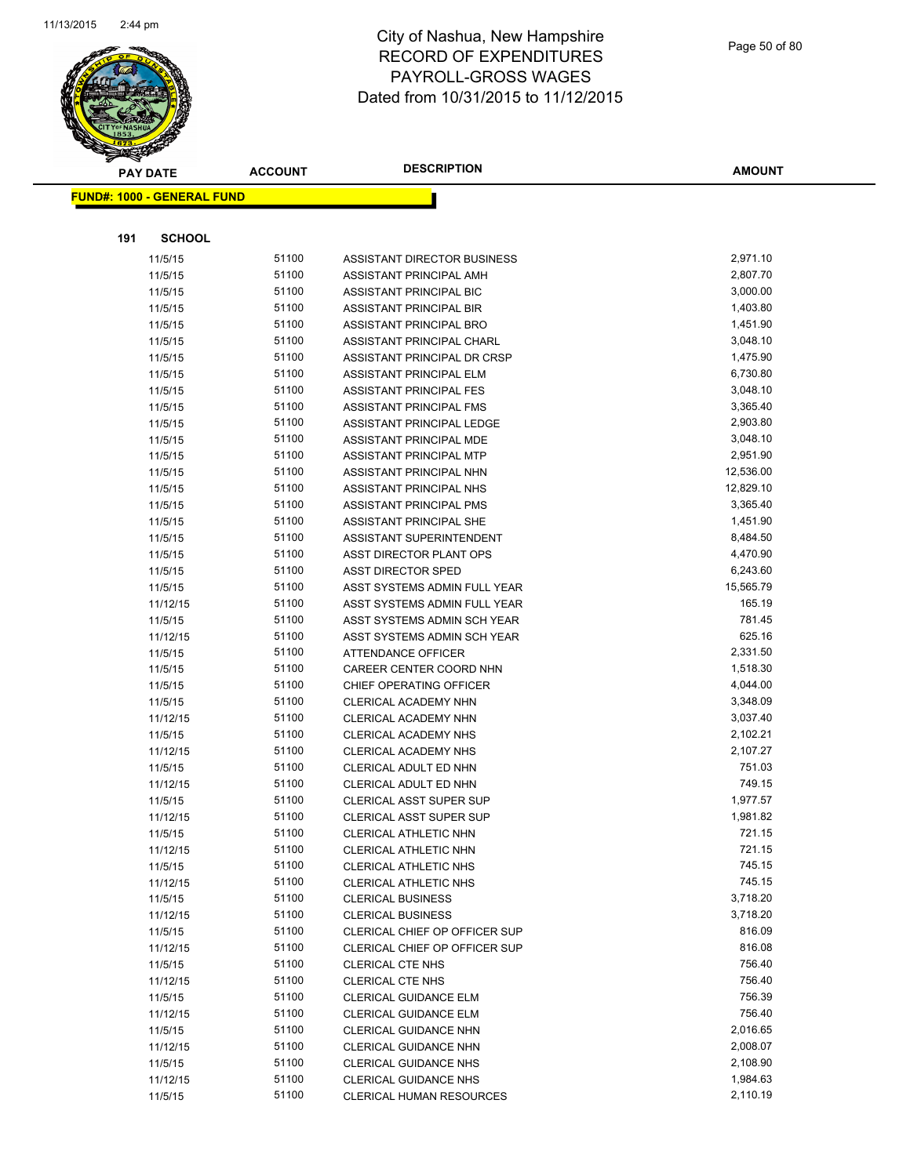

|     | <b>PAY DATE</b>                   | <b>ACCOUNT</b> | <b>DESCRIPTION</b>                                           | <b>AMOUNT</b>        |
|-----|-----------------------------------|----------------|--------------------------------------------------------------|----------------------|
|     | <b>FUND#: 1000 - GENERAL FUND</b> |                |                                                              |                      |
|     |                                   |                |                                                              |                      |
| 191 | <b>SCHOOL</b>                     |                |                                                              |                      |
|     |                                   |                |                                                              |                      |
|     | 11/5/15                           | 51100          | ASSISTANT DIRECTOR BUSINESS                                  | 2,971.10             |
|     | 11/5/15                           | 51100          | ASSISTANT PRINCIPAL AMH                                      | 2,807.70             |
|     | 11/5/15                           | 51100          | ASSISTANT PRINCIPAL BIC                                      | 3,000.00             |
|     | 11/5/15                           | 51100          | ASSISTANT PRINCIPAL BIR                                      | 1,403.80             |
|     | 11/5/15                           | 51100          | ASSISTANT PRINCIPAL BRO                                      | 1,451.90             |
|     | 11/5/15                           | 51100          | ASSISTANT PRINCIPAL CHARL                                    | 3,048.10             |
|     | 11/5/15                           | 51100<br>51100 | ASSISTANT PRINCIPAL DR CRSP                                  | 1,475.90             |
|     | 11/5/15                           | 51100          | ASSISTANT PRINCIPAL ELM                                      | 6,730.80<br>3,048.10 |
|     | 11/5/15                           | 51100          | <b>ASSISTANT PRINCIPAL FES</b>                               | 3,365.40             |
|     | 11/5/15                           | 51100          | ASSISTANT PRINCIPAL FMS                                      | 2,903.80             |
|     | 11/5/15                           | 51100          | ASSISTANT PRINCIPAL LEDGE<br>ASSISTANT PRINCIPAL MDE         | 3,048.10             |
|     | 11/5/15<br>11/5/15                | 51100          | ASSISTANT PRINCIPAL MTP                                      | 2,951.90             |
|     | 11/5/15                           | 51100          | ASSISTANT PRINCIPAL NHN                                      | 12,536.00            |
|     | 11/5/15                           | 51100          | ASSISTANT PRINCIPAL NHS                                      | 12,829.10            |
|     | 11/5/15                           | 51100          | ASSISTANT PRINCIPAL PMS                                      | 3,365.40             |
|     | 11/5/15                           | 51100          | ASSISTANT PRINCIPAL SHE                                      | 1,451.90             |
|     | 11/5/15                           | 51100          | ASSISTANT SUPERINTENDENT                                     | 8,484.50             |
|     | 11/5/15                           | 51100          | ASST DIRECTOR PLANT OPS                                      | 4,470.90             |
|     | 11/5/15                           | 51100          | <b>ASST DIRECTOR SPED</b>                                    | 6,243.60             |
|     | 11/5/15                           | 51100          | ASST SYSTEMS ADMIN FULL YEAR                                 | 15,565.79            |
|     | 11/12/15                          | 51100          | ASST SYSTEMS ADMIN FULL YEAR                                 | 165.19               |
|     | 11/5/15                           | 51100          | ASST SYSTEMS ADMIN SCH YEAR                                  | 781.45               |
|     | 11/12/15                          | 51100          | ASST SYSTEMS ADMIN SCH YEAR                                  | 625.16               |
|     | 11/5/15                           | 51100          | <b>ATTENDANCE OFFICER</b>                                    | 2,331.50             |
|     | 11/5/15                           | 51100          | CAREER CENTER COORD NHN                                      | 1,518.30             |
|     | 11/5/15                           | 51100          | CHIEF OPERATING OFFICER                                      | 4,044.00             |
|     | 11/5/15                           | 51100          | CLERICAL ACADEMY NHN                                         | 3,348.09             |
|     | 11/12/15                          | 51100          | CLERICAL ACADEMY NHN                                         | 3,037.40             |
|     | 11/5/15                           | 51100          | <b>CLERICAL ACADEMY NHS</b>                                  | 2,102.21             |
|     | 11/12/15                          | 51100          | <b>CLERICAL ACADEMY NHS</b>                                  | 2,107.27             |
|     | 11/5/15                           | 51100          | CLERICAL ADULT ED NHN                                        | 751.03               |
|     | 11/12/15                          | 51100          | CLERICAL ADULT ED NHN                                        | 749.15               |
|     | 11/5/15                           | 51100          | <b>CLERICAL ASST SUPER SUP</b>                               | 1,977.57             |
|     | 11/12/15                          | 51100          | CLERICAL ASST SUPER SUP                                      | 1,981.82             |
|     | 11/5/15                           | 51100          | CLERICAL ATHLETIC NHN                                        | 721.15               |
|     | 11/12/15                          | 51100          | CLERICAL ATHLETIC NHN                                        | 721.15               |
|     | 11/5/15                           | 51100          | CLERICAL ATHLETIC NHS                                        | 745.15               |
|     | 11/12/15                          | 51100          | CLERICAL ATHLETIC NHS                                        | 745.15               |
|     | 11/5/15                           | 51100          | <b>CLERICAL BUSINESS</b>                                     | 3,718.20             |
|     | 11/12/15                          | 51100          | <b>CLERICAL BUSINESS</b>                                     | 3,718.20             |
|     | 11/5/15                           | 51100          | CLERICAL CHIEF OP OFFICER SUP                                | 816.09               |
|     | 11/12/15                          | 51100          | CLERICAL CHIEF OP OFFICER SUP                                | 816.08               |
|     | 11/5/15                           | 51100          | <b>CLERICAL CTE NHS</b>                                      | 756.40               |
|     | 11/12/15                          | 51100          | <b>CLERICAL CTE NHS</b>                                      | 756.40               |
|     | 11/5/15                           | 51100          | <b>CLERICAL GUIDANCE ELM</b>                                 | 756.39               |
|     | 11/12/15                          | 51100          | CLERICAL GUIDANCE ELM                                        | 756.40               |
|     | 11/5/15                           | 51100<br>51100 | <b>CLERICAL GUIDANCE NHN</b>                                 | 2,016.65<br>2,008.07 |
|     | 11/12/15<br>11/5/15               | 51100          | <b>CLERICAL GUIDANCE NHN</b><br><b>CLERICAL GUIDANCE NHS</b> | 2,108.90             |
|     | 11/12/15                          | 51100          | CLERICAL GUIDANCE NHS                                        | 1,984.63             |
|     | 11/5/15                           | 51100          | CLERICAL HUMAN RESOURCES                                     | 2,110.19             |
|     |                                   |                |                                                              |                      |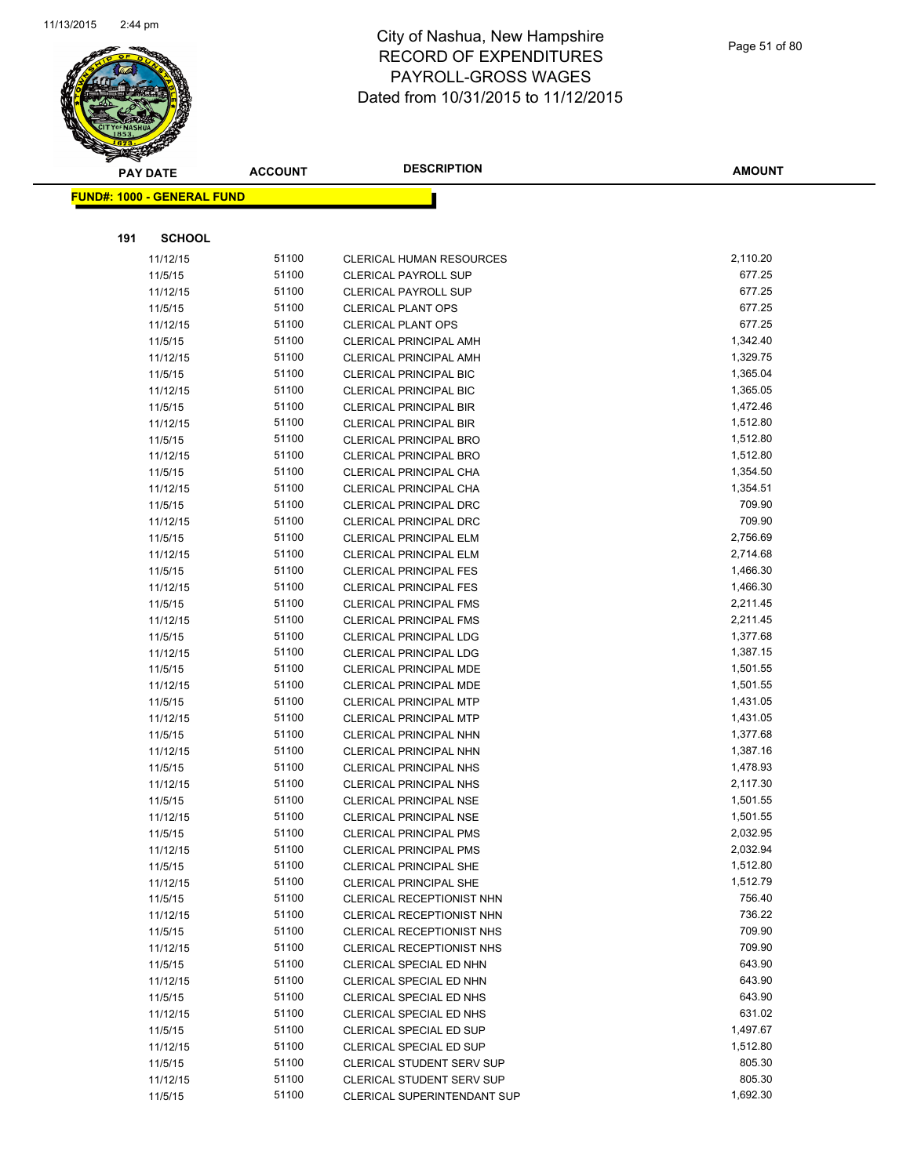

|     | <b>PAY DATE</b>                   | <b>ACCOUNT</b> | <b>DESCRIPTION</b>                                         | <b>AMOUNT</b>    |
|-----|-----------------------------------|----------------|------------------------------------------------------------|------------------|
|     | <b>FUND#: 1000 - GENERAL FUND</b> |                |                                                            |                  |
|     |                                   |                |                                                            |                  |
|     |                                   |                |                                                            |                  |
| 191 | <b>SCHOOL</b>                     |                |                                                            |                  |
|     | 11/12/15                          | 51100          | <b>CLERICAL HUMAN RESOURCES</b>                            | 2,110.20         |
|     | 11/5/15                           | 51100          | <b>CLERICAL PAYROLL SUP</b>                                | 677.25<br>677.25 |
|     | 11/12/15                          | 51100          | <b>CLERICAL PAYROLL SUP</b>                                |                  |
|     | 11/5/15                           | 51100<br>51100 | <b>CLERICAL PLANT OPS</b>                                  | 677.25<br>677.25 |
|     | 11/12/15<br>11/5/15               | 51100          | <b>CLERICAL PLANT OPS</b><br><b>CLERICAL PRINCIPAL AMH</b> | 1,342.40         |
|     | 11/12/15                          | 51100          | <b>CLERICAL PRINCIPAL AMH</b>                              | 1,329.75         |
|     | 11/5/15                           | 51100          | <b>CLERICAL PRINCIPAL BIC</b>                              | 1,365.04         |
|     | 11/12/15                          | 51100          | <b>CLERICAL PRINCIPAL BIC</b>                              | 1,365.05         |
|     | 11/5/15                           | 51100          | <b>CLERICAL PRINCIPAL BIR</b>                              | 1,472.46         |
|     | 11/12/15                          | 51100          | <b>CLERICAL PRINCIPAL BIR</b>                              | 1,512.80         |
|     | 11/5/15                           | 51100          | <b>CLERICAL PRINCIPAL BRO</b>                              | 1,512.80         |
|     | 11/12/15                          | 51100          | <b>CLERICAL PRINCIPAL BRO</b>                              | 1,512.80         |
|     | 11/5/15                           | 51100          | CLERICAL PRINCIPAL CHA                                     | 1,354.50         |
|     | 11/12/15                          | 51100          | CLERICAL PRINCIPAL CHA                                     | 1,354.51         |
|     | 11/5/15                           | 51100          | <b>CLERICAL PRINCIPAL DRC</b>                              | 709.90           |
|     | 11/12/15                          | 51100          | <b>CLERICAL PRINCIPAL DRC</b>                              | 709.90           |
|     | 11/5/15                           | 51100          | <b>CLERICAL PRINCIPAL ELM</b>                              | 2,756.69         |
|     | 11/12/15                          | 51100          | <b>CLERICAL PRINCIPAL ELM</b>                              | 2,714.68         |
|     | 11/5/15                           | 51100          | <b>CLERICAL PRINCIPAL FES</b>                              | 1,466.30         |
|     | 11/12/15                          | 51100          | <b>CLERICAL PRINCIPAL FES</b>                              | 1,466.30         |
|     | 11/5/15                           | 51100          | <b>CLERICAL PRINCIPAL FMS</b>                              | 2,211.45         |
|     | 11/12/15                          | 51100          | <b>CLERICAL PRINCIPAL FMS</b>                              | 2,211.45         |
|     | 11/5/15                           | 51100          | <b>CLERICAL PRINCIPAL LDG</b>                              | 1,377.68         |
|     | 11/12/15                          | 51100          | <b>CLERICAL PRINCIPAL LDG</b>                              | 1,387.15         |
|     | 11/5/15                           | 51100          | CLERICAL PRINCIPAL MDE                                     | 1,501.55         |
|     | 11/12/15                          | 51100          | <b>CLERICAL PRINCIPAL MDE</b>                              | 1,501.55         |
|     | 11/5/15                           | 51100          | <b>CLERICAL PRINCIPAL MTP</b>                              | 1,431.05         |
|     | 11/12/15                          | 51100          | <b>CLERICAL PRINCIPAL MTP</b>                              | 1,431.05         |
|     | 11/5/15                           | 51100          | CLERICAL PRINCIPAL NHN                                     | 1,377.68         |
|     | 11/12/15                          | 51100          | <b>CLERICAL PRINCIPAL NHN</b>                              | 1,387.16         |
|     | 11/5/15                           | 51100          | <b>CLERICAL PRINCIPAL NHS</b>                              | 1,478.93         |
|     | 11/12/15                          | 51100          | <b>CLERICAL PRINCIPAL NHS</b>                              | 2,117.30         |
|     | 11/5/15                           | 51100          | <b>CLERICAL PRINCIPAL NSE</b>                              | 1,501.55         |
|     | 11/12/15                          | 51100          | CLERICAL PRINCIPAL NSE                                     | 1,501.55         |
|     | 11/5/15                           | 51100          | <b>CLERICAL PRINCIPAL PMS</b>                              | 2,032.95         |
|     | 11/12/15                          | 51100          | <b>CLERICAL PRINCIPAL PMS</b>                              | 2,032.94         |
|     | 11/5/15                           | 51100          | <b>CLERICAL PRINCIPAL SHE</b>                              | 1,512.80         |
|     | 11/12/15                          | 51100          | CLERICAL PRINCIPAL SHE                                     | 1,512.79         |
|     | 11/5/15                           | 51100          | CLERICAL RECEPTIONIST NHN                                  | 756.40           |
|     | 11/12/15                          | 51100          | CLERICAL RECEPTIONIST NHN                                  | 736.22           |
|     | 11/5/15                           | 51100          | CLERICAL RECEPTIONIST NHS                                  | 709.90           |
|     | 11/12/15                          | 51100          | <b>CLERICAL RECEPTIONIST NHS</b>                           | 709.90           |
|     | 11/5/15                           | 51100          | CLERICAL SPECIAL ED NHN                                    | 643.90           |
|     | 11/12/15                          | 51100          | CLERICAL SPECIAL ED NHN                                    | 643.90           |
|     | 11/5/15                           | 51100          | CLERICAL SPECIAL ED NHS                                    | 643.90           |
|     | 11/12/15                          | 51100          | CLERICAL SPECIAL ED NHS                                    | 631.02           |
|     | 11/5/15                           | 51100          | CLERICAL SPECIAL ED SUP                                    | 1,497.67         |
|     | 11/12/15                          | 51100          | CLERICAL SPECIAL ED SUP                                    | 1,512.80         |
|     | 11/5/15                           | 51100          | CLERICAL STUDENT SERV SUP                                  | 805.30           |
|     | 11/12/15                          | 51100          | CLERICAL STUDENT SERV SUP                                  | 805.30           |
|     | 11/5/15                           | 51100          | <b>CLERICAL SUPERINTENDANT SUP</b>                         | 1,692.30         |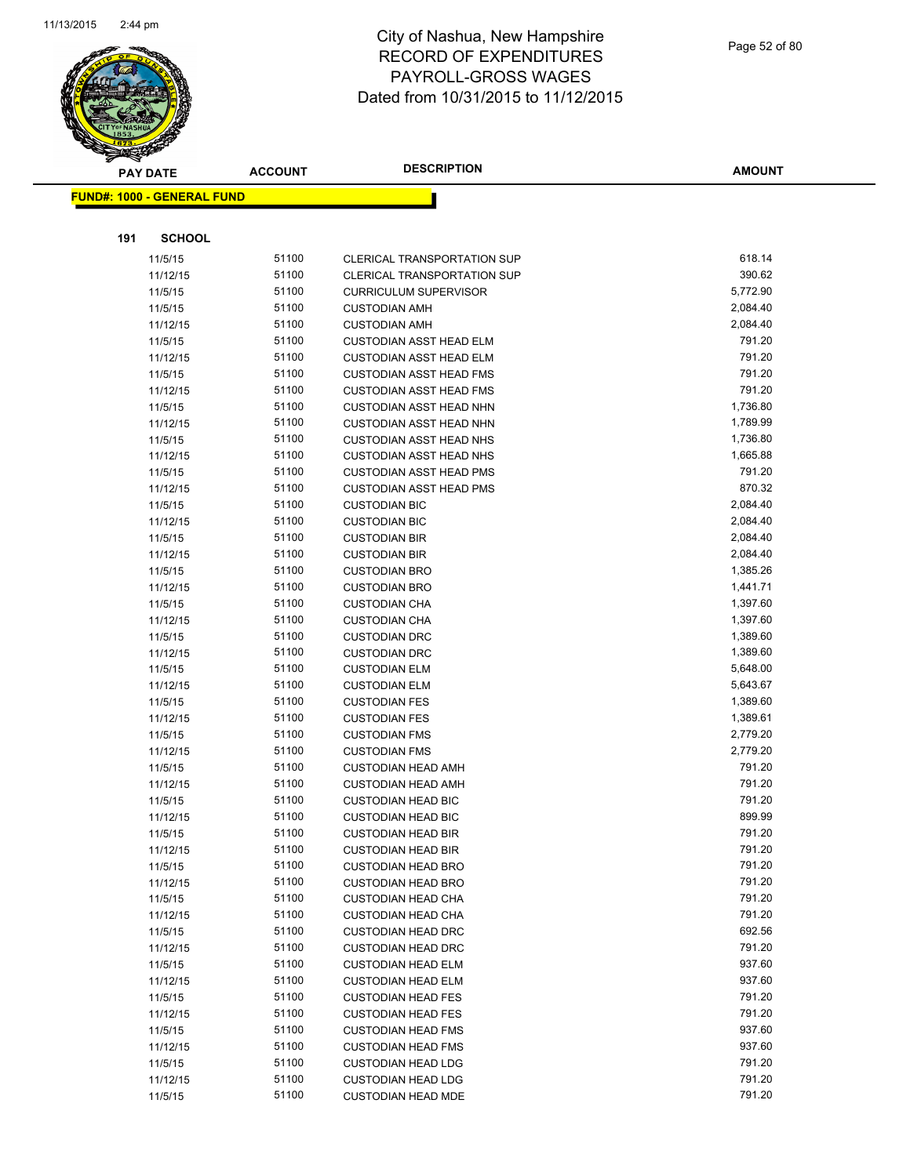

|     | <b>PAY DATE</b>                   | <b>ACCOUNT</b> | <b>DESCRIPTION</b>                                        | <b>AMOUNT</b>        |
|-----|-----------------------------------|----------------|-----------------------------------------------------------|----------------------|
|     | <b>FUND#: 1000 - GENERAL FUND</b> |                |                                                           |                      |
|     |                                   |                |                                                           |                      |
|     |                                   |                |                                                           |                      |
| 191 | <b>SCHOOL</b>                     |                |                                                           |                      |
|     | 11/5/15                           | 51100          | <b>CLERICAL TRANSPORTATION SUP</b>                        | 618.14               |
|     | 11/12/15                          | 51100          | <b>CLERICAL TRANSPORTATION SUP</b>                        | 390.62               |
|     | 11/5/15                           | 51100          | <b>CURRICULUM SUPERVISOR</b>                              | 5,772.90             |
|     | 11/5/15                           | 51100          | <b>CUSTODIAN AMH</b>                                      | 2,084.40             |
|     | 11/12/15                          | 51100          | <b>CUSTODIAN AMH</b>                                      | 2,084.40             |
|     | 11/5/15                           | 51100          | <b>CUSTODIAN ASST HEAD ELM</b>                            | 791.20               |
|     | 11/12/15                          | 51100          | <b>CUSTODIAN ASST HEAD ELM</b>                            | 791.20               |
|     | 11/5/15                           | 51100          | <b>CUSTODIAN ASST HEAD FMS</b>                            | 791.20               |
|     | 11/12/15                          | 51100          | <b>CUSTODIAN ASST HEAD FMS</b>                            | 791.20               |
|     | 11/5/15                           | 51100          | <b>CUSTODIAN ASST HEAD NHN</b>                            | 1,736.80             |
|     | 11/12/15                          | 51100<br>51100 | <b>CUSTODIAN ASST HEAD NHN</b>                            | 1,789.99<br>1,736.80 |
|     | 11/5/15<br>11/12/15               | 51100          | <b>CUSTODIAN ASST HEAD NHS</b><br>CUSTODIAN ASST HEAD NHS | 1,665.88             |
|     | 11/5/15                           | 51100          | <b>CUSTODIAN ASST HEAD PMS</b>                            | 791.20               |
|     | 11/12/15                          | 51100          | <b>CUSTODIAN ASST HEAD PMS</b>                            | 870.32               |
|     | 11/5/15                           | 51100          | <b>CUSTODIAN BIC</b>                                      | 2,084.40             |
|     | 11/12/15                          | 51100          | <b>CUSTODIAN BIC</b>                                      | 2,084.40             |
|     | 11/5/15                           | 51100          | <b>CUSTODIAN BIR</b>                                      | 2,084.40             |
|     | 11/12/15                          | 51100          | <b>CUSTODIAN BIR</b>                                      | 2,084.40             |
|     | 11/5/15                           | 51100          | <b>CUSTODIAN BRO</b>                                      | 1,385.26             |
|     | 11/12/15                          | 51100          | <b>CUSTODIAN BRO</b>                                      | 1,441.71             |
|     | 11/5/15                           | 51100          | <b>CUSTODIAN CHA</b>                                      | 1,397.60             |
|     | 11/12/15                          | 51100          | <b>CUSTODIAN CHA</b>                                      | 1,397.60             |
|     | 11/5/15                           | 51100          | <b>CUSTODIAN DRC</b>                                      | 1,389.60             |
|     | 11/12/15                          | 51100          | <b>CUSTODIAN DRC</b>                                      | 1,389.60             |
|     | 11/5/15                           | 51100          | <b>CUSTODIAN ELM</b>                                      | 5,648.00             |
|     | 11/12/15                          | 51100          | <b>CUSTODIAN ELM</b>                                      | 5,643.67             |
|     | 11/5/15                           | 51100          | <b>CUSTODIAN FES</b>                                      | 1,389.60             |
|     | 11/12/15                          | 51100          | <b>CUSTODIAN FES</b>                                      | 1,389.61             |
|     | 11/5/15                           | 51100          | <b>CUSTODIAN FMS</b>                                      | 2,779.20             |
|     | 11/12/15                          | 51100          | <b>CUSTODIAN FMS</b>                                      | 2,779.20             |
|     | 11/5/15                           | 51100          | <b>CUSTODIAN HEAD AMH</b>                                 | 791.20               |
|     | 11/12/15                          | 51100          | <b>CUSTODIAN HEAD AMH</b>                                 | 791.20               |
|     | 11/5/15                           | 51100          | <b>CUSTODIAN HEAD BIC</b>                                 | 791.20               |
|     | 11/12/15                          | 51100          | <b>CUSTODIAN HEAD BIC</b>                                 | 899.99               |
|     | 11/5/15                           | 51100          | <b>CUSTODIAN HEAD BIR</b>                                 | 791.20               |
|     | 11/12/15                          | 51100          | <b>CUSTODIAN HEAD BIR</b>                                 | 791.20               |
|     | 11/5/15                           | 51100          | <b>CUSTODIAN HEAD BRO</b>                                 | 791.20               |
|     | 11/12/15                          | 51100          | <b>CUSTODIAN HEAD BRO</b>                                 | 791.20               |
|     | 11/5/15                           | 51100          | <b>CUSTODIAN HEAD CHA</b>                                 | 791.20               |
|     | 11/12/15                          | 51100          | <b>CUSTODIAN HEAD CHA</b>                                 | 791.20               |
|     | 11/5/15                           | 51100          | <b>CUSTODIAN HEAD DRC</b>                                 | 692.56               |
|     | 11/12/15                          | 51100          | <b>CUSTODIAN HEAD DRC</b>                                 | 791.20               |
|     | 11/5/15                           | 51100          | <b>CUSTODIAN HEAD ELM</b>                                 | 937.60               |
|     | 11/12/15                          | 51100          | <b>CUSTODIAN HEAD ELM</b>                                 | 937.60               |
|     | 11/5/15                           | 51100          | <b>CUSTODIAN HEAD FES</b>                                 | 791.20               |
|     | 11/12/15                          | 51100          | <b>CUSTODIAN HEAD FES</b>                                 | 791.20               |
|     | 11/5/15                           | 51100          | <b>CUSTODIAN HEAD FMS</b>                                 | 937.60               |
|     | 11/12/15                          | 51100          | <b>CUSTODIAN HEAD FMS</b>                                 | 937.60<br>791.20     |
|     | 11/5/15                           | 51100          | <b>CUSTODIAN HEAD LDG</b><br><b>CUSTODIAN HEAD LDG</b>    | 791.20               |
|     | 11/12/15                          | 51100<br>51100 |                                                           | 791.20               |
|     | 11/5/15                           |                | <b>CUSTODIAN HEAD MDE</b>                                 |                      |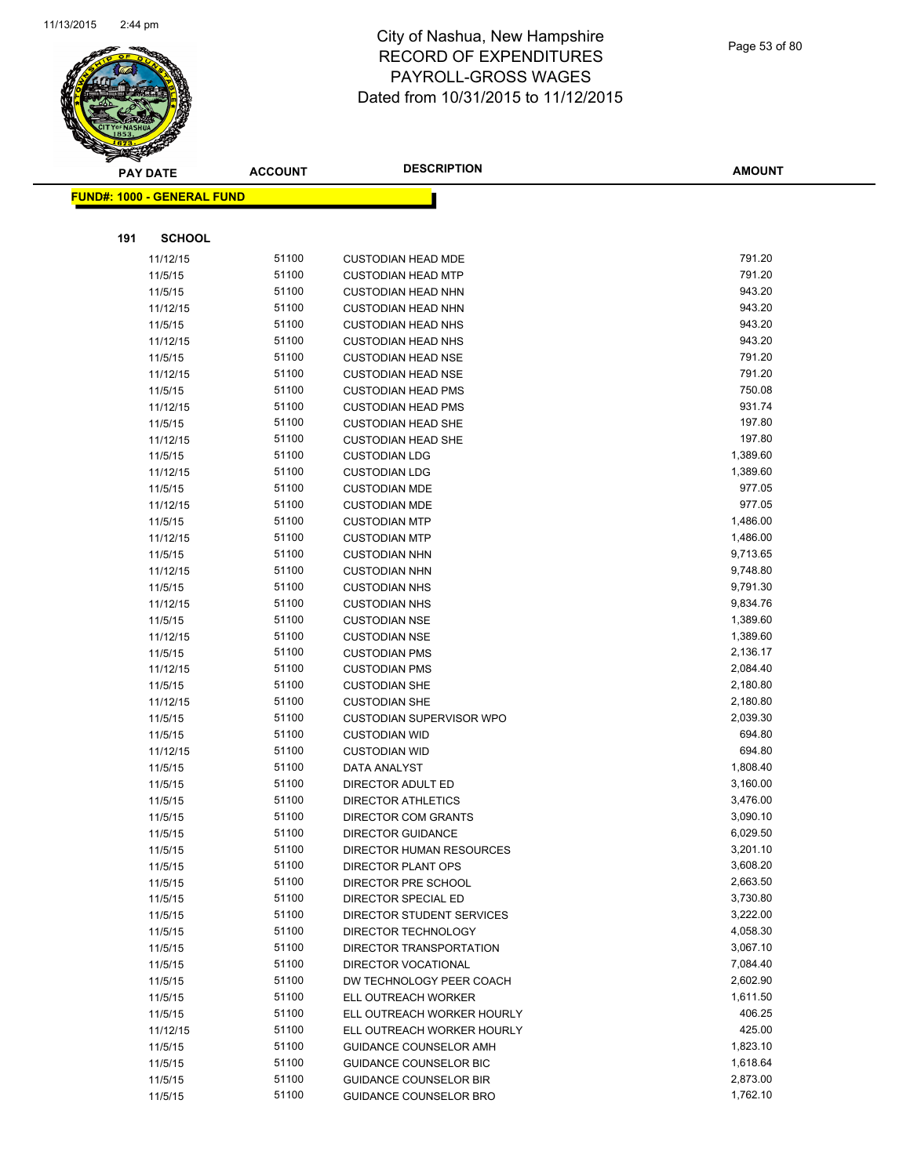

Page 53 of 80

|     | <b>PAY DATE</b>                   | <b>ACCOUNT</b> | <b>DESCRIPTION</b>                                             | <b>AMOUNT</b>    |
|-----|-----------------------------------|----------------|----------------------------------------------------------------|------------------|
|     | <b>FUND#: 1000 - GENERAL FUND</b> |                |                                                                |                  |
|     |                                   |                |                                                                |                  |
| 191 | <b>SCHOOL</b>                     |                |                                                                |                  |
|     |                                   | 51100          |                                                                | 791.20           |
|     | 11/12/15<br>11/5/15               | 51100          | <b>CUSTODIAN HEAD MDE</b>                                      | 791.20           |
|     |                                   | 51100          | <b>CUSTODIAN HEAD MTP</b>                                      | 943.20           |
|     | 11/5/15<br>11/12/15               | 51100          | <b>CUSTODIAN HEAD NHN</b><br><b>CUSTODIAN HEAD NHN</b>         | 943.20           |
|     | 11/5/15                           | 51100          | <b>CUSTODIAN HEAD NHS</b>                                      | 943.20           |
|     | 11/12/15                          | 51100          | <b>CUSTODIAN HEAD NHS</b>                                      | 943.20           |
|     | 11/5/15                           | 51100          | <b>CUSTODIAN HEAD NSE</b>                                      | 791.20           |
|     | 11/12/15                          | 51100          | <b>CUSTODIAN HEAD NSE</b>                                      | 791.20           |
|     | 11/5/15                           | 51100          | <b>CUSTODIAN HEAD PMS</b>                                      | 750.08           |
|     | 11/12/15                          | 51100          | <b>CUSTODIAN HEAD PMS</b>                                      | 931.74           |
|     | 11/5/15                           | 51100          | <b>CUSTODIAN HEAD SHE</b>                                      | 197.80           |
|     | 11/12/15                          | 51100          | <b>CUSTODIAN HEAD SHE</b>                                      | 197.80           |
|     | 11/5/15                           | 51100          | <b>CUSTODIAN LDG</b>                                           | 1,389.60         |
|     | 11/12/15                          | 51100          | <b>CUSTODIAN LDG</b>                                           | 1,389.60         |
|     | 11/5/15                           | 51100          | <b>CUSTODIAN MDE</b>                                           | 977.05           |
|     | 11/12/15                          | 51100          | <b>CUSTODIAN MDE</b>                                           | 977.05           |
|     | 11/5/15                           | 51100          | <b>CUSTODIAN MTP</b>                                           | 1,486.00         |
|     | 11/12/15                          | 51100          | <b>CUSTODIAN MTP</b>                                           | 1,486.00         |
|     | 11/5/15                           | 51100          | <b>CUSTODIAN NHN</b>                                           | 9,713.65         |
|     | 11/12/15                          | 51100          | <b>CUSTODIAN NHN</b>                                           | 9,748.80         |
|     | 11/5/15                           | 51100          | <b>CUSTODIAN NHS</b>                                           | 9,791.30         |
|     | 11/12/15                          | 51100          | <b>CUSTODIAN NHS</b>                                           | 9,834.76         |
|     | 11/5/15                           | 51100          | <b>CUSTODIAN NSE</b>                                           | 1,389.60         |
|     | 11/12/15                          | 51100          | <b>CUSTODIAN NSE</b>                                           | 1,389.60         |
|     | 11/5/15                           | 51100          | <b>CUSTODIAN PMS</b>                                           | 2,136.17         |
|     | 11/12/15                          | 51100          | <b>CUSTODIAN PMS</b>                                           | 2,084.40         |
|     | 11/5/15                           | 51100          | <b>CUSTODIAN SHE</b>                                           | 2,180.80         |
|     | 11/12/15                          | 51100          | <b>CUSTODIAN SHE</b>                                           | 2,180.80         |
|     | 11/5/15                           | 51100          | <b>CUSTODIAN SUPERVISOR WPO</b>                                | 2,039.30         |
|     | 11/5/15                           | 51100          | <b>CUSTODIAN WID</b>                                           | 694.80           |
|     | 11/12/15                          | 51100          | <b>CUSTODIAN WID</b>                                           | 694.80           |
|     | 11/5/15                           | 51100          | <b>DATA ANALYST</b>                                            | 1,808.40         |
|     | 11/5/15                           | 51100          | DIRECTOR ADULT ED                                              | 3,160.00         |
|     | 11/5/15                           | 51100          | <b>DIRECTOR ATHLETICS</b>                                      | 3,476.00         |
|     | 11/5/15                           | 51100          | <b>DIRECTOR COM GRANTS</b>                                     | 3,090.10         |
|     | 11/5/15                           | 51100          | <b>DIRECTOR GUIDANCE</b>                                       | 6,029.50         |
|     | 11/5/15                           | 51100          | <b>DIRECTOR HUMAN RESOURCES</b>                                | 3,201.10         |
|     | 11/5/15                           | 51100          | DIRECTOR PLANT OPS                                             | 3,608.20         |
|     | 11/5/15                           | 51100          | DIRECTOR PRE SCHOOL                                            | 2,663.50         |
|     | 11/5/15                           | 51100          | DIRECTOR SPECIAL ED                                            | 3,730.80         |
|     | 11/5/15                           | 51100          | DIRECTOR STUDENT SERVICES                                      | 3,222.00         |
|     | 11/5/15                           | 51100          | DIRECTOR TECHNOLOGY                                            | 4,058.30         |
|     | 11/5/15                           | 51100          | DIRECTOR TRANSPORTATION                                        | 3,067.10         |
|     | 11/5/15                           | 51100          | DIRECTOR VOCATIONAL                                            | 7,084.40         |
|     | 11/5/15                           | 51100          | DW TECHNOLOGY PEER COACH                                       | 2,602.90         |
|     | 11/5/15                           | 51100          | ELL OUTREACH WORKER                                            | 1,611.50         |
|     | 11/5/15                           | 51100          | ELL OUTREACH WORKER HOURLY                                     | 406.25<br>425.00 |
|     | 11/12/15                          | 51100<br>51100 | ELL OUTREACH WORKER HOURLY                                     | 1,823.10         |
|     | 11/5/15                           | 51100          | GUIDANCE COUNSELOR AMH                                         | 1,618.64         |
|     | 11/5/15                           | 51100          | <b>GUIDANCE COUNSELOR BIC</b><br><b>GUIDANCE COUNSELOR BIR</b> | 2,873.00         |
|     | 11/5/15                           | 51100          |                                                                | 1,762.10         |
|     | 11/5/15                           |                | GUIDANCE COUNSELOR BRO                                         |                  |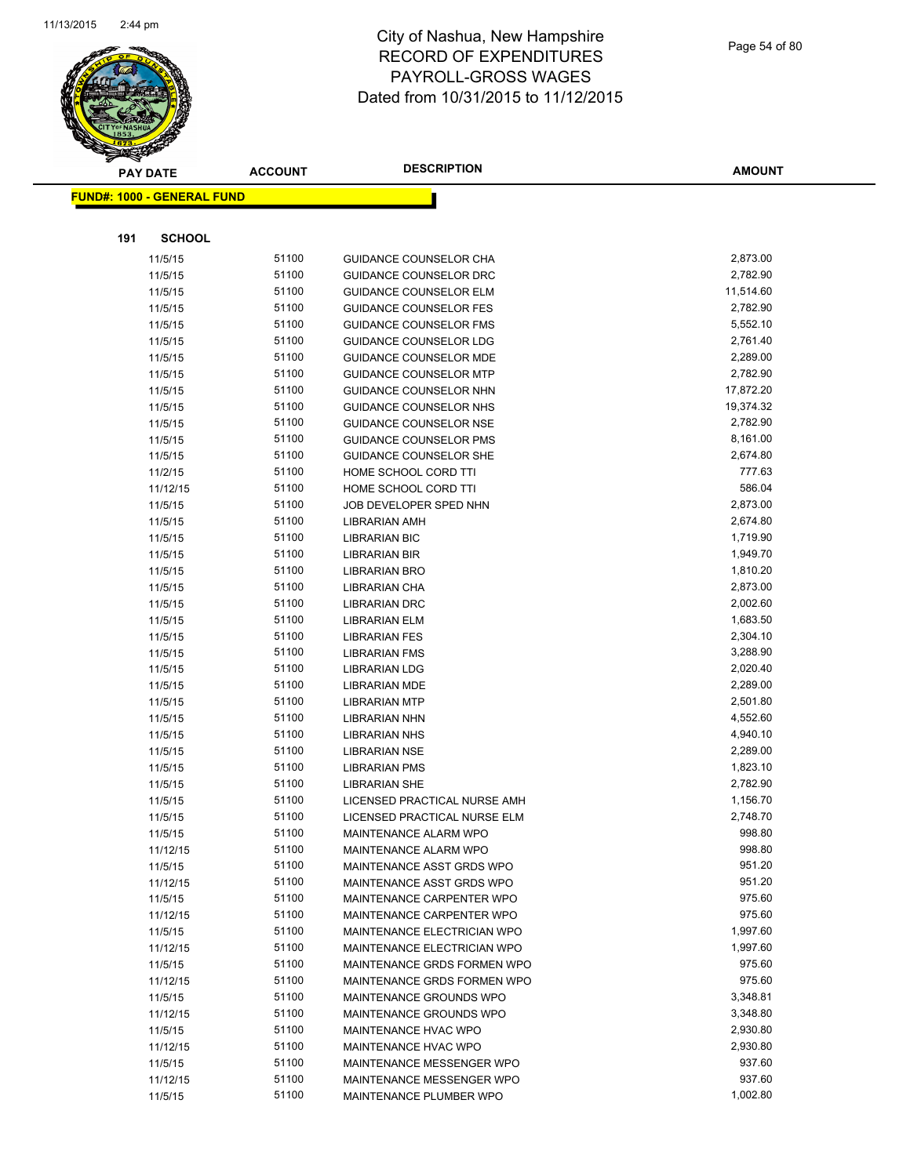

|     | <b>PAY DATE</b>                   |       | <b>DESCRIPTION</b><br><b>ACCOUNT</b> | <b>AMOUNT</b> |  |
|-----|-----------------------------------|-------|--------------------------------------|---------------|--|
|     | <b>FUND#: 1000 - GENERAL FUND</b> |       |                                      |               |  |
|     |                                   |       |                                      |               |  |
|     |                                   |       |                                      |               |  |
| 191 | <b>SCHOOL</b>                     |       |                                      |               |  |
|     | 11/5/15                           | 51100 | GUIDANCE COUNSELOR CHA               | 2,873.00      |  |
|     | 11/5/15                           | 51100 | GUIDANCE COUNSELOR DRC               | 2,782.90      |  |
|     | 11/5/15                           | 51100 | <b>GUIDANCE COUNSELOR ELM</b>        | 11,514.60     |  |
|     | 11/5/15                           | 51100 | <b>GUIDANCE COUNSELOR FES</b>        | 2,782.90      |  |
|     | 11/5/15                           | 51100 | <b>GUIDANCE COUNSELOR FMS</b>        | 5,552.10      |  |
|     | 11/5/15                           | 51100 | <b>GUIDANCE COUNSELOR LDG</b>        | 2,761.40      |  |
|     | 11/5/15                           | 51100 | <b>GUIDANCE COUNSELOR MDE</b>        | 2,289.00      |  |
|     | 11/5/15                           | 51100 | <b>GUIDANCE COUNSELOR MTP</b>        | 2,782.90      |  |
|     | 11/5/15                           | 51100 | GUIDANCE COUNSELOR NHN               | 17,872.20     |  |
|     | 11/5/15                           | 51100 | GUIDANCE COUNSELOR NHS               | 19,374.32     |  |
|     | 11/5/15                           | 51100 | <b>GUIDANCE COUNSELOR NSE</b>        | 2,782.90      |  |
|     | 11/5/15                           | 51100 | <b>GUIDANCE COUNSELOR PMS</b>        | 8,161.00      |  |
|     | 11/5/15                           | 51100 | GUIDANCE COUNSELOR SHE               | 2,674.80      |  |
|     | 11/2/15                           | 51100 | HOME SCHOOL CORD TTI                 | 777.63        |  |
|     | 11/12/15                          | 51100 | HOME SCHOOL CORD TTI                 | 586.04        |  |
|     | 11/5/15                           | 51100 | JOB DEVELOPER SPED NHN               | 2,873.00      |  |
|     | 11/5/15                           | 51100 | <b>LIBRARIAN AMH</b>                 | 2,674.80      |  |
|     | 11/5/15                           | 51100 | <b>LIBRARIAN BIC</b>                 | 1,719.90      |  |
|     | 11/5/15                           | 51100 | <b>LIBRARIAN BIR</b>                 | 1,949.70      |  |
|     | 11/5/15                           | 51100 | <b>LIBRARIAN BRO</b>                 | 1,810.20      |  |
|     | 11/5/15                           | 51100 | <b>LIBRARIAN CHA</b>                 | 2,873.00      |  |
|     | 11/5/15                           | 51100 | <b>LIBRARIAN DRC</b>                 | 2,002.60      |  |
|     | 11/5/15                           | 51100 | <b>LIBRARIAN ELM</b>                 | 1,683.50      |  |
|     | 11/5/15                           | 51100 | <b>LIBRARIAN FES</b>                 | 2,304.10      |  |
|     | 11/5/15                           | 51100 | <b>LIBRARIAN FMS</b>                 | 3,288.90      |  |
|     | 11/5/15                           | 51100 | <b>LIBRARIAN LDG</b>                 | 2,020.40      |  |
|     | 11/5/15                           | 51100 | <b>LIBRARIAN MDE</b>                 | 2,289.00      |  |
|     | 11/5/15                           | 51100 | <b>LIBRARIAN MTP</b>                 | 2,501.80      |  |
|     | 11/5/15                           | 51100 | <b>LIBRARIAN NHN</b>                 | 4,552.60      |  |
|     | 11/5/15                           | 51100 | <b>LIBRARIAN NHS</b>                 | 4,940.10      |  |
|     | 11/5/15                           | 51100 | <b>LIBRARIAN NSE</b>                 | 2,289.00      |  |
|     | 11/5/15                           | 51100 | <b>LIBRARIAN PMS</b>                 | 1,823.10      |  |
|     | 11/5/15                           | 51100 | <b>LIBRARIAN SHE</b>                 | 2,782.90      |  |
|     | 11/5/15                           | 51100 | LICENSED PRACTICAL NURSE AMH         | 1,156.70      |  |
|     | 11/5/15                           | 51100 | LICENSED PRACTICAL NURSE ELM         | 2,748.70      |  |
|     | 11/5/15                           | 51100 | MAINTENANCE ALARM WPO                | 998.80        |  |
|     | 11/12/15                          | 51100 | MAINTENANCE ALARM WPO                | 998.80        |  |
|     | 11/5/15                           | 51100 | MAINTENANCE ASST GRDS WPO            | 951.20        |  |
|     | 11/12/15                          | 51100 | MAINTENANCE ASST GRDS WPO            | 951.20        |  |
|     | 11/5/15                           | 51100 | MAINTENANCE CARPENTER WPO            | 975.60        |  |
|     | 11/12/15                          | 51100 | MAINTENANCE CARPENTER WPO            | 975.60        |  |
|     | 11/5/15                           | 51100 | MAINTENANCE ELECTRICIAN WPO          | 1,997.60      |  |
|     | 11/12/15                          | 51100 | MAINTENANCE ELECTRICIAN WPO          | 1,997.60      |  |
|     | 11/5/15                           | 51100 | MAINTENANCE GRDS FORMEN WPO          | 975.60        |  |
|     | 11/12/15                          | 51100 | MAINTENANCE GRDS FORMEN WPO          | 975.60        |  |
|     | 11/5/15                           | 51100 | MAINTENANCE GROUNDS WPO              | 3,348.81      |  |
|     | 11/12/15                          | 51100 | MAINTENANCE GROUNDS WPO              | 3,348.80      |  |
|     | 11/5/15                           | 51100 | MAINTENANCE HVAC WPO                 | 2,930.80      |  |
|     | 11/12/15                          | 51100 | MAINTENANCE HVAC WPO                 | 2,930.80      |  |
|     | 11/5/15                           | 51100 | MAINTENANCE MESSENGER WPO            | 937.60        |  |
|     | 11/12/15                          | 51100 | MAINTENANCE MESSENGER WPO            | 937.60        |  |
|     | 11/5/15                           | 51100 | MAINTENANCE PLUMBER WPO              | 1,002.80      |  |
|     |                                   |       |                                      |               |  |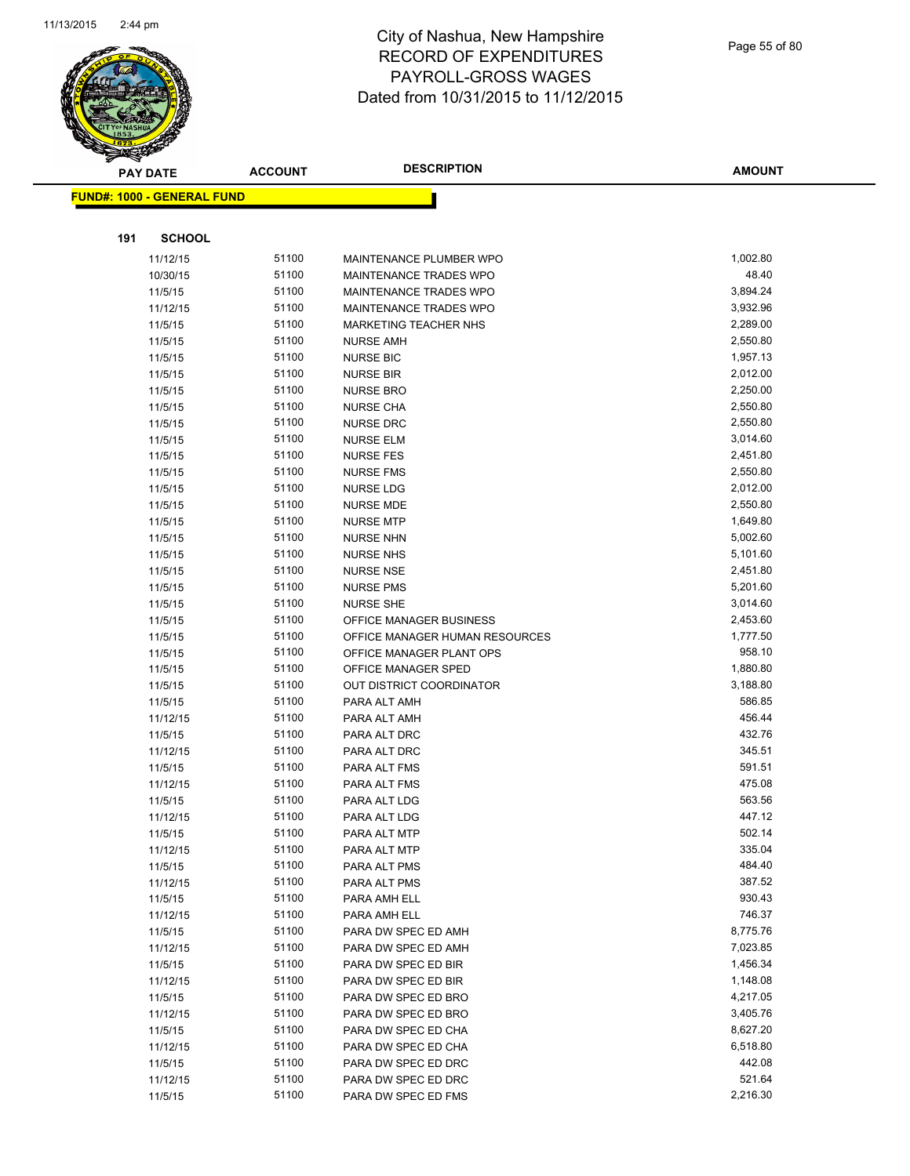

|     | <b>PAY DATE</b>                   | <b>ACCOUNT</b> | <b>DESCRIPTION</b>                                | <b>AMOUNT</b> |
|-----|-----------------------------------|----------------|---------------------------------------------------|---------------|
|     | <b>FUND#: 1000 - GENERAL FUND</b> |                |                                                   |               |
|     |                                   |                |                                                   |               |
| 191 | <b>SCHOOL</b>                     |                |                                                   |               |
|     |                                   | 51100          |                                                   | 1,002.80      |
|     | 11/12/15<br>10/30/15              | 51100          | MAINTENANCE PLUMBER WPO<br>MAINTENANCE TRADES WPO | 48.40         |
|     |                                   | 51100          |                                                   | 3,894.24      |
|     | 11/5/15<br>11/12/15               | 51100          | MAINTENANCE TRADES WPO<br>MAINTENANCE TRADES WPO  | 3,932.96      |
|     | 11/5/15                           | 51100          | MARKETING TEACHER NHS                             | 2,289.00      |
|     | 11/5/15                           | 51100          | <b>NURSE AMH</b>                                  | 2,550.80      |
|     | 11/5/15                           | 51100          | <b>NURSE BIC</b>                                  | 1,957.13      |
|     | 11/5/15                           | 51100          | <b>NURSE BIR</b>                                  | 2,012.00      |
|     | 11/5/15                           | 51100          | <b>NURSE BRO</b>                                  | 2,250.00      |
|     | 11/5/15                           | 51100          | <b>NURSE CHA</b>                                  | 2,550.80      |
|     | 11/5/15                           | 51100          | <b>NURSE DRC</b>                                  | 2,550.80      |
|     | 11/5/15                           | 51100          | <b>NURSE ELM</b>                                  | 3,014.60      |
|     | 11/5/15                           | 51100          | <b>NURSE FES</b>                                  | 2,451.80      |
|     | 11/5/15                           | 51100          | <b>NURSE FMS</b>                                  | 2,550.80      |
|     | 11/5/15                           | 51100          | <b>NURSE LDG</b>                                  | 2,012.00      |
|     | 11/5/15                           | 51100          | <b>NURSE MDE</b>                                  | 2,550.80      |
|     | 11/5/15                           | 51100          | <b>NURSE MTP</b>                                  | 1,649.80      |
|     | 11/5/15                           | 51100          | <b>NURSE NHN</b>                                  | 5,002.60      |
|     | 11/5/15                           | 51100          | <b>NURSE NHS</b>                                  | 5,101.60      |
|     | 11/5/15                           | 51100          | <b>NURSE NSE</b>                                  | 2,451.80      |
|     | 11/5/15                           | 51100          | <b>NURSE PMS</b>                                  | 5,201.60      |
|     | 11/5/15                           | 51100          | <b>NURSE SHE</b>                                  | 3,014.60      |
|     | 11/5/15                           | 51100          | OFFICE MANAGER BUSINESS                           | 2,453.60      |
|     | 11/5/15                           | 51100          | OFFICE MANAGER HUMAN RESOURCES                    | 1,777.50      |
|     | 11/5/15                           | 51100          | OFFICE MANAGER PLANT OPS                          | 958.10        |
|     | 11/5/15                           | 51100          | OFFICE MANAGER SPED                               | 1,880.80      |
|     | 11/5/15                           | 51100          | OUT DISTRICT COORDINATOR                          | 3,188.80      |
|     | 11/5/15                           | 51100          | PARA ALT AMH                                      | 586.85        |
|     | 11/12/15                          | 51100          | PARA ALT AMH                                      | 456.44        |
|     | 11/5/15                           | 51100          | PARA ALT DRC                                      | 432.76        |
|     | 11/12/15                          | 51100          | PARA ALT DRC                                      | 345.51        |
|     | 11/5/15                           | 51100          | PARA ALT FMS                                      | 591.51        |
|     | 11/12/15                          | 51100          | PARA ALT FMS                                      | 475.08        |
|     | 11/5/15                           | 51100          | PARA ALT LDG                                      | 563.56        |
|     | 11/12/15                          | 51100          | PARA ALT LDG                                      | 447.12        |
|     | 11/5/15                           | 51100          | PARA ALT MTP                                      | 502.14        |
|     | 11/12/15                          | 51100          | PARA ALT MTP                                      | 335.04        |
|     | 11/5/15                           | 51100          | PARA ALT PMS                                      | 484.40        |
|     | 11/12/15                          | 51100          | PARA ALT PMS                                      | 387.52        |
|     | 11/5/15                           | 51100          | PARA AMH ELL                                      | 930.43        |
|     | 11/12/15                          | 51100          | PARA AMH ELL                                      | 746.37        |
|     | 11/5/15                           | 51100          | PARA DW SPEC ED AMH                               | 8,775.76      |
|     | 11/12/15                          | 51100          | PARA DW SPEC ED AMH                               | 7,023.85      |
|     | 11/5/15                           | 51100          | PARA DW SPEC ED BIR                               | 1,456.34      |
|     | 11/12/15                          | 51100          | PARA DW SPEC ED BIR                               | 1,148.08      |
|     | 11/5/15                           | 51100          | PARA DW SPEC ED BRO                               | 4,217.05      |
|     | 11/12/15                          | 51100          | PARA DW SPEC ED BRO                               | 3,405.76      |
|     | 11/5/15                           | 51100          | PARA DW SPEC ED CHA                               | 8,627.20      |
|     | 11/12/15                          | 51100          | PARA DW SPEC ED CHA                               | 6,518.80      |
|     | 11/5/15                           | 51100          | PARA DW SPEC ED DRC                               | 442.08        |
|     | 11/12/15                          | 51100          | PARA DW SPEC ED DRC                               | 521.64        |
|     | 11/5/15                           | 51100          | PARA DW SPEC ED FMS                               | 2,216.30      |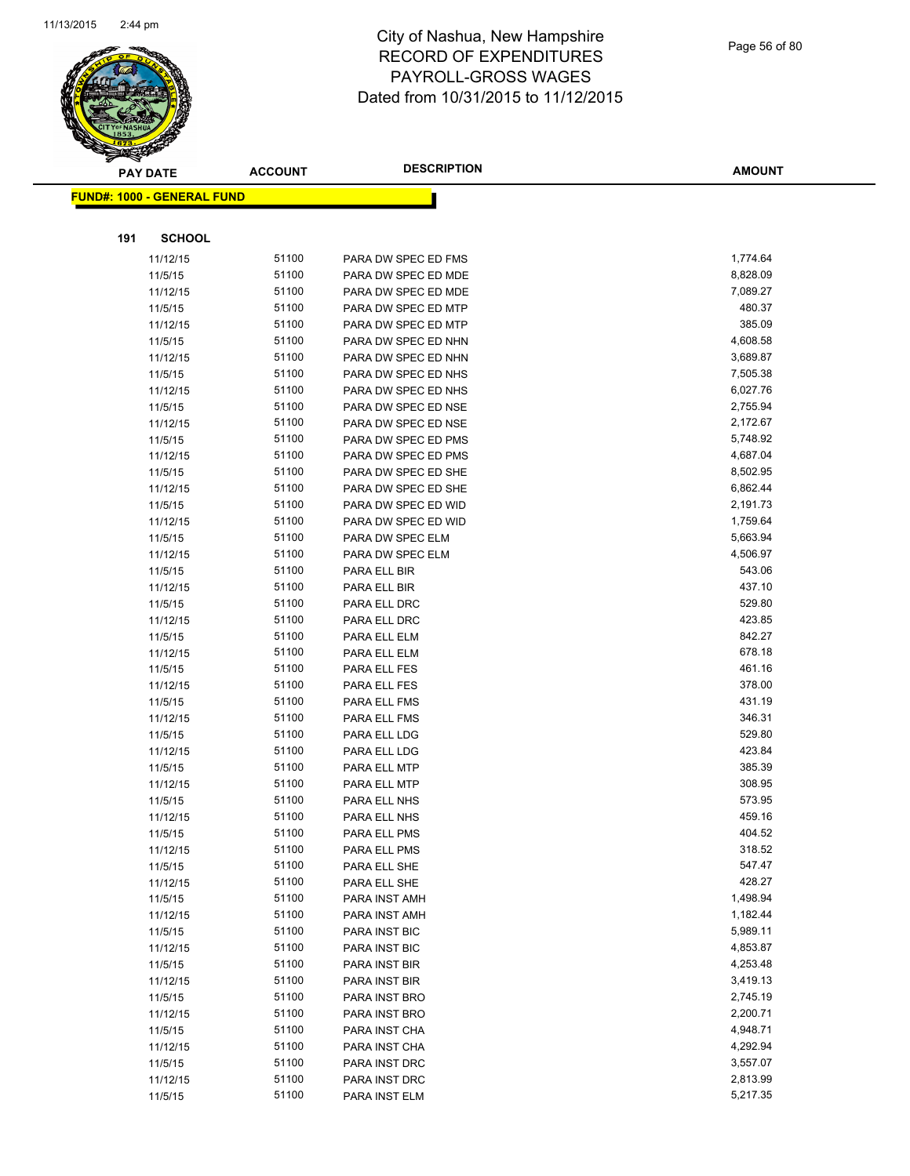

Page 56 of 80

|     | <b>PAY DATE</b>                   | <b>ACCOUNT</b> | <b>DESCRIPTION</b>           | <b>AMOUNT</b>    |
|-----|-----------------------------------|----------------|------------------------------|------------------|
|     | <b>FUND#: 1000 - GENERAL FUND</b> |                |                              |                  |
|     |                                   |                |                              |                  |
|     |                                   |                |                              |                  |
| 191 | <b>SCHOOL</b>                     |                |                              |                  |
|     | 11/12/15                          | 51100          | PARA DW SPEC ED FMS          | 1,774.64         |
|     | 11/5/15                           | 51100          | PARA DW SPEC ED MDE          | 8,828.09         |
|     | 11/12/15                          | 51100          | PARA DW SPEC ED MDE          | 7,089.27         |
|     | 11/5/15                           | 51100          | PARA DW SPEC ED MTP          | 480.37           |
|     | 11/12/15                          | 51100          | PARA DW SPEC ED MTP          | 385.09           |
|     | 11/5/15                           | 51100          | PARA DW SPEC ED NHN          | 4,608.58         |
|     | 11/12/15                          | 51100          | PARA DW SPEC ED NHN          | 3,689.87         |
|     | 11/5/15                           | 51100          | PARA DW SPEC ED NHS          | 7,505.38         |
|     | 11/12/15                          | 51100          | PARA DW SPEC ED NHS          | 6,027.76         |
|     | 11/5/15                           | 51100          | PARA DW SPEC ED NSE          | 2,755.94         |
|     | 11/12/15                          | 51100          | PARA DW SPEC ED NSE          | 2,172.67         |
|     | 11/5/15                           | 51100          | PARA DW SPEC ED PMS          | 5,748.92         |
|     | 11/12/15                          | 51100          | PARA DW SPEC ED PMS          | 4,687.04         |
|     | 11/5/15                           | 51100          | PARA DW SPEC ED SHE          | 8,502.95         |
|     | 11/12/15                          | 51100          | PARA DW SPEC ED SHE          | 6,862.44         |
|     | 11/5/15                           | 51100          | PARA DW SPEC ED WID          | 2,191.73         |
|     | 11/12/15                          | 51100          | PARA DW SPEC ED WID          | 1,759.64         |
|     | 11/5/15                           | 51100          | PARA DW SPEC ELM             | 5,663.94         |
|     | 11/12/15                          | 51100          | PARA DW SPEC ELM             | 4,506.97         |
|     | 11/5/15                           | 51100          | PARA ELL BIR                 | 543.06           |
|     | 11/12/15                          | 51100          | PARA ELL BIR                 | 437.10           |
|     | 11/5/15                           | 51100          | PARA ELL DRC                 | 529.80<br>423.85 |
|     | 11/12/15                          | 51100          | PARA ELL DRC                 | 842.27           |
|     | 11/5/15                           | 51100<br>51100 | PARA ELL ELM                 | 678.18           |
|     | 11/12/15                          |                | PARA ELL ELM                 | 461.16           |
|     | 11/5/15                           | 51100<br>51100 | PARA ELL FES                 | 378.00           |
|     | 11/12/15<br>11/5/15               | 51100          | PARA ELL FES<br>PARA ELL FMS | 431.19           |
|     | 11/12/15                          | 51100          | PARA ELL FMS                 | 346.31           |
|     | 11/5/15                           | 51100          | PARA ELL LDG                 | 529.80           |
|     | 11/12/15                          | 51100          | PARA ELL LDG                 | 423.84           |
|     | 11/5/15                           | 51100          | PARA ELL MTP                 | 385.39           |
|     | 11/12/15                          | 51100          | PARA ELL MTP                 | 308.95           |
|     | 11/5/15                           | 51100          | PARA ELL NHS                 | 573.95           |
|     | 11/12/15                          | 51100          | PARA ELL NHS                 | 459.16           |
|     | 11/5/15                           | 51100          | PARA ELL PMS                 | 404.52           |
|     | 11/12/15                          | 51100          | PARA ELL PMS                 | 318.52           |
|     | 11/5/15                           | 51100          | PARA ELL SHE                 | 547.47           |
|     | 11/12/15                          | 51100          | PARA ELL SHE                 | 428.27           |
|     | 11/5/15                           | 51100          | PARA INST AMH                | 1,498.94         |
|     | 11/12/15                          | 51100          | PARA INST AMH                | 1,182.44         |
|     | 11/5/15                           | 51100          | PARA INST BIC                | 5,989.11         |
|     | 11/12/15                          | 51100          | PARA INST BIC                | 4,853.87         |
|     | 11/5/15                           | 51100          | PARA INST BIR                | 4,253.48         |
|     | 11/12/15                          | 51100          | PARA INST BIR                | 3,419.13         |
|     | 11/5/15                           | 51100          | PARA INST BRO                | 2,745.19         |
|     | 11/12/15                          | 51100          | PARA INST BRO                | 2,200.71         |
|     | 11/5/15                           | 51100          | PARA INST CHA                | 4,948.71         |
|     | 11/12/15                          | 51100          | PARA INST CHA                | 4,292.94         |
|     | 11/5/15                           | 51100          | PARA INST DRC                | 3,557.07         |
|     | 11/12/15                          | 51100          | PARA INST DRC                | 2,813.99         |
|     | 11/5/15                           | 51100          | PARA INST ELM                | 5,217.35         |
|     |                                   |                |                              |                  |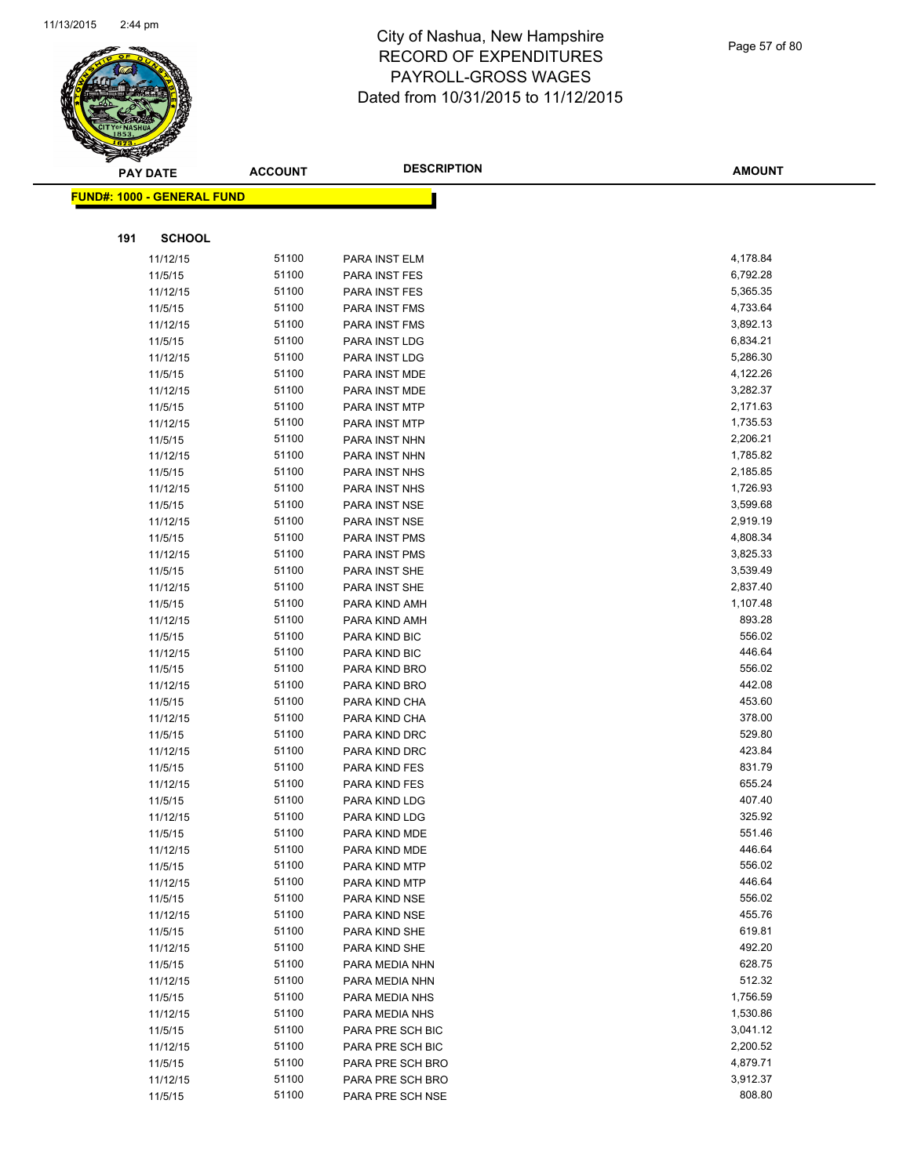

|     | <b>PAY DATE</b>                    | <b>ACCOUNT</b> | <b>DESCRIPTION</b>             | <b>AMOUNT</b>    |
|-----|------------------------------------|----------------|--------------------------------|------------------|
|     | <u> FUND#: 1000 - GENERAL FUND</u> |                |                                |                  |
|     |                                    |                |                                |                  |
|     |                                    |                |                                |                  |
| 191 | <b>SCHOOL</b>                      |                |                                |                  |
|     | 11/12/15                           | 51100          | PARA INST ELM                  | 4,178.84         |
|     | 11/5/15                            | 51100          | PARA INST FES                  | 6,792.28         |
|     | 11/12/15                           | 51100          | PARA INST FES                  | 5,365.35         |
|     | 11/5/15                            | 51100          | PARA INST FMS                  | 4,733.64         |
|     | 11/12/15                           | 51100          | PARA INST FMS                  | 3,892.13         |
|     | 11/5/15                            | 51100          | PARA INST LDG                  | 6,834.21         |
|     | 11/12/15                           | 51100          | PARA INST LDG                  | 5,286.30         |
|     | 11/5/15                            | 51100          | PARA INST MDE                  | 4,122.26         |
|     | 11/12/15                           | 51100          | PARA INST MDE                  | 3,282.37         |
|     | 11/5/15                            | 51100          | PARA INST MTP                  | 2,171.63         |
|     | 11/12/15                           | 51100          | PARA INST MTP                  | 1,735.53         |
|     | 11/5/15                            | 51100          | PARA INST NHN                  | 2,206.21         |
|     | 11/12/15                           | 51100          | PARA INST NHN                  | 1,785.82         |
|     | 11/5/15                            | 51100          | PARA INST NHS                  | 2,185.85         |
|     | 11/12/15                           | 51100          | PARA INST NHS                  | 1,726.93         |
|     | 11/5/15                            | 51100          | PARA INST NSE                  | 3,599.68         |
|     | 11/12/15                           | 51100          | PARA INST NSE                  | 2,919.19         |
|     | 11/5/15                            | 51100          | PARA INST PMS                  | 4,808.34         |
|     | 11/12/15                           | 51100          | PARA INST PMS                  | 3,825.33         |
|     | 11/5/15                            | 51100          | PARA INST SHE                  | 3,539.49         |
|     | 11/12/15                           | 51100          | PARA INST SHE                  | 2,837.40         |
|     | 11/5/15                            | 51100          | PARA KIND AMH                  | 1,107.48         |
|     | 11/12/15                           | 51100          | PARA KIND AMH                  | 893.28           |
|     | 11/5/15                            | 51100          | PARA KIND BIC                  | 556.02           |
|     | 11/12/15                           | 51100          | PARA KIND BIC                  | 446.64           |
|     | 11/5/15                            | 51100<br>51100 | PARA KIND BRO                  | 556.02<br>442.08 |
|     | 11/12/15<br>11/5/15                | 51100          | PARA KIND BRO                  | 453.60           |
|     |                                    | 51100          | PARA KIND CHA                  | 378.00           |
|     | 11/12/15<br>11/5/15                | 51100          | PARA KIND CHA<br>PARA KIND DRC | 529.80           |
|     | 11/12/15                           | 51100          | PARA KIND DRC                  | 423.84           |
|     | 11/5/15                            | 51100          | PARA KIND FES                  | 831.79           |
|     | 11/12/15                           | 51100          | PARA KIND FES                  | 655.24           |
|     | 11/5/15                            | 51100          | PARA KIND LDG                  | 407.40           |
|     | 11/12/15                           | 51100          | PARA KIND LDG                  | 325.92           |
|     | 11/5/15                            | 51100          | PARA KIND MDE                  | 551.46           |
|     | 11/12/15                           | 51100          | PARA KIND MDE                  | 446.64           |
|     | 11/5/15                            | 51100          | PARA KIND MTP                  | 556.02           |
|     | 11/12/15                           | 51100          | PARA KIND MTP                  | 446.64           |
|     | 11/5/15                            | 51100          | PARA KIND NSE                  | 556.02           |
|     | 11/12/15                           | 51100          | PARA KIND NSE                  | 455.76           |
|     | 11/5/15                            | 51100          | PARA KIND SHE                  | 619.81           |
|     | 11/12/15                           | 51100          | PARA KIND SHE                  | 492.20           |
|     | 11/5/15                            | 51100          | PARA MEDIA NHN                 | 628.75           |
|     | 11/12/15                           | 51100          | PARA MEDIA NHN                 | 512.32           |
|     | 11/5/15                            | 51100          | PARA MEDIA NHS                 | 1,756.59         |
|     | 11/12/15                           | 51100          | PARA MEDIA NHS                 | 1,530.86         |
|     | 11/5/15                            | 51100          | PARA PRE SCH BIC               | 3,041.12         |
|     | 11/12/15                           | 51100          | PARA PRE SCH BIC               | 2,200.52         |
|     | 11/5/15                            | 51100          | PARA PRE SCH BRO               | 4,879.71         |
|     | 11/12/15                           | 51100          | PARA PRE SCH BRO               | 3,912.37         |
|     | 11/5/15                            | 51100          | PARA PRE SCH NSE               | 808.80           |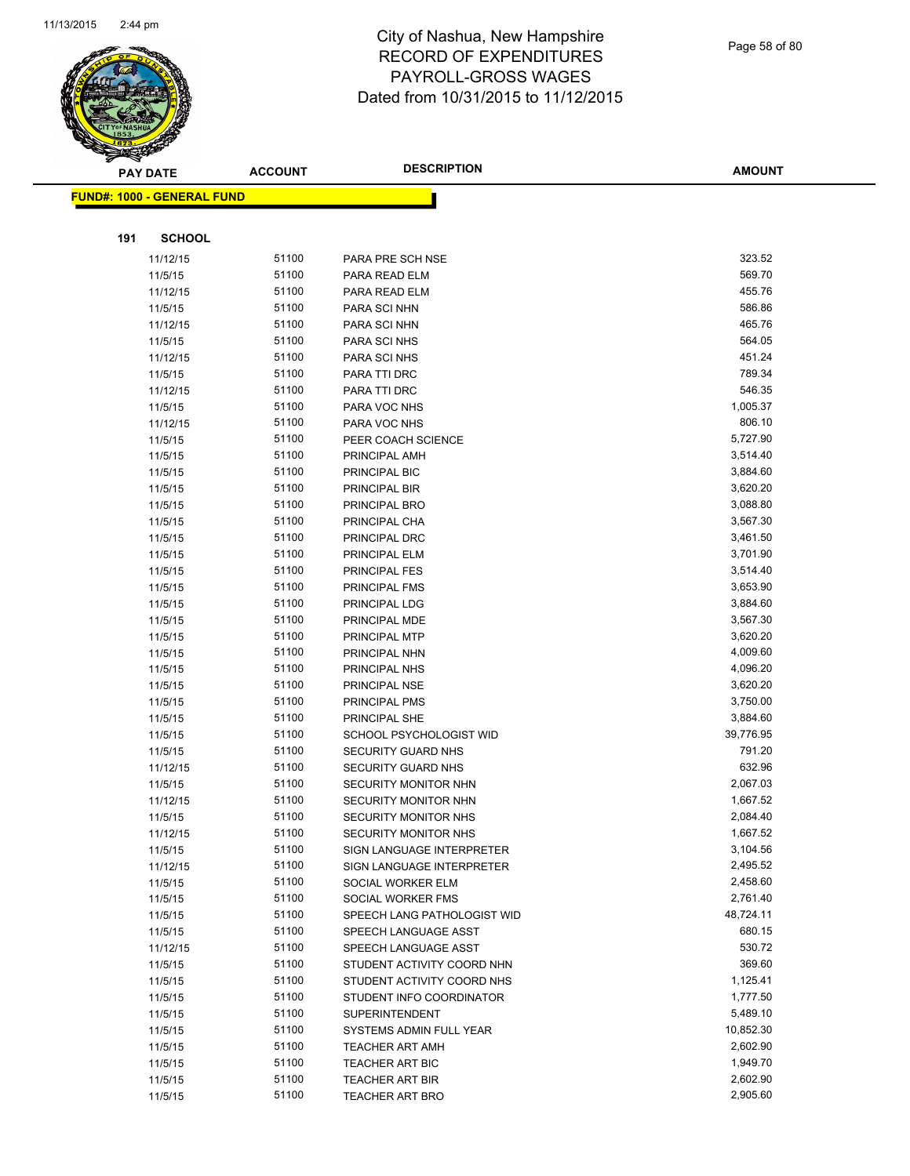

Page 58 of 80

|     | <b>PAY DATE</b>                   | <b>ACCOUNT</b> | <b>DESCRIPTION</b>                               | <b>AMOUNT</b>         |
|-----|-----------------------------------|----------------|--------------------------------------------------|-----------------------|
|     | <b>FUND#: 1000 - GENERAL FUND</b> |                |                                                  |                       |
|     |                                   |                |                                                  |                       |
| 191 | <b>SCHOOL</b>                     |                |                                                  |                       |
|     | 11/12/15                          | 51100          | PARA PRE SCH NSE                                 | 323.52                |
|     | 11/5/15                           | 51100          | PARA READ ELM                                    | 569.70                |
|     | 11/12/15                          | 51100          | PARA READ ELM                                    | 455.76                |
|     | 11/5/15                           | 51100          | <b>PARA SCI NHN</b>                              | 586.86                |
|     | 11/12/15                          | 51100          | PARA SCI NHN                                     | 465.76                |
|     | 11/5/15                           | 51100          | PARA SCI NHS                                     | 564.05                |
|     | 11/12/15                          | 51100          | PARA SCI NHS                                     | 451.24                |
|     | 11/5/15                           | 51100          | PARA TTI DRC                                     | 789.34                |
|     | 11/12/15                          | 51100          | PARA TTI DRC                                     | 546.35                |
|     | 11/5/15                           | 51100          | PARA VOC NHS                                     | 1,005.37              |
|     | 11/12/15                          | 51100          | PARA VOC NHS                                     | 806.10                |
|     | 11/5/15                           | 51100          | PEER COACH SCIENCE                               | 5,727.90              |
|     | 11/5/15                           | 51100          | PRINCIPAL AMH                                    | 3,514.40              |
|     | 11/5/15                           | 51100          | PRINCIPAL BIC                                    | 3,884.60              |
|     | 11/5/15                           | 51100          | PRINCIPAL BIR                                    | 3,620.20              |
|     | 11/5/15                           | 51100          | PRINCIPAL BRO                                    | 3,088.80              |
|     | 11/5/15                           | 51100          | PRINCIPAL CHA                                    | 3,567.30              |
|     | 11/5/15                           | 51100          | PRINCIPAL DRC                                    | 3,461.50              |
|     | 11/5/15                           | 51100          | PRINCIPAL ELM                                    | 3,701.90              |
|     | 11/5/15                           | 51100          | PRINCIPAL FES                                    | 3,514.40              |
|     | 11/5/15                           | 51100          | PRINCIPAL FMS                                    | 3,653.90              |
|     | 11/5/15                           | 51100          | PRINCIPAL LDG                                    | 3,884.60              |
|     | 11/5/15                           | 51100          | PRINCIPAL MDE                                    | 3,567.30              |
|     | 11/5/15                           | 51100          | PRINCIPAL MTP                                    | 3,620.20              |
|     | 11/5/15                           | 51100          | PRINCIPAL NHN                                    | 4,009.60              |
|     | 11/5/15                           | 51100          | PRINCIPAL NHS                                    | 4,096.20              |
|     | 11/5/15                           | 51100          | PRINCIPAL NSE                                    | 3,620.20              |
|     | 11/5/15                           | 51100          | PRINCIPAL PMS                                    | 3,750.00              |
|     | 11/5/15                           | 51100          | PRINCIPAL SHE                                    | 3,884.60              |
|     | 11/5/15                           | 51100          | SCHOOL PSYCHOLOGIST WID                          | 39,776.95             |
|     | 11/5/15                           | 51100          | SECURITY GUARD NHS                               | 791.20                |
|     | 11/12/15                          | 51100          | SECURITY GUARD NHS                               | 632.96                |
|     | 11/5/15                           | 51100          | SECURITY MONITOR NHN                             | 2,067.03              |
|     | 11/12/15                          | 51100          | SECURITY MONITOR NHN                             | 1,667.52              |
|     | 11/5/15                           | 51100          | SECURITY MONITOR NHS                             | 2,084.40              |
|     | 11/12/15                          | 51100          | SECURITY MONITOR NHS                             | 1,667.52              |
|     | 11/5/15                           | 51100          | SIGN LANGUAGE INTERPRETER                        | 3,104.56              |
|     | 11/12/15                          | 51100          | SIGN LANGUAGE INTERPRETER                        | 2,495.52              |
|     | 11/5/15                           | 51100          | SOCIAL WORKER ELM                                | 2,458.60              |
|     | 11/5/15                           | 51100          | SOCIAL WORKER FMS                                | 2,761.40              |
|     | 11/5/15                           | 51100          | SPEECH LANG PATHOLOGIST WID                      | 48,724.11             |
|     | 11/5/15                           | 51100          | SPEECH LANGUAGE ASST                             | 680.15                |
|     | 11/12/15                          | 51100          | SPEECH LANGUAGE ASST                             | 530.72                |
|     | 11/5/15                           | 51100          | STUDENT ACTIVITY COORD NHN                       | 369.60                |
|     | 11/5/15                           | 51100          | STUDENT ACTIVITY COORD NHS                       | 1,125.41              |
|     | 11/5/15                           | 51100          | STUDENT INFO COORDINATOR                         | 1,777.50              |
|     | 11/5/15                           | 51100<br>51100 | <b>SUPERINTENDENT</b>                            | 5,489.10<br>10,852.30 |
|     | 11/5/15                           | 51100          | SYSTEMS ADMIN FULL YEAR                          | 2,602.90              |
|     | 11/5/15<br>11/5/15                | 51100          | <b>TEACHER ART AMH</b><br><b>TEACHER ART BIC</b> | 1,949.70              |
|     | 11/5/15                           | 51100          | TEACHER ART BIR                                  | 2,602.90              |
|     | 11/5/15                           | 51100          | <b>TEACHER ART BRO</b>                           | 2,905.60              |
|     |                                   |                |                                                  |                       |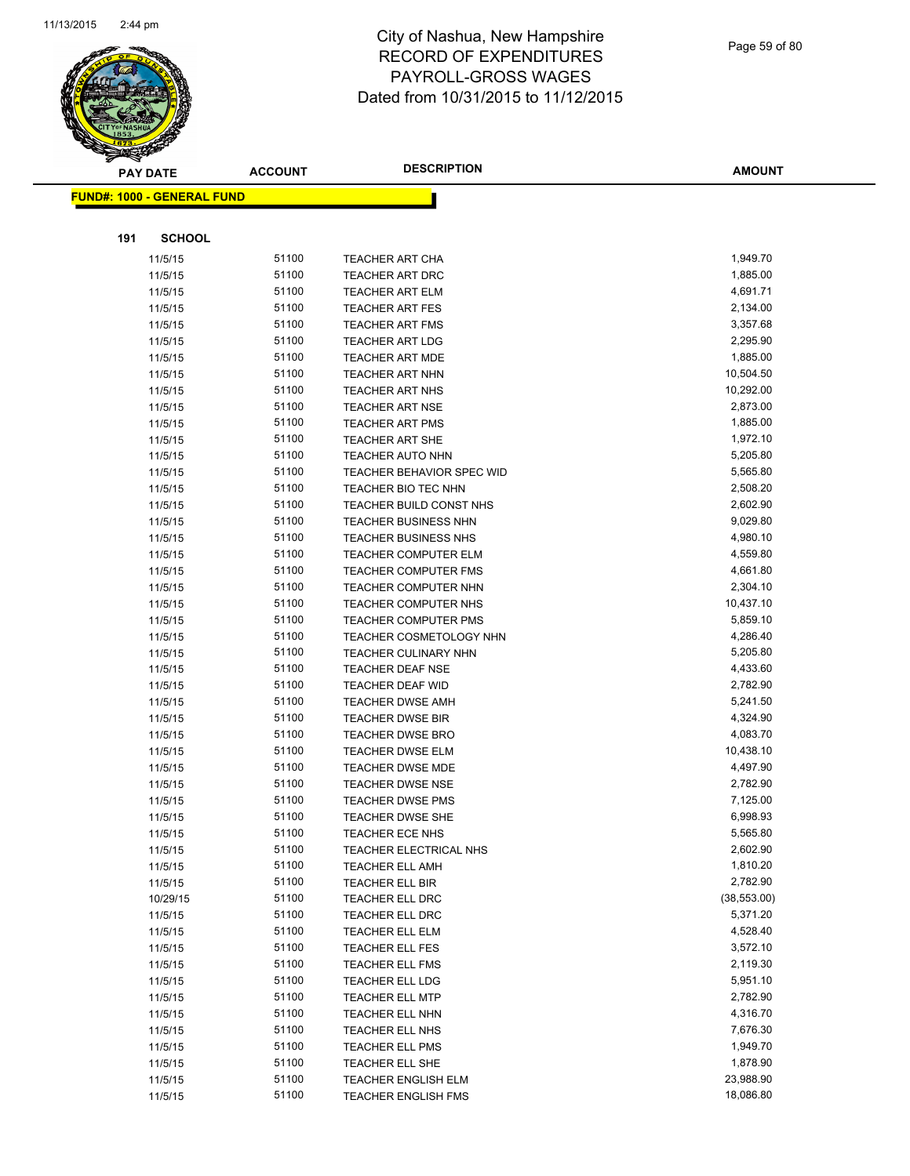

|     | <b>PAY DATE</b>                    | <b>ACCOUNT</b> | <b>DESCRIPTION</b>          | <b>AMOUNT</b> |
|-----|------------------------------------|----------------|-----------------------------|---------------|
|     | <u> FUND#: 1000 - GENERAL FUND</u> |                |                             |               |
|     |                                    |                |                             |               |
|     |                                    |                |                             |               |
| 191 | <b>SCHOOL</b>                      |                |                             |               |
|     | 11/5/15                            | 51100          | <b>TEACHER ART CHA</b>      | 1,949.70      |
|     | 11/5/15                            | 51100          | <b>TEACHER ART DRC</b>      | 1,885.00      |
|     | 11/5/15                            | 51100          | <b>TEACHER ART ELM</b>      | 4,691.71      |
|     | 11/5/15                            | 51100          | <b>TEACHER ART FES</b>      | 2,134.00      |
|     | 11/5/15                            | 51100          | <b>TEACHER ART FMS</b>      | 3,357.68      |
|     | 11/5/15                            | 51100          | <b>TEACHER ART LDG</b>      | 2,295.90      |
|     | 11/5/15                            | 51100          | <b>TEACHER ART MDE</b>      | 1,885.00      |
|     | 11/5/15                            | 51100          | <b>TEACHER ART NHN</b>      | 10,504.50     |
|     | 11/5/15                            | 51100          | <b>TEACHER ART NHS</b>      | 10,292.00     |
|     | 11/5/15                            | 51100          | <b>TEACHER ART NSE</b>      | 2,873.00      |
|     | 11/5/15                            | 51100          | <b>TEACHER ART PMS</b>      | 1,885.00      |
|     | 11/5/15                            | 51100          | <b>TEACHER ART SHE</b>      | 1,972.10      |
|     | 11/5/15                            | 51100          | <b>TEACHER AUTO NHN</b>     | 5,205.80      |
|     | 11/5/15                            | 51100          | TEACHER BEHAVIOR SPEC WID   | 5,565.80      |
|     | 11/5/15                            | 51100          | <b>TEACHER BIO TEC NHN</b>  | 2,508.20      |
|     | 11/5/15                            | 51100          | TEACHER BUILD CONST NHS     | 2,602.90      |
|     | 11/5/15                            | 51100          | <b>TEACHER BUSINESS NHN</b> | 9,029.80      |
|     | 11/5/15                            | 51100          | TEACHER BUSINESS NHS        | 4,980.10      |
|     | 11/5/15                            | 51100          | TEACHER COMPUTER ELM        | 4,559.80      |
|     | 11/5/15                            | 51100          | <b>TEACHER COMPUTER FMS</b> | 4,661.80      |
|     | 11/5/15                            | 51100          | TEACHER COMPUTER NHN        | 2,304.10      |
|     | 11/5/15                            | 51100          | <b>TEACHER COMPUTER NHS</b> | 10,437.10     |
|     | 11/5/15                            | 51100          | TEACHER COMPUTER PMS        | 5,859.10      |
|     | 11/5/15                            | 51100          | TEACHER COSMETOLOGY NHN     | 4,286.40      |
|     | 11/5/15                            | 51100          | TEACHER CULINARY NHN        | 5,205.80      |
|     | 11/5/15                            | 51100          | <b>TEACHER DEAF NSE</b>     | 4,433.60      |
|     | 11/5/15                            | 51100          | <b>TEACHER DEAF WID</b>     | 2,782.90      |
|     | 11/5/15                            | 51100          | <b>TEACHER DWSE AMH</b>     | 5,241.50      |
|     | 11/5/15                            | 51100          | <b>TEACHER DWSE BIR</b>     | 4,324.90      |
|     | 11/5/15                            | 51100          | <b>TEACHER DWSE BRO</b>     | 4,083.70      |
|     | 11/5/15                            | 51100          | <b>TEACHER DWSE ELM</b>     | 10,438.10     |
|     | 11/5/15                            | 51100          | <b>TEACHER DWSE MDE</b>     | 4,497.90      |
|     | 11/5/15                            | 51100          | <b>TEACHER DWSE NSE</b>     | 2,782.90      |
|     | 11/5/15                            | 51100          | <b>TEACHER DWSE PMS</b>     | 7,125.00      |
|     | 11/5/15                            | 51100          | TEACHER DWSE SHE            | 6,998.93      |
|     | 11/5/15                            | 51100          | <b>TEACHER ECE NHS</b>      | 5,565.80      |
|     | 11/5/15                            | 51100          | TEACHER ELECTRICAL NHS      | 2,602.90      |
|     | 11/5/15                            | 51100          | <b>TEACHER ELL AMH</b>      | 1,810.20      |
|     | 11/5/15                            | 51100          | <b>TEACHER ELL BIR</b>      | 2,782.90      |
|     | 10/29/15                           | 51100          | TEACHER ELL DRC             | (38, 553.00)  |
|     | 11/5/15                            | 51100          | TEACHER ELL DRC             | 5,371.20      |
|     | 11/5/15                            | 51100          | TEACHER ELL ELM             | 4,528.40      |
|     | 11/5/15                            | 51100          | <b>TEACHER ELL FES</b>      | 3,572.10      |
|     | 11/5/15                            | 51100          | <b>TEACHER ELL FMS</b>      | 2,119.30      |
|     | 11/5/15                            | 51100          | TEACHER ELL LDG             | 5,951.10      |
|     | 11/5/15                            | 51100          | <b>TEACHER ELL MTP</b>      | 2,782.90      |
|     | 11/5/15                            | 51100          | TEACHER ELL NHN             | 4,316.70      |
|     | 11/5/15                            | 51100          | TEACHER ELL NHS             | 7,676.30      |
|     | 11/5/15                            | 51100          | TEACHER ELL PMS             | 1,949.70      |
|     | 11/5/15                            | 51100          | TEACHER ELL SHE             | 1,878.90      |
|     | 11/5/15                            | 51100          | <b>TEACHER ENGLISH ELM</b>  | 23,988.90     |
|     | 11/5/15                            | 51100          | TEACHER ENGLISH FMS         | 18,086.80     |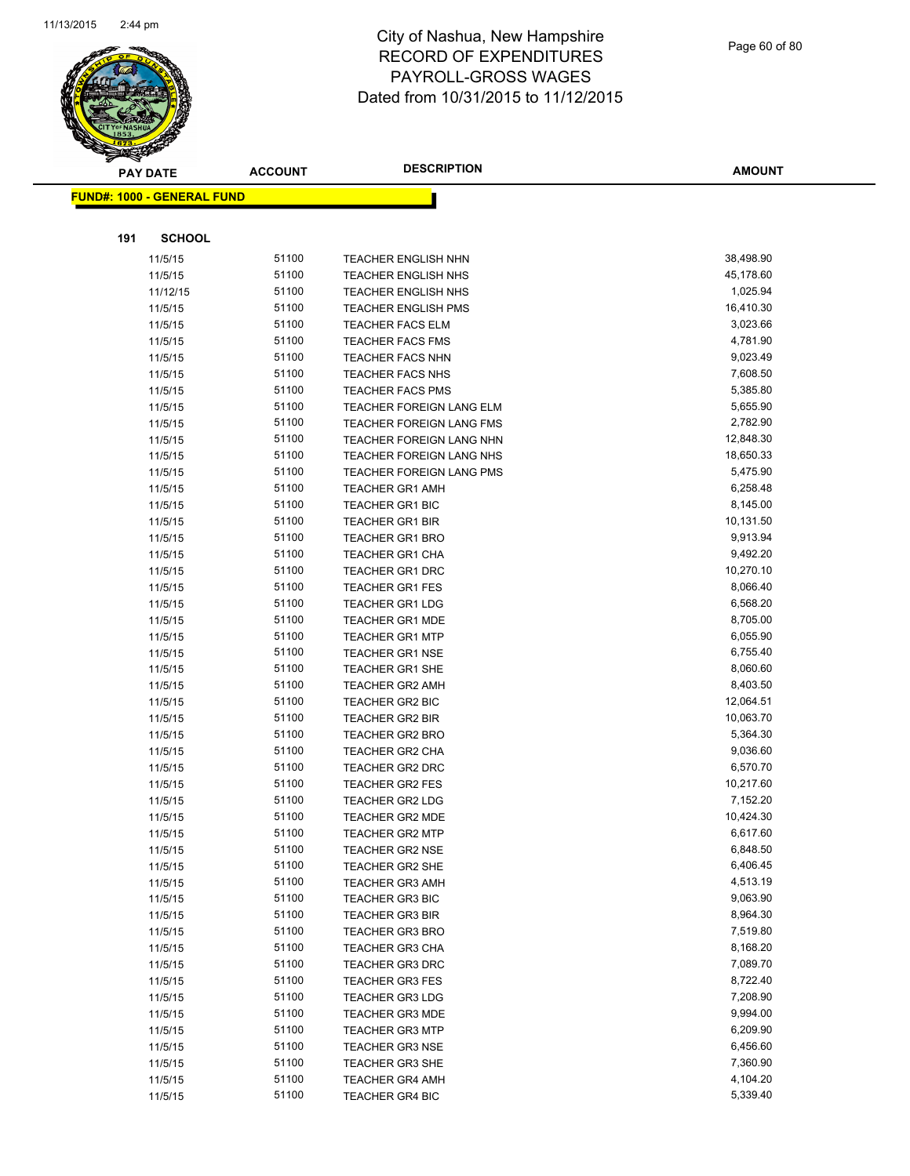

|     | <b>PAY DATE</b>                   | <b>ACCOUNT</b> | <b>DESCRIPTION</b>                                       | <b>AMOUNT</b>        |
|-----|-----------------------------------|----------------|----------------------------------------------------------|----------------------|
|     | <b>FUND#: 1000 - GENERAL FUND</b> |                |                                                          |                      |
|     |                                   |                |                                                          |                      |
| 191 | <b>SCHOOL</b>                     |                |                                                          |                      |
|     |                                   | 51100          |                                                          | 38,498.90            |
|     | 11/5/15<br>11/5/15                | 51100          | <b>TEACHER ENGLISH NHN</b>                               | 45,178.60            |
|     |                                   | 51100          | <b>TEACHER ENGLISH NHS</b>                               | 1,025.94             |
|     | 11/12/15                          | 51100          | <b>TEACHER ENGLISH NHS</b><br><b>TEACHER ENGLISH PMS</b> | 16,410.30            |
|     | 11/5/15                           | 51100          |                                                          | 3,023.66             |
|     | 11/5/15<br>11/5/15                | 51100          | <b>TEACHER FACS ELM</b><br><b>TEACHER FACS FMS</b>       | 4,781.90             |
|     | 11/5/15                           | 51100          | <b>TEACHER FACS NHN</b>                                  | 9,023.49             |
|     | 11/5/15                           | 51100          | <b>TEACHER FACS NHS</b>                                  | 7,608.50             |
|     | 11/5/15                           | 51100          | <b>TEACHER FACS PMS</b>                                  | 5,385.80             |
|     | 11/5/15                           | 51100          | <b>TEACHER FOREIGN LANG ELM</b>                          | 5,655.90             |
|     | 11/5/15                           | 51100          | <b>TEACHER FOREIGN LANG FMS</b>                          | 2,782.90             |
|     | 11/5/15                           | 51100          | TEACHER FOREIGN LANG NHN                                 | 12,848.30            |
|     | 11/5/15                           | 51100          | <b>TEACHER FOREIGN LANG NHS</b>                          | 18,650.33            |
|     | 11/5/15                           | 51100          | TEACHER FOREIGN LANG PMS                                 | 5,475.90             |
|     | 11/5/15                           | 51100          | <b>TEACHER GR1 AMH</b>                                   | 6,258.48             |
|     | 11/5/15                           | 51100          | <b>TEACHER GR1 BIC</b>                                   | 8,145.00             |
|     | 11/5/15                           | 51100          | <b>TEACHER GR1 BIR</b>                                   | 10,131.50            |
|     | 11/5/15                           | 51100          | <b>TEACHER GR1 BRO</b>                                   | 9,913.94             |
|     | 11/5/15                           | 51100          | TEACHER GR1 CHA                                          | 9,492.20             |
|     | 11/5/15                           | 51100          | <b>TEACHER GR1 DRC</b>                                   | 10,270.10            |
|     | 11/5/15                           | 51100          | <b>TEACHER GR1 FES</b>                                   | 8,066.40             |
|     | 11/5/15                           | 51100          | <b>TEACHER GR1 LDG</b>                                   | 6,568.20             |
|     | 11/5/15                           | 51100          | <b>TEACHER GR1 MDE</b>                                   | 8,705.00             |
|     | 11/5/15                           | 51100          | <b>TEACHER GR1 MTP</b>                                   | 6,055.90             |
|     | 11/5/15                           | 51100          | <b>TEACHER GR1 NSE</b>                                   | 6,755.40             |
|     | 11/5/15                           | 51100          | TEACHER GR1 SHE                                          | 8,060.60             |
|     | 11/5/15                           | 51100          | <b>TEACHER GR2 AMH</b>                                   | 8,403.50             |
|     | 11/5/15                           | 51100          | <b>TEACHER GR2 BIC</b>                                   | 12,064.51            |
|     | 11/5/15                           | 51100          | <b>TEACHER GR2 BIR</b>                                   | 10,063.70            |
|     | 11/5/15                           | 51100          | <b>TEACHER GR2 BRO</b>                                   | 5,364.30             |
|     | 11/5/15                           | 51100          | TEACHER GR2 CHA                                          | 9,036.60             |
|     | 11/5/15                           | 51100          | <b>TEACHER GR2 DRC</b>                                   | 6,570.70             |
|     | 11/5/15                           | 51100          | <b>TEACHER GR2 FES</b>                                   | 10,217.60            |
|     | 11/5/15                           | 51100          | <b>TEACHER GR2 LDG</b>                                   | 7,152.20             |
|     | 11/5/15                           | 51100          | <b>TEACHER GR2 MDE</b>                                   | 10,424.30            |
|     | 11/5/15                           | 51100          | <b>TEACHER GR2 MTP</b>                                   | 6,617.60             |
|     | 11/5/15                           | 51100          | <b>TEACHER GR2 NSE</b>                                   | 6,848.50             |
|     | 11/5/15                           | 51100          | <b>TEACHER GR2 SHE</b>                                   | 6,406.45             |
|     | 11/5/15                           | 51100          | <b>TEACHER GR3 AMH</b>                                   | 4,513.19             |
|     | 11/5/15                           | 51100          | <b>TEACHER GR3 BIC</b>                                   | 9,063.90             |
|     | 11/5/15                           | 51100          | <b>TEACHER GR3 BIR</b>                                   | 8,964.30             |
|     | 11/5/15                           | 51100          | <b>TEACHER GR3 BRO</b>                                   | 7,519.80             |
|     | 11/5/15                           | 51100<br>51100 | <b>TEACHER GR3 CHA</b>                                   | 8,168.20<br>7,089.70 |
|     | 11/5/15<br>11/5/15                | 51100          | <b>TEACHER GR3 DRC</b><br><b>TEACHER GR3 FES</b>         | 8,722.40             |
|     |                                   | 51100          | <b>TEACHER GR3 LDG</b>                                   | 7,208.90             |
|     | 11/5/15<br>11/5/15                | 51100          | <b>TEACHER GR3 MDE</b>                                   | 9,994.00             |
|     | 11/5/15                           | 51100          | <b>TEACHER GR3 MTP</b>                                   | 6,209.90             |
|     | 11/5/15                           | 51100          | <b>TEACHER GR3 NSE</b>                                   | 6,456.60             |
|     | 11/5/15                           | 51100          | <b>TEACHER GR3 SHE</b>                                   | 7,360.90             |
|     | 11/5/15                           | 51100          | <b>TEACHER GR4 AMH</b>                                   | 4,104.20             |
|     | 11/5/15                           | 51100          | <b>TEACHER GR4 BIC</b>                                   | 5,339.40             |
|     |                                   |                |                                                          |                      |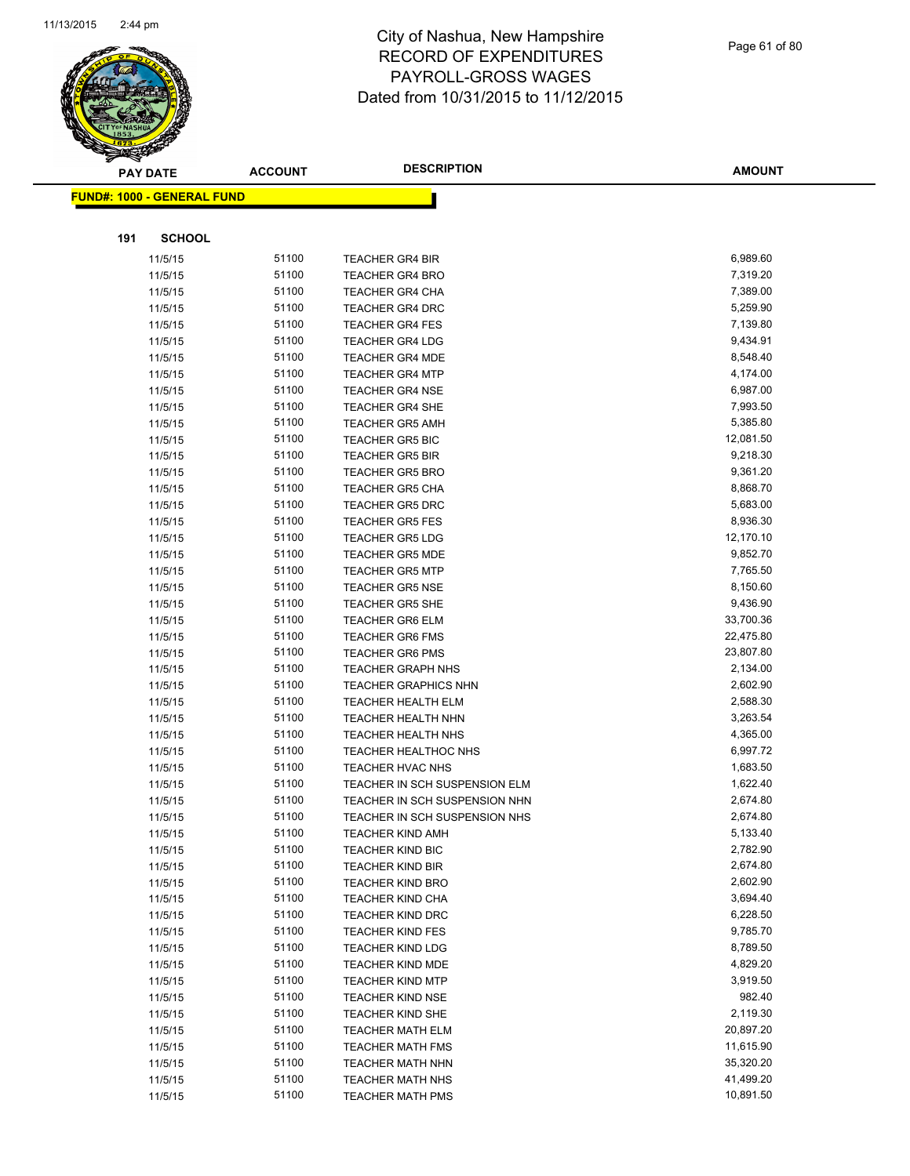

|     | <b>PAY DATE</b>                    | <b>ACCOUNT</b> | <b>DESCRIPTION</b>                               | <b>AMOUNT</b>         |
|-----|------------------------------------|----------------|--------------------------------------------------|-----------------------|
|     | <u> FUND#: 1000 - GENERAL FUND</u> |                |                                                  |                       |
|     |                                    |                |                                                  |                       |
|     |                                    |                |                                                  |                       |
| 191 | <b>SCHOOL</b>                      |                |                                                  |                       |
|     | 11/5/15                            | 51100          | <b>TEACHER GR4 BIR</b>                           | 6,989.60              |
|     | 11/5/15                            | 51100          | <b>TEACHER GR4 BRO</b>                           | 7,319.20              |
|     | 11/5/15                            | 51100          | <b>TEACHER GR4 CHA</b>                           | 7,389.00              |
|     | 11/5/15                            | 51100          | <b>TEACHER GR4 DRC</b>                           | 5,259.90              |
|     | 11/5/15                            | 51100          | <b>TEACHER GR4 FES</b>                           | 7,139.80              |
|     | 11/5/15                            | 51100          | <b>TEACHER GR4 LDG</b>                           | 9,434.91              |
|     | 11/5/15                            | 51100          | <b>TEACHER GR4 MDE</b>                           | 8,548.40              |
|     | 11/5/15                            | 51100          | <b>TEACHER GR4 MTP</b>                           | 4,174.00              |
|     | 11/5/15                            | 51100          | <b>TEACHER GR4 NSE</b>                           | 6,987.00              |
|     | 11/5/15                            | 51100          | <b>TEACHER GR4 SHE</b>                           | 7,993.50              |
|     | 11/5/15                            | 51100          | <b>TEACHER GR5 AMH</b>                           | 5,385.80              |
|     | 11/5/15                            | 51100          | <b>TEACHER GR5 BIC</b>                           | 12,081.50             |
|     | 11/5/15                            | 51100          | <b>TEACHER GR5 BIR</b>                           | 9,218.30              |
|     | 11/5/15                            | 51100          | <b>TEACHER GR5 BRO</b>                           | 9,361.20              |
|     | 11/5/15                            | 51100          | <b>TEACHER GR5 CHA</b>                           | 8,868.70              |
|     | 11/5/15                            | 51100          | <b>TEACHER GR5 DRC</b>                           | 5,683.00              |
|     | 11/5/15                            | 51100          | <b>TEACHER GR5 FES</b>                           | 8,936.30              |
|     | 11/5/15                            | 51100          | <b>TEACHER GR5 LDG</b>                           | 12,170.10             |
|     | 11/5/15                            | 51100          | <b>TEACHER GR5 MDE</b>                           | 9,852.70              |
|     | 11/5/15                            | 51100          | <b>TEACHER GR5 MTP</b>                           | 7,765.50              |
|     | 11/5/15                            | 51100          | <b>TEACHER GR5 NSE</b>                           | 8,150.60              |
|     | 11/5/15                            | 51100<br>51100 | <b>TEACHER GR5 SHE</b>                           | 9,436.90<br>33,700.36 |
|     | 11/5/15                            | 51100          | TEACHER GR6 ELM                                  | 22,475.80             |
|     | 11/5/15                            | 51100          | <b>TEACHER GR6 FMS</b><br><b>TEACHER GR6 PMS</b> | 23,807.80             |
|     | 11/5/15                            | 51100          | <b>TEACHER GRAPH NHS</b>                         | 2,134.00              |
|     | 11/5/15<br>11/5/15                 | 51100          | <b>TEACHER GRAPHICS NHN</b>                      | 2,602.90              |
|     | 11/5/15                            | 51100          | <b>TEACHER HEALTH ELM</b>                        | 2,588.30              |
|     | 11/5/15                            | 51100          | TEACHER HEALTH NHN                               | 3,263.54              |
|     | 11/5/15                            | 51100          | <b>TEACHER HEALTH NHS</b>                        | 4,365.00              |
|     | 11/5/15                            | 51100          | <b>TEACHER HEALTHOC NHS</b>                      | 6,997.72              |
|     | 11/5/15                            | 51100          | TEACHER HVAC NHS                                 | 1,683.50              |
|     | 11/5/15                            | 51100          | TEACHER IN SCH SUSPENSION ELM                    | 1,622.40              |
|     | 11/5/15                            | 51100          | TEACHER IN SCH SUSPENSION NHN                    | 2,674.80              |
|     | 11/5/15                            | 51100          | TEACHER IN SCH SUSPENSION NHS                    | 2,674.80              |
|     | 11/5/15                            | 51100          | <b>TEACHER KIND AMH</b>                          | 5,133.40              |
|     | 11/5/15                            | 51100          | <b>TEACHER KIND BIC</b>                          | 2,782.90              |
|     | 11/5/15                            | 51100          | <b>TEACHER KIND BIR</b>                          | 2,674.80              |
|     | 11/5/15                            | 51100          | <b>TEACHER KIND BRO</b>                          | 2,602.90              |
|     | 11/5/15                            | 51100          | <b>TEACHER KIND CHA</b>                          | 3,694.40              |
|     | 11/5/15                            | 51100          | <b>TEACHER KIND DRC</b>                          | 6,228.50              |
|     | 11/5/15                            | 51100          | <b>TEACHER KIND FES</b>                          | 9,785.70              |
|     | 11/5/15                            | 51100          | <b>TEACHER KIND LDG</b>                          | 8,789.50              |
|     | 11/5/15                            | 51100          | <b>TEACHER KIND MDE</b>                          | 4,829.20              |
|     | 11/5/15                            | 51100          | <b>TEACHER KIND MTP</b>                          | 3,919.50              |
|     | 11/5/15                            | 51100          | <b>TEACHER KIND NSE</b>                          | 982.40                |
|     | 11/5/15                            | 51100          | <b>TEACHER KIND SHE</b>                          | 2,119.30              |
|     | 11/5/15                            | 51100          | <b>TEACHER MATH ELM</b>                          | 20,897.20             |
|     | 11/5/15                            | 51100          | <b>TEACHER MATH FMS</b>                          | 11,615.90             |
|     | 11/5/15                            | 51100          | <b>TEACHER MATH NHN</b>                          | 35,320.20             |
|     | 11/5/15                            | 51100          | <b>TEACHER MATH NHS</b>                          | 41,499.20             |
|     | 11/5/15                            | 51100          | <b>TEACHER MATH PMS</b>                          | 10,891.50             |
|     |                                    |                |                                                  |                       |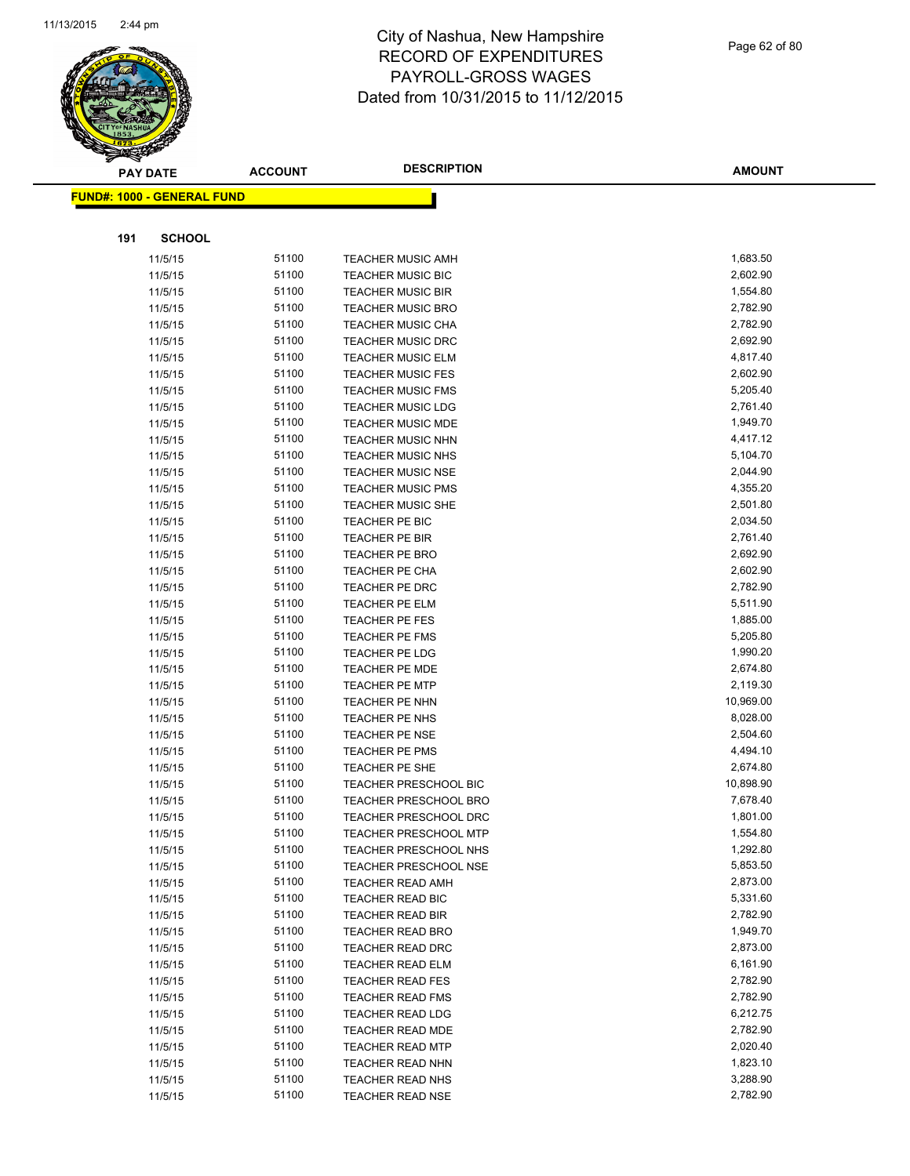

|     | <b>PAY DATE</b>                   | <b>ACCOUNT</b> | <b>DESCRIPTION</b>           | <b>AMOUNT</b> |
|-----|-----------------------------------|----------------|------------------------------|---------------|
|     | <b>FUND#: 1000 - GENERAL FUND</b> |                |                              |               |
|     |                                   |                |                              |               |
| 191 | <b>SCHOOL</b>                     |                |                              |               |
|     | 11/5/15                           | 51100          | <b>TEACHER MUSIC AMH</b>     | 1,683.50      |
|     | 11/5/15                           | 51100          | <b>TEACHER MUSIC BIC</b>     | 2,602.90      |
|     | 11/5/15                           | 51100          | <b>TEACHER MUSIC BIR</b>     | 1,554.80      |
|     | 11/5/15                           | 51100          | <b>TEACHER MUSIC BRO</b>     | 2,782.90      |
|     | 11/5/15                           | 51100          | TEACHER MUSIC CHA            | 2,782.90      |
|     | 11/5/15                           | 51100          | <b>TEACHER MUSIC DRC</b>     | 2,692.90      |
|     | 11/5/15                           | 51100          | <b>TEACHER MUSIC ELM</b>     | 4,817.40      |
|     | 11/5/15                           | 51100          | <b>TEACHER MUSIC FES</b>     | 2,602.90      |
|     | 11/5/15                           | 51100          | <b>TEACHER MUSIC FMS</b>     | 5,205.40      |
|     | 11/5/15                           | 51100          | <b>TEACHER MUSIC LDG</b>     | 2,761.40      |
|     | 11/5/15                           | 51100          | <b>TEACHER MUSIC MDE</b>     | 1,949.70      |
|     | 11/5/15                           | 51100          | <b>TEACHER MUSIC NHN</b>     | 4,417.12      |
|     | 11/5/15                           | 51100          | <b>TEACHER MUSIC NHS</b>     | 5,104.70      |
|     | 11/5/15                           | 51100          | <b>TEACHER MUSIC NSE</b>     | 2,044.90      |
|     | 11/5/15                           | 51100          | <b>TEACHER MUSIC PMS</b>     | 4,355.20      |
|     | 11/5/15                           | 51100          | <b>TEACHER MUSIC SHE</b>     | 2,501.80      |
|     | 11/5/15                           | 51100          | TEACHER PE BIC               | 2,034.50      |
|     | 11/5/15                           | 51100          | <b>TEACHER PE BIR</b>        | 2,761.40      |
|     | 11/5/15                           | 51100          | <b>TEACHER PE BRO</b>        | 2,692.90      |
|     | 11/5/15                           | 51100          | TEACHER PE CHA               | 2,602.90      |
|     | 11/5/15                           | 51100          | <b>TEACHER PE DRC</b>        | 2,782.90      |
|     | 11/5/15                           | 51100          | <b>TEACHER PE ELM</b>        | 5,511.90      |
|     | 11/5/15                           | 51100          | <b>TEACHER PE FES</b>        | 1,885.00      |
|     | 11/5/15                           | 51100          | <b>TEACHER PE FMS</b>        | 5,205.80      |
|     | 11/5/15                           | 51100          | <b>TEACHER PE LDG</b>        | 1,990.20      |
|     | 11/5/15                           | 51100          | <b>TEACHER PE MDE</b>        | 2,674.80      |
|     | 11/5/15                           | 51100          | <b>TEACHER PE MTP</b>        | 2,119.30      |
|     | 11/5/15                           | 51100          | <b>TEACHER PE NHN</b>        | 10,969.00     |
|     | 11/5/15                           | 51100          | TEACHER PE NHS               | 8,028.00      |
|     | 11/5/15                           | 51100          | <b>TEACHER PE NSE</b>        | 2,504.60      |
|     | 11/5/15                           | 51100          | TEACHER PE PMS               | 4,494.10      |
|     | 11/5/15                           | 51100          | <b>TEACHER PE SHE</b>        | 2,674.80      |
|     | 11/5/15                           | 51100          | <b>TEACHER PRESCHOOL BIC</b> | 10,898.90     |
|     | 11/5/15                           | 51100          | TEACHER PRESCHOOL BRO        | 7,678.40      |
|     | 11/5/15                           | 51100          | <b>TEACHER PRESCHOOL DRC</b> | 1,801.00      |
|     | 11/5/15                           | 51100          | <b>TEACHER PRESCHOOL MTP</b> | 1,554.80      |
|     | 11/5/15                           | 51100          | <b>TEACHER PRESCHOOL NHS</b> | 1,292.80      |
|     | 11/5/15                           | 51100          | <b>TEACHER PRESCHOOL NSE</b> | 5,853.50      |
|     | 11/5/15                           | 51100          | <b>TEACHER READ AMH</b>      | 2,873.00      |
|     | 11/5/15                           | 51100          | TEACHER READ BIC             | 5,331.60      |
|     | 11/5/15                           | 51100          | TEACHER READ BIR             | 2,782.90      |
|     | 11/5/15                           | 51100          | <b>TEACHER READ BRO</b>      | 1,949.70      |
|     | 11/5/15                           | 51100          | TEACHER READ DRC             | 2,873.00      |
|     | 11/5/15                           | 51100          | <b>TEACHER READ ELM</b>      | 6,161.90      |
|     | 11/5/15                           | 51100          | <b>TEACHER READ FES</b>      | 2,782.90      |
|     | 11/5/15                           | 51100          | <b>TEACHER READ FMS</b>      | 2,782.90      |
|     | 11/5/15                           | 51100          | <b>TEACHER READ LDG</b>      | 6,212.75      |
|     | 11/5/15                           | 51100          | <b>TEACHER READ MDE</b>      | 2,782.90      |
|     | 11/5/15                           | 51100          | <b>TEACHER READ MTP</b>      | 2,020.40      |
|     | 11/5/15                           | 51100          | <b>TEACHER READ NHN</b>      | 1,823.10      |
|     | 11/5/15                           | 51100          | <b>TEACHER READ NHS</b>      | 3,288.90      |
|     | 11/5/15                           | 51100          | <b>TEACHER READ NSE</b>      | 2,782.90      |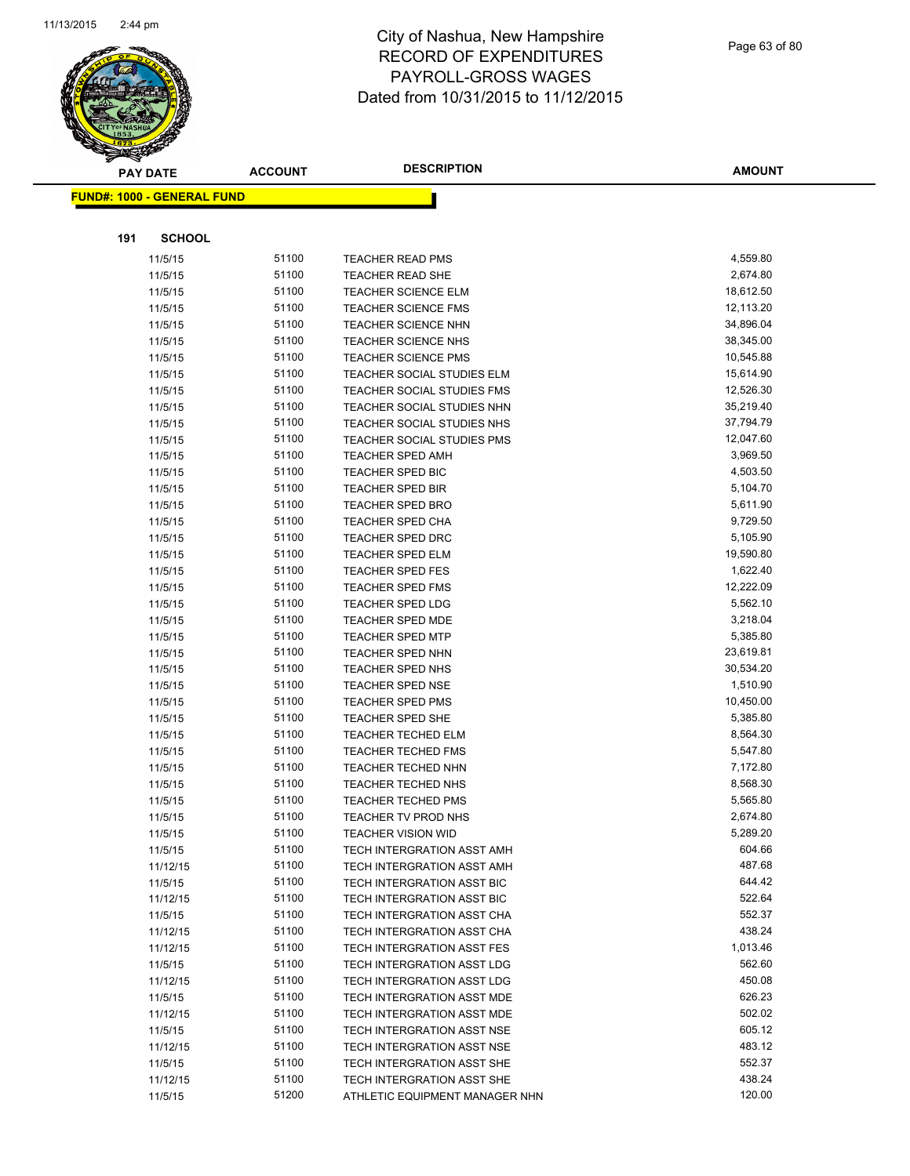

Page 63 of 80

|     | <b>PAY DATE</b>                   | <b>ACCOUNT</b> | <b>DESCRIPTION</b>                                       | <b>AMOUNT</b>          |
|-----|-----------------------------------|----------------|----------------------------------------------------------|------------------------|
|     | <b>FUND#: 1000 - GENERAL FUND</b> |                |                                                          |                        |
|     |                                   |                |                                                          |                        |
| 191 | <b>SCHOOL</b>                     |                |                                                          |                        |
|     |                                   |                |                                                          |                        |
|     | 11/5/15                           | 51100<br>51100 | <b>TEACHER READ PMS</b>                                  | 4,559.80               |
|     | 11/5/15                           | 51100          | <b>TEACHER READ SHE</b>                                  | 2,674.80               |
|     | 11/5/15                           |                | <b>TEACHER SCIENCE ELM</b>                               | 18,612.50              |
|     | 11/5/15                           | 51100<br>51100 | <b>TEACHER SCIENCE FMS</b>                               | 12,113.20<br>34,896.04 |
|     | 11/5/15<br>11/5/15                | 51100          | <b>TEACHER SCIENCE NHN</b><br><b>TEACHER SCIENCE NHS</b> | 38,345.00              |
|     | 11/5/15                           | 51100          | <b>TEACHER SCIENCE PMS</b>                               | 10,545.88              |
|     | 11/5/15                           | 51100          | TEACHER SOCIAL STUDIES ELM                               | 15,614.90              |
|     | 11/5/15                           | 51100          | TEACHER SOCIAL STUDIES FMS                               | 12,526.30              |
|     | 11/5/15                           | 51100          | TEACHER SOCIAL STUDIES NHN                               | 35,219.40              |
|     | 11/5/15                           | 51100          | TEACHER SOCIAL STUDIES NHS                               | 37,794.79              |
|     | 11/5/15                           | 51100          | <b>TEACHER SOCIAL STUDIES PMS</b>                        | 12,047.60              |
|     | 11/5/15                           | 51100          | <b>TEACHER SPED AMH</b>                                  | 3,969.50               |
|     | 11/5/15                           | 51100          | TEACHER SPED BIC                                         | 4,503.50               |
|     | 11/5/15                           | 51100          | <b>TEACHER SPED BIR</b>                                  | 5,104.70               |
|     | 11/5/15                           | 51100          | <b>TEACHER SPED BRO</b>                                  | 5,611.90               |
|     | 11/5/15                           | 51100          | <b>TEACHER SPED CHA</b>                                  | 9,729.50               |
|     | 11/5/15                           | 51100          | <b>TEACHER SPED DRC</b>                                  | 5,105.90               |
|     | 11/5/15                           | 51100          | TEACHER SPED ELM                                         | 19,590.80              |
|     | 11/5/15                           | 51100          | <b>TEACHER SPED FES</b>                                  | 1,622.40               |
|     | 11/5/15                           | 51100          | <b>TEACHER SPED FMS</b>                                  | 12,222.09              |
|     | 11/5/15                           | 51100          | <b>TEACHER SPED LDG</b>                                  | 5,562.10               |
|     | 11/5/15                           | 51100          | TEACHER SPED MDE                                         | 3,218.04               |
|     | 11/5/15                           | 51100          | <b>TEACHER SPED MTP</b>                                  | 5,385.80               |
|     | 11/5/15                           | 51100          | <b>TEACHER SPED NHN</b>                                  | 23,619.81              |
|     | 11/5/15                           | 51100          | <b>TEACHER SPED NHS</b>                                  | 30,534.20              |
|     | 11/5/15                           | 51100          | <b>TEACHER SPED NSE</b>                                  | 1,510.90               |
|     | 11/5/15                           | 51100          | <b>TEACHER SPED PMS</b>                                  | 10,450.00              |
|     | 11/5/15                           | 51100          | TEACHER SPED SHE                                         | 5,385.80               |
|     | 11/5/15                           | 51100          | <b>TEACHER TECHED ELM</b>                                | 8,564.30               |
|     | 11/5/15                           | 51100          | <b>TEACHER TECHED FMS</b>                                | 5,547.80               |
|     | 11/5/15                           | 51100          | TEACHER TECHED NHN                                       | 7,172.80               |
|     | 11/5/15                           | 51100          | <b>TEACHER TECHED NHS</b>                                | 8,568.30               |
|     | 11/5/15                           | 51100          | <b>TEACHER TECHED PMS</b>                                | 5,565.80               |
|     | 11/5/15                           | 51100          | TEACHER TV PROD NHS                                      | 2,674.80               |
|     | 11/5/15                           | 51100          | <b>TEACHER VISION WID</b>                                | 5,289.20               |
|     | 11/5/15                           | 51100          | TECH INTERGRATION ASST AMH                               | 604.66                 |
|     | 11/12/15                          | 51100          | TECH INTERGRATION ASST AMH                               | 487.68                 |
|     | 11/5/15                           | 51100          | TECH INTERGRATION ASST BIC                               | 644.42                 |
|     | 11/12/15                          | 51100          | TECH INTERGRATION ASST BIC                               | 522.64                 |
|     | 11/5/15                           | 51100          | TECH INTERGRATION ASST CHA                               | 552.37                 |
|     | 11/12/15                          | 51100          | TECH INTERGRATION ASST CHA                               | 438.24                 |
|     | 11/12/15                          | 51100          | TECH INTERGRATION ASST FES                               | 1,013.46               |
|     | 11/5/15                           | 51100          | TECH INTERGRATION ASST LDG                               | 562.60                 |
|     | 11/12/15                          | 51100          | TECH INTERGRATION ASST LDG                               | 450.08                 |
|     | 11/5/15                           | 51100          | TECH INTERGRATION ASST MDE                               | 626.23                 |
|     | 11/12/15                          | 51100          | TECH INTERGRATION ASST MDE                               | 502.02                 |
|     | 11/5/15                           | 51100          | TECH INTERGRATION ASST NSE                               | 605.12                 |
|     | 11/12/15                          | 51100          | TECH INTERGRATION ASST NSE                               | 483.12                 |
|     | 11/5/15                           | 51100          | TECH INTERGRATION ASST SHE                               | 552.37                 |
|     | 11/12/15                          | 51100          | TECH INTERGRATION ASST SHE                               | 438.24                 |
|     | 11/5/15                           | 51200          | ATHLETIC EQUIPMENT MANAGER NHN                           | 120.00                 |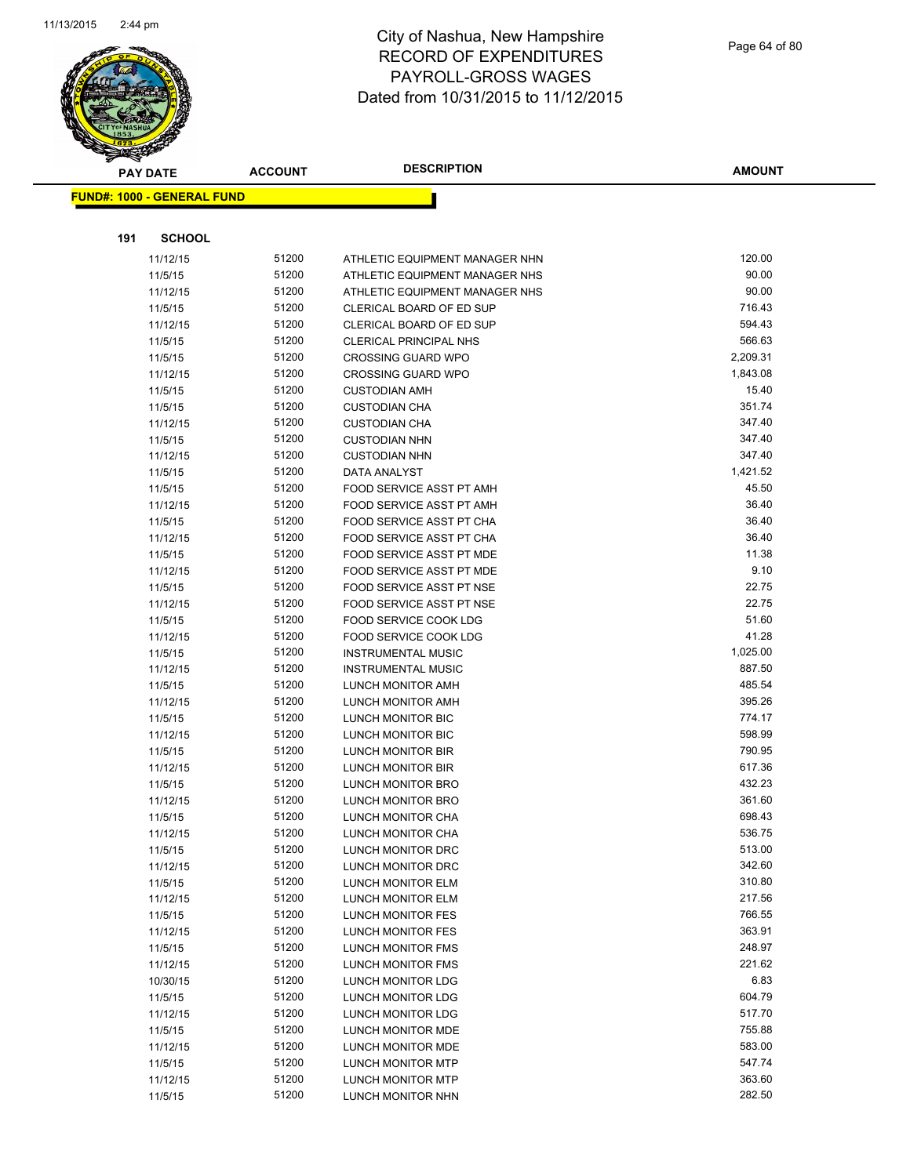

|     | <b>PAY DATE</b>                   | <b>ACCOUNT</b> | <b>DESCRIPTION</b>                                   | <b>AMOUNT</b>    |
|-----|-----------------------------------|----------------|------------------------------------------------------|------------------|
|     | <b>FUND#: 1000 - GENERAL FUND</b> |                |                                                      |                  |
|     |                                   |                |                                                      |                  |
|     |                                   |                |                                                      |                  |
| 191 | <b>SCHOOL</b>                     |                |                                                      |                  |
|     | 11/12/15                          | 51200          | ATHLETIC EQUIPMENT MANAGER NHN                       | 120.00           |
|     | 11/5/15                           | 51200          | ATHLETIC EQUIPMENT MANAGER NHS                       | 90.00            |
|     | 11/12/15                          | 51200          | ATHLETIC EQUIPMENT MANAGER NHS                       | 90.00            |
|     | 11/5/15                           | 51200          | CLERICAL BOARD OF ED SUP                             | 716.43           |
|     | 11/12/15                          | 51200          | CLERICAL BOARD OF ED SUP                             | 594.43           |
|     | 11/5/15                           | 51200          | <b>CLERICAL PRINCIPAL NHS</b>                        | 566.63           |
|     | 11/5/15                           | 51200          | <b>CROSSING GUARD WPO</b>                            | 2,209.31         |
|     | 11/12/15                          | 51200          | <b>CROSSING GUARD WPO</b>                            | 1,843.08         |
|     | 11/5/15                           | 51200          | <b>CUSTODIAN AMH</b>                                 | 15.40            |
|     | 11/5/15                           | 51200          | <b>CUSTODIAN CHA</b>                                 | 351.74           |
|     | 11/12/15                          | 51200          | <b>CUSTODIAN CHA</b>                                 | 347.40           |
|     | 11/5/15                           | 51200          | <b>CUSTODIAN NHN</b>                                 | 347.40           |
|     | 11/12/15                          | 51200          | <b>CUSTODIAN NHN</b>                                 | 347.40           |
|     | 11/5/15                           | 51200          | <b>DATA ANALYST</b>                                  | 1,421.52         |
|     | 11/5/15                           | 51200          | FOOD SERVICE ASST PT AMH                             | 45.50            |
|     | 11/12/15                          | 51200          | FOOD SERVICE ASST PT AMH                             | 36.40            |
|     | 11/5/15                           | 51200          | <b>FOOD SERVICE ASST PT CHA</b>                      | 36.40<br>36.40   |
|     | 11/12/15                          | 51200          | FOOD SERVICE ASST PT CHA<br>FOOD SERVICE ASST PT MDE | 11.38            |
|     | 11/5/15                           | 51200<br>51200 | FOOD SERVICE ASST PT MDE                             | 9.10             |
|     | 11/12/15<br>11/5/15               | 51200          | FOOD SERVICE ASST PT NSE                             | 22.75            |
|     | 11/12/15                          | 51200          | FOOD SERVICE ASST PT NSE                             | 22.75            |
|     | 11/5/15                           | 51200          | FOOD SERVICE COOK LDG                                | 51.60            |
|     | 11/12/15                          | 51200          | FOOD SERVICE COOK LDG                                | 41.28            |
|     | 11/5/15                           | 51200          | <b>INSTRUMENTAL MUSIC</b>                            | 1,025.00         |
|     | 11/12/15                          | 51200          | <b>INSTRUMENTAL MUSIC</b>                            | 887.50           |
|     | 11/5/15                           | 51200          | LUNCH MONITOR AMH                                    | 485.54           |
|     | 11/12/15                          | 51200          | LUNCH MONITOR AMH                                    | 395.26           |
|     | 11/5/15                           | 51200          | LUNCH MONITOR BIC                                    | 774.17           |
|     | 11/12/15                          | 51200          | <b>LUNCH MONITOR BIC</b>                             | 598.99           |
|     | 11/5/15                           | 51200          | <b>LUNCH MONITOR BIR</b>                             | 790.95           |
|     | 11/12/15                          | 51200          | <b>LUNCH MONITOR BIR</b>                             | 617.36           |
|     | 11/5/15                           | 51200          | LUNCH MONITOR BRO                                    | 432.23           |
|     | 11/12/15                          | 51200          | <b>LUNCH MONITOR BRO</b>                             | 361.60           |
|     | 11/5/15                           | 51200          | <b>LUNCH MONITOR CHA</b>                             | 698.43           |
|     | 11/12/15                          | 51200          | LUNCH MONITOR CHA                                    | 536.75           |
|     | 11/5/15                           | 51200          | LUNCH MONITOR DRC                                    | 513.00           |
|     | 11/12/15                          | 51200          | LUNCH MONITOR DRC                                    | 342.60           |
|     | 11/5/15                           | 51200          | LUNCH MONITOR ELM                                    | 310.80           |
|     | 11/12/15                          | 51200          | LUNCH MONITOR ELM                                    | 217.56           |
|     | 11/5/15                           | 51200          | LUNCH MONITOR FES                                    | 766.55           |
|     | 11/12/15                          | 51200          | LUNCH MONITOR FES                                    | 363.91           |
|     | 11/5/15                           | 51200          | LUNCH MONITOR FMS                                    | 248.97           |
|     | 11/12/15                          | 51200          | LUNCH MONITOR FMS                                    | 221.62           |
|     | 10/30/15                          | 51200          | LUNCH MONITOR LDG                                    | 6.83             |
|     | 11/5/15                           | 51200          | <b>LUNCH MONITOR LDG</b>                             | 604.79           |
|     | 11/12/15                          | 51200          | <b>LUNCH MONITOR LDG</b>                             | 517.70           |
|     | 11/5/15                           | 51200          | LUNCH MONITOR MDE                                    | 755.88           |
|     | 11/12/15                          | 51200          | LUNCH MONITOR MDE                                    | 583.00<br>547.74 |
|     | 11/5/15                           | 51200          | <b>LUNCH MONITOR MTP</b><br>LUNCH MONITOR MTP        | 363.60           |
|     | 11/12/15                          | 51200<br>51200 |                                                      | 282.50           |
|     | 11/5/15                           |                | LUNCH MONITOR NHN                                    |                  |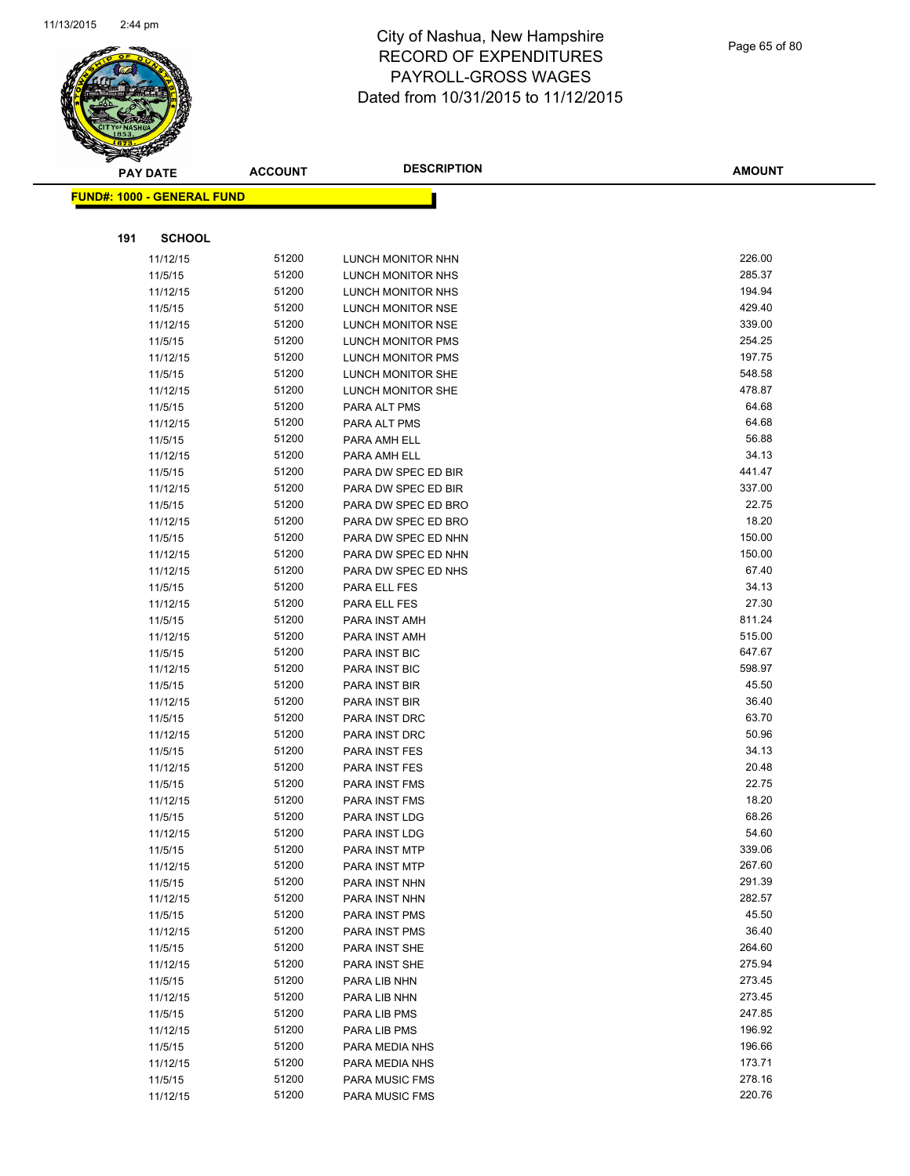

|     | <b>PAY DATE</b>                         | <b>ACCOUNT</b> | <b>DESCRIPTION</b>  | <b>AMOUNT</b> |
|-----|-----------------------------------------|----------------|---------------------|---------------|
|     | <mark>FUND#: 1000 - GENERAL FUND</mark> |                |                     |               |
|     |                                         |                |                     |               |
| 191 | <b>SCHOOL</b>                           |                |                     |               |
|     | 11/12/15                                | 51200          | LUNCH MONITOR NHN   | 226.00        |
|     | 11/5/15                                 | 51200          | LUNCH MONITOR NHS   | 285.37        |
|     | 11/12/15                                | 51200          | LUNCH MONITOR NHS   | 194.94        |
|     | 11/5/15                                 | 51200          | LUNCH MONITOR NSE   | 429.40        |
|     | 11/12/15                                | 51200          | LUNCH MONITOR NSE   | 339.00        |
|     | 11/5/15                                 | 51200          | LUNCH MONITOR PMS   | 254.25        |
|     | 11/12/15                                | 51200          | LUNCH MONITOR PMS   | 197.75        |
|     | 11/5/15                                 | 51200          | LUNCH MONITOR SHE   | 548.58        |
|     | 11/12/15                                | 51200          | LUNCH MONITOR SHE   | 478.87        |
|     | 11/5/15                                 | 51200          | PARA ALT PMS        | 64.68         |
|     | 11/12/15                                | 51200          | PARA ALT PMS        | 64.68         |
|     | 11/5/15                                 | 51200          | PARA AMH ELL        | 56.88         |
|     | 11/12/15                                | 51200          | PARA AMH ELL        | 34.13         |
|     | 11/5/15                                 | 51200          | PARA DW SPEC ED BIR | 441.47        |
|     | 11/12/15                                | 51200          | PARA DW SPEC ED BIR | 337.00        |
|     | 11/5/15                                 | 51200          | PARA DW SPEC ED BRO | 22.75         |
|     | 11/12/15                                | 51200          | PARA DW SPEC ED BRO | 18.20         |
|     | 11/5/15                                 | 51200          | PARA DW SPEC ED NHN | 150.00        |
|     | 11/12/15                                | 51200          | PARA DW SPEC ED NHN | 150.00        |
|     | 11/12/15                                | 51200          | PARA DW SPEC ED NHS | 67.40         |
|     | 11/5/15                                 | 51200          | PARA ELL FES        | 34.13         |
|     | 11/12/15                                | 51200          | PARA ELL FES        | 27.30         |
|     | 11/5/15                                 | 51200          | PARA INST AMH       | 811.24        |
|     | 11/12/15                                | 51200          | PARA INST AMH       | 515.00        |
|     | 11/5/15                                 | 51200          | PARA INST BIC       | 647.67        |
|     | 11/12/15                                | 51200          | PARA INST BIC       | 598.97        |
|     | 11/5/15                                 | 51200          | PARA INST BIR       | 45.50         |
|     | 11/12/15                                | 51200          | PARA INST BIR       | 36.40         |
|     | 11/5/15                                 | 51200          | PARA INST DRC       | 63.70         |
|     | 11/12/15                                | 51200          | PARA INST DRC       | 50.96         |
|     | 11/5/15                                 | 51200          | PARA INST FES       | 34.13         |
|     | 11/12/15                                | 51200          | PARA INST FES       | 20.48         |
|     | 11/5/15                                 | 51200          | PARA INST FMS       | 22.75         |
|     | 11/12/15                                | 51200          | PARA INST FMS       | 18.20         |
|     | 11/5/15                                 | 51200          | PARA INST LDG       | 68.26         |
|     | 11/12/15                                | 51200          | PARA INST LDG       | 54.60         |
|     | 11/5/15                                 | 51200          | PARA INST MTP       | 339.06        |
|     | 11/12/15                                | 51200          | PARA INST MTP       | 267.60        |
|     | 11/5/15                                 | 51200          | PARA INST NHN       | 291.39        |
|     | 11/12/15                                | 51200          | PARA INST NHN       | 282.57        |
|     | 11/5/15                                 | 51200          | PARA INST PMS       | 45.50         |
|     | 11/12/15                                | 51200          | PARA INST PMS       | 36.40         |
|     | 11/5/15                                 | 51200          | PARA INST SHE       | 264.60        |
|     | 11/12/15                                | 51200          | PARA INST SHE       | 275.94        |
|     | 11/5/15                                 | 51200          | PARA LIB NHN        | 273.45        |
|     | 11/12/15                                | 51200          | PARA LIB NHN        | 273.45        |
|     | 11/5/15                                 | 51200          | PARA LIB PMS        | 247.85        |
|     | 11/12/15                                | 51200          | PARA LIB PMS        | 196.92        |
|     | 11/5/15                                 | 51200          | PARA MEDIA NHS      | 196.66        |
|     | 11/12/15                                | 51200          | PARA MEDIA NHS      | 173.71        |
|     | 11/5/15                                 | 51200          | PARA MUSIC FMS      | 278.16        |
|     | 11/12/15                                | 51200          | PARA MUSIC FMS      | 220.76        |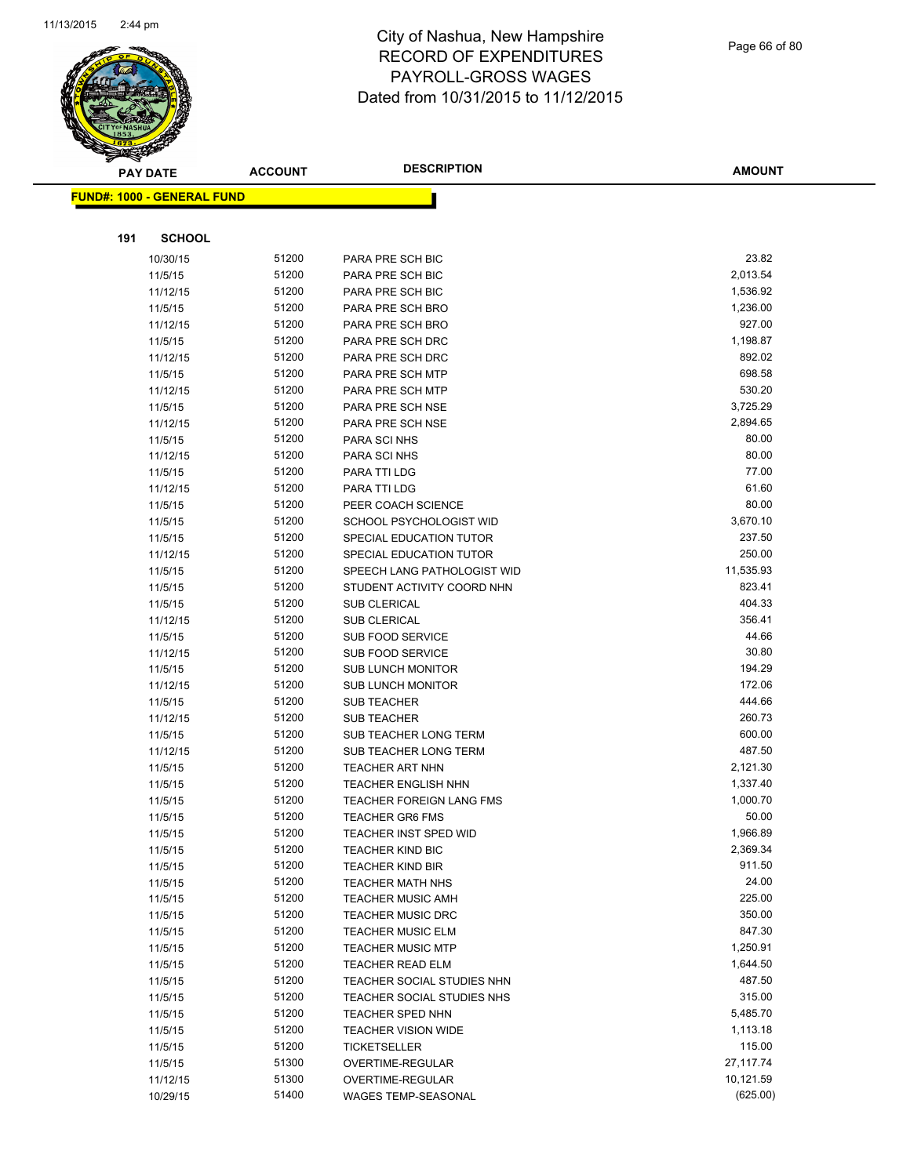

Page 66 of 80

|     | <b>PAY DATE</b>                   | <b>ACCOUNT</b> | <b>DESCRIPTION</b>                   | <b>AMOUNT</b>       |
|-----|-----------------------------------|----------------|--------------------------------------|---------------------|
|     | <b>FUND#: 1000 - GENERAL FUND</b> |                |                                      |                     |
|     |                                   |                |                                      |                     |
| 191 | <b>SCHOOL</b>                     |                |                                      |                     |
|     | 10/30/15                          | 51200          | PARA PRE SCH BIC                     | 23.82               |
|     | 11/5/15                           | 51200          | PARA PRE SCH BIC                     | 2,013.54            |
|     | 11/12/15                          | 51200          | PARA PRE SCH BIC                     | 1,536.92            |
|     | 11/5/15                           | 51200          | PARA PRE SCH BRO                     | 1,236.00            |
|     | 11/12/15                          | 51200          | PARA PRE SCH BRO                     | 927.00              |
|     | 11/5/15                           | 51200          | PARA PRE SCH DRC                     | 1,198.87            |
|     | 11/12/15                          | 51200          | PARA PRE SCH DRC                     | 892.02              |
|     | 11/5/15                           | 51200          | PARA PRE SCH MTP                     | 698.58              |
|     | 11/12/15                          | 51200          | PARA PRE SCH MTP                     | 530.20              |
|     | 11/5/15                           | 51200          | PARA PRE SCH NSE                     | 3,725.29            |
|     | 11/12/15                          | 51200          | PARA PRE SCH NSE                     | 2,894.65            |
|     | 11/5/15                           | 51200          | PARA SCI NHS                         | 80.00               |
|     | 11/12/15                          | 51200          | PARA SCI NHS                         | 80.00               |
|     | 11/5/15                           | 51200          | PARA TTI LDG                         | 77.00               |
|     | 11/12/15                          | 51200          | <b>PARA TTI LDG</b>                  | 61.60               |
|     | 11/5/15                           | 51200          | PEER COACH SCIENCE                   | 80.00               |
|     | 11/5/15                           | 51200          | SCHOOL PSYCHOLOGIST WID              | 3,670.10            |
|     | 11/5/15                           | 51200          | SPECIAL EDUCATION TUTOR              | 237.50              |
|     | 11/12/15                          | 51200          | SPECIAL EDUCATION TUTOR              | 250.00              |
|     | 11/5/15                           | 51200          | SPEECH LANG PATHOLOGIST WID          | 11,535.93           |
|     | 11/5/15                           | 51200          | STUDENT ACTIVITY COORD NHN           | 823.41              |
|     | 11/5/15                           | 51200          | <b>SUB CLERICAL</b>                  | 404.33              |
|     | 11/12/15                          | 51200          | <b>SUB CLERICAL</b>                  | 356.41              |
|     | 11/5/15                           | 51200          | <b>SUB FOOD SERVICE</b>              | 44.66               |
|     | 11/12/15                          | 51200          | <b>SUB FOOD SERVICE</b>              | 30.80               |
|     | 11/5/15                           | 51200          | <b>SUB LUNCH MONITOR</b>             | 194.29              |
|     | 11/12/15                          | 51200          | <b>SUB LUNCH MONITOR</b>             | 172.06              |
|     | 11/5/15                           | 51200          | <b>SUB TEACHER</b>                   | 444.66              |
|     | 11/12/15                          | 51200          | <b>SUB TEACHER</b>                   | 260.73              |
|     | 11/5/15                           | 51200          | SUB TEACHER LONG TERM                | 600.00              |
|     | 11/12/15                          | 51200          | <b>SUB TEACHER LONG TERM</b>         | 487.50              |
|     | 11/5/15                           | 51200          | <b>TEACHER ART NHN</b>               | 2,121.30            |
|     | 11/5/15                           | 51200          | <b>TEACHER ENGLISH NHN</b>           | 1,337.40            |
|     | 11/5/15                           | 51200          | <b>TEACHER FOREIGN LANG FMS</b>      | 1,000.70            |
|     | 11/5/15                           | 51200          | <b>TEACHER GR6 FMS</b>               | 50.00               |
|     | 11/5/15                           | 51200          | <b>TEACHER INST SPED WID</b>         | 1,966.89            |
|     | 11/5/15                           | 51200          | <b>TEACHER KIND BIC</b>              | 2,369.34            |
|     | 11/5/15                           | 51200          | <b>TEACHER KIND BIR</b>              | 911.50              |
|     | 11/5/15                           | 51200          | <b>TEACHER MATH NHS</b>              | 24.00               |
|     | 11/5/15                           | 51200          | <b>TEACHER MUSIC AMH</b>             | 225.00              |
|     | 11/5/15                           | 51200          | <b>TEACHER MUSIC DRC</b>             | 350.00              |
|     | 11/5/15                           | 51200          | <b>TEACHER MUSIC ELM</b>             | 847.30              |
|     | 11/5/15                           | 51200          | <b>TEACHER MUSIC MTP</b>             | 1,250.91            |
|     | 11/5/15                           | 51200          | <b>TEACHER READ ELM</b>              | 1,644.50            |
|     | 11/5/15                           | 51200          | TEACHER SOCIAL STUDIES NHN           | 487.50              |
|     | 11/5/15                           | 51200          | TEACHER SOCIAL STUDIES NHS           | 315.00              |
|     | 11/5/15                           | 51200          | TEACHER SPED NHN                     | 5,485.70            |
|     | 11/5/15                           | 51200          | <b>TEACHER VISION WIDE</b>           | 1,113.18            |
|     | 11/5/15                           | 51200<br>51300 | <b>TICKETSELLER</b>                  | 115.00<br>27,117.74 |
|     | 11/5/15<br>11/12/15               | 51300          | OVERTIME-REGULAR<br>OVERTIME-REGULAR | 10,121.59           |
|     |                                   | 51400          |                                      | (625.00)            |
|     | 10/29/15                          |                | WAGES TEMP-SEASONAL                  |                     |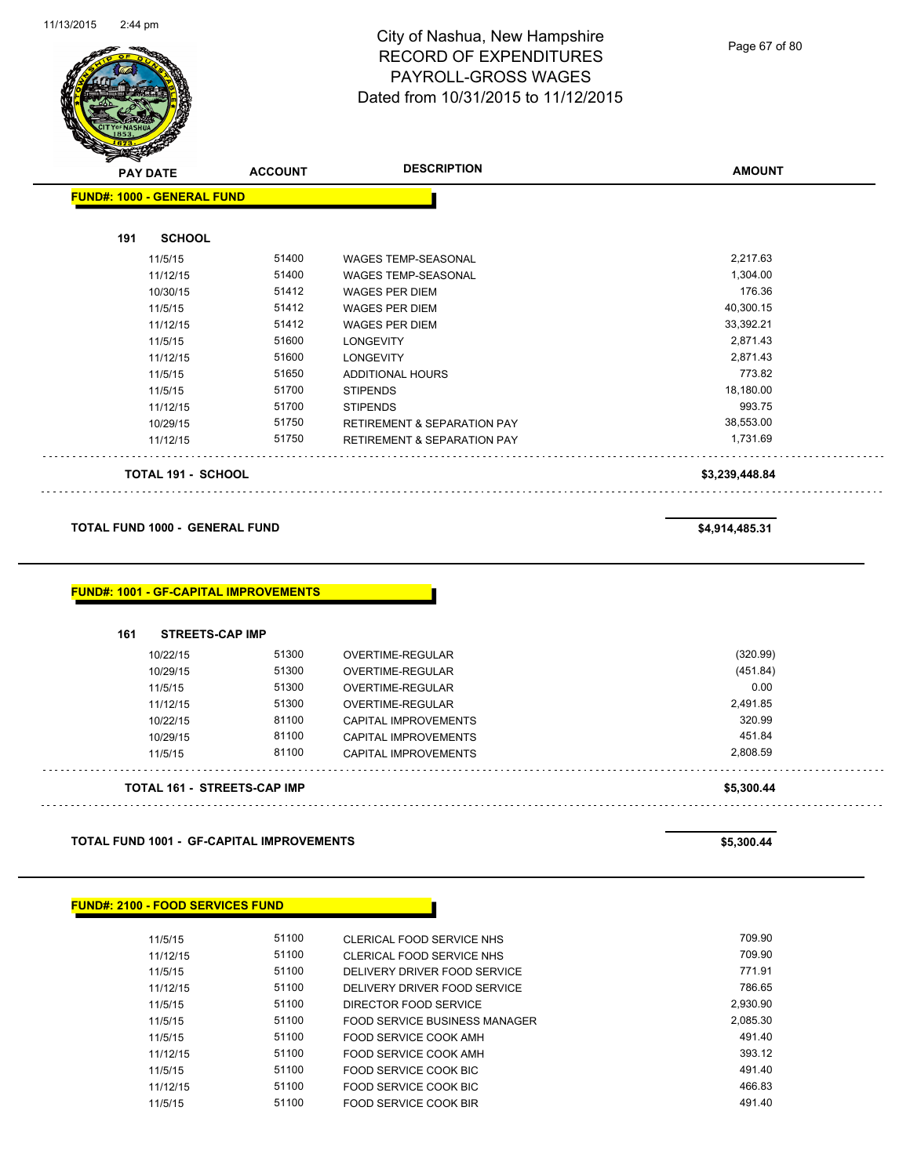

Page 67 of 80

|     | <b>PAY DATE</b>                       | <b>ACCOUNT</b>                               | <b>DESCRIPTION</b>                     | <b>AMOUNT</b>  |
|-----|---------------------------------------|----------------------------------------------|----------------------------------------|----------------|
|     | <b>FUND#: 1000 - GENERAL FUND</b>     |                                              |                                        |                |
| 191 | <b>SCHOOL</b>                         |                                              |                                        |                |
|     | 11/5/15                               | 51400                                        | <b>WAGES TEMP-SEASONAL</b>             | 2,217.63       |
|     | 11/12/15                              | 51400                                        | WAGES TEMP-SEASONAL                    | 1,304.00       |
|     | 10/30/15                              | 51412                                        | <b>WAGES PER DIEM</b>                  | 176.36         |
|     | 11/5/15                               | 51412                                        | <b>WAGES PER DIEM</b>                  | 40,300.15      |
|     | 11/12/15                              | 51412                                        | <b>WAGES PER DIEM</b>                  | 33,392.21      |
|     | 11/5/15                               | 51600                                        | <b>LONGEVITY</b>                       | 2,871.43       |
|     | 11/12/15                              | 51600                                        | <b>LONGEVITY</b>                       | 2,871.43       |
|     | 11/5/15                               | 51650                                        | ADDITIONAL HOURS                       | 773.82         |
|     | 11/5/15                               | 51700                                        | <b>STIPENDS</b>                        | 18,180.00      |
|     | 11/12/15                              | 51700                                        | <b>STIPENDS</b>                        | 993.75         |
|     | 10/29/15                              | 51750                                        | <b>RETIREMENT &amp; SEPARATION PAY</b> | 38,553.00      |
|     | 11/12/15                              | 51750                                        | <b>RETIREMENT &amp; SEPARATION PAY</b> | 1,731.69       |
|     | TOTAL 191 - SCHOOL                    |                                              |                                        | \$3,239,448.84 |
|     | <b>TOTAL FUND 1000 - GENERAL FUND</b> |                                              |                                        | \$4,914,485.31 |
|     |                                       | <b>FUND#: 1001 - GF-CAPITAL IMPROVEMENTS</b> |                                        |                |
| 161 | <b>STREETS-CAP IMP</b>                |                                              |                                        |                |
|     | 10/22/15                              | 51300                                        | OVERTIME-REGULAR                       | (320.99)       |
|     | 10/29/15                              | 51300                                        | OVERTIME-REGULAR                       | (451.84)       |
|     | 11/5/15                               | 51300                                        | OVERTIME-REGULAR                       | 0.00           |
|     | 11/12/15                              | 51300                                        | OVERTIME-REGULAR                       | 2,491.85       |
|     | 10/22/15                              | 81100                                        | <b>CAPITAL IMPROVEMENTS</b>            | 320.99         |
|     | 10/29/15                              | 81100                                        | <b>CAPITAL IMPROVEMENTS</b>            | 451.84         |
|     | 11/5/15                               | 81100                                        | <b>CAPITAL IMPROVEMENTS</b>            | 2,808.59       |

**TOTAL 161 - STREETS-CAP IMP \$5,300.44**

**TOTAL FUND 1001 - GF-CAPITAL IMPROVEMENTS \$5,300.44** 

| FUND#: 2100 - FOOD SERVICES FUND_ |  |  |
|-----------------------------------|--|--|
|-----------------------------------|--|--|

| 11/5/15  | 51100 | CLERICAL FOOD SERVICE NHS     | 709.90   |
|----------|-------|-------------------------------|----------|
| 11/12/15 | 51100 | CLERICAL FOOD SERVICE NHS     | 709.90   |
| 11/5/15  | 51100 | DELIVERY DRIVER FOOD SERVICE  | 771.91   |
| 11/12/15 | 51100 | DELIVERY DRIVER FOOD SERVICE  | 786.65   |
| 11/5/15  | 51100 | DIRECTOR FOOD SERVICE         | 2,930.90 |
| 11/5/15  | 51100 | FOOD SERVICE BUSINESS MANAGER | 2,085.30 |
| 11/5/15  | 51100 | FOOD SERVICE COOK AMH         | 491.40   |
| 11/12/15 | 51100 | FOOD SERVICE COOK AMH         | 393.12   |
| 11/5/15  | 51100 | FOOD SERVICE COOK BIC         | 491.40   |
| 11/12/15 | 51100 | FOOD SERVICE COOK BIC         | 466.83   |
| 11/5/15  | 51100 | FOOD SERVICE COOK BIR         | 491.40   |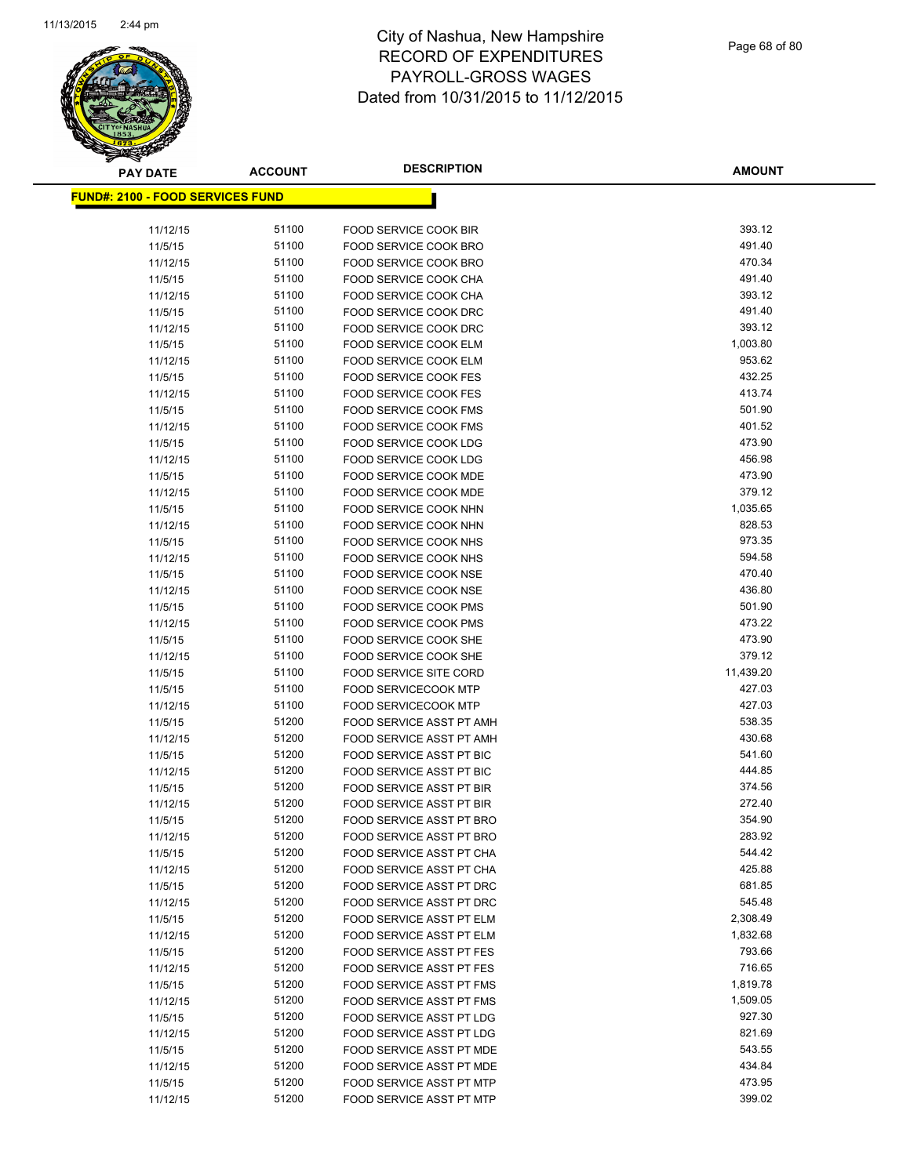

| <b>PAY DATE</b>                          | <b>ACCOUNT</b> | <b>DESCRIPTION</b>                                      | <b>AMOUNT</b>    |
|------------------------------------------|----------------|---------------------------------------------------------|------------------|
| <u> FUND#: 2100 - FOOD SERVICES FUND</u> |                |                                                         |                  |
|                                          |                |                                                         |                  |
| 11/12/15                                 | 51100          | FOOD SERVICE COOK BIR                                   | 393.12           |
| 11/5/15                                  | 51100          | FOOD SERVICE COOK BRO                                   | 491.40           |
| 11/12/15                                 | 51100          | FOOD SERVICE COOK BRO                                   | 470.34           |
| 11/5/15                                  | 51100          | FOOD SERVICE COOK CHA                                   | 491.40           |
| 11/12/15                                 | 51100          | FOOD SERVICE COOK CHA                                   | 393.12           |
| 11/5/15                                  | 51100          | FOOD SERVICE COOK DRC                                   | 491.40           |
| 11/12/15                                 | 51100          | FOOD SERVICE COOK DRC                                   | 393.12           |
| 11/5/15                                  | 51100          | <b>FOOD SERVICE COOK ELM</b>                            | 1,003.80         |
| 11/12/15                                 | 51100          | <b>FOOD SERVICE COOK ELM</b>                            | 953.62           |
| 11/5/15                                  | 51100          | <b>FOOD SERVICE COOK FES</b>                            | 432.25           |
| 11/12/15                                 | 51100          | <b>FOOD SERVICE COOK FES</b>                            | 413.74           |
| 11/5/15                                  | 51100          | FOOD SERVICE COOK FMS                                   | 501.90           |
| 11/12/15                                 | 51100          | FOOD SERVICE COOK FMS                                   | 401.52           |
| 11/5/15                                  | 51100          | FOOD SERVICE COOK LDG                                   | 473.90           |
| 11/12/15                                 | 51100          | <b>FOOD SERVICE COOK LDG</b>                            | 456.98           |
| 11/5/15                                  | 51100          | <b>FOOD SERVICE COOK MDE</b>                            | 473.90           |
| 11/12/15                                 | 51100          | FOOD SERVICE COOK MDE                                   | 379.12           |
| 11/5/15                                  | 51100          | FOOD SERVICE COOK NHN                                   | 1,035.65         |
| 11/12/15                                 | 51100          | <b>FOOD SERVICE COOK NHN</b>                            | 828.53           |
| 11/5/15                                  | 51100          | <b>FOOD SERVICE COOK NHS</b>                            | 973.35           |
| 11/12/15                                 | 51100          | FOOD SERVICE COOK NHS                                   | 594.58           |
| 11/5/15                                  | 51100          | FOOD SERVICE COOK NSE                                   | 470.40           |
| 11/12/15                                 | 51100          | FOOD SERVICE COOK NSE                                   | 436.80           |
| 11/5/15                                  | 51100          | <b>FOOD SERVICE COOK PMS</b>                            | 501.90           |
| 11/12/15                                 | 51100          | <b>FOOD SERVICE COOK PMS</b>                            | 473.22           |
| 11/5/15                                  | 51100          | FOOD SERVICE COOK SHE                                   | 473.90           |
| 11/12/15                                 | 51100          | FOOD SERVICE COOK SHE                                   | 379.12           |
| 11/5/15                                  | 51100          | <b>FOOD SERVICE SITE CORD</b>                           | 11,439.20        |
| 11/5/15                                  | 51100<br>51100 | <b>FOOD SERVICECOOK MTP</b>                             | 427.03<br>427.03 |
| 11/12/15<br>11/5/15                      | 51200          | <b>FOOD SERVICECOOK MTP</b><br>FOOD SERVICE ASST PT AMH | 538.35           |
| 11/12/15                                 | 51200          | FOOD SERVICE ASST PT AMH                                | 430.68           |
| 11/5/15                                  | 51200          | FOOD SERVICE ASST PT BIC                                | 541.60           |
| 11/12/15                                 | 51200          | FOOD SERVICE ASST PT BIC                                | 444.85           |
| 11/5/15                                  | 51200          | FOOD SERVICE ASST PT BIR                                | 374.56           |
| 11/12/15                                 | 51200          | <b>FOOD SERVICE ASST PT BIR</b>                         | 272.40           |
| 11/5/15                                  | 51200          | <b>FOOD SERVICE ASST PT BRO</b>                         | 354.90           |
| 11/12/15                                 | 51200          | FOOD SERVICE ASST PT BRO                                | 283.92           |
| 11/5/15                                  | 51200          | FOOD SERVICE ASST PT CHA                                | 544.42           |
| 11/12/15                                 | 51200          | FOOD SERVICE ASST PT CHA                                | 425.88           |
| 11/5/15                                  | 51200          | <b>FOOD SERVICE ASST PT DRC</b>                         | 681.85           |
| 11/12/15                                 | 51200          | FOOD SERVICE ASST PT DRC                                | 545.48           |
| 11/5/15                                  | 51200          | FOOD SERVICE ASST PT ELM                                | 2,308.49         |
| 11/12/15                                 | 51200          | FOOD SERVICE ASST PT ELM                                | 1,832.68         |
| 11/5/15                                  | 51200          | FOOD SERVICE ASST PT FES                                | 793.66           |
| 11/12/15                                 | 51200          | <b>FOOD SERVICE ASST PT FES</b>                         | 716.65           |
| 11/5/15                                  | 51200          | FOOD SERVICE ASST PT FMS                                | 1,819.78         |
| 11/12/15                                 | 51200          | FOOD SERVICE ASST PT FMS                                | 1,509.05         |
| 11/5/15                                  | 51200          | FOOD SERVICE ASST PT LDG                                | 927.30           |
| 11/12/15                                 | 51200          | FOOD SERVICE ASST PT LDG                                | 821.69           |
| 11/5/15                                  | 51200          | FOOD SERVICE ASST PT MDE                                | 543.55           |
| 11/12/15                                 | 51200          | FOOD SERVICE ASST PT MDE                                | 434.84           |
| 11/5/15                                  | 51200          | FOOD SERVICE ASST PT MTP                                | 473.95           |
| 11/12/15                                 | 51200          | FOOD SERVICE ASST PT MTP                                | 399.02           |
|                                          |                |                                                         |                  |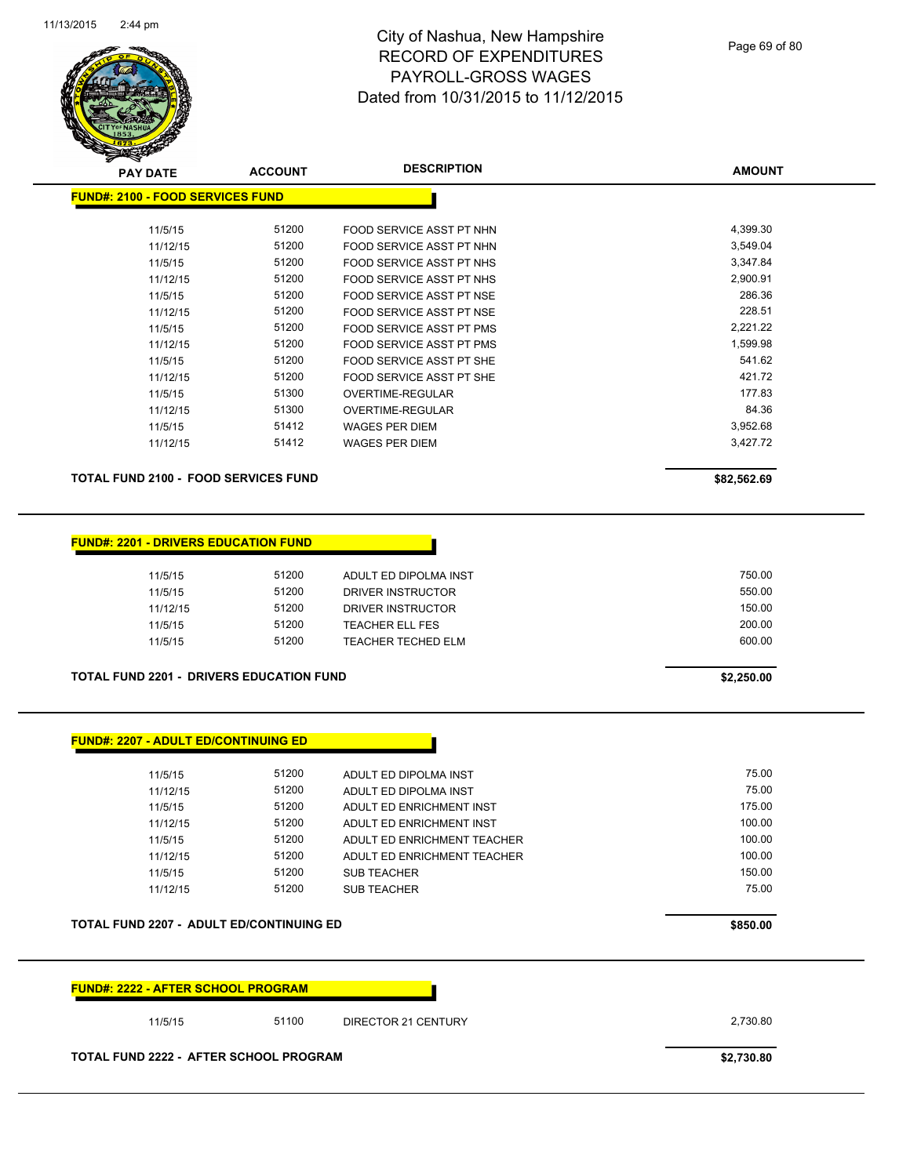

| <b>PAY DATE</b>                             | <b>ACCOUNT</b> | <b>DESCRIPTION</b>              | <b>AMOUNT</b> |
|---------------------------------------------|----------------|---------------------------------|---------------|
| <b>FUND#: 2100 - FOOD SERVICES FUND</b>     |                |                                 |               |
| 11/5/15                                     | 51200          | FOOD SERVICE ASST PT NHN        | 4,399.30      |
| 11/12/15                                    | 51200          | FOOD SERVICE ASST PT NHN        | 3,549.04      |
| 11/5/15                                     | 51200          | FOOD SERVICE ASST PT NHS        | 3,347.84      |
| 11/12/15                                    | 51200          | <b>FOOD SERVICE ASST PT NHS</b> | 2,900.91      |
| 11/5/15                                     | 51200          | <b>FOOD SERVICE ASST PT NSE</b> | 286.36        |
| 11/12/15                                    | 51200          | FOOD SERVICE ASST PT NSE        | 228.51        |
| 11/5/15                                     | 51200          | <b>FOOD SERVICE ASST PT PMS</b> | 2,221.22      |
| 11/12/15                                    | 51200          | FOOD SERVICE ASST PT PMS        | 1,599.98      |
| 11/5/15                                     | 51200          | FOOD SERVICE ASST PT SHE        | 541.62        |
| 11/12/15                                    | 51200          | <b>FOOD SERVICE ASST PT SHE</b> | 421.72        |
| 11/5/15                                     | 51300          | OVERTIME-REGULAR                | 177.83        |
| 11/12/15                                    | 51300          | OVERTIME-REGULAR                | 84.36         |
| 11/5/15                                     | 51412          | <b>WAGES PER DIEM</b>           | 3,952.68      |
| 11/12/15                                    | 51412          | <b>WAGES PER DIEM</b>           | 3,427.72      |
| <b>TOTAL FUND 2100 - FOOD SERVICES FUND</b> |                |                                 | \$82,562.69   |

#### **FUND#: 2201 - DRIVERS EDUCATION FUND**

| 11/5/15  | 51200 | ADULT ED DIPOLMA INST  | 750.00 |
|----------|-------|------------------------|--------|
| 11/5/15  | 51200 | DRIVER INSTRUCTOR      | 550.00 |
| 11/12/15 | 51200 | DRIVER INSTRUCTOR      | 150.00 |
| 11/5/15  | 51200 | <b>TEACHER ELL FES</b> | 200.00 |
| 11/5/15  | 51200 | TEACHER TECHED ELM     | 600.00 |
|          |       |                        |        |

**TOTAL FUND 2201 - DRIVERS EDUCATION FUND \$2,250.00** 

| <b>FUND#: 2207 - ADULT ED/CONTINUING ED</b> |  |  |
|---------------------------------------------|--|--|
|---------------------------------------------|--|--|

| 11/5/15  | 51200 | ADULT ED DIPOLMA INST       | 75.00  |
|----------|-------|-----------------------------|--------|
| 11/12/15 | 51200 | ADULT ED DIPOLMA INST       | 75.00  |
| 11/5/15  | 51200 | ADULT ED ENRICHMENT INST    | 175.00 |
| 11/12/15 | 51200 | ADULT ED ENRICHMENT INST    | 100.00 |
| 11/5/15  | 51200 | ADULT ED ENRICHMENT TEACHER | 100.00 |
| 11/12/15 | 51200 | ADULT ED ENRICHMENT TEACHER | 100.00 |
| 11/5/15  | 51200 | <b>SUB TEACHER</b>          | 150.00 |
| 11/12/15 | 51200 | <b>SUB TEACHER</b>          | 75.00  |
|          |       |                             |        |

**TOTAL FUND 2207 - ADULT ED/CONTINUING ED \$850.00** 



#### **TOTAL FUND 2222 - AFTER SCHOOL PROGRAM \$2,730.80**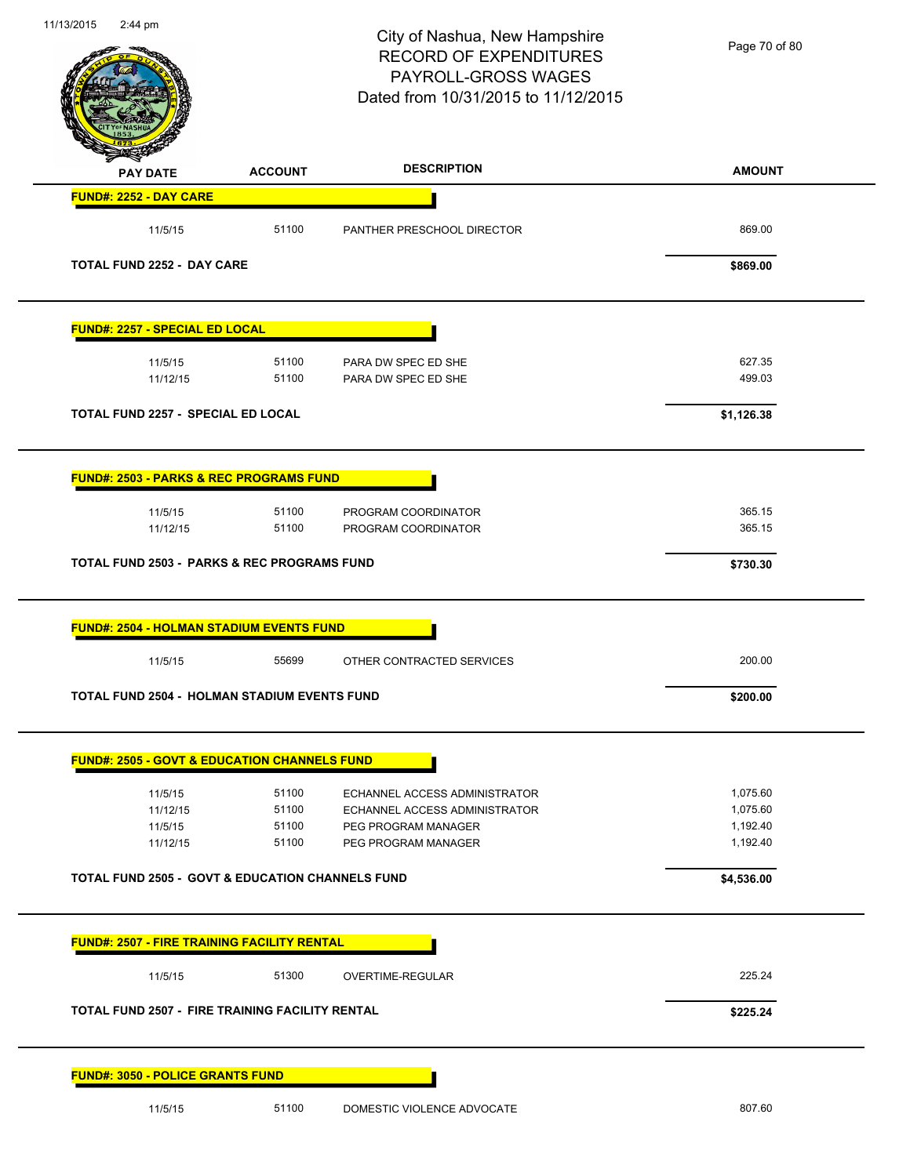| 11/13/2015<br>$2:44 \text{ pm}$                             |                | City of Nashua, New Hampshire<br><b>RECORD OF EXPENDITURES</b><br>PAYROLL-GROSS WAGES<br>Dated from 10/31/2015 to 11/12/2015 | Page 70 of 80        |
|-------------------------------------------------------------|----------------|------------------------------------------------------------------------------------------------------------------------------|----------------------|
| <b>PAY DATE</b>                                             | <b>ACCOUNT</b> | <b>DESCRIPTION</b>                                                                                                           | <b>AMOUNT</b>        |
| <b>FUND#: 2252 - DAY CARE</b>                               |                |                                                                                                                              |                      |
| 11/5/15                                                     | 51100          | PANTHER PRESCHOOL DIRECTOR                                                                                                   | 869.00               |
| <b>TOTAL FUND 2252 - DAY CARE</b>                           |                |                                                                                                                              | \$869.00             |
| <b>FUND#: 2257 - SPECIAL ED LOCAL</b>                       |                |                                                                                                                              |                      |
| 11/5/15                                                     | 51100          | PARA DW SPEC ED SHE                                                                                                          | 627.35               |
| 11/12/15                                                    | 51100          | PARA DW SPEC ED SHE                                                                                                          | 499.03               |
| TOTAL FUND 2257 - SPECIAL ED LOCAL                          |                |                                                                                                                              | \$1,126.38           |
| <b>FUND#: 2503 - PARKS &amp; REC PROGRAMS FUND</b>          |                |                                                                                                                              |                      |
| 11/5/15                                                     | 51100          | PROGRAM COORDINATOR                                                                                                          | 365.15               |
| 11/12/15                                                    | 51100          | PROGRAM COORDINATOR                                                                                                          | 365.15               |
| <b>TOTAL FUND 2503 - PARKS &amp; REC PROGRAMS FUND</b>      |                |                                                                                                                              | \$730.30             |
| <b>FUND#: 2504 - HOLMAN STADIUM EVENTS FUND</b>             |                |                                                                                                                              |                      |
| 11/5/15                                                     | 55699          | OTHER CONTRACTED SERVICES                                                                                                    | 200.00               |
| <b>TOTAL FUND 2504 - HOLMAN STADIUM EVENTS FUND</b>         |                |                                                                                                                              | \$200.00             |
| <b>FUND#: 2505 - GOVT &amp; EDUCATION CHANNELS FUND</b>     |                |                                                                                                                              |                      |
| 11/5/15                                                     | 51100          | ECHANNEL ACCESS ADMINISTRATOR                                                                                                | 1,075.60             |
| 11/12/15                                                    | 51100          | ECHANNEL ACCESS ADMINISTRATOR                                                                                                | 1,075.60             |
| 11/5/15<br>11/12/15                                         | 51100<br>51100 | PEG PROGRAM MANAGER<br>PEG PROGRAM MANAGER                                                                                   | 1,192.40<br>1,192.40 |
| <b>TOTAL FUND 2505 - GOVT &amp; EDUCATION CHANNELS FUND</b> |                |                                                                                                                              | \$4,536.00           |
|                                                             |                |                                                                                                                              |                      |
| <b>FUND#: 2507 - FIRE TRAINING FACILITY RENTAL</b>          |                |                                                                                                                              |                      |
| 11/5/15                                                     | 51300          | OVERTIME-REGULAR                                                                                                             | 225.24               |
| <b>TOTAL FUND 2507 - FIRE TRAINING FACILITY RENTAL</b>      |                |                                                                                                                              | \$225.24             |
| <b>FUND#: 3050 - POLICE GRANTS FUND</b>                     |                |                                                                                                                              |                      |
| 11/5/15                                                     | 51100          | DOMESTIC VIOLENCE ADVOCATE                                                                                                   | 807.60               |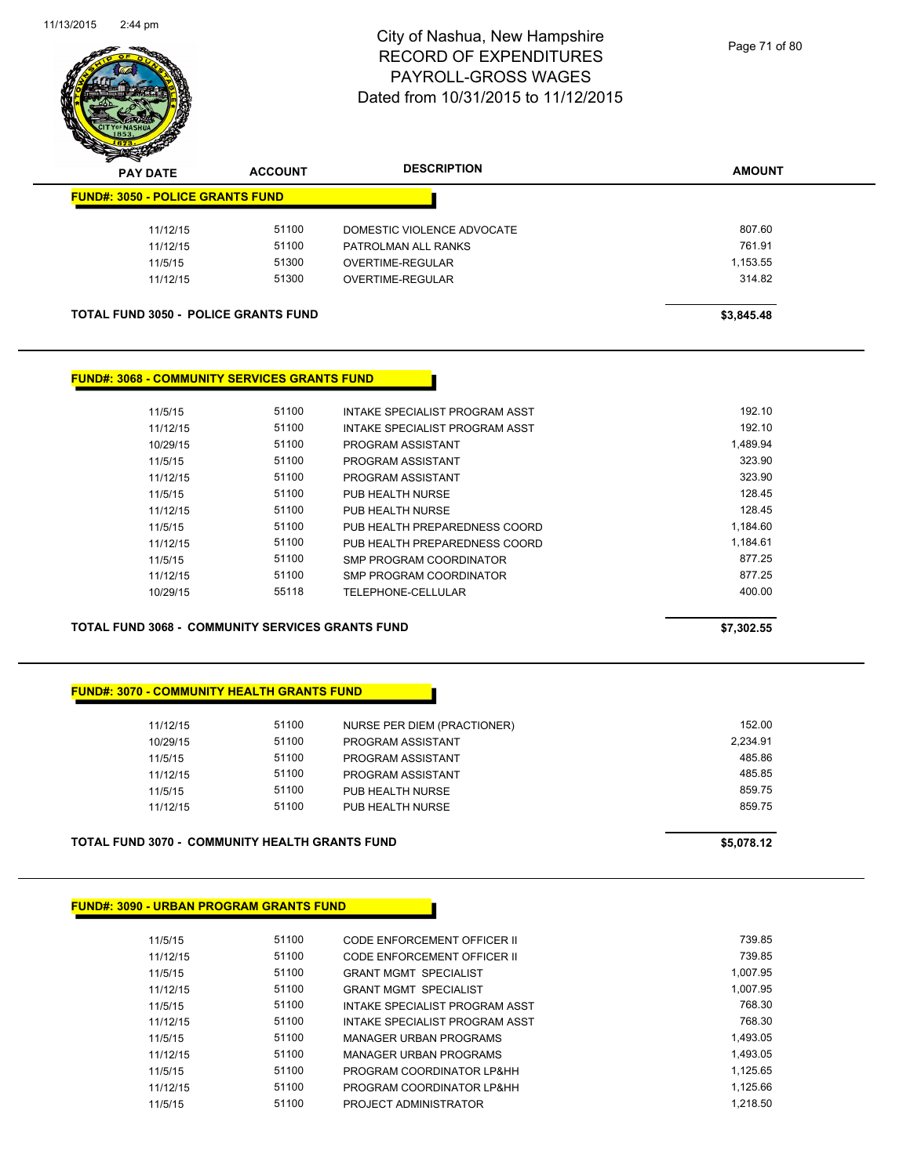

| <b>Anton</b><br><b>PAY DATE</b>             | <b>ACCOUNT</b> | <b>DESCRIPTION</b>         | <b>AMOUNT</b> |
|---------------------------------------------|----------------|----------------------------|---------------|
| <b>FUND#: 3050 - POLICE GRANTS FUND</b>     |                |                            |               |
| 11/12/15                                    | 51100          | DOMESTIC VIOLENCE ADVOCATE | 807.60        |
| 11/12/15                                    | 51100          | PATROLMAN ALL RANKS        | 761.91        |
| 11/5/15                                     | 51300          | OVERTIME-REGULAR           | 1,153.55      |
| 11/12/15                                    | 51300          | <b>OVERTIME-REGULAR</b>    | 314.82        |
| <b>TOTAL FUND 3050 - POLICE GRANTS FUND</b> |                |                            | \$3,845.48    |

#### **FUND#: 3068 - COMMUNITY SERVICES GRANTS FUND**

| 11/5/15  | 51100 | INTAKE SPECIALIST PROGRAM ASST | 192.10   |
|----------|-------|--------------------------------|----------|
| 11/12/15 | 51100 | INTAKE SPECIALIST PROGRAM ASST | 192.10   |
| 10/29/15 | 51100 | PROGRAM ASSISTANT              | 1.489.94 |
| 11/5/15  | 51100 | PROGRAM ASSISTANT              | 323.90   |
| 11/12/15 | 51100 | PROGRAM ASSISTANT              | 323.90   |
| 11/5/15  | 51100 | PUB HEALTH NURSE               | 128.45   |
| 11/12/15 | 51100 | PUB HEALTH NURSE               | 128.45   |
| 11/5/15  | 51100 | PUB HEALTH PREPAREDNESS COORD  | 1.184.60 |
| 11/12/15 | 51100 | PUB HEALTH PREPAREDNESS COORD  | 1.184.61 |
| 11/5/15  | 51100 | SMP PROGRAM COORDINATOR        | 877.25   |
| 11/12/15 | 51100 | SMP PROGRAM COORDINATOR        | 877.25   |
| 10/29/15 | 55118 | TELEPHONE-CELLULAR             | 400.00   |
|          |       |                                |          |

#### **TOTAL FUND 3068 - COMMUNITY SERVICES GRANTS FUND \$7,302.55**

#### **FUND#: 3070 - COMMUNITY HEALTH GRANTS FUND**

| TOTAL FUND 3070 -  COMMUNITY HEALTH GRANTS FUND | \$5,078.12 |                             |          |
|-------------------------------------------------|------------|-----------------------------|----------|
| 11/12/15                                        | 51100      | PUB HEALTH NURSE            | 859.75   |
| 11/5/15                                         | 51100      | PUB HEALTH NURSE            | 859.75   |
| 11/12/15                                        | 51100      | PROGRAM ASSISTANT           | 485.85   |
| 11/5/15                                         | 51100      | PROGRAM ASSISTANT           | 485.86   |
| 10/29/15                                        | 51100      | PROGRAM ASSISTANT           | 2.234.91 |
| 11/12/15                                        | 51100      | NURSE PER DIEM (PRACTIONER) | 152.00   |
|                                                 |            |                             |          |

#### **FUND#: 3090 - URBAN PROGRAM GRANTS FUND**

| 11/5/15  | 51100 | CODE ENFORCEMENT OFFICER II    | 739.85   |
|----------|-------|--------------------------------|----------|
| 11/12/15 | 51100 | CODE ENFORCEMENT OFFICER II    | 739.85   |
| 11/5/15  | 51100 | <b>GRANT MGMT SPECIALIST</b>   | 1.007.95 |
| 11/12/15 | 51100 | <b>GRANT MGMT SPECIALIST</b>   | 1.007.95 |
| 11/5/15  | 51100 | INTAKE SPECIALIST PROGRAM ASST | 768.30   |
| 11/12/15 | 51100 | INTAKE SPECIALIST PROGRAM ASST | 768.30   |
| 11/5/15  | 51100 | MANAGER URBAN PROGRAMS         | 1.493.05 |
| 11/12/15 | 51100 | MANAGER URBAN PROGRAMS         | 1.493.05 |
| 11/5/15  | 51100 | PROGRAM COORDINATOR LP&HH      | 1.125.65 |
| 11/12/15 | 51100 | PROGRAM COORDINATOR LP&HH      | 1.125.66 |
| 11/5/15  | 51100 | PROJECT ADMINISTRATOR          | 1.218.50 |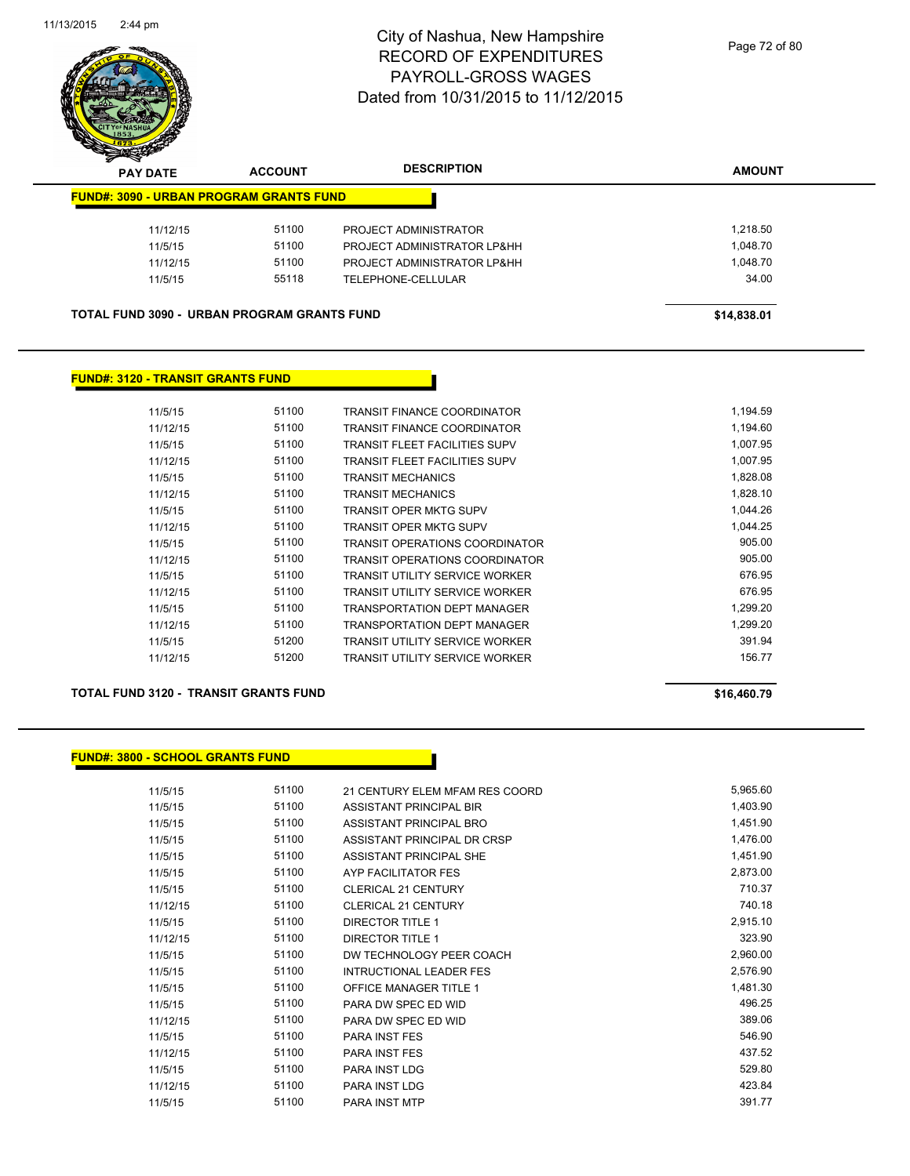

| $\boldsymbol{z}$<br>-- | <b>PAY DATE</b> | <b>ACCOUNT</b>                                     | <b>DESCRIPTION</b>          | <b>AMOUNT</b> |
|------------------------|-----------------|----------------------------------------------------|-----------------------------|---------------|
|                        |                 | <b>FUND#: 3090 - URBAN PROGRAM GRANTS FUND</b>     |                             |               |
|                        | 11/12/15        | 51100                                              | PROJECT ADMINISTRATOR       | 1,218.50      |
|                        | 11/5/15         | 51100                                              | PROJECT ADMINISTRATOR LP&HH | 1.048.70      |
|                        | 11/12/15        | 51100                                              | PROJECT ADMINISTRATOR LP&HH | 1,048.70      |
|                        | 11/5/15         | 55118                                              | TELEPHONE-CELLULAR          | 34.00         |
|                        |                 |                                                    |                             |               |
|                        |                 | <b>TOTAL FUND 3090 - URBAN PROGRAM GRANTS FUND</b> |                             | \$14.838.01   |

#### **FUND#: 3120 - TRANSIT GRANTS FUND**

| 11/5/15  | 51100 | <b>TRANSIT FINANCE COORDINATOR</b>    | 1,194.59 |
|----------|-------|---------------------------------------|----------|
| 11/12/15 | 51100 | <b>TRANSIT FINANCE COORDINATOR</b>    | 1.194.60 |
| 11/5/15  | 51100 | <b>TRANSIT FLEET FACILITIES SUPV</b>  | 1,007.95 |
| 11/12/15 | 51100 | <b>TRANSIT FLEET FACILITIES SUPV</b>  | 1,007.95 |
| 11/5/15  | 51100 | <b>TRANSIT MECHANICS</b>              | 1,828.08 |
| 11/12/15 | 51100 | <b>TRANSIT MECHANICS</b>              | 1,828.10 |
| 11/5/15  | 51100 | TRANSIT OPER MKTG SUPV                | 1,044.26 |
| 11/12/15 | 51100 | <b>TRANSIT OPER MKTG SUPV</b>         | 1.044.25 |
| 11/5/15  | 51100 | <b>TRANSIT OPERATIONS COORDINATOR</b> | 905.00   |
| 11/12/15 | 51100 | <b>TRANSIT OPERATIONS COORDINATOR</b> | 905.00   |
| 11/5/15  | 51100 | <b>TRANSIT UTILITY SERVICE WORKER</b> | 676.95   |
| 11/12/15 | 51100 | <b>TRANSIT UTILITY SERVICE WORKER</b> | 676.95   |
| 11/5/15  | 51100 | <b>TRANSPORTATION DEPT MANAGER</b>    | 1.299.20 |
| 11/12/15 | 51100 | TRANSPORTATION DEPT MANAGER           | 1.299.20 |
| 11/5/15  | 51200 | <b>TRANSIT UTILITY SERVICE WORKER</b> | 391.94   |
| 11/12/15 | 51200 | TRANSIT UTILITY SERVICE WORKER        | 156.77   |
|          |       |                                       |          |

#### **TOTAL FUND 3120 - TRANSIT GRANTS FUND \$16,460.79**

#### **FUND#: 3800 - SCHOOL GRANTS FUND**

| 11/5/15  | 51100 | 21 CENTURY ELEM MFAM RES COORD | 5,965.60 |
|----------|-------|--------------------------------|----------|
| 11/5/15  | 51100 | ASSISTANT PRINCIPAL BIR        | 1,403.90 |
| 11/5/15  | 51100 | ASSISTANT PRINCIPAL BRO        | 1,451.90 |
| 11/5/15  | 51100 | ASSISTANT PRINCIPAL DR CRSP    | 1,476.00 |
| 11/5/15  | 51100 | ASSISTANT PRINCIPAL SHE        | 1,451.90 |
| 11/5/15  | 51100 | AYP FACILITATOR FES            | 2,873.00 |
| 11/5/15  | 51100 | <b>CLERICAL 21 CENTURY</b>     | 710.37   |
| 11/12/15 | 51100 | <b>CLERICAL 21 CENTURY</b>     | 740.18   |
| 11/5/15  | 51100 | <b>DIRECTOR TITLE 1</b>        | 2,915.10 |
| 11/12/15 | 51100 | <b>DIRECTOR TITLE 1</b>        | 323.90   |
| 11/5/15  | 51100 | DW TECHNOLOGY PEER COACH       | 2,960.00 |
| 11/5/15  | 51100 | <b>INTRUCTIONAL LEADER FES</b> | 2,576.90 |
| 11/5/15  | 51100 | <b>OFFICE MANAGER TITLE 1</b>  | 1,481.30 |
| 11/5/15  | 51100 | PARA DW SPEC ED WID            | 496.25   |
| 11/12/15 | 51100 | PARA DW SPEC ED WID            | 389.06   |
| 11/5/15  | 51100 | <b>PARA INST FES</b>           | 546.90   |
| 11/12/15 | 51100 | <b>PARA INST FES</b>           | 437.52   |
| 11/5/15  | 51100 | PARA INST LDG                  | 529.80   |
| 11/12/15 | 51100 | PARA INST LDG                  | 423.84   |
| 11/5/15  | 51100 | <b>PARA INST MTP</b>           | 391.77   |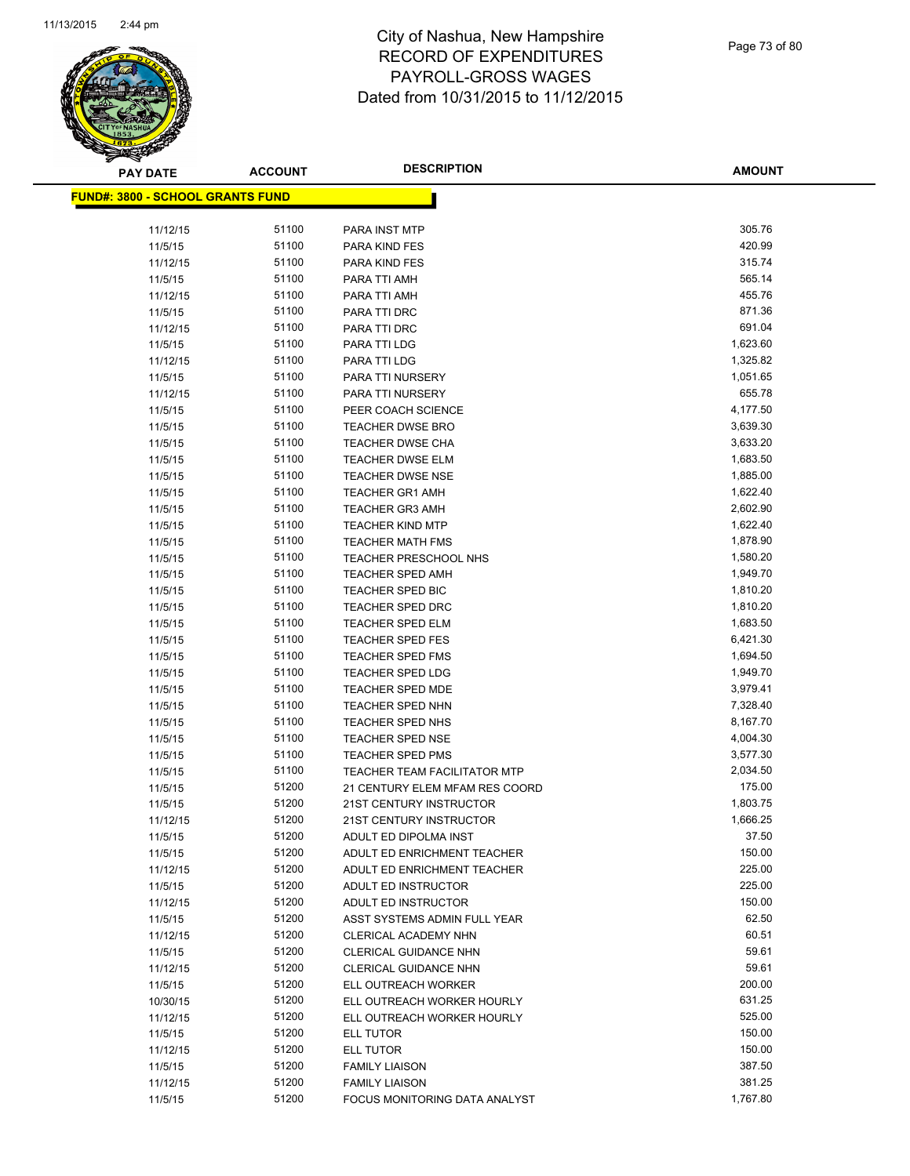

Page 73 of 80

| <b>PAY DATE</b>                         | <b>ACCOUNT</b> | <b>DESCRIPTION</b>                                     | <b>AMOUNT</b>        |
|-----------------------------------------|----------------|--------------------------------------------------------|----------------------|
| <b>FUND#: 3800 - SCHOOL GRANTS FUND</b> |                |                                                        |                      |
|                                         |                |                                                        |                      |
| 11/12/15                                | 51100          | PARA INST MTP                                          | 305.76               |
| 11/5/15                                 | 51100          | PARA KIND FES                                          | 420.99               |
| 11/12/15                                | 51100          | <b>PARA KIND FES</b>                                   | 315.74               |
| 11/5/15                                 | 51100          | PARA TTI AMH                                           | 565.14               |
| 11/12/15                                | 51100          | PARA TTI AMH                                           | 455.76               |
| 11/5/15                                 | 51100          | PARA TTI DRC                                           | 871.36               |
| 11/12/15                                | 51100          | PARA TTI DRC                                           | 691.04               |
| 11/5/15                                 | 51100          | PARA TTI LDG                                           | 1,623.60             |
| 11/12/15                                | 51100          | PARA TTI LDG                                           | 1,325.82             |
| 11/5/15                                 | 51100          | PARA TTI NURSERY                                       | 1,051.65             |
| 11/12/15                                | 51100          | PARA TTI NURSERY                                       | 655.78               |
| 11/5/15                                 | 51100          | PEER COACH SCIENCE                                     | 4,177.50             |
| 11/5/15                                 | 51100          | <b>TEACHER DWSE BRO</b>                                | 3,639.30             |
| 11/5/15                                 | 51100<br>51100 | <b>TEACHER DWSE CHA</b><br><b>TEACHER DWSE ELM</b>     | 3,633.20<br>1,683.50 |
| 11/5/15<br>11/5/15                      | 51100          | <b>TEACHER DWSE NSE</b>                                | 1,885.00             |
| 11/5/15                                 | 51100          | <b>TEACHER GR1 AMH</b>                                 | 1,622.40             |
| 11/5/15                                 | 51100          | <b>TEACHER GR3 AMH</b>                                 | 2,602.90             |
| 11/5/15                                 | 51100          | <b>TEACHER KIND MTP</b>                                | 1,622.40             |
| 11/5/15                                 | 51100          | <b>TEACHER MATH FMS</b>                                | 1,878.90             |
| 11/5/15                                 | 51100          | <b>TEACHER PRESCHOOL NHS</b>                           | 1,580.20             |
| 11/5/15                                 | 51100          | TEACHER SPED AMH                                       | 1,949.70             |
| 11/5/15                                 | 51100          | <b>TEACHER SPED BIC</b>                                | 1,810.20             |
| 11/5/15                                 | 51100          | <b>TEACHER SPED DRC</b>                                | 1,810.20             |
| 11/5/15                                 | 51100          | <b>TEACHER SPED ELM</b>                                | 1,683.50             |
| 11/5/15                                 | 51100          | <b>TEACHER SPED FES</b>                                | 6,421.30             |
| 11/5/15                                 | 51100          | <b>TEACHER SPED FMS</b>                                | 1,694.50             |
| 11/5/15                                 | 51100          | <b>TEACHER SPED LDG</b>                                | 1,949.70             |
| 11/5/15                                 | 51100          | TEACHER SPED MDE                                       | 3,979.41             |
| 11/5/15                                 | 51100          | <b>TEACHER SPED NHN</b>                                | 7,328.40             |
| 11/5/15                                 | 51100          | TEACHER SPED NHS                                       | 8,167.70             |
| 11/5/15                                 | 51100          | <b>TEACHER SPED NSE</b>                                | 4,004.30             |
| 11/5/15                                 | 51100          | <b>TEACHER SPED PMS</b>                                | 3,577.30             |
| 11/5/15                                 | 51100          | TEACHER TEAM FACILITATOR MTP                           | 2,034.50             |
| 11/5/15                                 | 51200          | 21 CENTURY ELEM MFAM RES COORD                         | 175.00               |
| 11/5/15                                 | 51200          | 21ST CENTURY INSTRUCTOR                                | 1,803.75             |
| 11/12/15                                | 51200          | <b>21ST CENTURY INSTRUCTOR</b>                         | 1,666.25             |
| 11/5/15                                 | 51200          | ADULT ED DIPOLMA INST                                  | 37.50                |
| 11/5/15                                 | 51200          | ADULT ED ENRICHMENT TEACHER                            | 150.00               |
| 11/12/15                                | 51200          | ADULT ED ENRICHMENT TEACHER                            | 225.00               |
| 11/5/15                                 | 51200          | ADULT ED INSTRUCTOR                                    | 225.00               |
| 11/12/15                                | 51200          | ADULT ED INSTRUCTOR                                    | 150.00               |
| 11/5/15                                 | 51200          | ASST SYSTEMS ADMIN FULL YEAR                           | 62.50                |
| 11/12/15                                | 51200          | CLERICAL ACADEMY NHN                                   | 60.51                |
| 11/5/15                                 | 51200          | CLERICAL GUIDANCE NHN                                  | 59.61                |
| 11/12/15                                | 51200          | <b>CLERICAL GUIDANCE NHN</b>                           | 59.61                |
| 11/5/15                                 | 51200          | ELL OUTREACH WORKER                                    | 200.00               |
| 10/30/15                                | 51200          | ELL OUTREACH WORKER HOURLY                             | 631.25               |
| 11/12/15                                | 51200          | ELL OUTREACH WORKER HOURLY                             | 525.00               |
| 11/5/15                                 | 51200          | <b>ELL TUTOR</b>                                       | 150.00<br>150.00     |
| 11/12/15                                | 51200<br>51200 | ELL TUTOR                                              | 387.50               |
| 11/5/15                                 | 51200          | <b>FAMILY LIAISON</b>                                  | 381.25               |
| 11/12/15<br>11/5/15                     | 51200          | <b>FAMILY LIAISON</b><br>FOCUS MONITORING DATA ANALYST | 1,767.80             |
|                                         |                |                                                        |                      |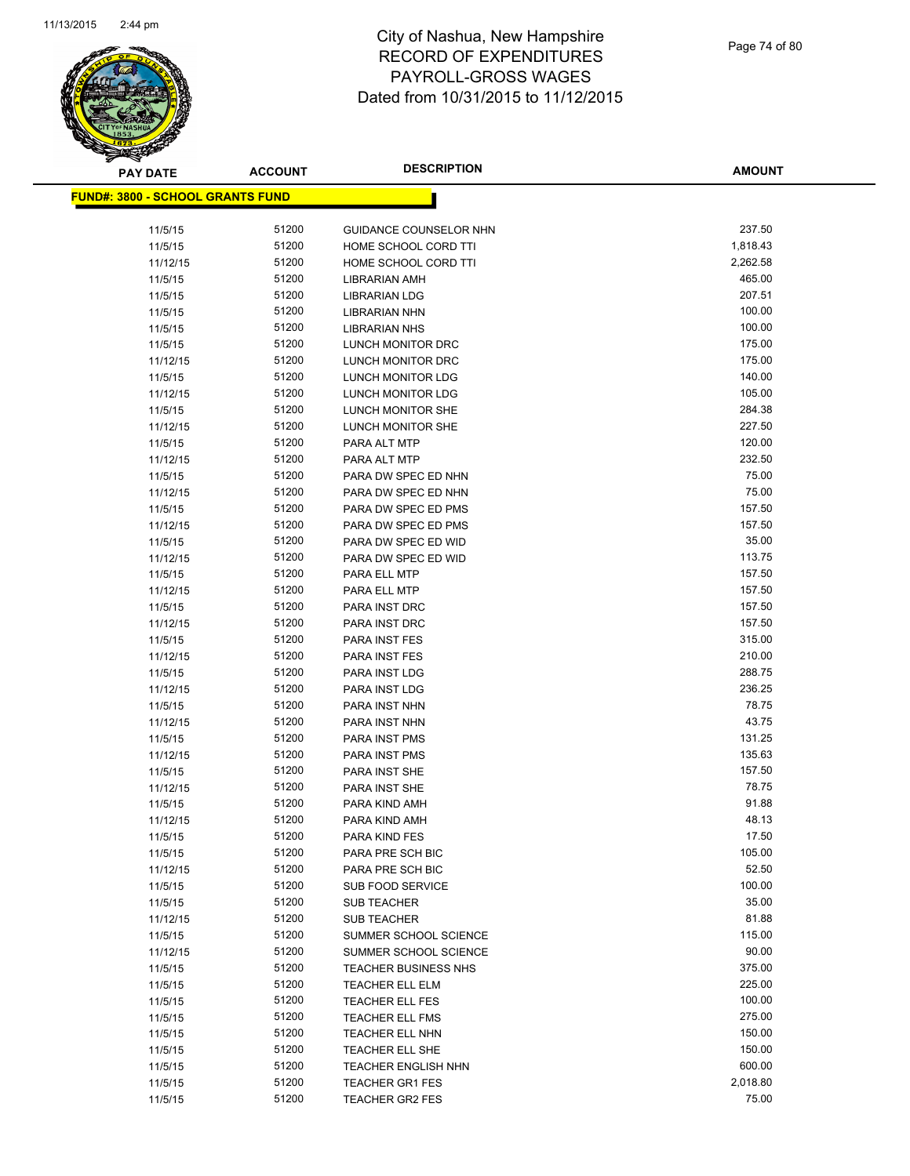

Page 74 of 80

| <b>PAY DATE</b>                         | <b>ACCOUNT</b> | <b>DESCRIPTION</b>          | <b>AMOUNT</b>    |
|-----------------------------------------|----------------|-----------------------------|------------------|
| <b>FUND#: 3800 - SCHOOL GRANTS FUND</b> |                |                             |                  |
|                                         |                |                             |                  |
| 11/5/15                                 | 51200          | GUIDANCE COUNSELOR NHN      | 237.50           |
| 11/5/15                                 | 51200          | HOME SCHOOL CORD TTI        | 1,818.43         |
| 11/12/15                                | 51200          | HOME SCHOOL CORD TTI        | 2,262.58         |
| 11/5/15                                 | 51200          | LIBRARIAN AMH               | 465.00           |
| 11/5/15                                 | 51200          | <b>LIBRARIAN LDG</b>        | 207.51           |
| 11/5/15                                 | 51200          | <b>LIBRARIAN NHN</b>        | 100.00           |
| 11/5/15                                 | 51200          | <b>LIBRARIAN NHS</b>        | 100.00           |
| 11/5/15                                 | 51200          | LUNCH MONITOR DRC           | 175.00           |
| 11/12/15                                | 51200          | LUNCH MONITOR DRC           | 175.00           |
| 11/5/15                                 | 51200          | LUNCH MONITOR LDG           | 140.00           |
| 11/12/15                                | 51200          | LUNCH MONITOR LDG           | 105.00           |
| 11/5/15                                 | 51200          | LUNCH MONITOR SHE           | 284.38           |
| 11/12/15                                | 51200          | LUNCH MONITOR SHE           | 227.50           |
| 11/5/15                                 | 51200          | PARA ALT MTP                | 120.00           |
| 11/12/15                                | 51200          | PARA ALT MTP                | 232.50           |
| 11/5/15                                 | 51200          | PARA DW SPEC ED NHN         | 75.00            |
| 11/12/15                                | 51200          | PARA DW SPEC ED NHN         | 75.00            |
| 11/5/15                                 | 51200          | PARA DW SPEC ED PMS         | 157.50           |
| 11/12/15                                | 51200          | PARA DW SPEC ED PMS         | 157.50           |
| 11/5/15                                 | 51200          | PARA DW SPEC ED WID         | 35.00            |
| 11/12/15                                | 51200          | PARA DW SPEC ED WID         | 113.75           |
| 11/5/15                                 | 51200          | PARA ELL MTP                | 157.50           |
| 11/12/15                                | 51200          | PARA ELL MTP                | 157.50           |
| 11/5/15                                 | 51200          | PARA INST DRC               | 157.50           |
| 11/12/15                                | 51200          | PARA INST DRC               | 157.50           |
| 11/5/15                                 | 51200          | <b>PARA INST FES</b>        | 315.00           |
| 11/12/15                                | 51200          | PARA INST FES               | 210.00           |
| 11/5/15                                 | 51200          | PARA INST LDG               | 288.75           |
| 11/12/15                                | 51200          | PARA INST LDG               | 236.25           |
| 11/5/15                                 | 51200          | PARA INST NHN               | 78.75            |
| 11/12/15                                | 51200          | PARA INST NHN               | 43.75            |
| 11/5/15                                 | 51200          | PARA INST PMS               | 131.25           |
| 11/12/15                                | 51200          | PARA INST PMS               | 135.63           |
| 11/5/15                                 | 51200          | PARA INST SHE               | 157.50           |
| 11/12/15                                | 51200          | PARA INST SHE               | 78.75            |
| 11/5/15                                 | 51200          | PARA KIND AMH               | 91.88            |
| 11/12/15                                | 51200          | PARA KIND AMH               | 48.13            |
| 11/5/15                                 | 51200          | PARA KIND FES               | 17.50            |
| 11/5/15                                 | 51200          | PARA PRE SCH BIC            | 105.00           |
| 11/12/15                                | 51200          | PARA PRE SCH BIC            | 52.50            |
| 11/5/15                                 | 51200          | SUB FOOD SERVICE            | 100.00           |
| 11/5/15                                 | 51200          | <b>SUB TEACHER</b>          | 35.00            |
| 11/12/15                                | 51200          | <b>SUB TEACHER</b>          | 81.88            |
| 11/5/15                                 | 51200          | SUMMER SCHOOL SCIENCE       | 115.00           |
| 11/12/15                                | 51200          | SUMMER SCHOOL SCIENCE       | 90.00            |
| 11/5/15                                 | 51200          | <b>TEACHER BUSINESS NHS</b> | 375.00           |
| 11/5/15                                 | 51200          | <b>TEACHER ELL ELM</b>      | 225.00           |
| 11/5/15                                 | 51200          | <b>TEACHER ELL FES</b>      | 100.00           |
| 11/5/15                                 | 51200          | <b>TEACHER ELL FMS</b>      | 275.00           |
| 11/5/15                                 | 51200          | TEACHER ELL NHN             | 150.00           |
| 11/5/15                                 | 51200          | TEACHER ELL SHE             | 150.00<br>600.00 |
| 11/5/15                                 | 51200          | <b>TEACHER ENGLISH NHN</b>  | 2,018.80         |
| 11/5/15                                 | 51200<br>51200 | <b>TEACHER GR1 FES</b>      | 75.00            |
| 11/5/15                                 |                | <b>TEACHER GR2 FES</b>      |                  |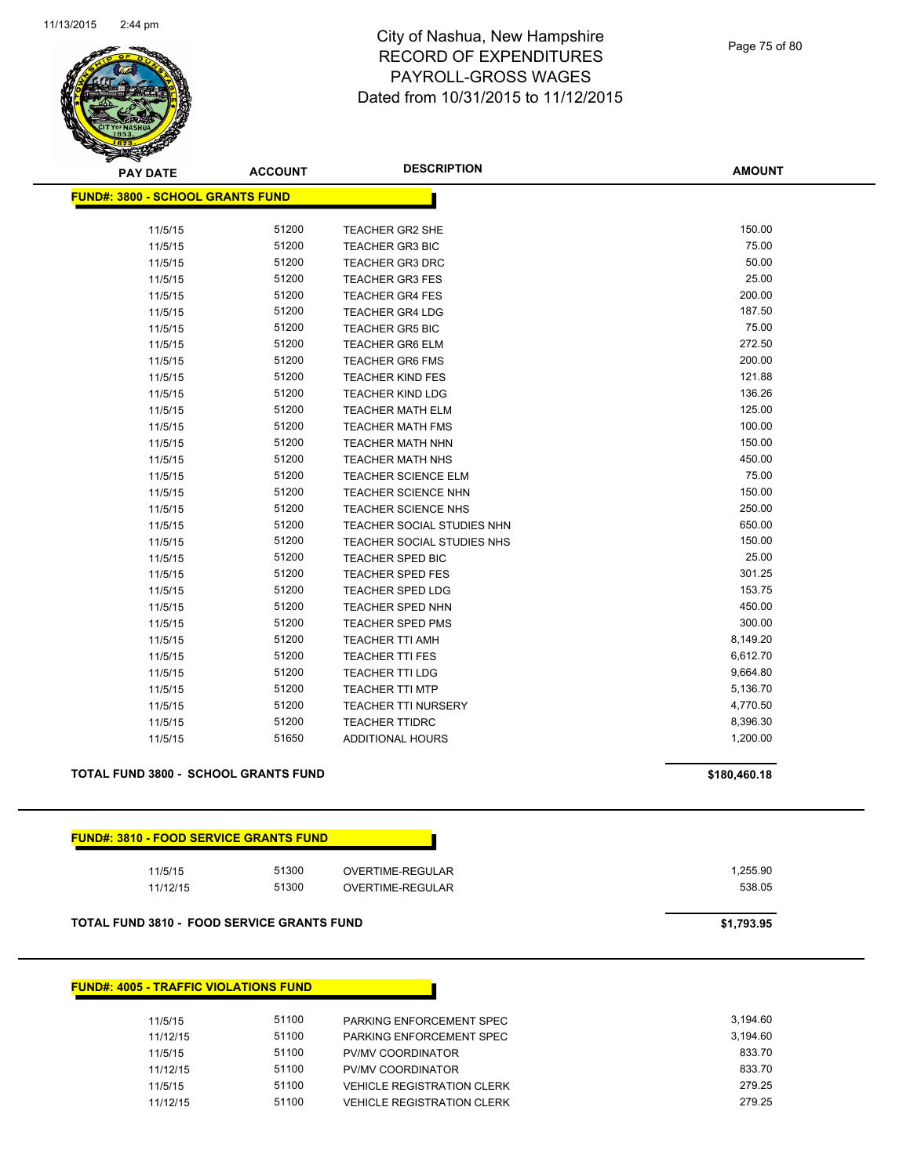

| <b>PAY DATE</b>                                   | <b>ACCOUNT</b> | <b>DESCRIPTION</b>                   | <b>AMOUNT</b>      |
|---------------------------------------------------|----------------|--------------------------------------|--------------------|
| <b>FUND#: 3800 - SCHOOL GRANTS FUND</b>           |                |                                      |                    |
|                                                   |                |                                      |                    |
| 11/5/15                                           | 51200          | TEACHER GR2 SHE                      | 150.00             |
| 11/5/15                                           | 51200          | <b>TEACHER GR3 BIC</b>               | 75.00              |
| 11/5/15                                           | 51200          | <b>TEACHER GR3 DRC</b>               | 50.00              |
| 11/5/15                                           | 51200          | <b>TEACHER GR3 FES</b>               | 25.00              |
| 11/5/15                                           | 51200          | <b>TEACHER GR4 FES</b>               | 200.00             |
| 11/5/15                                           | 51200          | <b>TEACHER GR4 LDG</b>               | 187.50             |
| 11/5/15                                           | 51200          | <b>TEACHER GR5 BIC</b>               | 75.00              |
| 11/5/15                                           | 51200          | <b>TEACHER GR6 ELM</b>               | 272.50             |
| 11/5/15                                           | 51200          | <b>TEACHER GR6 FMS</b>               | 200.00             |
| 11/5/15                                           | 51200          | <b>TEACHER KIND FES</b>              | 121.88             |
| 11/5/15                                           | 51200          | <b>TEACHER KIND LDG</b>              | 136.26             |
| 11/5/15                                           | 51200          | <b>TEACHER MATH ELM</b>              | 125.00             |
| 11/5/15                                           | 51200          | <b>TEACHER MATH FMS</b>              | 100.00             |
| 11/5/15                                           | 51200          | <b>TEACHER MATH NHN</b>              | 150.00             |
| 11/5/15                                           | 51200          | <b>TEACHER MATH NHS</b>              | 450.00             |
| 11/5/15                                           | 51200          | <b>TEACHER SCIENCE ELM</b>           | 75.00              |
| 11/5/15                                           | 51200          | TEACHER SCIENCE NHN                  | 150.00             |
| 11/5/15                                           | 51200          | <b>TEACHER SCIENCE NHS</b>           | 250.00             |
| 11/5/15                                           | 51200          | <b>TEACHER SOCIAL STUDIES NHN</b>    | 650.00             |
| 11/5/15                                           | 51200          | <b>TEACHER SOCIAL STUDIES NHS</b>    | 150.00             |
| 11/5/15                                           | 51200          | TEACHER SPED BIC                     | 25.00              |
| 11/5/15                                           | 51200          | <b>TEACHER SPED FES</b>              | 301.25             |
| 11/5/15                                           | 51200          | <b>TEACHER SPED LDG</b>              | 153.75             |
| 11/5/15                                           | 51200          | <b>TEACHER SPED NHN</b>              | 450.00             |
| 11/5/15                                           | 51200          | TEACHER SPED PMS                     | 300.00             |
| 11/5/15                                           | 51200          | <b>TEACHER TTI AMH</b>               | 8,149.20           |
| 11/5/15                                           | 51200          | <b>TEACHER TTI FES</b>               | 6,612.70           |
| 11/5/15                                           | 51200          | <b>TEACHER TTI LDG</b>               | 9,664.80           |
| 11/5/15                                           | 51200          | <b>TEACHER TTI MTP</b>               | 5,136.70           |
| 11/5/15                                           | 51200          | <b>TEACHER TTI NURSERY</b>           | 4,770.50           |
| 11/5/15                                           | 51200          | <b>TEACHER TTIDRC</b>                | 8,396.30           |
| 11/5/15                                           | 51650          | <b>ADDITIONAL HOURS</b>              | 1,200.00           |
| TOTAL FUND 3800 - SCHOOL GRANTS FUND              |                |                                      | \$180,460.18       |
| <b>FUND#: 3810 - FOOD SERVICE GRANTS FUND</b>     |                |                                      |                    |
|                                                   |                |                                      |                    |
| 11/5/15<br>11/12/15                               | 51300<br>51300 | OVERTIME-REGULAR<br>OVERTIME-REGULAR | 1,255.90<br>538.05 |
|                                                   |                |                                      |                    |
| <b>TOTAL FUND 3810 - FOOD SERVICE GRANTS FUND</b> |                |                                      | \$1,793.95         |
|                                                   |                |                                      |                    |
| <b>FUND#: 4005 - TRAFFIC VIOLATIONS FUND</b>      |                |                                      |                    |
|                                                   |                |                                      |                    |

| 11/5/15  | 51100 | PARKING ENFORCEMENT SPEC          | 3.194.60 |
|----------|-------|-----------------------------------|----------|
| 11/12/15 | 51100 | PARKING ENFORCEMENT SPEC          | 3.194.60 |
| 11/5/15  | 51100 | PV/MV COORDINATOR                 | 833.70   |
| 11/12/15 | 51100 | PV/MV COORDINATOR                 | 833.70   |
| 11/5/15  | 51100 | <b>VEHICLE REGISTRATION CLERK</b> | 279.25   |
| 11/12/15 | 51100 | <b>VEHICLE REGISTRATION CLERK</b> | 279.25   |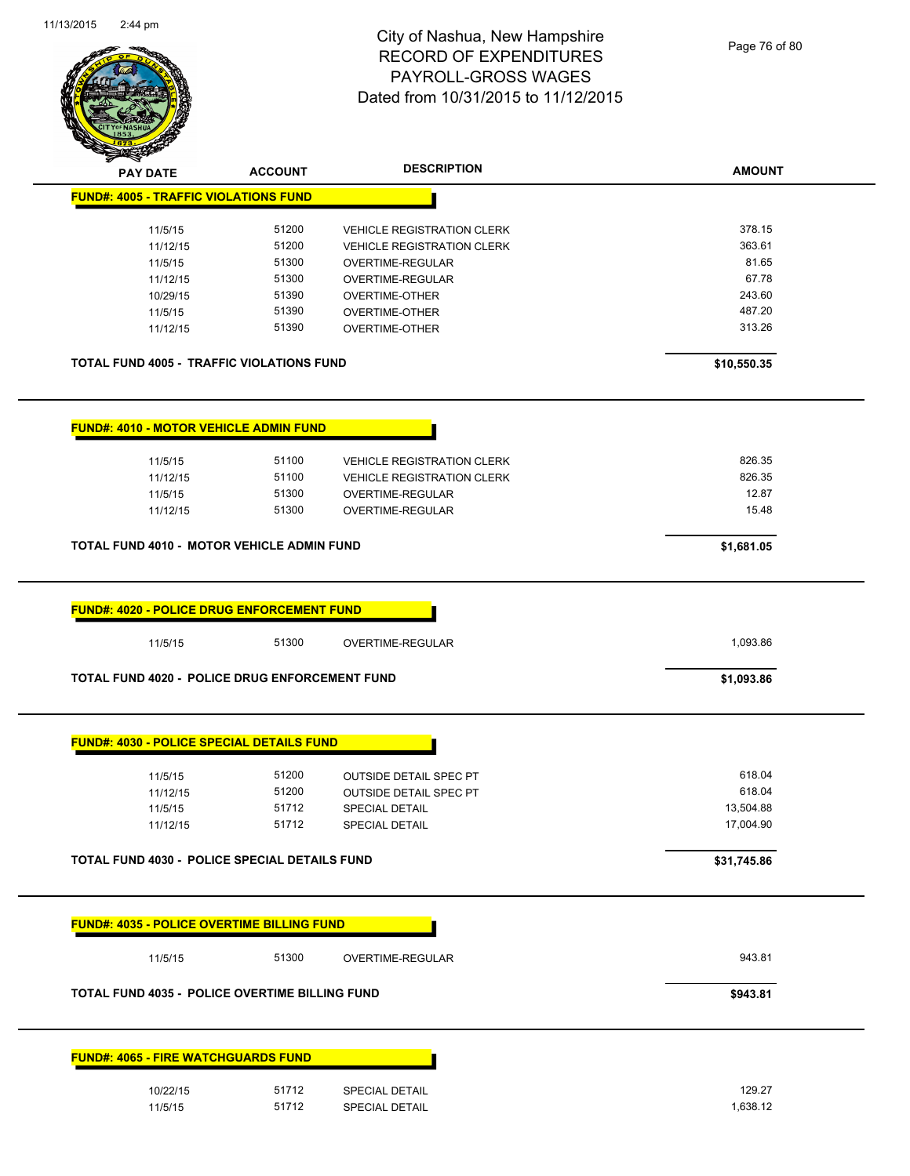

| <b>STATE CARD</b><br><b>PAY DATE</b>                                                               |                |                                                |                  |
|----------------------------------------------------------------------------------------------------|----------------|------------------------------------------------|------------------|
|                                                                                                    | <b>ACCOUNT</b> | <b>DESCRIPTION</b>                             | <b>AMOUNT</b>    |
| <b>FUND#: 4005 - TRAFFIC VIOLATIONS FUND</b>                                                       |                |                                                |                  |
| 11/5/15                                                                                            | 51200          | <b>VEHICLE REGISTRATION CLERK</b>              | 378.15           |
| 11/12/15                                                                                           | 51200          | <b>VEHICLE REGISTRATION CLERK</b>              | 363.61           |
| 11/5/15                                                                                            | 51300          | OVERTIME-REGULAR                               | 81.65            |
|                                                                                                    | 51300          |                                                | 67.78            |
| 11/12/15                                                                                           |                | OVERTIME-REGULAR                               |                  |
| 10/29/15                                                                                           | 51390          | <b>OVERTIME-OTHER</b>                          | 243.60           |
| 11/5/15<br>11/12/15                                                                                | 51390<br>51390 | <b>OVERTIME-OTHER</b><br><b>OVERTIME-OTHER</b> | 487.20<br>313.26 |
| <b>TOTAL FUND 4005 - TRAFFIC VIOLATIONS FUND</b>                                                   |                |                                                | \$10,550.35      |
| <b>FUND#: 4010 - MOTOR VEHICLE ADMIN FUND</b>                                                      |                |                                                |                  |
| 11/5/15                                                                                            | 51100          | <b>VEHICLE REGISTRATION CLERK</b>              | 826.35           |
| 11/12/15                                                                                           | 51100          | <b>VEHICLE REGISTRATION CLERK</b>              | 826.35           |
| 11/5/15                                                                                            | 51300          | OVERTIME-REGULAR                               | 12.87            |
| 11/12/15                                                                                           | 51300          | <b>OVERTIME-REGULAR</b>                        | 15.48            |
| TOTAL FUND 4010 - MOTOR VEHICLE ADMIN FUND                                                         |                |                                                | \$1,681.05       |
|                                                                                                    |                |                                                |                  |
| 11/5/15                                                                                            | 51300          | OVERTIME-REGULAR                               | 1,093.86         |
| TOTAL FUND 4020 - POLICE DRUG ENFORCEMENT FUND                                                     |                |                                                | \$1,093.86       |
| <b>FUND#: 4030 - POLICE SPECIAL DETAILS FUND</b>                                                   |                |                                                |                  |
| 11/5/15                                                                                            | 51200          | <b>OUTSIDE DETAIL SPEC PT</b>                  | 618.04           |
| 11/12/15                                                                                           | 51200          | <b>OUTSIDE DETAIL SPEC PT</b>                  | 618.04           |
|                                                                                                    | 51712          |                                                | 13,504.88        |
| 11/5/15<br>11/12/15                                                                                | 51712          | SPECIAL DETAIL<br><b>SPECIAL DETAIL</b>        | 17,004.90        |
|                                                                                                    |                |                                                | \$31,745.86      |
| TOTAL FUND 4030 - POLICE SPECIAL DETAILS FUND<br><b>FUND#: 4035 - POLICE OVERTIME BILLING FUND</b> |                |                                                |                  |
| 11/5/15                                                                                            | 51300          | OVERTIME-REGULAR                               | 943.81           |
| TOTAL FUND 4035 - POLICE OVERTIME BILLING FUND                                                     |                |                                                | \$943.81         |
| <b>FUND#: 4065 - FIRE WATCHGUARDS FUND</b>                                                         |                |                                                |                  |
| 10/22/15                                                                                           | 51712          | SPECIAL DETAIL                                 | 129.27           |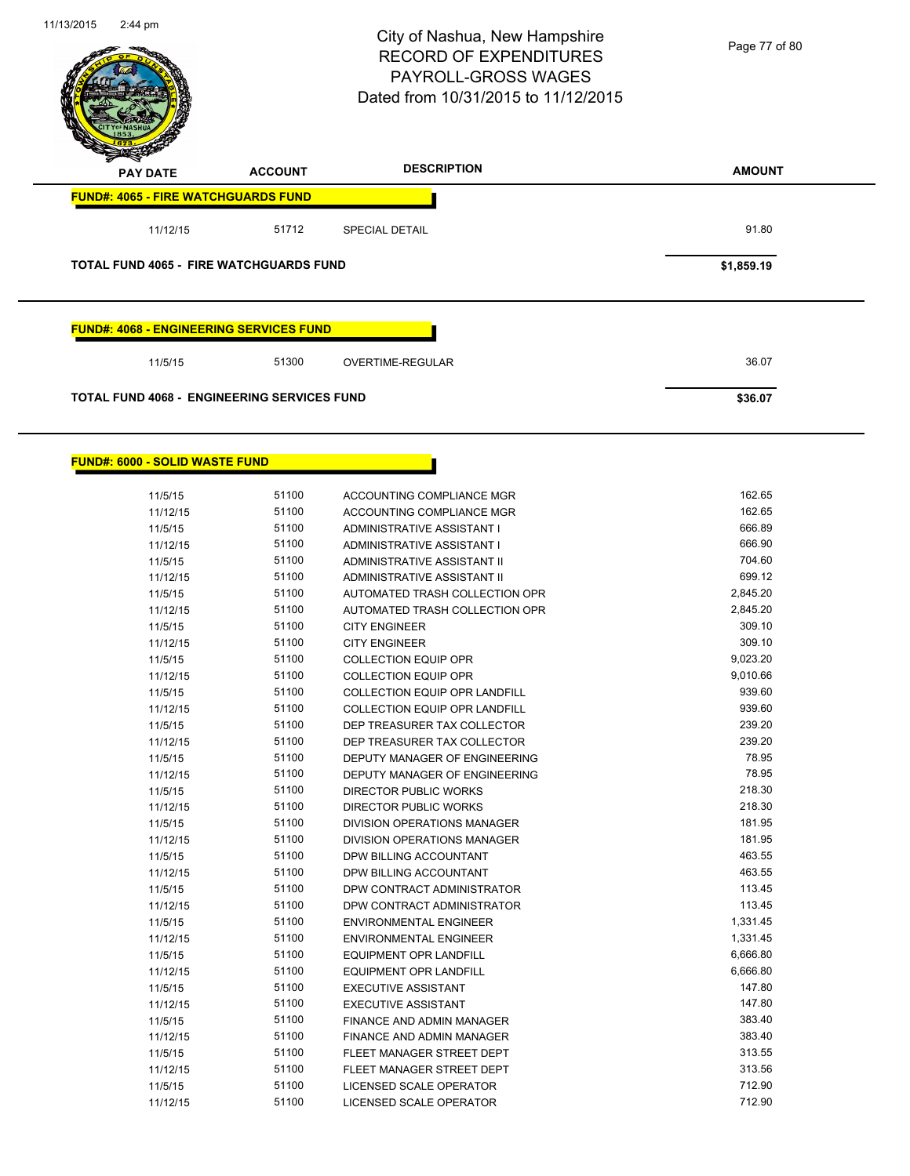

| 11/5/15  | 51100 | <b>ACCOUNTING COMPLIANCE MGR</b>     | 162.65   |
|----------|-------|--------------------------------------|----------|
| 11/12/15 | 51100 | ACCOUNTING COMPLIANCE MGR            | 162.65   |
| 11/5/15  | 51100 | ADMINISTRATIVE ASSISTANT I           | 666.89   |
| 11/12/15 | 51100 | ADMINISTRATIVE ASSISTANT I           | 666.90   |
| 11/5/15  | 51100 | ADMINISTRATIVE ASSISTANT II          | 704.60   |
| 11/12/15 | 51100 | <b>ADMINISTRATIVE ASSISTANT II</b>   | 699.12   |
| 11/5/15  | 51100 | AUTOMATED TRASH COLLECTION OPR       | 2,845.20 |
| 11/12/15 | 51100 | AUTOMATED TRASH COLLECTION OPR       | 2,845.20 |
| 11/5/15  | 51100 | <b>CITY ENGINEER</b>                 | 309.10   |
| 11/12/15 | 51100 | <b>CITY ENGINEER</b>                 | 309.10   |
| 11/5/15  | 51100 | <b>COLLECTION EQUIP OPR</b>          | 9,023.20 |
| 11/12/15 | 51100 | <b>COLLECTION EQUIP OPR</b>          | 9,010.66 |
| 11/5/15  | 51100 | <b>COLLECTION EQUIP OPR LANDFILL</b> | 939.60   |
| 11/12/15 | 51100 | <b>COLLECTION EQUIP OPR LANDFILL</b> | 939.60   |
| 11/5/15  | 51100 | DEP TREASURER TAX COLLECTOR          | 239.20   |
| 11/12/15 | 51100 | DEP TREASURER TAX COLLECTOR          | 239.20   |
| 11/5/15  | 51100 | DEPUTY MANAGER OF ENGINEERING        | 78.95    |
| 11/12/15 | 51100 | DEPUTY MANAGER OF ENGINEERING        | 78.95    |
| 11/5/15  | 51100 | <b>DIRECTOR PUBLIC WORKS</b>         | 218.30   |
| 11/12/15 | 51100 | <b>DIRECTOR PUBLIC WORKS</b>         | 218.30   |
| 11/5/15  | 51100 | <b>DIVISION OPERATIONS MANAGER</b>   | 181.95   |
| 11/12/15 | 51100 | <b>DIVISION OPERATIONS MANAGER</b>   | 181.95   |
| 11/5/15  | 51100 | DPW BILLING ACCOUNTANT               | 463.55   |
| 11/12/15 | 51100 | DPW BILLING ACCOUNTANT               | 463.55   |
| 11/5/15  | 51100 | DPW CONTRACT ADMINISTRATOR           | 113.45   |
| 11/12/15 | 51100 | DPW CONTRACT ADMINISTRATOR           | 113.45   |
| 11/5/15  | 51100 | <b>ENVIRONMENTAL ENGINEER</b>        | 1,331.45 |
| 11/12/15 | 51100 | <b>ENVIRONMENTAL ENGINEER</b>        | 1,331.45 |
| 11/5/15  | 51100 | <b>EQUIPMENT OPR LANDFILL</b>        | 6,666.80 |
| 11/12/15 | 51100 | <b>EQUIPMENT OPR LANDFILL</b>        | 6,666.80 |
| 11/5/15  | 51100 | <b>EXECUTIVE ASSISTANT</b>           | 147.80   |
| 11/12/15 | 51100 | <b>EXECUTIVE ASSISTANT</b>           | 147.80   |
| 11/5/15  | 51100 | FINANCE AND ADMIN MANAGER            | 383.40   |
| 11/12/15 | 51100 | FINANCE AND ADMIN MANAGER            | 383.40   |
| 11/5/15  | 51100 | FLEET MANAGER STREET DEPT            | 313.55   |
| 11/12/15 | 51100 | FLEET MANAGER STREET DEPT            | 313.56   |
| 11/5/15  | 51100 | LICENSED SCALE OPERATOR              | 712.90   |
| 11/12/15 | 51100 | LICENSED SCALE OPERATOR              | 712.90   |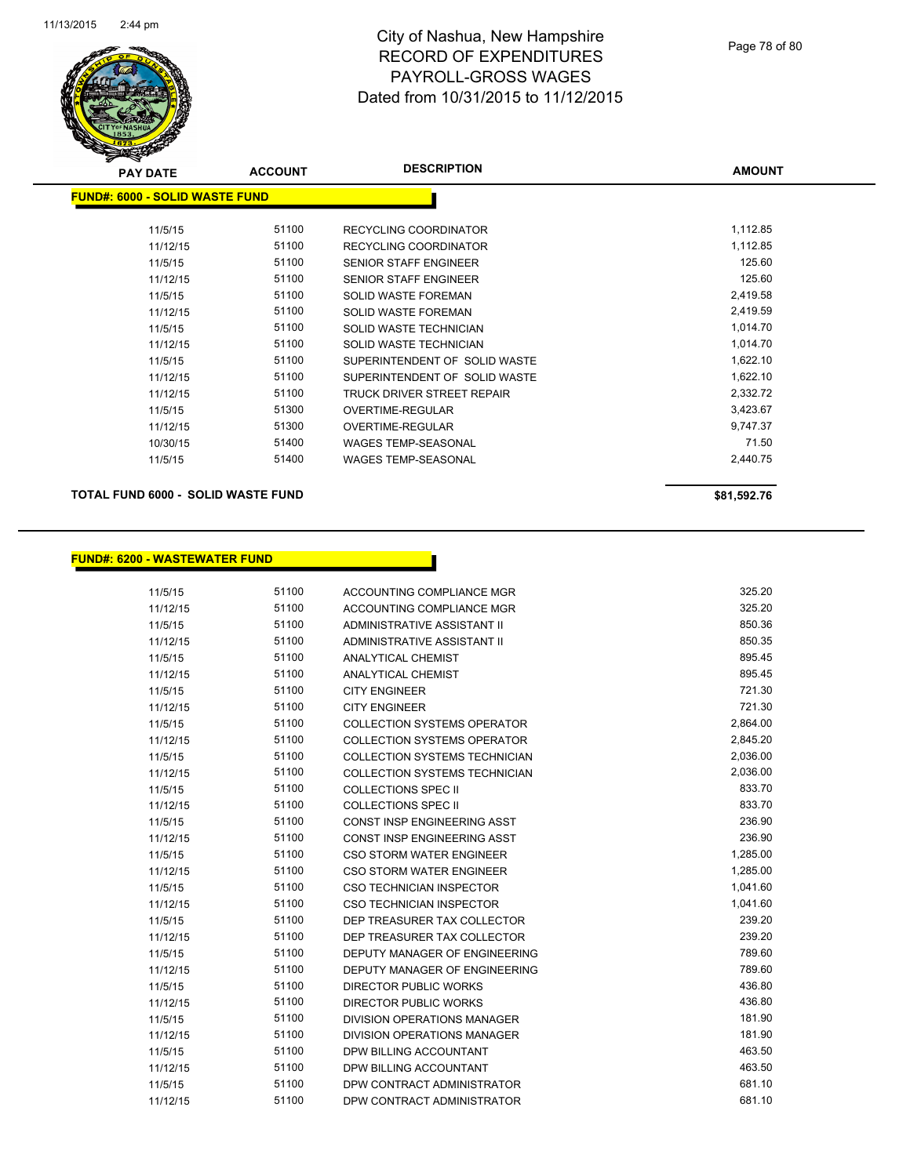

| <b>PAY DATE</b>                | <b>ACCOUNT</b> | <b>DESCRIPTION</b>            | <b>AMOUNT</b> |
|--------------------------------|----------------|-------------------------------|---------------|
| FUND#: 6000 - SOLID WASTE FUND |                |                               |               |
| 11/5/15                        | 51100          | <b>RECYCLING COORDINATOR</b>  | 1,112.85      |
| 11/12/15                       | 51100          | <b>RECYCLING COORDINATOR</b>  | 1,112.85      |
| 11/5/15                        | 51100          | <b>SENIOR STAFF ENGINEER</b>  | 125.60        |
| 11/12/15                       | 51100          | <b>SENIOR STAFF ENGINEER</b>  | 125.60        |
| 11/5/15                        | 51100          | SOLID WASTE FOREMAN           | 2,419.58      |
| 11/12/15                       | 51100          | SOLID WASTE FOREMAN           | 2,419.59      |
| 11/5/15                        | 51100          | SOLID WASTE TECHNICIAN        | 1,014.70      |
| 11/12/15                       | 51100          | SOLID WASTE TECHNICIAN        | 1,014.70      |
| 11/5/15                        | 51100          | SUPERINTENDENT OF SOLID WASTE | 1,622.10      |
| 11/12/15                       | 51100          | SUPERINTENDENT OF SOLID WASTE | 1,622.10      |
| 11/12/15                       | 51100          | TRUCK DRIVER STREET REPAIR    | 2,332.72      |
| 11/5/15                        | 51300          | <b>OVERTIME-REGULAR</b>       | 3,423.67      |
| 11/12/15                       | 51300          | <b>OVERTIME-REGULAR</b>       | 9,747.37      |
| 10/30/15                       | 51400          | <b>WAGES TEMP-SEASONAL</b>    | 71.50         |
| 11/5/15                        | 51400          | WAGES TEMP-SEASONAL           | 2,440.75      |
|                                |                |                               |               |

**TOTAL FUND 6000 - SOLID WASTE FUND \$81,592.76** 

### **FUND#: 6200 - WASTEWATER FUND**

11/5/15 51100 ACCOUNTING COMPLIANCE MGR 325.20 11/12/15 51100 ACCOUNTING COMPLIANCE MGR 325.20 11/5/15 51100 ADMINISTRATIVE ASSISTANT II 850.36 11/12/15 51100 ADMINISTRATIVE ASSISTANT II 850.35 11/5/15 51100 ANALYTICAL CHEMIST 895.45 11/12/15 51100 ANALYTICAL CHEMIST 895.45 11/5/15 51100 CITY ENGINEER 51100 51100 CITY ENGINEER 11/12/15 51100 CITY ENGINEER 721.30 11/5/15 51100 COLLECTION SYSTEMS OPERATOR 2,864.00 11/12/15 51100 COLLECTION SYSTEMS OPERATOR 2,845.20 11/5/15 51100 COLLECTION SYSTEMS TECHNICIAN 2,036.00 11/12/15 51100 COLLECTION SYSTEMS TECHNICIAN 2,036.00 11/5/15 51100 COLLECTIONS SPEC II 833.70 11/12/15 51100 COLLECTIONS SPEC II 833.70 11/5/15 51100 CONST INSP ENGINEERING ASST 236.90 11/12/15 51100 CONST INSP ENGINEERING ASST 236.90 11/5/15 51100 CSO STORM WATER ENGINEER 1,285.00 11/12/15 51100 CSO STORM WATER ENGINEER 1,285.00 11/5/15 51100 CSO TECHNICIAN INSPECTOR 6 2012 1,041.60 11/12/15 51100 CSO TECHNICIAN INSPECTOR 61/12/15 1,041.60 11/5/15 51100 DEP TREASURER TAX COLLECTOR 239.20 11/12/15 51100 DEP TREASURER TAX COLLECTOR 239.20 11/5/15 51100 DEPUTY MANAGER OF ENGINEERING 789.60 11/12/15 51100 DEPUTY MANAGER OF ENGINEERING 789.60 11/5/15 51100 DIRECTOR PUBLIC WORKS 436.80 11/12/15 51100 DIRECTOR PUBLIC WORKS 436.80 11/5/15 51100 DIVISION OPERATIONS MANAGER 181.90 11/12/15 51100 DIVISION OPERATIONS MANAGER 181.90 11/5/15 51100 DPW BILLING ACCOUNTANT 463.50 11/12/15 51100 DPW BILLING ACCOUNTANT 463.50 11/5/15 51100 DPW CONTRACT ADMINISTRATOR 681.10 11/12/15 51100 DPW CONTRACT ADMINISTRATOR 681.10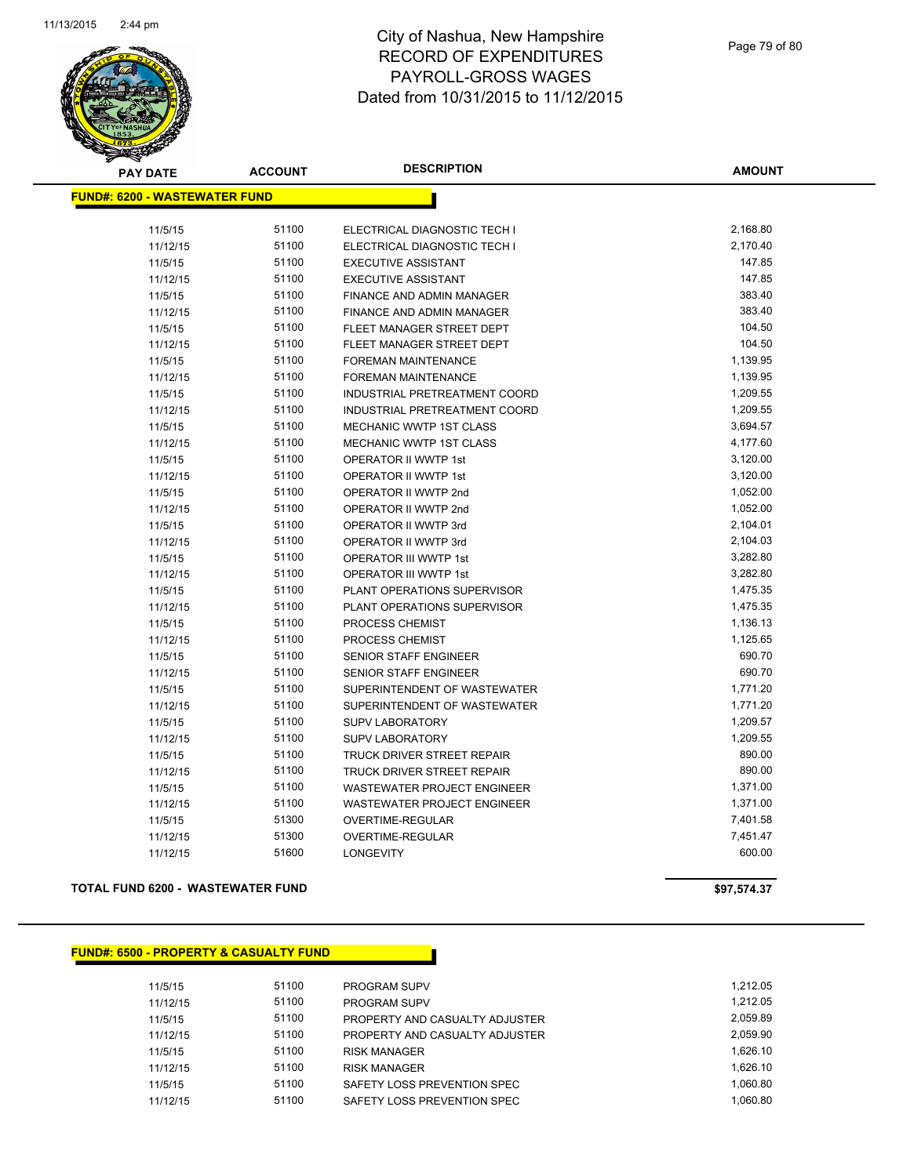

| <b>PAY DATE</b>                       | <b>ACCOUNT</b> | <b>DESCRIPTION</b>            | <b>AMOUNT</b> |
|---------------------------------------|----------------|-------------------------------|---------------|
| <u> FUND#: 6200 - WASTEWATER FUND</u> |                |                               |               |
| 11/5/15                               | 51100          | ELECTRICAL DIAGNOSTIC TECH I  | 2,168.80      |
| 11/12/15                              | 51100          | ELECTRICAL DIAGNOSTIC TECH I  | 2,170.40      |
| 11/5/15                               | 51100          | <b>EXECUTIVE ASSISTANT</b>    | 147.85        |
| 11/12/15                              | 51100          | <b>EXECUTIVE ASSISTANT</b>    | 147.85        |
| 11/5/15                               | 51100          | FINANCE AND ADMIN MANAGER     | 383.40        |
| 11/12/15                              | 51100          | FINANCE AND ADMIN MANAGER     | 383.40        |
| 11/5/15                               | 51100          | FLEET MANAGER STREET DEPT     | 104.50        |
| 11/12/15                              | 51100          | FLEET MANAGER STREET DEPT     | 104.50        |
| 11/5/15                               | 51100          | FOREMAN MAINTENANCE           | 1,139.95      |
| 11/12/15                              | 51100          | FOREMAN MAINTENANCE           | 1,139.95      |
| 11/5/15                               | 51100          | INDUSTRIAL PRETREATMENT COORD | 1,209.55      |
| 11/12/15                              | 51100          | INDUSTRIAL PRETREATMENT COORD | 1,209.55      |
| 11/5/15                               | 51100          | MECHANIC WWTP 1ST CLASS       | 3,694.57      |
| 11/12/15                              | 51100          | MECHANIC WWTP 1ST CLASS       | 4,177.60      |
| 11/5/15                               | 51100          | OPERATOR II WWTP 1st          | 3,120.00      |
| 11/12/15                              | 51100          | OPERATOR II WWTP 1st          | 3,120.00      |
| 11/5/15                               | 51100          | OPERATOR II WWTP 2nd          | 1,052.00      |
| 11/12/15                              | 51100          | OPERATOR II WWTP 2nd          | 1,052.00      |
| 11/5/15                               | 51100          | OPERATOR II WWTP 3rd          | 2,104.01      |
| 11/12/15                              | 51100          | <b>OPERATOR II WWTP 3rd</b>   | 2,104.03      |
| 11/5/15                               | 51100          | OPERATOR III WWTP 1st         | 3,282.80      |
| 11/12/15                              | 51100          | <b>OPERATOR III WWTP 1st</b>  | 3,282.80      |
| 11/5/15                               | 51100          | PLANT OPERATIONS SUPERVISOR   | 1,475.35      |
| 11/12/15                              | 51100          | PLANT OPERATIONS SUPERVISOR   | 1,475.35      |
| 11/5/15                               | 51100          | PROCESS CHEMIST               | 1,136.13      |
| 11/12/15                              | 51100          | PROCESS CHEMIST               | 1,125.65      |
| 11/5/15                               | 51100          | <b>SENIOR STAFF ENGINEER</b>  | 690.70        |
| 11/12/15                              | 51100          | <b>SENIOR STAFF ENGINEER</b>  | 690.70        |
| 11/5/15                               | 51100          | SUPERINTENDENT OF WASTEWATER  | 1,771.20      |
| 11/12/15                              | 51100          | SUPERINTENDENT OF WASTEWATER  | 1,771.20      |
| 11/5/15                               | 51100          | SUPV LABORATORY               | 1,209.57      |
| 11/12/15                              | 51100          | SUPV LABORATORY               | 1,209.55      |
| 11/5/15                               | 51100          | TRUCK DRIVER STREET REPAIR    | 890.00        |
| 11/12/15                              | 51100          | TRUCK DRIVER STREET REPAIR    | 890.00        |
| 11/5/15                               | 51100          | WASTEWATER PROJECT ENGINEER   | 1,371.00      |
| 11/12/15                              | 51100          | WASTEWATER PROJECT ENGINEER   | 1,371.00      |
| 11/5/15                               | 51300          | OVERTIME-REGULAR              | 7,401.58      |
| 11/12/15                              | 51300          | OVERTIME-REGULAR              | 7,451.47      |
| 11/12/15                              | 51600          | <b>LONGEVITY</b>              | 600.00        |
|                                       |                |                               |               |

**TOTAL FUND 6200 - WASTEWATER FUND \$97,574.37** 

### **FUND#: 6500 - PROPERTY & CASUALTY FUND**

| 11/5/15  | 51100 | <b>PROGRAM SUPV</b>            | 1.212.05 |
|----------|-------|--------------------------------|----------|
| 11/12/15 | 51100 | <b>PROGRAM SUPV</b>            | 1.212.05 |
| 11/5/15  | 51100 | PROPERTY AND CASUALTY ADJUSTER | 2.059.89 |
| 11/12/15 | 51100 | PROPERTY AND CASUALTY ADJUSTER | 2.059.90 |
| 11/5/15  | 51100 | <b>RISK MANAGER</b>            | 1.626.10 |
| 11/12/15 | 51100 | <b>RISK MANAGER</b>            | 1.626.10 |
| 11/5/15  | 51100 | SAFETY LOSS PREVENTION SPEC    | 1.060.80 |
| 11/12/15 | 51100 | SAFETY LOSS PREVENTION SPEC    | 1.060.80 |